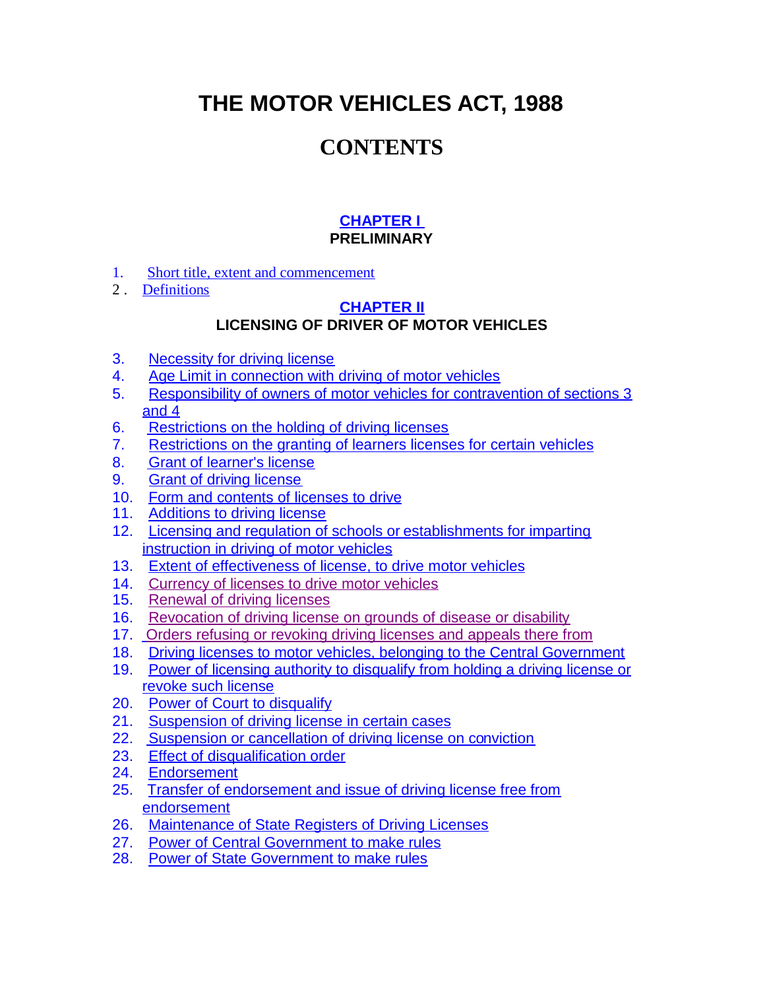**THE MOTOR VEHICLES ACT, 1988**

# **CONTENTS**

## **[CHAPTER I](http://orissatransport.nic.in/cmvact/mva_ch1.htm)**

## **PRELIMINARY**

- <span id="page-0-0"></span>1. [Short title, extent and commencement](#page-0-0)
- 2 . [Definitions](#page-7-0)

#### **[CHAPTER II](http://orissatransport.nic.in/cmvact/mva_ch2.htm) LICENSING OF DRIVER OF MOTOR VEHICLES**

- <span id="page-0-1"></span>3. [Necessity for driving license](#page-0-1)
- 4. [Age Limit in connection with driving of motor vehicles](#page-13-0)
- 5. [Responsibility of owners of motor vehicles for contravention of sections 3](#page-13-1) [and 4](#page-13-1)
- 6. [Restrictions on the holding of driving licenses](#page-13-2)
- 7. [Restrictions on the granting of learners licenses for certain vehicles](#page-14-0)
- 8. [Grant of learner's license](#page-14-1)
- 9. [Grant of driving license](#page-15-0)
- 10. [Form and contents of licenses to drive](#page-18-0)
- 11. [Additions to driving license](#page-18-1)
- 12. [Licensing and regulation of schools or](#page-18-2) establishments for imparting [instruction in driving of motor vehicles](#page-18-2)
- 13. [Extent of effectiveness of license, to drive motor vehicles](#page-20-0)
- 14. [Currency of licenses to drive motor vehicles](#page-20-1)
- 15. [Renewal of driving licenses](#page-21-0)
- 16. [Revocation of driving license on grounds of disease or disability](#page-22-0)
- 17. [Orders refusing or revoking driving licenses and appeals there from](#page-22-1)
- 18. [Driving licenses to motor vehicles, belonging to the Central Government](#page-22-2)
- 19. [Power of licensing authority to disqualify from holding a driving license or](#page-23-0) [revoke such license](#page-23-0)
- 20. [Power of Court to disqualify](#page-24-0)
- 21. [Suspension of driving license in certain cases](#page-25-0)
- 22. [Suspension or cancellation of driving license on conviction](#page-26-0)
- 23. [Effect of disqualification order](#page-27-0)
- 24. [Endorsement](#page-27-1)
- 25. [Transfer of endorsement and issue of driving license free from](#page-29-0) [endorsement](#page-29-0)
- 26. [Maintenance of State Registers of Driving Licenses](#page-29-1)
- 27. [Power of Central Government to make rules](#page-30-0)
- 28. Power [of State Government to make rules](#page-31-0)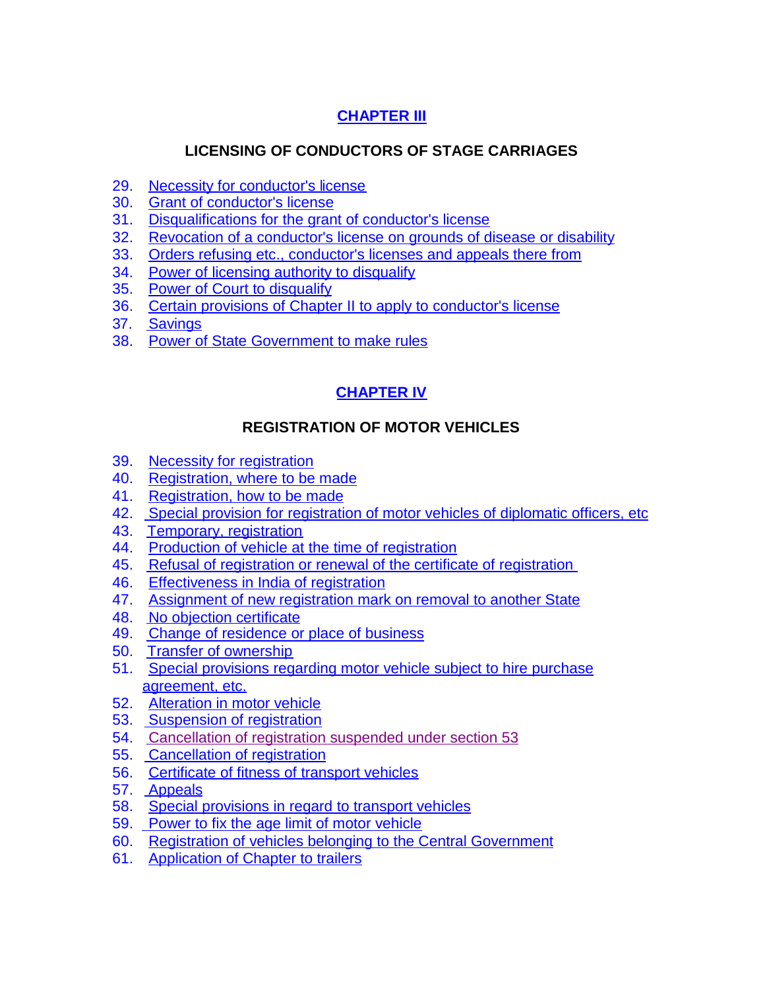## **[CHAPTER III](http://orissatransport.nic.in/cmvact/mva_ch3.htm)**

## **LICENSING OF CONDUCTORS OF STAGE CARRIAGES**

- 29. [Necessity for conductor's license](#page-33-0)
- 30. [Grant of conductor's license](#page-33-1)
- 31. [Disqualifications for the grant of conductor's license](#page-33-2)
- 32. [Revocation of a conductor's license on grounds of disease or disability](#page-34-0)
- 33. [Orders refusing etc., conductor's licenses and appeals there from](#page-34-1)
- 34. [Power of licensing authority to disqualify](#page-34-2)
- 35. [Power of Court to disqualify](#page-35-0)
- 36. [Certain provisions of Chapter II to apply to conductor's license](#page-35-1)
- 37. [Savings](#page-35-2)
- 38. [Power of State Government to make rules](#page-36-0)

## **[CHAPTER IV](http://orissatransport.nic.in/cmvact/mva_ch4)**

### **REGISTRATION OF MOTOR VEHICLES**

- 39. [Necessity for registration](#page-38-0)
- 40. [Registration, where to be made](#page-38-1)
- 41. [Registration, how to be made](#page-38-2)
- 42. [Special provision for registration of motor vehicles of diplomatic officers, etc](#page-40-0)
- 43. [Temporary, registration](#page-40-1)
- 44. [Production of vehicle at the time of registration](#page-41-0)
- 45. [Refusal of registration or renewal of the certificate of registration](#page-41-1)
- 46. [Effectiveness in India of registration](#page-42-0)
- 47. [Assignment of new registration mark on removal to another State](#page-42-1)
- 48. [No objection certificate](#page-43-0)
- 49. [Change of residence or place of business](#page-44-0)
- 50. [Transfer of ownership](#page-45-0)
- 51. [Special provisions regarding motor vehicle subject to hire purchase](#page-47-0) [agreement, etc.](#page-47-0)
- 52. [Alteration in motor vehicle](#page-50-0)
- 53. [Suspension of registration](#page-52-0)
- 54. [Cancellation of registration suspended under section 53](#page-52-1)
- 55. [Cancellation of registration](#page-53-0)
- 56. [Certificate of fitness of transport vehicles](#page-54-0)
- 57. [Appeals](#page-55-0)
- 58. [Special provisions in regard to transport vehicles](#page-55-1)
- 59. [Power to fix the age limit of motor vehicle](#page-56-0)
- 60. [Registration of vehicles belonging to the Central Government](#page-58-0)
- 61. [Application of Chapter to trailers](#page-58-1)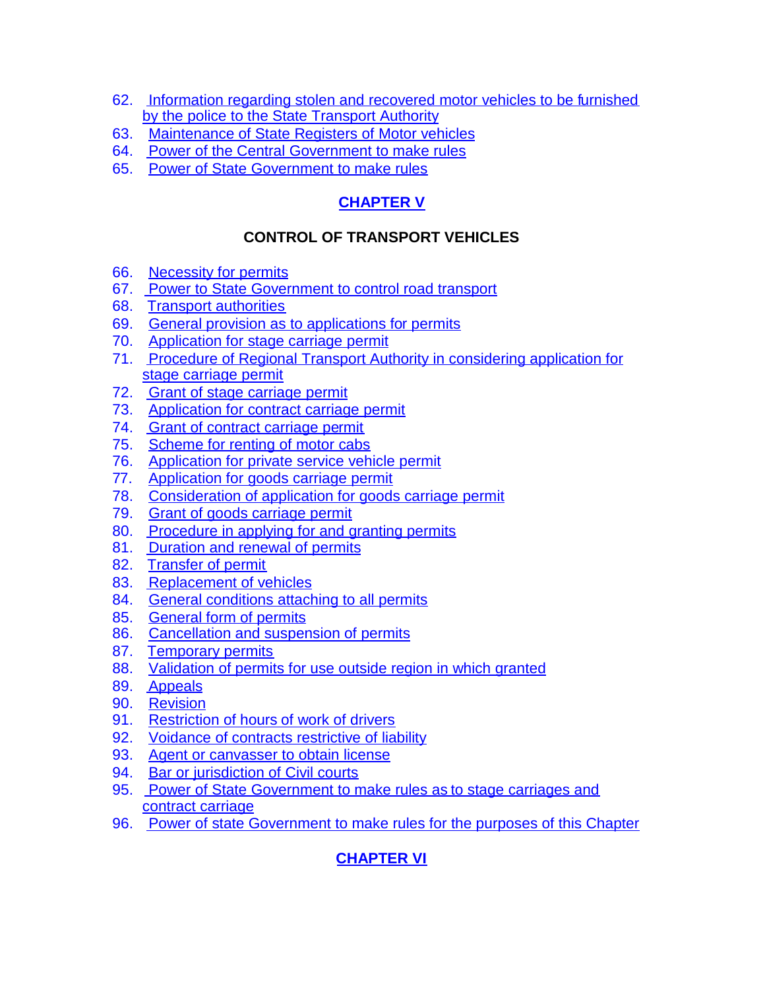- 62. [Information regarding stolen and recovered motor vehicles to be furnished](#page-59-0) [by the police to the State Transport Authority](#page-59-0)
- 63. [Maintenance of State Registers of Motor vehicles](#page-59-1)
- 64. [Power of the Central Government to make rules](#page-59-2)
- 65. [Power of State Government to make rules](#page-61-0)

## **[CHAPTER V](http://orissatransport.nic.in/cmvact/mva_ch5.htm)**

## **CONTROL OF TRANSPORT VEHICLES**

- 66. [Necessity for permits](#page-63-0)
- 67. [Power to State Government to control road transport](#page-65-0)
- 68. [Transport authorities](#page-66-0)
- 69. [General provision as to applications for permits](#page-68-0)
- 70. [Application for stage carriage permit](#page-68-1)
- 71. [Procedure of Regional Transport Authority in considering application for](#page-69-0) [stage carriage permit](#page-69-0)
- 72. [Grant of stage carriage permit](#page-70-0)
- 73. [Application for contract carriage permit](#page-73-0)
- 74. [Grant of contract carriage permit](#page-73-1)
- 75. [Scheme for renting of motor cabs](#page-75-0)
- 76. [Application for private service vehicle permit](#page-76-0)
- 77. [Application for goods carriage permit](#page-77-0)
- 78. [Consideration of application for goods carriage permit](#page-79-0)
- 79. [Grant of goods carriage permit](#page-79-1)
- 80. [Procedure in applying for and granting permits](#page-80-0)
- 81. [Duration and renewal of permits](#page-81-0)
- 82. [Transfer of permit](#page-82-0)
- 83. [Replacement of vehicles](#page-83-0)
- 84. [General conditions attaching to all permits](#page-83-1)
- 85. [General form of permits](#page-84-0)
- 86. [Cancellation and suspension of permits](#page-84-1)
- 87. [Temporary permits](#page-85-0)
- 88. [Validation of permits for use outside region in which granted](#page-86-0)
- 89. [Appeals](#page-90-0)
- 90. [Revision](#page-91-0)
- 91. [Restriction of hours](#page-91-1) of work of drivers
- 92. [Voidance of contracts restrictive of liability](#page-92-0)
- 93. [Agent or canvasser to obtain license](#page-92-1)
- 94. [Bar or jurisdiction of Civil courts](#page-93-0)
- 95. [Power of State Government to make rules as](#page-93-1) to stage carriages and [contract carriage](#page-93-1)
- 96. [Power of state Government to make rules for the purposes of this Chapter](#page-94-0)

## **[CHAPTER VI](http://orissatransport.nic.in/cmvact/mva_ch6.htm)**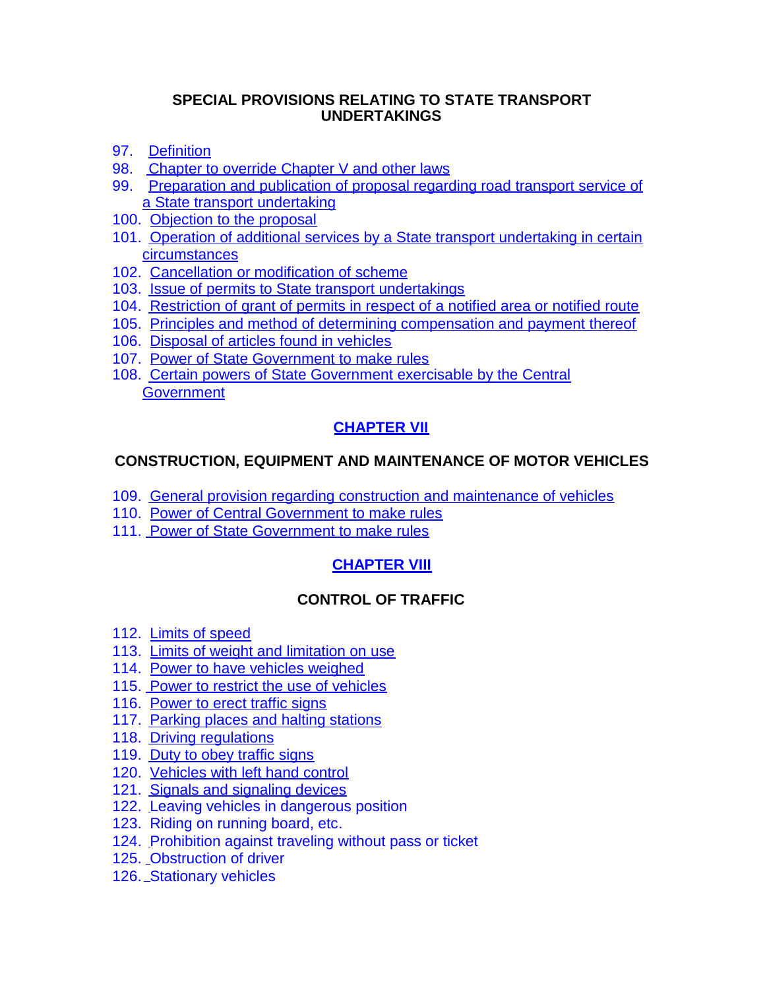#### **SPECIAL PROVISIONS RELATING TO STATE TRANSPORT UNDERTAKINGS**

- 97. [Definition](#page-98-0)
- 98. [Chapter to override Chapter V and other laws](#page-98-1)
- 99. [Preparation and publication of proposal regarding road transport service of](#page-98-2) [a State transport undertaking](#page-98-2)
- 100. [Objection to the proposal](#page-98-3)
- 101. [Operation of additional services by a State transport undertaking in certain](#page-99-0) [circumstances](#page-99-0)
- 102. [Cancellation or modification of scheme](#page-99-1)
- 103. [Issue of permits to State transport undertakings](#page-100-0)
- 104. [Restriction of grant of permits in respect of a notified area or notified route](#page-100-1)
- 105. [Principles and method of determining compensation and payment thereof](#page-101-0)
- 106. [Disposal of articles found in vehicles](#page-102-0)
- 107. [Power of State Government to make rules](#page-102-1)
- 108. [Certain powers of State Government exercisable by the Central](#page-103-0) **[Government](#page-103-0)**

### **[CHAPTER VII](http://orissatransport.nic.in/cmvact/mva_ch6.htm#ch_7)**

### **CONSTRUCTION, EQUIPMENT AND MAINTENANCE OF MOTOR VEHICLES**

- 109. [General provision regarding construction and maintenance of vehicles](#page-104-0)
- 110. [Power of Central Government to make rules](#page-104-1)
- 111. [Power of State Government to make rules](#page-105-0)

### **[CHAPTER VIII](http://orissatransport.nic.in/cmvact/mva_ch8.htm)**

### **CONTROL OF TRAFFIC**

- 112. [Limits of speed](#page-107-0)
- 113. [Limits of weight and limitation on use](#page-107-1)
- 114. [Power to have vehicles weighed](#page-108-0)
- 115. [Power to restrict the use of vehicles](#page-108-1)
- 116. [Power to erect traffic signs](#page-109-0)
- 117. [Parking places and halting stations](#page-110-0)
- 118. [Driving regulations](#page-110-1)
- 119. [Duty to obey traffic signs](#page-110-2)
- 120. [Vehicles with left hand control](#page-110-3)
- 121. [Signals and signaling devices](#page-110-4)
- 122. [L](http://www.infreight.com/chapter_viii.asp#b12)eaving vehicles in dangerous position
- 123. Riding on running board, etc.
- 124. [P](http://www.infreight.com/chapter_viii.asp#b14)rohibition against traveling without pass or ticket
- 125. [O](http://www.infreight.com/chapter_viii.asp#b14)bstruction of driver
- 126. [S](http://www.infreight.com/chapter_viii.asp#b15)tationary vehicles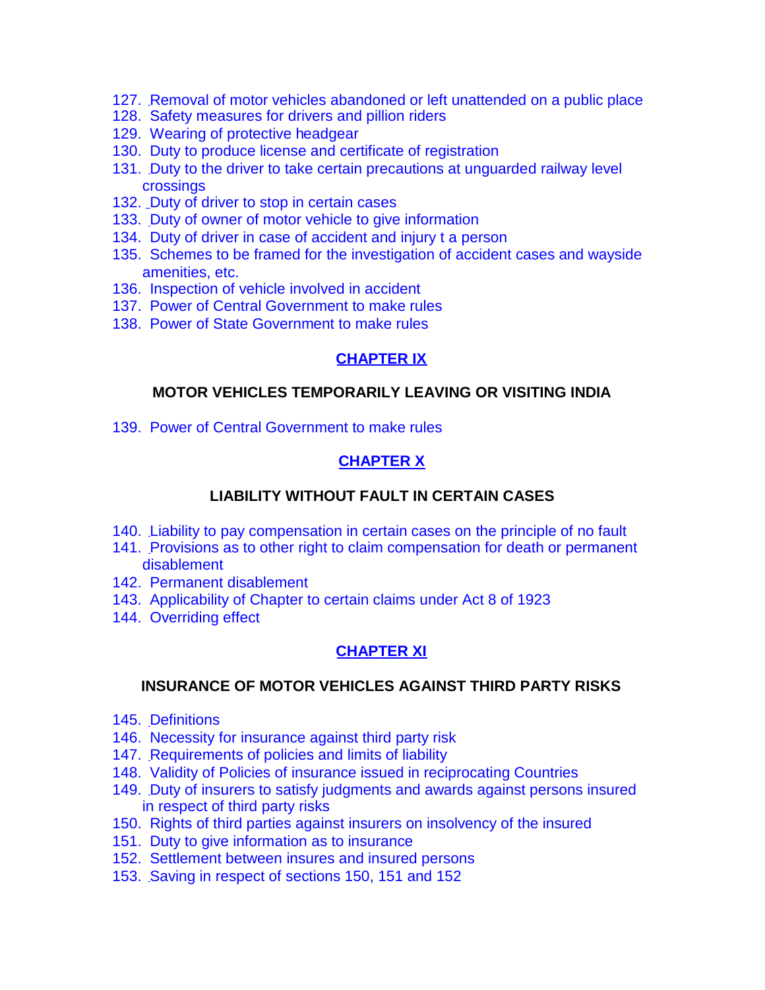- 127. [R](http://www.infreight.com/chapter_viii.asp#b16)emoval of motor vehicles abandoned or left unattended on a public place
- 128. Safety measures for drivers and pillion riders
- 129. Wearing of protective headgear
- 130. Duty to produce license and certificate of registration
- 131. [D](http://www.infreight.com/chapter_viii.asp#b20)uty to the driver to take certain precautions at unguarded railway level crossings
- 132. [D](http://www.infreight.com/chapter_viii.asp#b21)uty of driver to stop in certain cases
- 133. [D](http://www.infreight.com/chapter_viii.asp#b22)uty of owner of motor vehicle to give information
- 134. Duty of driver in case of accident and injury t a person
- 135. Schemes to be framed for the investigation of accident cases and wayside amenities, etc.
- 136. Inspection of vehicle involved in accident
- 137. Power of Central Government to make rules
- 138. Power of State Government to make rules

#### **[CHAPTER IX](http://orissatransport.nic.in/cmvact/mva_ch8.htm#ch_9)**

#### **MOTOR VEHICLES TEMPORARILY LEAVING OR VISITING INDIA**

139. Power of Central Government to make rules

#### **[CHAPTER X](http://orissatransport.nic.in/cmvact/mva_ch10.htm)**

#### **LIABILITY WITHOUT FAULT IN CERTAIN CASES**

- 140. [L](http://www.infreight.com/chapter_x.asp#b1)iability to pay compensation in certain cases on the principle of no fault
- 141. [P](http://www.infreight.com/chapter_x.asp#b2)rovisions as to other right to claim compensation for death or permanent disablement
- 142. Permanent disablement
- 143. Applicability of Chapter to certain claims under Act 8 of 1923
- 144. Overriding effect

#### **[CHAPTER XI](http://orissatransport.nic.in/cmvact/mva_ch10.htm#ch_11)**

#### **INSURANCE OF MOTOR VEHICLES AGAINST THIRD PARTY RISKS**

- 145. [D](http://www.infreight.com/chapter_xi.asp#b1)efinitions
- 146. Necessity for insurance against third party risk
- 147. [R](http://www.infreight.com/chapter_xi.asp#b3)equirements of policies and limits of liability
- 148. Validity of Policies of insurance issued in reciprocating Countries
- 149. [D](http://www.infreight.com/chapter_xi.asp#b5)uty of insurers to satisfy judgments and awards against persons insured in respect of third party risks
- 150. Rights of third parties against insurers on insolvency of the insured
- 151. Duty to give information as to insurance
- 152. Settlement between insures and insured persons
- 153. [S](http://www.infreight.com/chapter_xi.asp#b10)aving in respect of sections 150, 151 and 152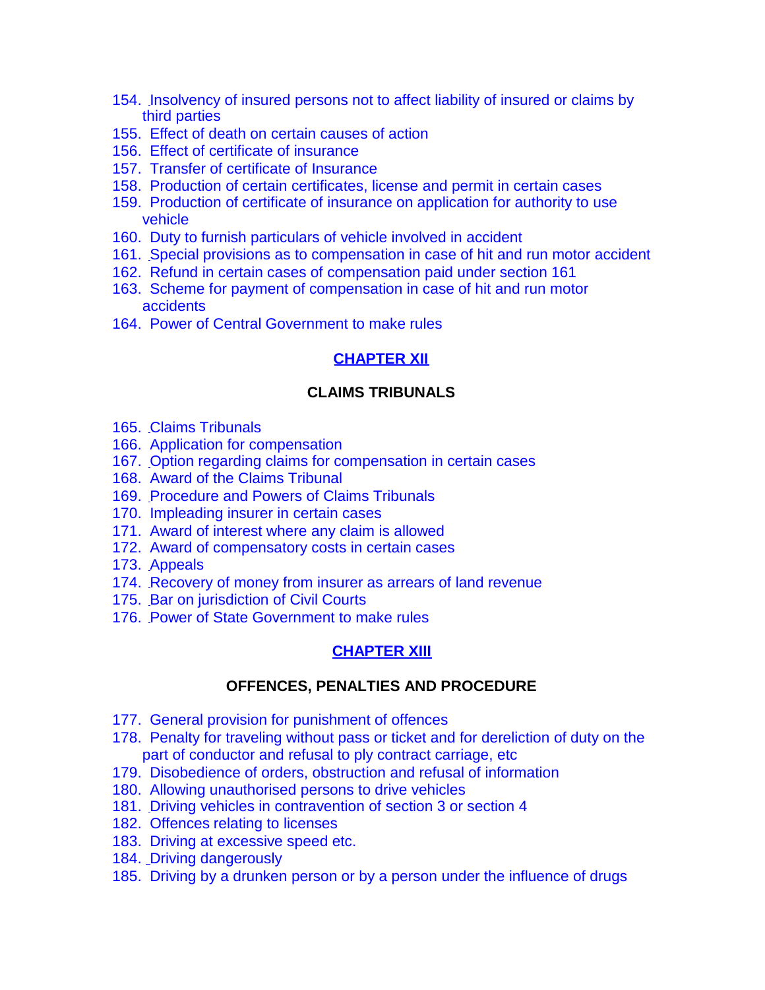- 154. [I](http://www.infreight.com/chapter_xi.asp#b11)nsolvency of insured persons not to affect liability of insured or claims by third parties
- 155. Effect of death on certain causes of action
- 156. Effect of certificate of insurance
- 157. Transfer of certificate of Insurance
- 158. Production of certain certificates, license and permit in certain cases
- 159. Production of certificate of insurance on application for authority to use vehicle
- 160. Duty to furnish particulars of vehicle involved in accident
- 161. [S](http://www.infreight.com/chapter_xi.asp#b18)pecial provisions as to compensation in case of hit and run motor accident
- 162. Refund in certain cases of compensation paid under section 161
- 163. Scheme for payment of compensation in case of hit and run motor accidents
- 164. Power of Central Government to make rules

#### **[CHAPTER XII](http://orissatransport.nic.in/cmvact/mva_ch12.htm)**

#### **CLAIMS TRIBUNALS**

- 165. [C](http://www.infreight.com/chapter_xii.asp#b1)laims Tribunals
- 166. Application for compensation
- 167. [O](http://www.infreight.com/chapter_xii.asp#b3)ption regarding claims for compensation in certain cases
- 168. Award of the Claims Tribunal
- 169. [P](http://www.infreight.com/chapter_xii.asp#b5)rocedure and Powers of Claims Tribunals
- 170. Impleading insurer in certain cases
- 171. Award of interest where any claim is allowed
- 172. Award of compensatory costs in certain cases
- 173. [A](http://www.infreight.com/chapter_xii.asp#b9)ppeals
- 174. [R](http://www.infreight.com/chapter_xii.asp#b10)ecovery of money from insurer as arrears of land revenue
- 175. [B](http://www.infreight.com/chapter_xii.asp#b11)ar on jurisdiction of Civil Courts
- 176. [P](http://www.infreight.com/chapter_xii.asp#b12)ower of State Government to make rules

#### **[CHAPTER XIII](http://orissatransport.nic.in/cmvact/mva_ch12.htm#ch_13)**

#### **OFFENCES, PENALTIES AND PROCEDURE**

- 177. General provision for punishment of offences
- 178. Penalty for traveling without pass or ticket and for dereliction of duty on the part of conductor and refusal to ply contract carriage, etc
- 179. Disobedience of orders, obstruction and refusal of information
- 180. Allowing unauthorised persons to drive vehicles
- 181. [D](http://www.infreight.com/chapter_xiii.asp#b5)riving vehicles in contravention of section 3 or section 4
- 182. Offences relating to licenses
- 183. Driving at excessive speed etc.
- 184. [D](http://www.infreight.com/chapter_xiii.asp#b8)riving dangerously
- 185. Driving by a drunken person or by a person under the influence of drugs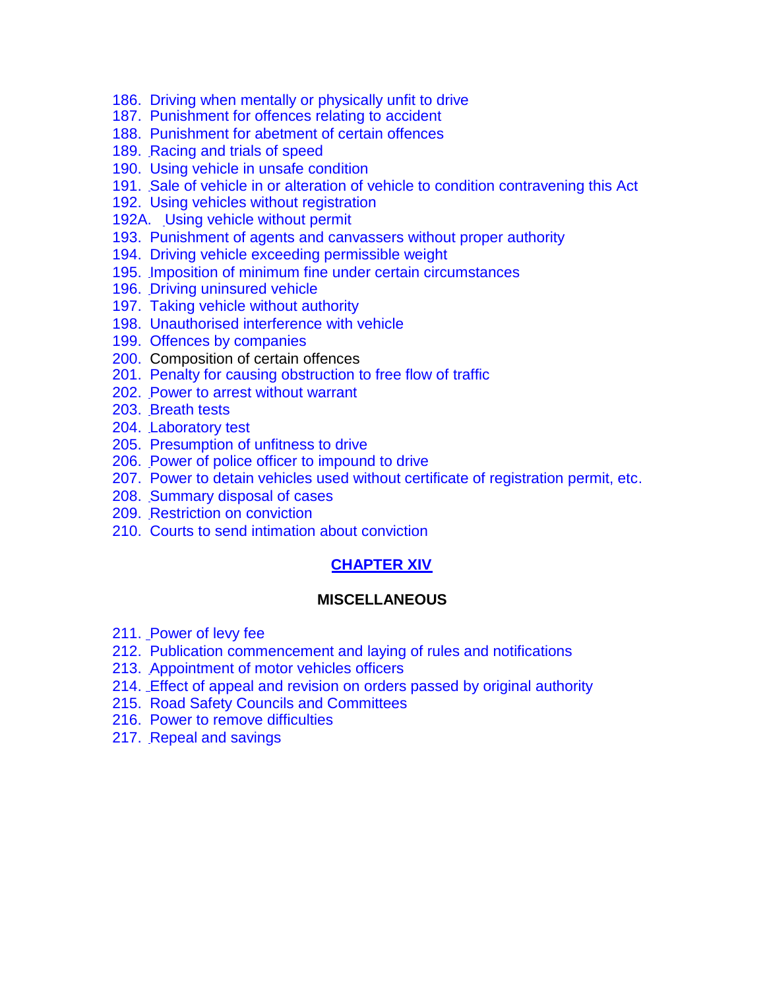- 186. Driving when mentally or physically unfit to drive
- 187. Punishment for offences relating to accident
- 188. Punishment for abetment of certain offences
- 189. [R](http://www.infreight.com/chapter_xiii.asp#b13)acing and trials of speed
- 190. Using vehicle in unsafe condition
- 191. [S](http://www.infreight.com/chapter_xiii.asp#b15)ale of vehicle in or alteration of vehicle to condition contravening this Act
- 192. Using vehicles without registration
- 192A. [U](http://www.infreight.com/chapter_xiii.asp#b17)sing vehicle without permit
- 193. Punishment of agents and canvassers without proper authority
- 194. Driving vehicle exceeding permissible weight
- 195. [I](http://www.infreight.com/chapter_xiii.asp#b19)mposition of minimum fine under certain circumstances
- 196. [D](http://www.infreight.com/chapter_xiii.asp#b20)riving uninsured vehicle
- 197. Taking vehicle without authority
- 198. Unauthorised interference with vehicle
- 199. Offences by companies
- 200. Composition of certain offences
- 201. Penalty for causing obstruction to free flow of traffic
- 202. [P](http://www.infreight.com/chapter_xiii.asp#b27)ower to arrest without warrant
- 203. [B](http://www.infreight.com/chapter_xiii.asp#b28)reath tests
- 204. [L](http://www.infreight.com/chapter_xiii.asp#b29)aboratory test
- 205. Presumption of unfitness to drive
- 206. [P](http://www.infreight.com/chapter_xiii.asp#b31)ower of police officer to impound to drive
- 207. Power to detain vehicles used without certificate of registration permit, etc.
- 208. [S](http://www.infreight.com/chapter_xiii.asp#b33)ummary disposal of cases
- 209. [R](http://www.infreight.com/chapter_xiii.asp#b34)estriction on conviction
- 210. Courts to send intimation about conviction

#### **[CHAPTER XIV](http://orissatransport.nic.in/cmvact/mva_ch14.htm)**

#### **MISCELLANEOUS**

- 211. [P](http://www.infreight.com/chapter_xiv.asp#b1)ower of levy fee
- 212. Publication commencement and laying of rules and notifications
- 213. [A](http://www.infreight.com/chapter_xiv.asp#b3)ppointment of motor vehicles officers
- 214. [E](http://www.infreight.com/chapter_xiv.asp#b4)ffect of appeal and revision on orders passed by original authority
- 215. Road Safety Councils and Committees
- 216. Power to remove difficulties
- 217. [R](http://www.infreight.com/chapter_xiv.asp#b7)epeal and savings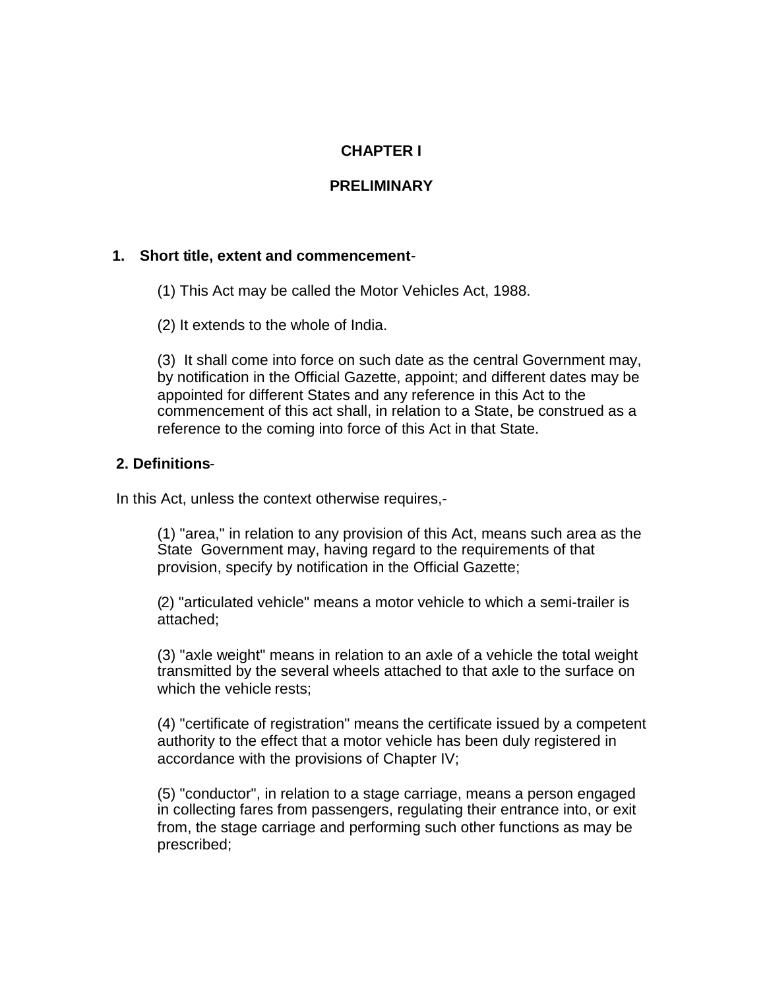### **CHAPTER I**

### **PRELIMINARY**

#### **1. Short title, extent and commencement**-

- (1) This Act may be called the Motor Vehicles Act, 1988.
- (2) It extends to the whole of India.

(3) It shall come into force on such date as the central Government may, by notification in the Official Gazette, appoint; and different dates may be appointed for different States and any reference in this Act to the commencement of this act shall, in relation to a State, be construed as a reference to the coming into force of this Act in that State.

#### <span id="page-7-0"></span>**2. Definitions**-

In this Act, unless the context otherwise requires,-

(1) "area," in relation to any provision of this Act, means such area as the State Government may, having regard to the requirements of that provision, specify by notification in the Official Gazette;

(2) "articulated vehicle" means a motor vehicle to which a semi-trailer is attached;

(3) "axle weight" means in relation to an axle of a vehicle the total weight transmitted by the several wheels attached to that axle to the surface on which the vehicle rests;

(4) "certificate of registration" means the certificate issued by a competent authority to the effect that a motor vehicle has been duly registered in accordance with the provisions of Chapter IV;

(5) "conductor", in relation to a stage carriage, means a person engaged in collecting fares from passengers, regulating their entrance into, or exit from, the stage carriage and performing such other functions as may be prescribed;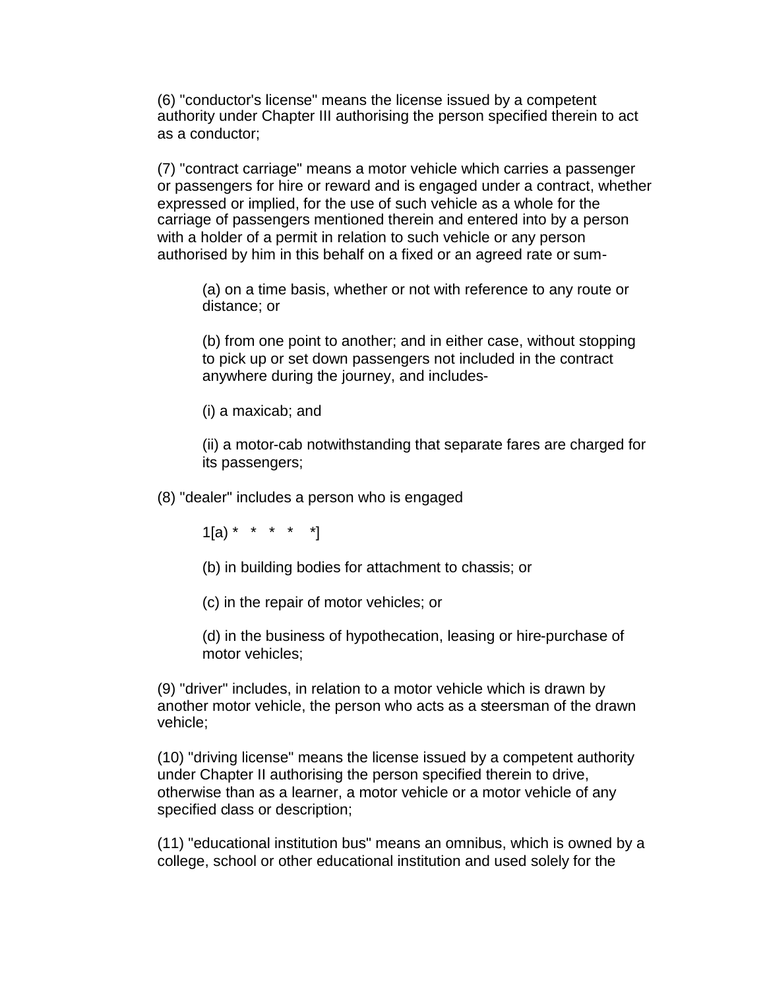(6) "conductor's license" means the license issued by a competent authority under Chapter III authorising the person specified therein to act as a conductor;

(7) "contract carriage" means a motor vehicle which carries a passenger or passengers for hire or reward and is engaged under a contract, whether expressed or implied, for the use of such vehicle as a whole for the carriage of passengers mentioned therein and entered into by a person with a holder of a permit in relation to such vehicle or any person authorised by him in this behalf on a fixed or an agreed rate or sum-

(a) on a time basis, whether or not with reference to any route or distance; or

(b) from one point to another; and in either case, without stopping to pick up or set down passengers not included in the contract anywhere during the journey, and includes-

(i) a maxicab; and

(ii) a motor-cab notwithstanding that separate fares are charged for its passengers;

(8) "dealer" includes a person who is engaged

 $1[a) * * * * * * *$ 

(b) in building bodies for attachment to chassis; or

(c) in the repair of motor vehicles; or

(d) in the business of hypothecation, leasing or hire-purchase of motor vehicles;

(9) "driver" includes, in relation to a motor vehicle which is drawn by another motor vehicle, the person who acts as a steersman of the drawn vehicle;

(10) "driving license" means the license issued by a competent authority under Chapter II authorising the person specified therein to drive, otherwise than as a learner, a motor vehicle or a motor vehicle of any specified class or description;

(11) "educational institution bus" means an omnibus, which is owned by a college, school or other educational institution and used solely for the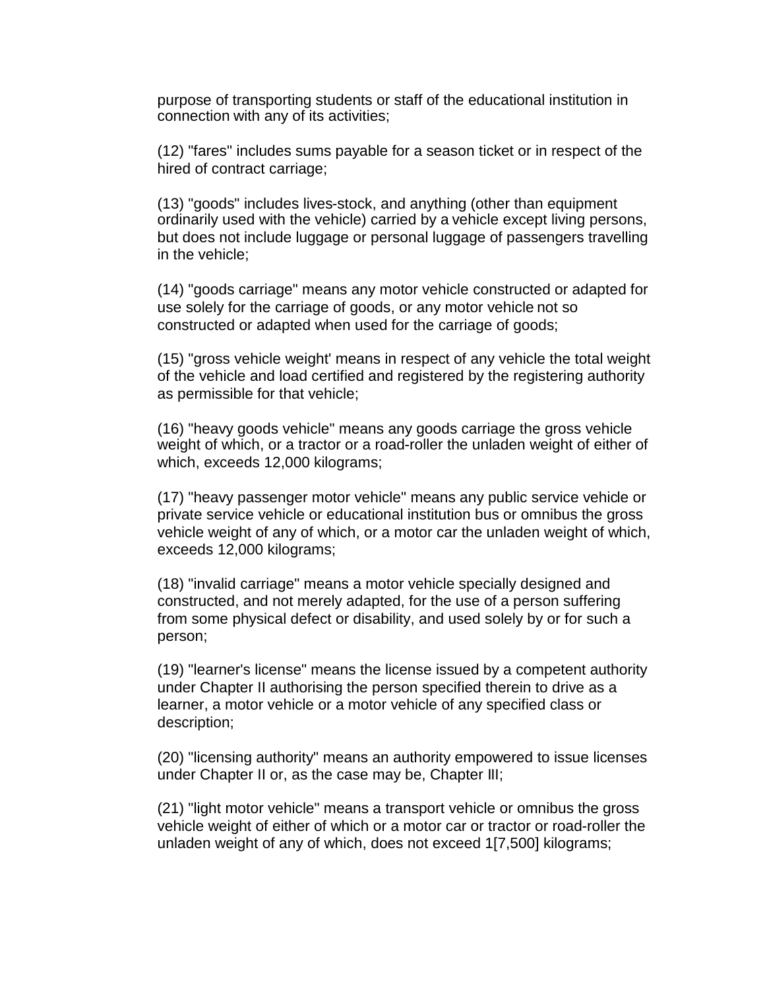purpose of transporting students or staff of the educational institution in connection with any of its activities;

(12) "fares" includes sums payable for a season ticket or in respect of the hired of contract carriage;

(13) "goods" includes lives-stock, and anything (other than equipment ordinarily used with the vehicle) carried by a vehicle except living persons, but does not include luggage or personal luggage of passengers travelling in the vehicle;

(14) "goods carriage" means any motor vehicle constructed or adapted for use solely for the carriage of goods, or any motor vehicle not so constructed or adapted when used for the carriage of goods;

(15) "gross vehicle weight' means in respect of any vehicle the total weight of the vehicle and load certified and registered by the registering authority as permissible for that vehicle;

(16) "heavy goods vehicle" means any goods carriage the gross vehicle weight of which, or a tractor or a road-roller the unladen weight of either of which, exceeds 12,000 kilograms;

(17) "heavy passenger motor vehicle" means any public service vehicle or private service vehicle or educational institution bus or omnibus the gross vehicle weight of any of which, or a motor car the unladen weight of which, exceeds 12,000 kilograms;

(18) "invalid carriage" means a motor vehicle specially designed and constructed, and not merely adapted, for the use of a person suffering from some physical defect or disability, and used solely by or for such a person;

(19) "learner's license" means the license issued by a competent authority under Chapter II authorising the person specified therein to drive as a learner, a motor vehicle or a motor vehicle of any specified class or description;

(20) "licensing authority" means an authority empowered to issue licenses under Chapter II or, as the case may be, Chapter III;

(21) "light motor vehicle" means a transport vehicle or omnibus the gross vehicle weight of either of which or a motor car or tractor or road-roller the unladen weight of any of which, does not exceed 1[7,500] kilograms;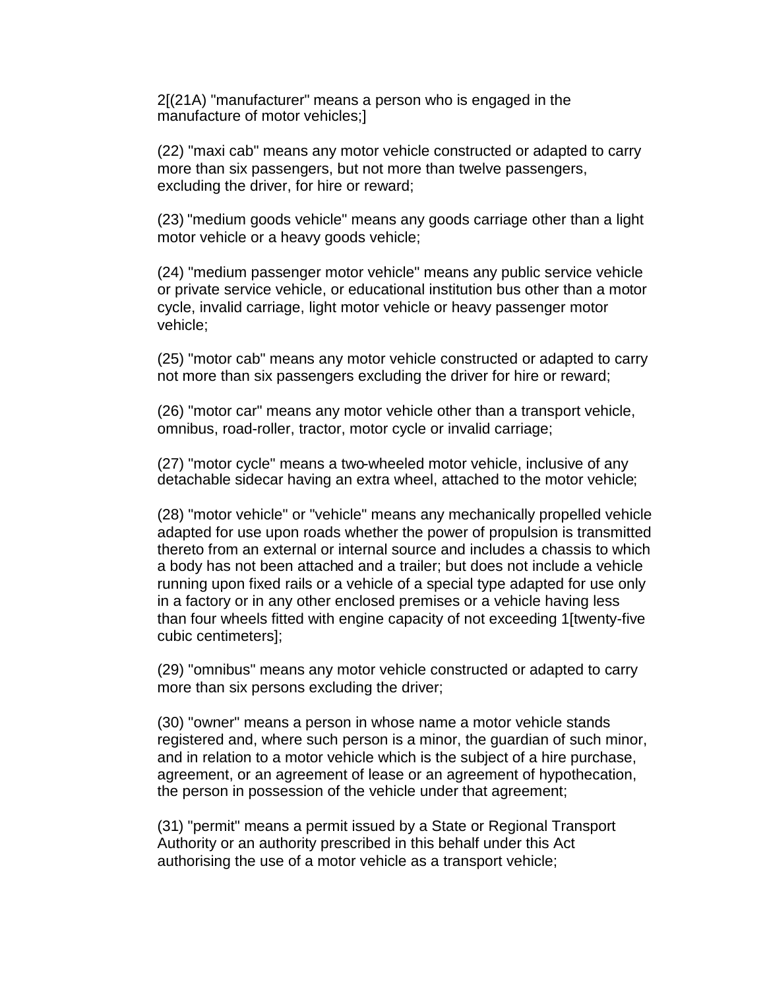2[(21A) "manufacturer" means a person who is engaged in the manufacture of motor vehicles;]

(22) "maxi cab" means any motor vehicle constructed or adapted to carry more than six passengers, but not more than twelve passengers, excluding the driver, for hire or reward;

(23) "medium goods vehicle" means any goods carriage other than a light motor vehicle or a heavy goods vehicle;

(24) "medium passenger motor vehicle" means any public service vehicle or private service vehicle, or educational institution bus other than a motor cycle, invalid carriage, light motor vehicle or heavy passenger motor vehicle;

(25) "motor cab" means any motor vehicle constructed or adapted to carry not more than six passengers excluding the driver for hire or reward;

(26) "motor car" means any motor vehicle other than a transport vehicle, omnibus, road-roller, tractor, motor cycle or invalid carriage;

(27) "motor cycle" means a two-wheeled motor vehicle, inclusive of any detachable sidecar having an extra wheel, attached to the motor vehicle;

(28) "motor vehicle" or "vehicle" means any mechanically propelled vehicle adapted for use upon roads whether the power of propulsion is transmitted thereto from an external or internal source and includes a chassis to which a body has not been attached and a trailer; but does not include a vehicle running upon fixed rails or a vehicle of a special type adapted for use only in a factory or in any other enclosed premises or a vehicle having less than four wheels fitted with engine capacity of not exceeding 1[twenty-five cubic centimeters];

(29) "omnibus" means any motor vehicle constructed or adapted to carry more than six persons excluding the driver;

(30) "owner" means a person in whose name a motor vehicle stands registered and, where such person is a minor, the guardian of such minor, and in relation to a motor vehicle which is the subject of a hire purchase, agreement, or an agreement of lease or an agreement of hypothecation, the person in possession of the vehicle under that agreement;

(31) "permit" means a permit issued by a State or Regional Transport Authority or an authority prescribed in this behalf under this Act authorising the use of a motor vehicle as a transport vehicle;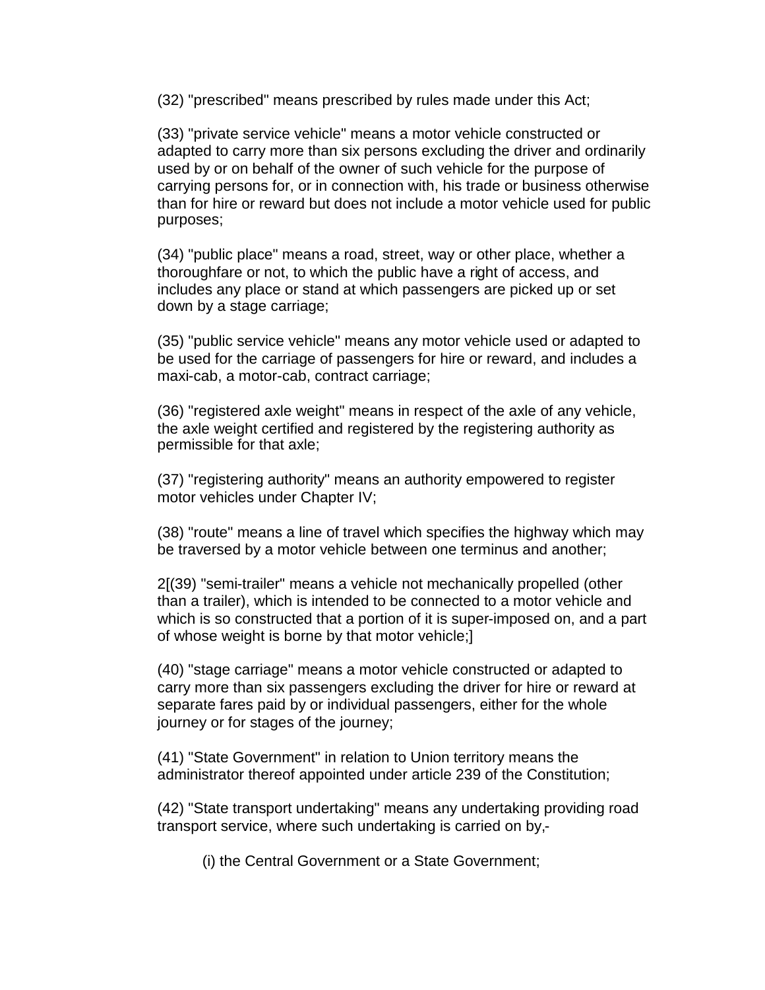(32) "prescribed" means prescribed by rules made under this Act;

(33) "private service vehicle" means a motor vehicle constructed or adapted to carry more than six persons excluding the driver and ordinarily used by or on behalf of the owner of such vehicle for the purpose of carrying persons for, or in connection with, his trade or business otherwise than for hire or reward but does not include a motor vehicle used for public purposes;

(34) "public place" means a road, street, way or other place, whether a thoroughfare or not, to which the public have a right of access, and includes any place or stand at which passengers are picked up or set down by a stage carriage;

(35) "public service vehicle" means any motor vehicle used or adapted to be used for the carriage of passengers for hire or reward, and includes a maxi-cab, a motor-cab, contract carriage;

(36) "registered axle weight" means in respect of the axle of any vehicle, the axle weight certified and registered by the registering authority as permissible for that axle;

(37) "registering authority" means an authority empowered to register motor vehicles under Chapter IV;

(38) "route" means a line of travel which specifies the highway which may be traversed by a motor vehicle between one terminus and another;

2[(39) "semi-trailer" means a vehicle not mechanically propelled (other than a trailer), which is intended to be connected to a motor vehicle and which is so constructed that a portion of it is super-imposed on, and a part of whose weight is borne by that motor vehicle;]

(40) "stage carriage" means a motor vehicle constructed or adapted to carry more than six passengers excluding the driver for hire or reward at separate fares paid by or individual passengers, either for the whole journey or for stages of the journey;

(41) "State Government" in relation to Union territory means the administrator thereof appointed under article 239 of the Constitution;

(42) "State transport undertaking" means any undertaking providing road transport service, where such undertaking is carried on by,-

(i) the Central Government or a State Government;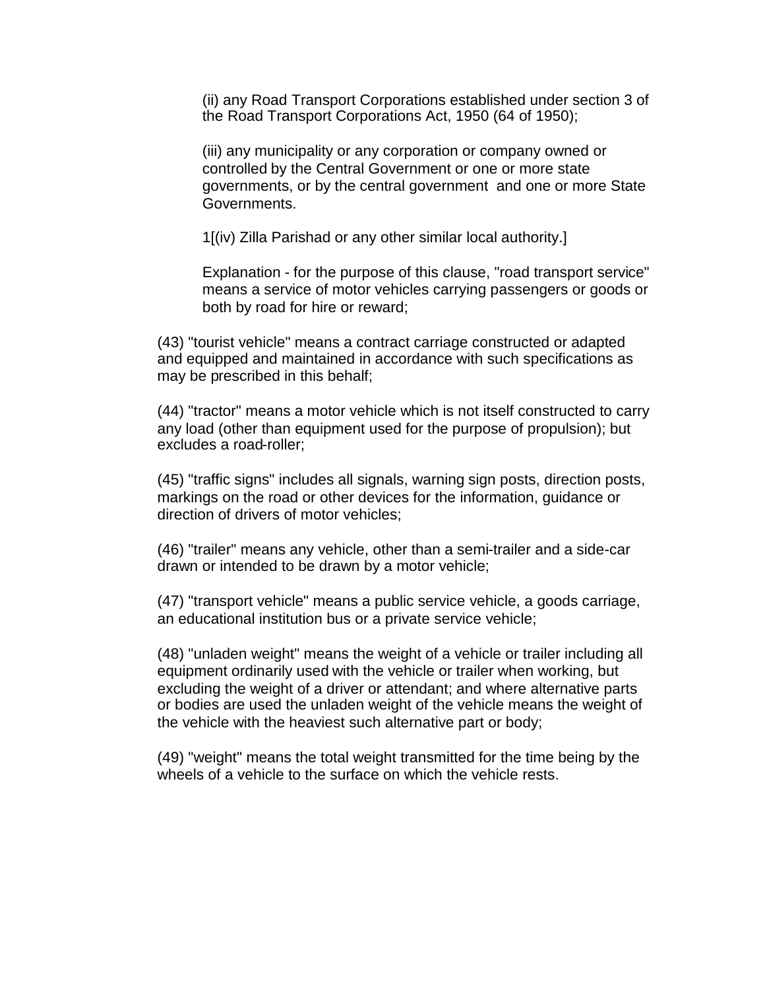(ii) any Road Transport Corporations established under section 3 of the Road Transport Corporations Act, 1950 (64 of 1950);

(iii) any municipality or any corporation or company owned or controlled by the Central Government or one or more state governments, or by the central government and one or more State Governments.

1[(iv) Zilla Parishad or any other similar local authority.]

Explanation - for the purpose of this clause, "road transport service" means a service of motor vehicles carrying passengers or goods or both by road for hire or reward;

(43) "tourist vehicle" means a contract carriage constructed or adapted and equipped and maintained in accordance with such specifications as may be prescribed in this behalf;

(44) "tractor" means a motor vehicle which is not itself constructed to carry any load (other than equipment used for the purpose of propulsion); but excludes a road-roller;

(45) "traffic signs" includes all signals, warning sign posts, direction posts, markings on the road or other devices for the information, guidance or direction of drivers of motor vehicles;

(46) "trailer" means any vehicle, other than a semi-trailer and a side-car drawn or intended to be drawn by a motor vehicle;

(47) "transport vehicle" means a public service vehicle, a goods carriage, an educational institution bus or a private service vehicle;

(48) "unladen weight" means the weight of a vehicle or trailer including all equipment ordinarily used with the vehicle or trailer when working, but excluding the weight of a driver or attendant; and where alternative parts or bodies are used the unladen weight of the vehicle means the weight of the vehicle with the heaviest such alternative part or body;

(49) "weight" means the total weight transmitted for the time being by the wheels of a vehicle to the surface on which the vehicle rests.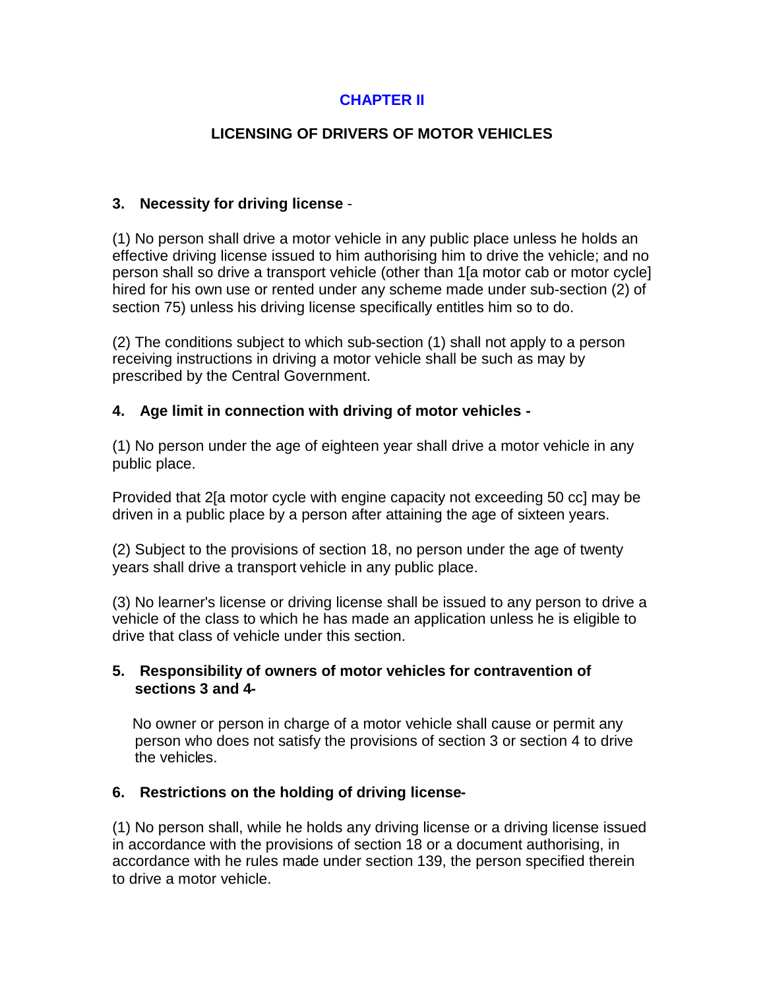## **CHAPTER II**

### **LICENSING OF DRIVERS OF MOTOR VEHICLES**

#### **3. Necessity for driving license** -

(1) No person shall drive a motor vehicle in any public place unless he holds an effective driving license issued to him authorising him to drive the vehicle; and no person shall so drive a transport vehicle (other than 1[a motor cab or motor cycle] hired for his own use or rented under any scheme made under sub-section (2) of section 75) unless his driving license specifically entitles him so to do.

(2) The conditions subject to which sub-section (1) shall not apply to a person receiving instructions in driving a motor vehicle shall be such as may by prescribed by the Central Government.

### <span id="page-13-0"></span>**4. Age limit in connection with driving of motor vehicles -**

(1) No person under the age of eighteen year shall drive a motor vehicle in any public place.

Provided that 2[a motor cycle with engine capacity not exceeding 50 cc] may be driven in a public place by a person after attaining the age of sixteen years.

(2) Subject to the provisions of section 18, no person under the age of twenty years shall drive a transport vehicle in any public place.

(3) No learner's license or driving license shall be issued to any person to drive a vehicle of the class to which he has made an application unless he is eligible to drive that class of vehicle under this section.

### <span id="page-13-1"></span>**5. Responsibility of owners of motor vehicles for contravention of sections 3 and 4-**

No owner or person in charge of a motor vehicle shall cause or permit any person who does not satisfy the provisions of section 3 or section 4 to drive the vehicles.

### <span id="page-13-2"></span>**6. Restrictions on the holding of driving license-**

(1) No person shall, while he holds any driving license or a driving license issued in accordance with the provisions of section 18 or a document authorising, in accordance with he rules made under section 139, the person specified therein to drive a motor vehicle.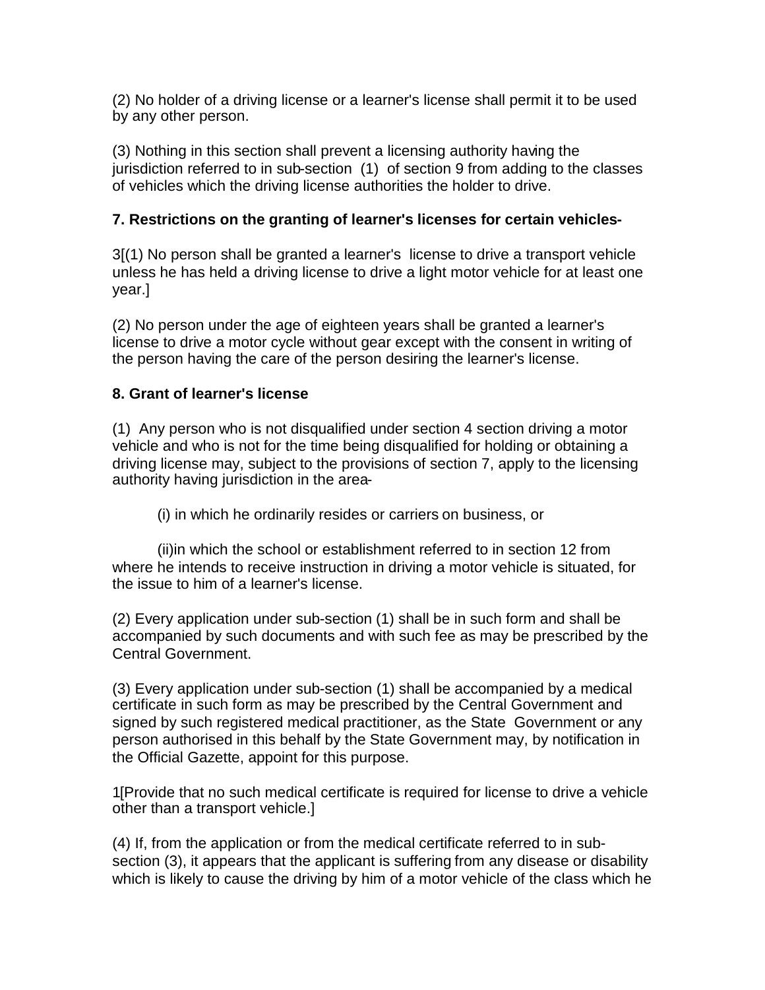(2) No holder of a driving license or a learner's license shall permit it to be used by any other person.

(3) Nothing in this section shall prevent a licensing authority having the jurisdiction referred to in sub-section (1) of section 9 from adding to the classes of vehicles which the driving license authorities the holder to drive.

### <span id="page-14-0"></span>**7. Restrictions on the granting of learner's licenses for certain vehicles-**

3[(1) No person shall be granted a learner's license to drive a transport vehicle unless he has held a driving license to drive a light motor vehicle for at least one year.]

(2) No person under the age of eighteen years shall be granted a learner's license to drive a motor cycle without gear except with the consent in writing of the person having the care of the person desiring the learner's license.

### <span id="page-14-1"></span>**8. Grant of learner's license**

(1) Any person who is not disqualified under section 4 section driving a motor vehicle and who is not for the time being disqualified for holding or obtaining a driving license may, subject to the provisions of section 7, apply to the licensing authority having jurisdiction in the area-

(i) in which he ordinarily resides or carriers on business, or

(ii)in which the school or establishment referred to in section 12 from where he intends to receive instruction in driving a motor vehicle is situated, for the issue to him of a learner's license.

(2) Every application under sub-section (1) shall be in such form and shall be accompanied by such documents and with such fee as may be prescribed by the Central Government.

(3) Every application under sub-section (1) shall be accompanied by a medical certificate in such form as may be prescribed by the Central Government and signed by such registered medical practitioner, as the State Government or any person authorised in this behalf by the State Government may, by notification in the Official Gazette, appoint for this purpose.

1[Provide that no such medical certificate is required for license to drive a vehicle other than a transport vehicle.]

(4) If, from the application or from the medical certificate referred to in subsection (3), it appears that the applicant is suffering from any disease or disability which is likely to cause the driving by him of a motor vehicle of the class which he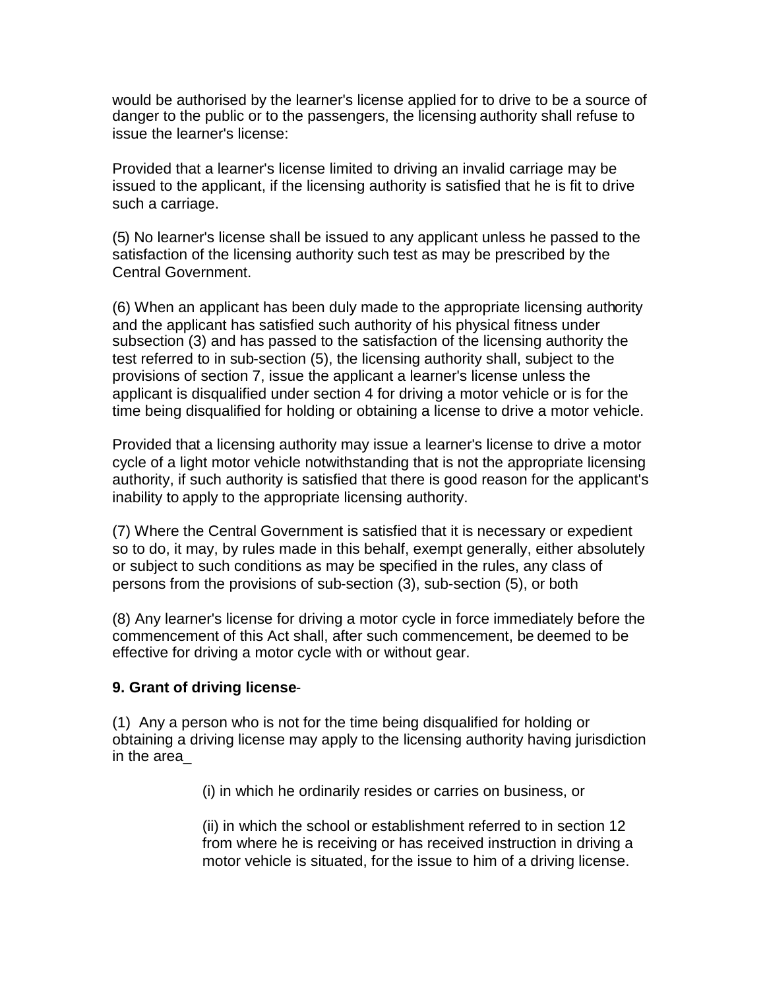would be authorised by the learner's license applied for to drive to be a source of danger to the public or to the passengers, the licensing authority shall refuse to issue the learner's license:

Provided that a learner's license limited to driving an invalid carriage may be issued to the applicant, if the licensing authority is satisfied that he is fit to drive such a carriage.

(5) No learner's license shall be issued to any applicant unless he passed to the satisfaction of the licensing authority such test as may be prescribed by the Central Government.

(6) When an applicant has been duly made to the appropriate licensing authority and the applicant has satisfied such authority of his physical fitness under subsection (3) and has passed to the satisfaction of the licensing authority the test referred to in sub-section (5), the licensing authority shall, subject to the provisions of section 7, issue the applicant a learner's license unless the applicant is disqualified under section 4 for driving a motor vehicle or is for the time being disqualified for holding or obtaining a license to drive a motor vehicle.

Provided that a licensing authority may issue a learner's license to drive a motor cycle of a light motor vehicle notwithstanding that is not the appropriate licensing authority, if such authority is satisfied that there is good reason for the applicant's inability to apply to the appropriate licensing authority.

(7) Where the Central Government is satisfied that it is necessary or expedient so to do, it may, by rules made in this behalf, exempt generally, either absolutely or subject to such conditions as may be specified in the rules, any class of persons from the provisions of sub-section (3), sub-section (5), or both

(8) Any learner's license for driving a motor cycle in force immediately before the commencement of this Act shall, after such commencement, be deemed to be effective for driving a motor cycle with or without gear.

#### <span id="page-15-0"></span>**9. Grant of driving license**-

(1) Any a person who is not for the time being disqualified for holding or obtaining a driving license may apply to the licensing authority having jurisdiction in the area\_

(i) in which he ordinarily resides or carries on business, or

(ii) in which the school or establishment referred to in section 12 from where he is receiving or has received instruction in driving a motor vehicle is situated, for the issue to him of a driving license.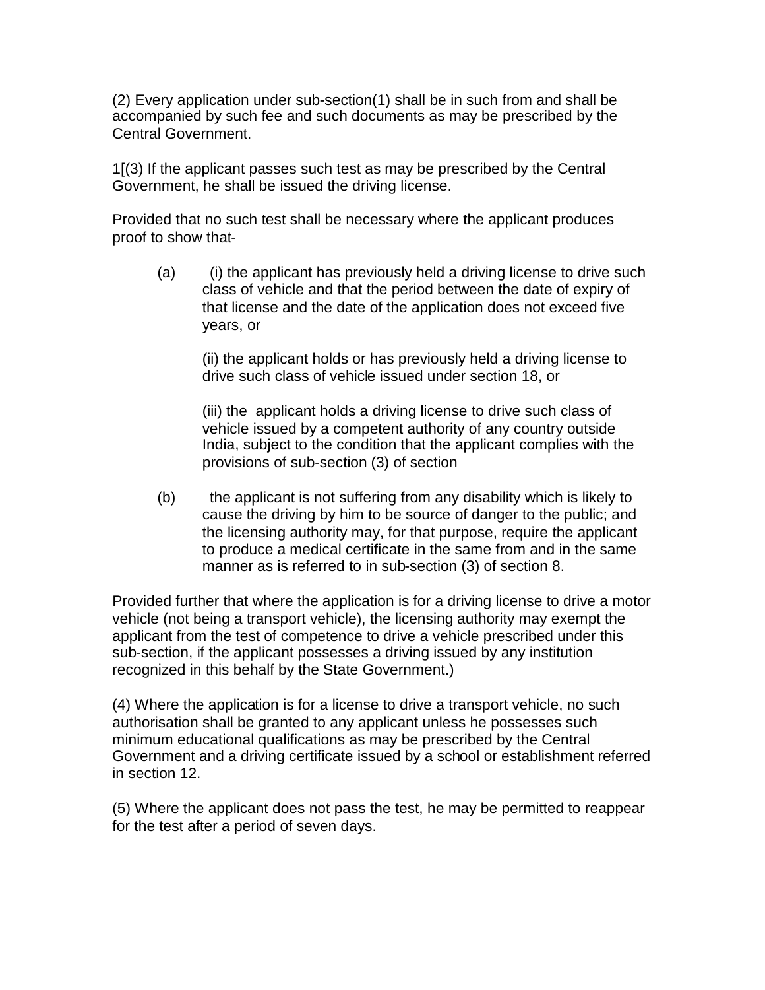(2) Every application under sub-section(1) shall be in such from and shall be accompanied by such fee and such documents as may be prescribed by the Central Government.

1[(3) If the applicant passes such test as may be prescribed by the Central Government, he shall be issued the driving license.

Provided that no such test shall be necessary where the applicant produces proof to show that-

(a) (i) the applicant has previously held a driving license to drive such class of vehicle and that the period between the date of expiry of that license and the date of the application does not exceed five years, or

(ii) the applicant holds or has previously held a driving license to drive such class of vehicle issued under section 18, or

(iii) the applicant holds a driving license to drive such class of vehicle issued by a competent authority of any country outside India, subject to the condition that the applicant complies with the provisions of sub-section (3) of section

(b) the applicant is not suffering from any disability which is likely to cause the driving by him to be source of danger to the public; and the licensing authority may, for that purpose, require the applicant to produce a medical certificate in the same from and in the same manner as is referred to in sub-section (3) of section 8.

Provided further that where the application is for a driving license to drive a motor vehicle (not being a transport vehicle), the licensing authority may exempt the applicant from the test of competence to drive a vehicle prescribed under this sub-section, if the applicant possesses a driving issued by any institution recognized in this behalf by the State Government.)

(4) Where the application is for a license to drive a transport vehicle, no such authorisation shall be granted to any applicant unless he possesses such minimum educational qualifications as may be prescribed by the Central Government and a driving certificate issued by a school or establishment referred in section 12.

(5) Where the applicant does not pass the test, he may be permitted to reappear for the test after a period of seven days.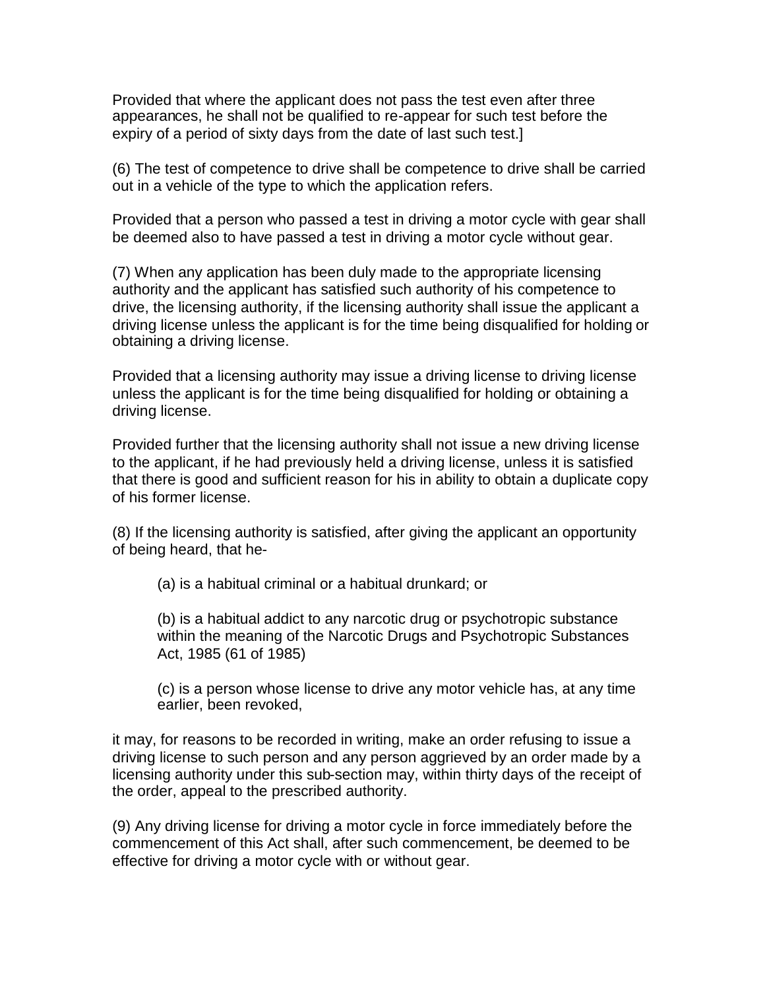Provided that where the applicant does not pass the test even after three appearances, he shall not be qualified to re-appear for such test before the expiry of a period of sixty days from the date of last such test.]

(6) The test of competence to drive shall be competence to drive shall be carried out in a vehicle of the type to which the application refers.

Provided that a person who passed a test in driving a motor cycle with gear shall be deemed also to have passed a test in driving a motor cycle without gear.

(7) When any application has been duly made to the appropriate licensing authority and the applicant has satisfied such authority of his competence to drive, the licensing authority, if the licensing authority shall issue the applicant a driving license unless the applicant is for the time being disqualified for holding or obtaining a driving license.

Provided that a licensing authority may issue a driving license to driving license unless the applicant is for the time being disqualified for holding or obtaining a driving license.

Provided further that the licensing authority shall not issue a new driving license to the applicant, if he had previously held a driving license, unless it is satisfied that there is good and sufficient reason for his in ability to obtain a duplicate copy of his former license.

(8) If the licensing authority is satisfied, after giving the applicant an opportunity of being heard, that he-

(a) is a habitual criminal or a habitual drunkard; or

(b) is a habitual addict to any narcotic drug or psychotropic substance within the meaning of the Narcotic Drugs and Psychotropic Substances Act, 1985 (61 of 1985)

(c) is a person whose license to drive any motor vehicle has, at any time earlier, been revoked,

it may, for reasons to be recorded in writing, make an order refusing to issue a driving license to such person and any person aggrieved by an order made by a licensing authority under this sub-section may, within thirty days of the receipt of the order, appeal to the prescribed authority.

(9) Any driving license for driving a motor cycle in force immediately before the commencement of this Act shall, after such commencement, be deemed to be effective for driving a motor cycle with or without gear.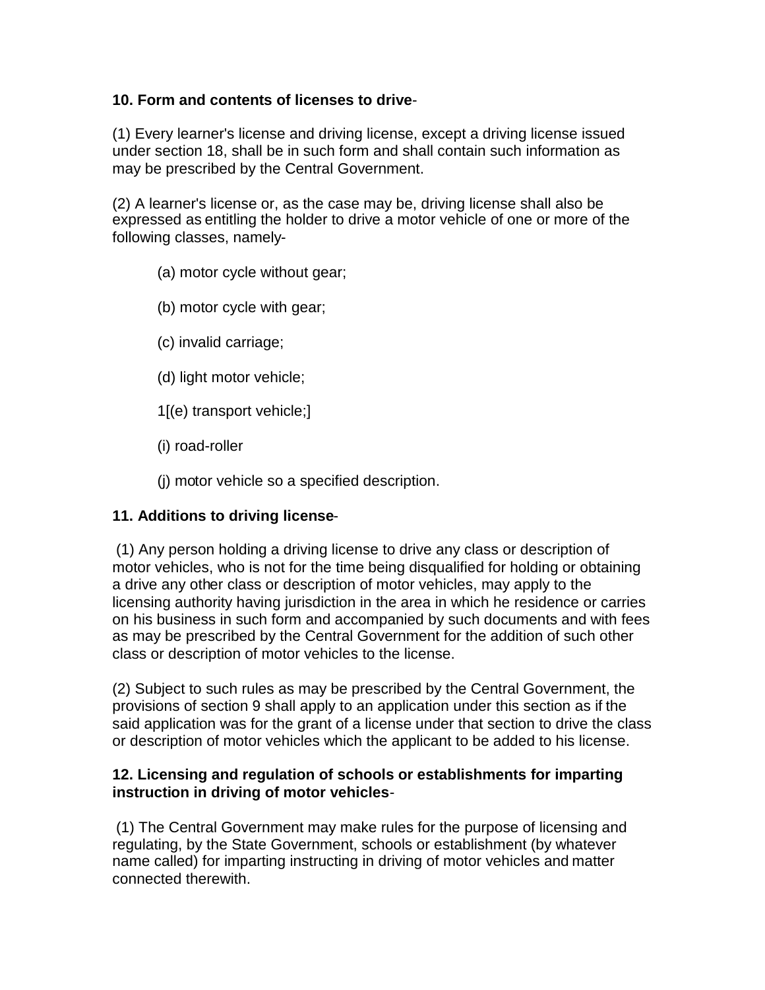### <span id="page-18-0"></span>**10. Form and contents of licenses to drive**-

(1) Every learner's license and driving license, except a driving license issued under section 18, shall be in such form and shall contain such information as may be prescribed by the Central Government.

(2) A learner's license or, as the case may be, driving license shall also be expressed as entitling the holder to drive a motor vehicle of one or more of the following classes, namely-

- (a) motor cycle without gear;
- (b) motor cycle with gear;
- (c) invalid carriage;
- (d) light motor vehicle;
- 1[(e) transport vehicle;]
- (i) road-roller
- (j) motor vehicle so a specified description.

#### <span id="page-18-1"></span>**11. Additions to driving license**-

(1) Any person holding a driving license to drive any class or description of motor vehicles, who is not for the time being disqualified for holding or obtaining a drive any other class or description of motor vehicles, may apply to the licensing authority having jurisdiction in the area in which he residence or carries on his business in such form and accompanied by such documents and with fees as may be prescribed by the Central Government for the addition of such other class or description of motor vehicles to the license.

(2) Subject to such rules as may be prescribed by the Central Government, the provisions of section 9 shall apply to an application under this section as if the said application was for the grant of a license under that section to drive the class or description of motor vehicles which the applicant to be added to his license.

#### <span id="page-18-2"></span>**12. Licensing and regulation of schools or establishments for imparting instruction in driving of motor vehicles**-

(1) The Central Government may make rules for the purpose of licensing and regulating, by the State Government, schools or establishment (by whatever name called) for imparting instructing in driving of motor vehicles and matter connected therewith.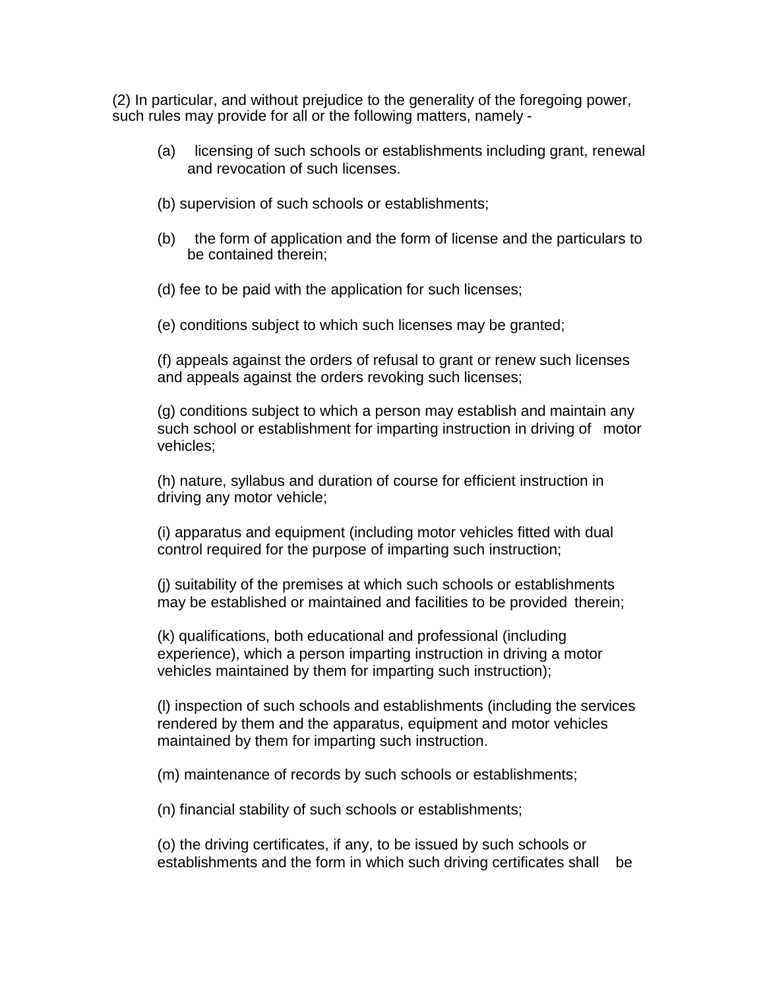(2) In particular, and without prejudice to the generality of the foregoing power, such rules may provide for all or the following matters, namely -

- (a) licensing of such schools or establishments including grant, renewal and revocation of such licenses.
- (b) supervision of such schools or establishments;
- (b) the form of application and the form of license and the particulars to be contained therein;
- (d) fee to be paid with the application for such licenses;
- (e) conditions subject to which such licenses may be granted;

(f) appeals against the orders of refusal to grant or renew such licenses and appeals against the orders revoking such licenses;

(g) conditions subject to which a person may establish and maintain any such school or establishment for imparting instruction in driving of motor vehicles;

(h) nature, syllabus and duration of course for efficient instruction in driving any motor vehicle;

(i) apparatus and equipment (including motor vehicles fitted with dual control required for the purpose of imparting such instruction;

(j) suitability of the premises at which such schools or establishments may be established or maintained and facilities to be provided therein;

(k) qualifications, both educational and professional (including experience), which a person imparting instruction in driving a motor vehicles maintained by them for imparting such instruction);

(l) inspection of such schools and establishments (including the services rendered by them and the apparatus, equipment and motor vehicles maintained by them for imparting such instruction.

(m) maintenance of records by such schools or establishments;

(n) financial stability of such schools or establishments;

(o) the driving certificates, if any, to be issued by such schools or establishments and the form in which such driving certificates shall be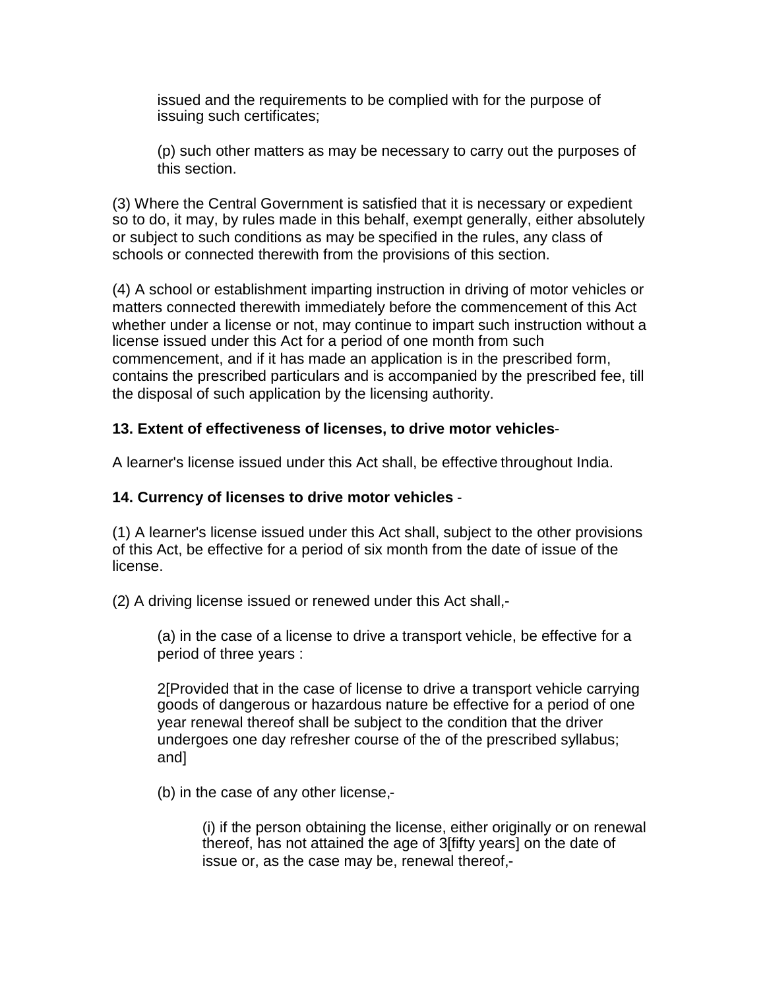issued and the requirements to be complied with for the purpose of issuing such certificates;

(p) such other matters as may be necessary to carry out the purposes of this section.

(3) Where the Central Government is satisfied that it is necessary or expedient so to do, it may, by rules made in this behalf, exempt generally, either absolutely or subject to such conditions as may be specified in the rules, any class of schools or connected therewith from the provisions of this section.

(4) A school or establishment imparting instruction in driving of motor vehicles or matters connected therewith immediately before the commencement of this Act whether under a license or not, may continue to impart such instruction without a license issued under this Act for a period of one month from such commencement, and if it has made an application is in the prescribed form, contains the prescribed particulars and is accompanied by the prescribed fee, till the disposal of such application by the licensing authority.

### <span id="page-20-0"></span>**13. Extent of effectiveness of licenses, to drive motor vehicles**-

A learner's license issued under this Act shall, be effective throughout India.

#### <span id="page-20-1"></span>**14. Currency of licenses to drive motor vehicles** -

(1) A learner's license issued under this Act shall, subject to the other provisions of this Act, be effective for a period of six month from the date of issue of the license.

(2) A driving license issued or renewed under this Act shall,-

(a) in the case of a license to drive a transport vehicle, be effective for a period of three years :

2[Provided that in the case of license to drive a transport vehicle carrying goods of dangerous or hazardous nature be effective for a period of one year renewal thereof shall be subject to the condition that the driver undergoes one day refresher course of the of the prescribed syllabus; and]

(b) in the case of any other license,-

(i) if the person obtaining the license, either originally or on renewal thereof, has not attained the age of 3[fifty years] on the date of issue or, as the case may be, renewal thereof,-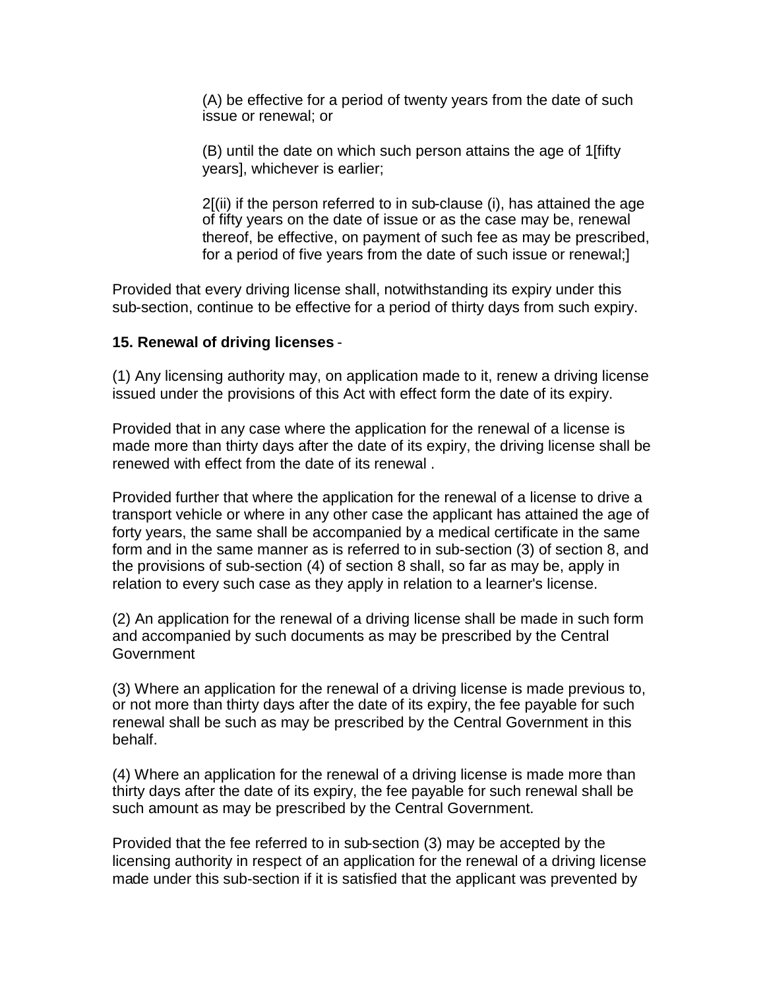(A) be effective for a period of twenty years from the date of such issue or renewal; or

(B) until the date on which such person attains the age of 1[fifty years], whichever is earlier;

2[(ii) if the person referred to in sub-clause (i), has attained the age of fifty years on the date of issue or as the case may be, renewal thereof, be effective, on payment of such fee as may be prescribed, for a period of five years from the date of such issue or renewal;]

Provided that every driving license shall, notwithstanding its expiry under this sub-section, continue to be effective for a period of thirty days from such expiry.

#### <span id="page-21-0"></span>**15. Renewal of driving licenses** -

(1) Any licensing authority may, on application made to it, renew a driving license issued under the provisions of this Act with effect form the date of its expiry.

Provided that in any case where the application for the renewal of a license is made more than thirty days after the date of its expiry, the driving license shall be renewed with effect from the date of its renewal .

Provided further that where the application for the renewal of a license to drive a transport vehicle or where in any other case the applicant has attained the age of forty years, the same shall be accompanied by a medical certificate in the same form and in the same manner as is referred to in sub-section (3) of section 8, and the provisions of sub-section (4) of section 8 shall, so far as may be, apply in relation to every such case as they apply in relation to a learner's license.

(2) An application for the renewal of a driving license shall be made in such form and accompanied by such documents as may be prescribed by the Central **Government** 

(3) Where an application for the renewal of a driving license is made previous to, or not more than thirty days after the date of its expiry, the fee payable for such renewal shall be such as may be prescribed by the Central Government in this behalf.

(4) Where an application for the renewal of a driving license is made more than thirty days after the date of its expiry, the fee payable for such renewal shall be such amount as may be prescribed by the Central Government.

Provided that the fee referred to in sub-section (3) may be accepted by the licensing authority in respect of an application for the renewal of a driving license made under this sub-section if it is satisfied that the applicant was prevented by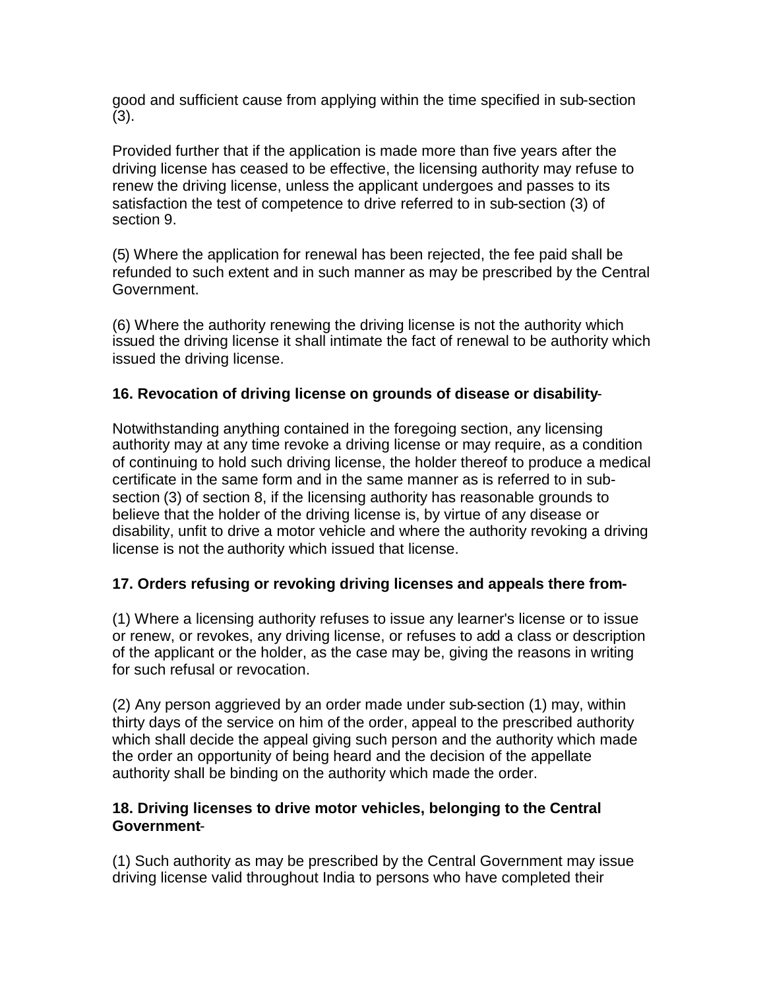good and sufficient cause from applying within the time specified in sub-section (3).

Provided further that if the application is made more than five years after the driving license has ceased to be effective, the licensing authority may refuse to renew the driving license, unless the applicant undergoes and passes to its satisfaction the test of competence to drive referred to in sub-section (3) of section 9.

(5) Where the application for renewal has been rejected, the fee paid shall be refunded to such extent and in such manner as may be prescribed by the Central Government.

(6) Where the authority renewing the driving license is not the authority which issued the driving license it shall intimate the fact of renewal to be authority which issued the driving license.

### <span id="page-22-0"></span>**16. Revocation of driving license on grounds of disease or disability**-

Notwithstanding anything contained in the foregoing section, any licensing authority may at any time revoke a driving license or may require, as a condition of continuing to hold such driving license, the holder thereof to produce a medical certificate in the same form and in the same manner as is referred to in subsection (3) of section 8, if the licensing authority has reasonable grounds to believe that the holder of the driving license is, by virtue of any disease or disability, unfit to drive a motor vehicle and where the authority revoking a driving license is not the authority which issued that license.

### <span id="page-22-1"></span>**17. Orders refusing or revoking driving licenses and appeals there from-**

(1) Where a licensing authority refuses to issue any learner's license or to issue or renew, or revokes, any driving license, or refuses to add a class or description of the applicant or the holder, as the case may be, giving the reasons in writing for such refusal or revocation.

(2) Any person aggrieved by an order made under sub-section (1) may, within thirty days of the service on him of the order, appeal to the prescribed authority which shall decide the appeal giving such person and the authority which made the order an opportunity of being heard and the decision of the appellate authority shall be binding on the authority which made the order.

### <span id="page-22-2"></span>**18. Driving licenses to drive motor vehicles, belonging to the Central Government**-

(1) Such authority as may be prescribed by the Central Government may issue driving license valid throughout India to persons who have completed their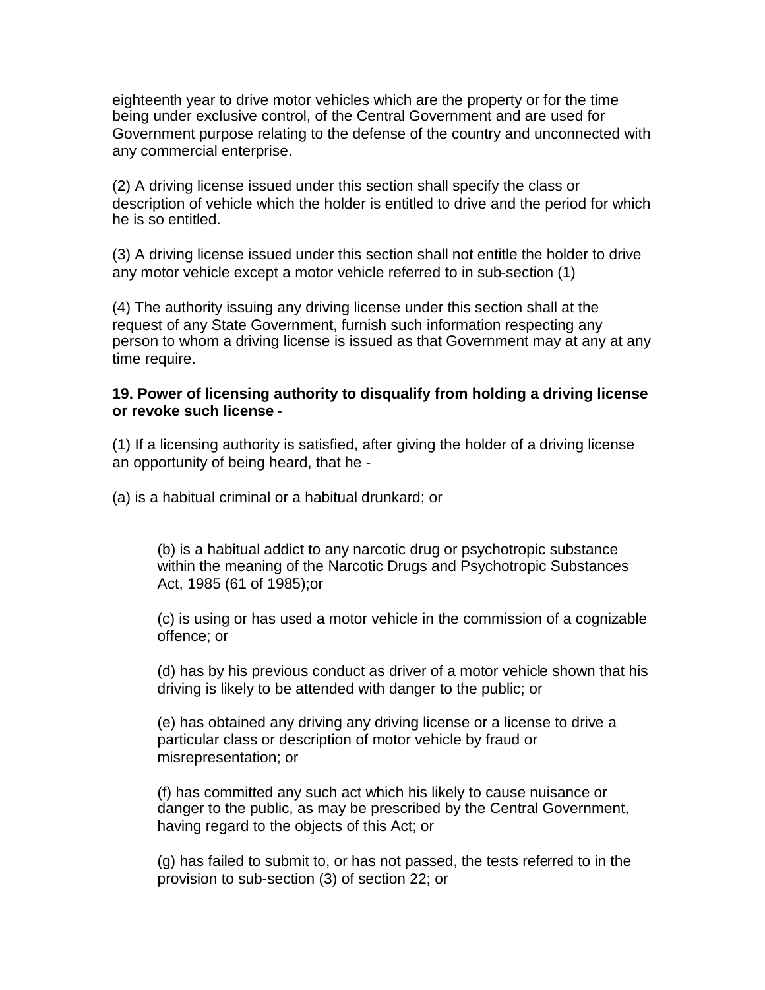eighteenth year to drive motor vehicles which are the property or for the time being under exclusive control, of the Central Government and are used for Government purpose relating to the defense of the country and unconnected with any commercial enterprise.

(2) A driving license issued under this section shall specify the class or description of vehicle which the holder is entitled to drive and the period for which he is so entitled.

(3) A driving license issued under this section shall not entitle the holder to drive any motor vehicle except a motor vehicle referred to in sub-section (1)

(4) The authority issuing any driving license under this section shall at the request of any State Government, furnish such information respecting any person to whom a driving license is issued as that Government may at any at any time require.

#### <span id="page-23-0"></span>**19. Power of licensing authority to disqualify from holding a driving license or revoke such license** -

(1) If a licensing authority is satisfied, after giving the holder of a driving license an opportunity of being heard, that he -

(a) is a habitual criminal or a habitual drunkard; or

(b) is a habitual addict to any narcotic drug or psychotropic substance within the meaning of the Narcotic Drugs and Psychotropic Substances Act, 1985 (61 of 1985);or

(c) is using or has used a motor vehicle in the commission of a cognizable offence; or

(d) has by his previous conduct as driver of a motor vehicle shown that his driving is likely to be attended with danger to the public; or

(e) has obtained any driving any driving license or a license to drive a particular class or description of motor vehicle by fraud or misrepresentation; or

(f) has committed any such act which his likely to cause nuisance or danger to the public, as may be prescribed by the Central Government, having regard to the objects of this Act; or

(g) has failed to submit to, or has not passed, the tests referred to in the provision to sub-section (3) of section 22; or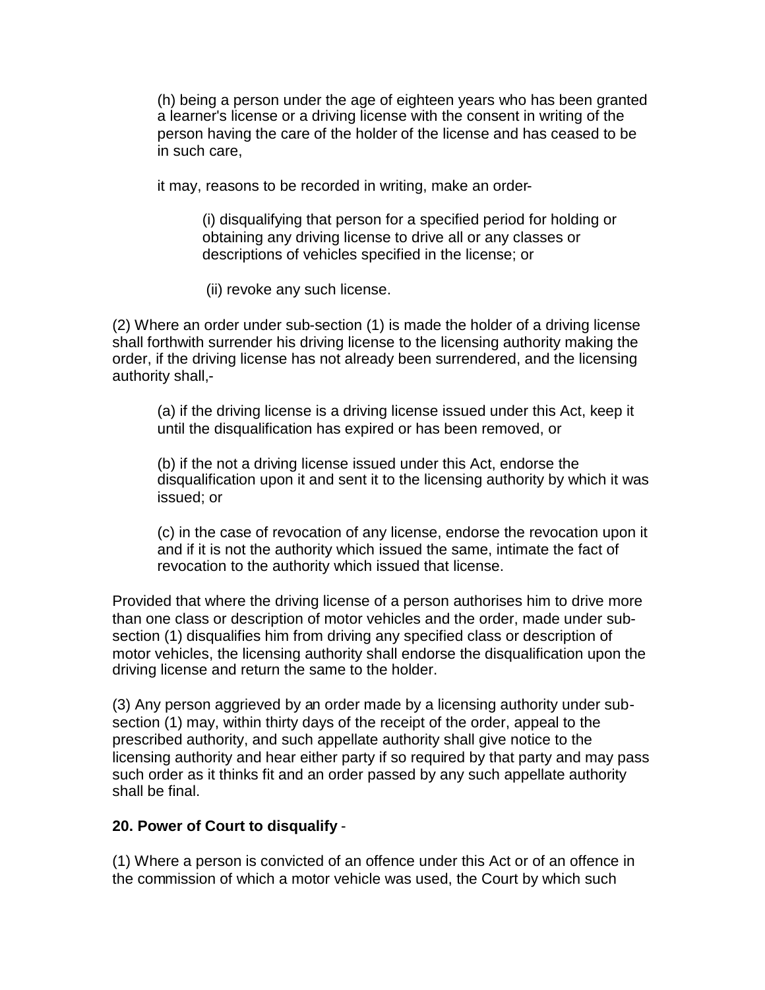(h) being a person under the age of eighteen years who has been granted a learner's license or a driving license with the consent in writing of the person having the care of the holder of the license and has ceased to be in such care,

it may, reasons to be recorded in writing, make an order-

(i) disqualifying that person for a specified period for holding or obtaining any driving license to drive all or any classes or descriptions of vehicles specified in the license; or

(ii) revoke any such license.

(2) Where an order under sub-section (1) is made the holder of a driving license shall forthwith surrender his driving license to the licensing authority making the order, if the driving license has not already been surrendered, and the licensing authority shall,-

(a) if the driving license is a driving license issued under this Act, keep it until the disqualification has expired or has been removed, or

(b) if the not a driving license issued under this Act, endorse the disqualification upon it and sent it to the licensing authority by which it was issued; or

(c) in the case of revocation of any license, endorse the revocation upon it and if it is not the authority which issued the same, intimate the fact of revocation to the authority which issued that license.

Provided that where the driving license of a person authorises him to drive more than one class or description of motor vehicles and the order, made under subsection (1) disqualifies him from driving any specified class or description of motor vehicles, the licensing authority shall endorse the disqualification upon the driving license and return the same to the holder.

(3) Any person aggrieved by an order made by a licensing authority under subsection (1) may, within thirty days of the receipt of the order, appeal to the prescribed authority, and such appellate authority shall give notice to the licensing authority and hear either party if so required by that party and may pass such order as it thinks fit and an order passed by any such appellate authority shall be final.

#### <span id="page-24-0"></span>**20. Power of Court to disqualify** -

(1) Where a person is convicted of an offence under this Act or of an offence in the commission of which a motor vehicle was used, the Court by which such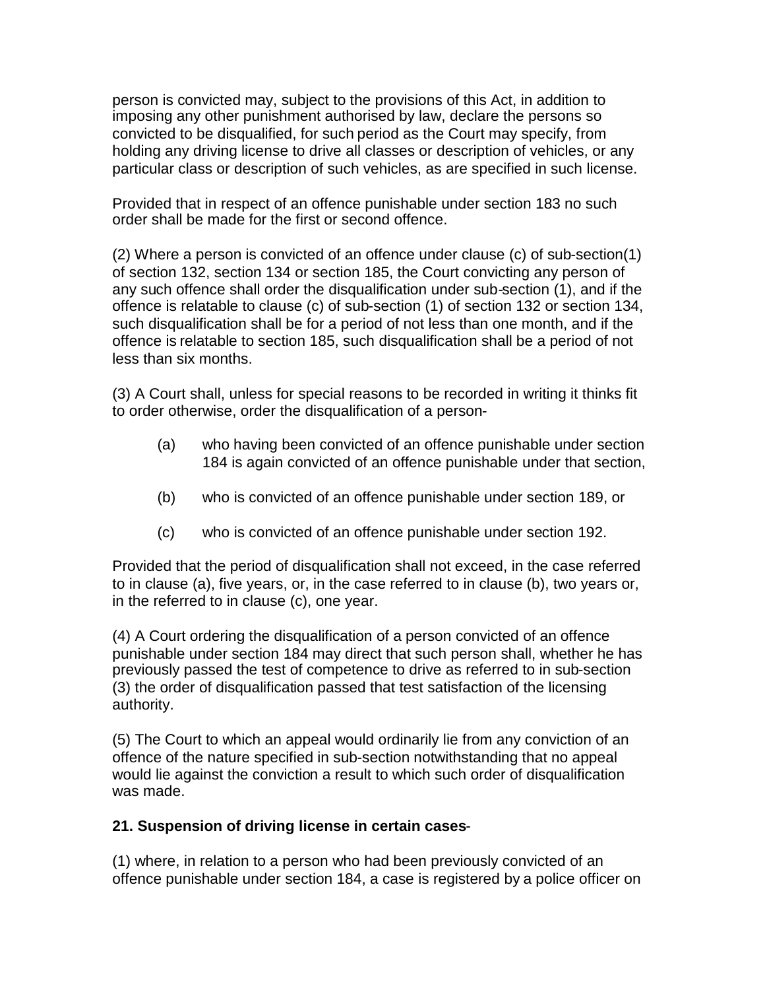person is convicted may, subject to the provisions of this Act, in addition to imposing any other punishment authorised by law, declare the persons so convicted to be disqualified, for such period as the Court may specify, from holding any driving license to drive all classes or description of vehicles, or any particular class or description of such vehicles, as are specified in such license.

Provided that in respect of an offence punishable under section 183 no such order shall be made for the first or second offence.

(2) Where a person is convicted of an offence under clause (c) of sub-section(1) of section 132, section 134 or section 185, the Court convicting any person of any such offence shall order the disqualification under sub-section (1), and if the offence is relatable to clause (c) of sub-section (1) of section 132 or section 134, such disqualification shall be for a period of not less than one month, and if the offence is relatable to section 185, such disqualification shall be a period of not less than six months.

(3) A Court shall, unless for special reasons to be recorded in writing it thinks fit to order otherwise, order the disqualification of a person-

- (a) who having been convicted of an offence punishable under section 184 is again convicted of an offence punishable under that section,
- (b) who is convicted of an offence punishable under section 189, or
- (c) who is convicted of an offence punishable under section 192.

Provided that the period of disqualification shall not exceed, in the case referred to in clause (a), five years, or, in the case referred to in clause (b), two years or, in the referred to in clause (c), one year.

(4) A Court ordering the disqualification of a person convicted of an offence punishable under section 184 may direct that such person shall, whether he has previously passed the test of competence to drive as referred to in sub-section (3) the order of disqualification passed that test satisfaction of the licensing authority.

(5) The Court to which an appeal would ordinarily lie from any conviction of an offence of the nature specified in sub-section notwithstanding that no appeal would lie against the conviction a result to which such order of disqualification was made.

#### <span id="page-25-0"></span>**21. Suspension of driving license in certain cases**-

(1) where, in relation to a person who had been previously convicted of an offence punishable under section 184, a case is registered by a police officer on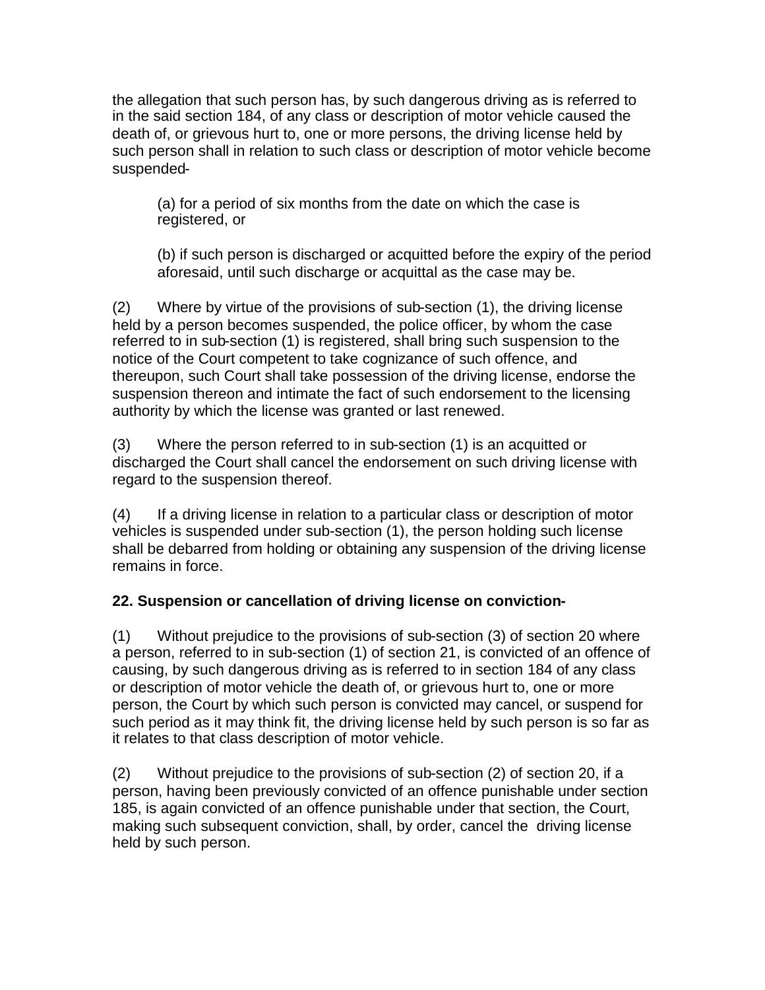the allegation that such person has, by such dangerous driving as is referred to in the said section 184, of any class or description of motor vehicle caused the death of, or grievous hurt to, one or more persons, the driving license held by such person shall in relation to such class or description of motor vehicle become suspended-

(a) for a period of six months from the date on which the case is registered, or

(b) if such person is discharged or acquitted before the expiry of the period aforesaid, until such discharge or acquittal as the case may be.

(2) Where by virtue of the provisions of sub-section (1), the driving license held by a person becomes suspended, the police officer, by whom the case referred to in sub-section (1) is registered, shall bring such suspension to the notice of the Court competent to take cognizance of such offence, and thereupon, such Court shall take possession of the driving license, endorse the suspension thereon and intimate the fact of such endorsement to the licensing authority by which the license was granted or last renewed.

(3) Where the person referred to in sub-section (1) is an acquitted or discharged the Court shall cancel the endorsement on such driving license with regard to the suspension thereof.

(4) If a driving license in relation to a particular class or description of motor vehicles is suspended under sub-section (1), the person holding such license shall be debarred from holding or obtaining any suspension of the driving license remains in force.

## <span id="page-26-0"></span>**22. Suspension or cancellation of driving license on conviction-**

(1) Without prejudice to the provisions of sub-section (3) of section 20 where a person, referred to in sub-section (1) of section 21, is convicted of an offence of causing, by such dangerous driving as is referred to in section 184 of any class or description of motor vehicle the death of, or grievous hurt to, one or more person, the Court by which such person is convicted may cancel, or suspend for such period as it may think fit, the driving license held by such person is so far as it relates to that class description of motor vehicle.

(2) Without prejudice to the provisions of sub-section (2) of section 20, if a person, having been previously convicted of an offence punishable under section 185, is again convicted of an offence punishable under that section, the Court, making such subsequent conviction, shall, by order, cancel the driving license held by such person.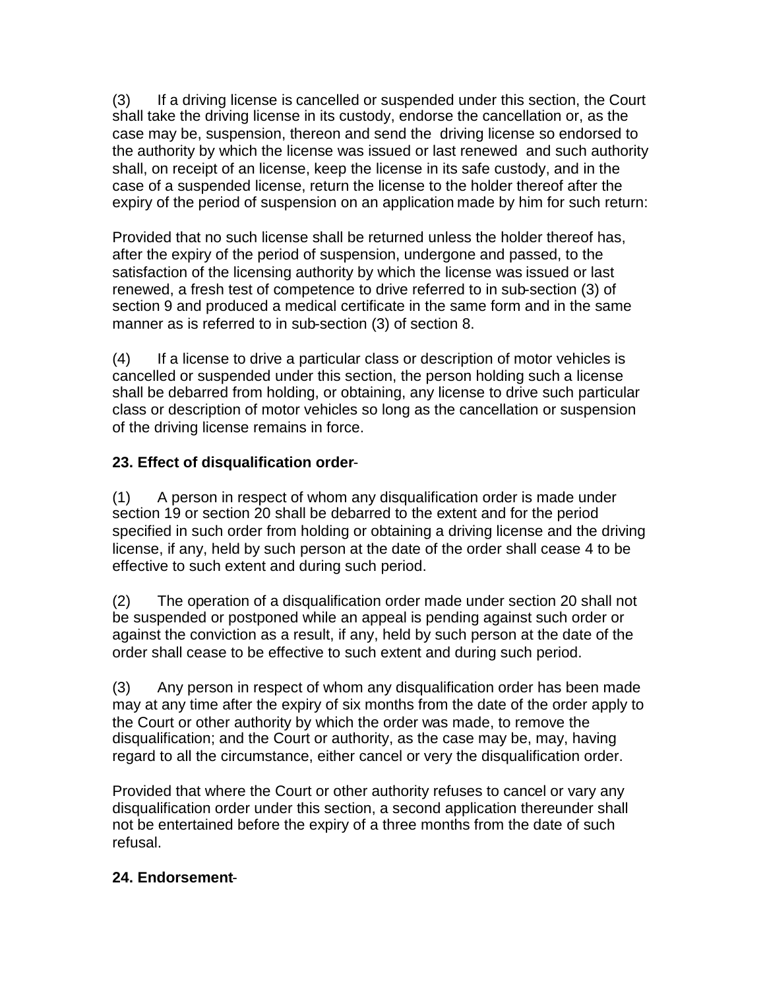(3) If a driving license is cancelled or suspended under this section, the Court shall take the driving license in its custody, endorse the cancellation or, as the case may be, suspension, thereon and send the driving license so endorsed to the authority by which the license was issued or last renewed and such authority shall, on receipt of an license, keep the license in its safe custody, and in the case of a suspended license, return the license to the holder thereof after the expiry of the period of suspension on an application made by him for such return:

Provided that no such license shall be returned unless the holder thereof has, after the expiry of the period of suspension, undergone and passed, to the satisfaction of the licensing authority by which the license was issued or last renewed, a fresh test of competence to drive referred to in sub-section (3) of section 9 and produced a medical certificate in the same form and in the same manner as is referred to in sub-section (3) of section 8.

(4) If a license to drive a particular class or description of motor vehicles is cancelled or suspended under this section, the person holding such a license shall be debarred from holding, or obtaining, any license to drive such particular class or description of motor vehicles so long as the cancellation or suspension of the driving license remains in force.

### <span id="page-27-0"></span>**23. Effect of disqualification order**-

(1) A person in respect of whom any disqualification order is made under section 19 or section 20 shall be debarred to the extent and for the period specified in such order from holding or obtaining a driving license and the driving license, if any, held by such person at the date of the order shall cease 4 to be effective to such extent and during such period.

(2) The operation of a disqualification order made under section 20 shall not be suspended or postponed while an appeal is pending against such order or against the conviction as a result, if any, held by such person at the date of the order shall cease to be effective to such extent and during such period.

(3) Any person in respect of whom any disqualification order has been made may at any time after the expiry of six months from the date of the order apply to the Court or other authority by which the order was made, to remove the disqualification; and the Court or authority, as the case may be, may, having regard to all the circumstance, either cancel or very the disqualification order.

Provided that where the Court or other authority refuses to cancel or vary any disqualification order under this section, a second application thereunder shall not be entertained before the expiry of a three months from the date of such refusal.

### <span id="page-27-1"></span>**24. Endorsement**-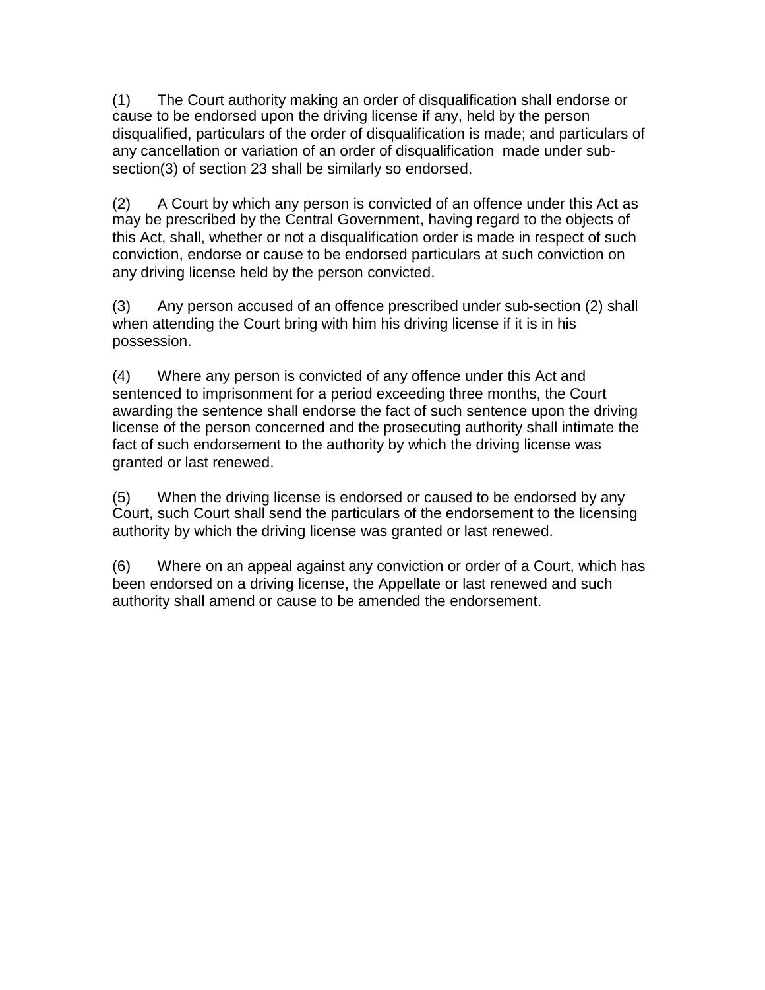(1) The Court authority making an order of disqualification shall endorse or cause to be endorsed upon the driving license if any, held by the person disqualified, particulars of the order of disqualification is made; and particulars of any cancellation or variation of an order of disqualification made under subsection(3) of section 23 shall be similarly so endorsed.

(2) A Court by which any person is convicted of an offence under this Act as may be prescribed by the Central Government, having regard to the objects of this Act, shall, whether or not a disqualification order is made in respect of such conviction, endorse or cause to be endorsed particulars at such conviction on any driving license held by the person convicted.

(3) Any person accused of an offence prescribed under sub-section (2) shall when attending the Court bring with him his driving license if it is in his possession.

(4) Where any person is convicted of any offence under this Act and sentenced to imprisonment for a period exceeding three months, the Court awarding the sentence shall endorse the fact of such sentence upon the driving license of the person concerned and the prosecuting authority shall intimate the fact of such endorsement to the authority by which the driving license was granted or last renewed.

(5) When the driving license is endorsed or caused to be endorsed by any Court, such Court shall send the particulars of the endorsement to the licensing authority by which the driving license was granted or last renewed.

(6) Where on an appeal against any conviction or order of a Court, which has been endorsed on a driving license, the Appellate or last renewed and such authority shall amend or cause to be amended the endorsement.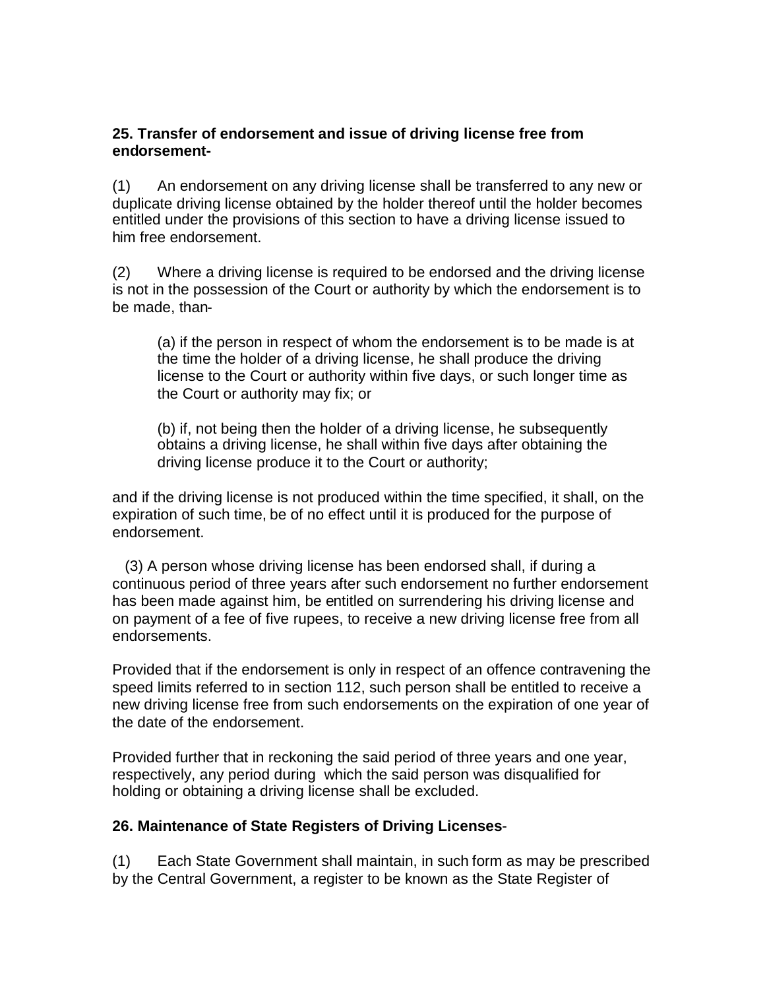### <span id="page-29-0"></span>**25. Transfer of endorsement and issue of driving license free from endorsement-**

(1) An endorsement on any driving license shall be transferred to any new or duplicate driving license obtained by the holder thereof until the holder becomes entitled under the provisions of this section to have a driving license issued to him free endorsement.

(2) Where a driving license is required to be endorsed and the driving license is not in the possession of the Court or authority by which the endorsement is to be made, than-

(a) if the person in respect of whom the endorsement is to be made is at the time the holder of a driving license, he shall produce the driving license to the Court or authority within five days, or such longer time as the Court or authority may fix; or

(b) if, not being then the holder of a driving license, he subsequently obtains a driving license, he shall within five days after obtaining the driving license produce it to the Court or authority;

and if the driving license is not produced within the time specified, it shall, on the expiration of such time, be of no effect until it is produced for the purpose of endorsement.

(3) A person whose driving license has been endorsed shall, if during a continuous period of three years after such endorsement no further endorsement has been made against him, be entitled on surrendering his driving license and on payment of a fee of five rupees, to receive a new driving license free from all endorsements.

Provided that if the endorsement is only in respect of an offence contravening the speed limits referred to in section 112, such person shall be entitled to receive a new driving license free from such endorsements on the expiration of one year of the date of the endorsement.

Provided further that in reckoning the said period of three years and one year, respectively, any period during which the said person was disqualified for holding or obtaining a driving license shall be excluded.

#### <span id="page-29-1"></span>**26. Maintenance of State Registers of Driving Licenses**-

(1) Each State Government shall maintain, in such form as may be prescribed by the Central Government, a register to be known as the State Register of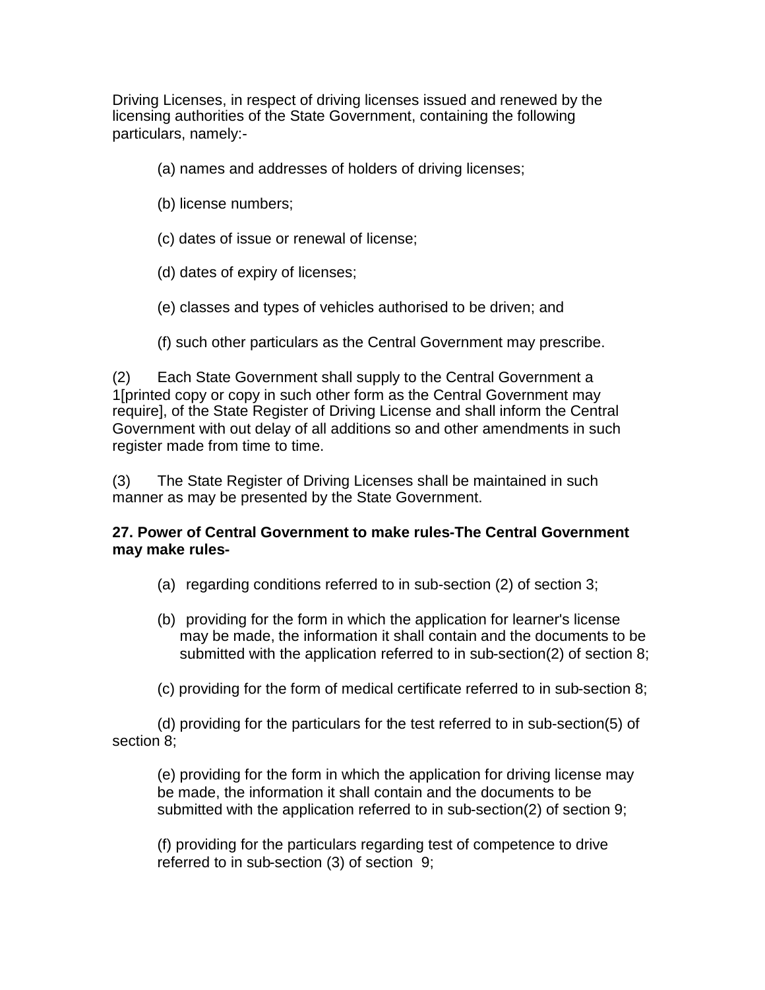Driving Licenses, in respect of driving licenses issued and renewed by the licensing authorities of the State Government, containing the following particulars, namely:-

- (a) names and addresses of holders of driving licenses;
- (b) license numbers;
- (c) dates of issue or renewal of license;
- (d) dates of expiry of licenses;
- (e) classes and types of vehicles authorised to be driven; and
- (f) such other particulars as the Central Government may prescribe.

(2) Each State Government shall supply to the Central Government a 1[printed copy or copy in such other form as the Central Government may require], of the State Register of Driving License and shall inform the Central Government with out delay of all additions so and other amendments in such register made from time to time.

(3) The State Register of Driving Licenses shall be maintained in such manner as may be presented by the State Government.

### <span id="page-30-0"></span>**27. Power of Central Government to make rules-The Central Government may make rules-**

- (a) regarding conditions referred to in sub-section (2) of section 3;
- (b) providing for the form in which the application for learner's license may be made, the information it shall contain and the documents to be submitted with the application referred to in sub-section(2) of section 8;
- (c) providing for the form of medical certificate referred to in sub-section 8;

(d) providing for the particulars for the test referred to in sub-section(5) of section 8;

(e) providing for the form in which the application for driving license may be made, the information it shall contain and the documents to be submitted with the application referred to in sub-section(2) of section 9;

(f) providing for the particulars regarding test of competence to drive referred to in sub-section (3) of section 9;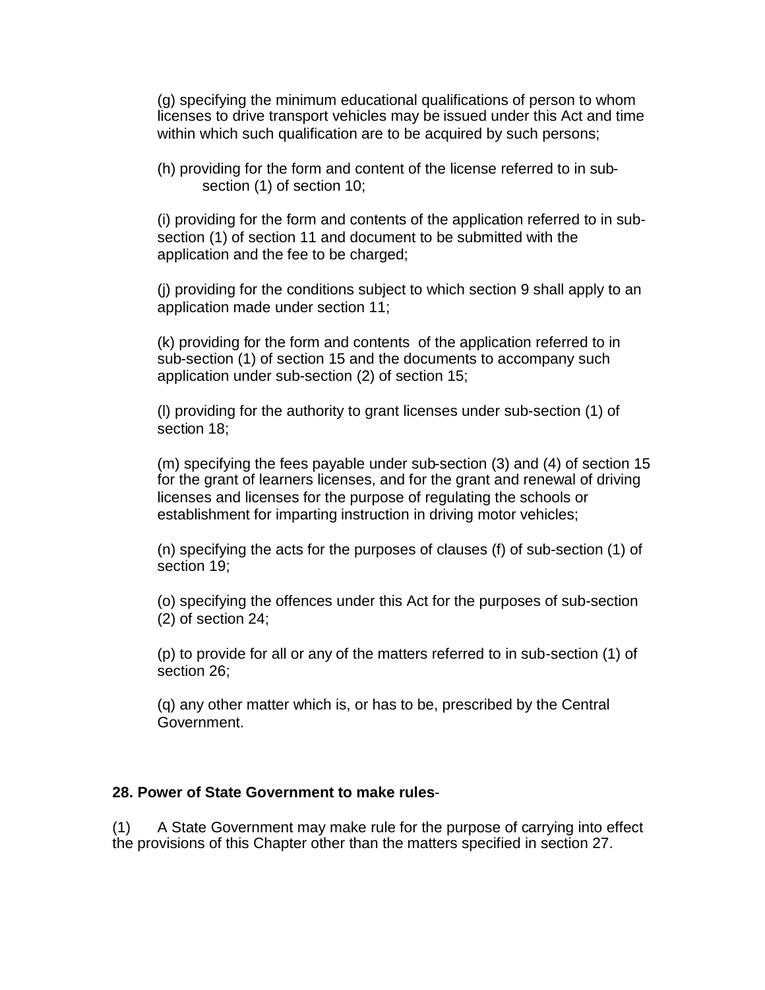(g) specifying the minimum educational qualifications of person to whom licenses to drive transport vehicles may be issued under this Act and time within which such qualification are to be acquired by such persons;

(h) providing for the form and content of the license referred to in subsection (1) of section 10;

(i) providing for the form and contents of the application referred to in subsection (1) of section 11 and document to be submitted with the application and the fee to be charged;

(j) providing for the conditions subject to which section 9 shall apply to an application made under section 11;

(k) providing for the form and contents of the application referred to in sub-section (1) of section 15 and the documents to accompany such application under sub-section (2) of section 15;

(l) providing for the authority to grant licenses under sub-section (1) of section 18;

(m) specifying the fees payable under sub-section (3) and (4) of section 15 for the grant of learners licenses, and for the grant and renewal of driving licenses and licenses for the purpose of regulating the schools or establishment for imparting instruction in driving motor vehicles;

(n) specifying the acts for the purposes of clauses (f) of sub-section (1) of section 19;

(o) specifying the offences under this Act for the purposes of sub-section (2) of section 24;

(p) to provide for all or any of the matters referred to in sub-section (1) of section 26;

(q) any other matter which is, or has to be, prescribed by the Central Government.

#### <span id="page-31-0"></span>**28. Power of State Government to make rules**-

(1) A State Government may make rule for the purpose of carrying into effect the provisions of this Chapter other than the matters specified in section 27.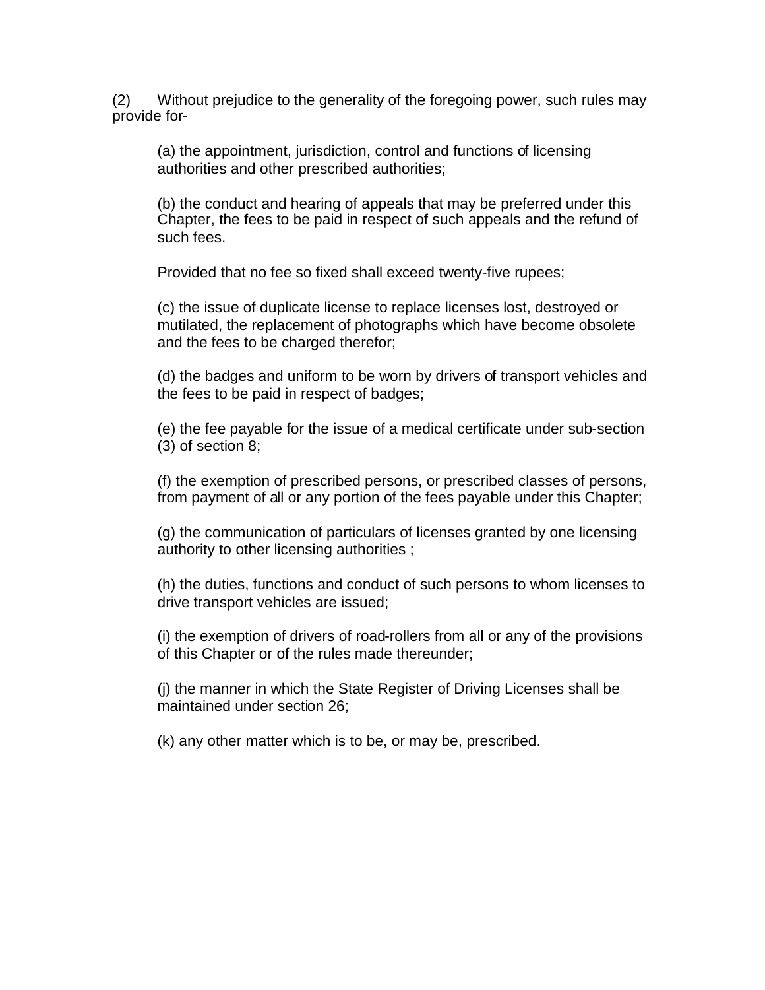(2) Without prejudice to the generality of the foregoing power, such rules may provide for-

(a) the appointment, jurisdiction, control and functions of licensing authorities and other prescribed authorities;

(b) the conduct and hearing of appeals that may be preferred under this Chapter, the fees to be paid in respect of such appeals and the refund of such fees.

Provided that no fee so fixed shall exceed twenty-five rupees;

(c) the issue of duplicate license to replace licenses lost, destroyed or mutilated, the replacement of photographs which have become obsolete and the fees to be charged therefor;

(d) the badges and uniform to be worn by drivers of transport vehicles and the fees to be paid in respect of badges;

(e) the fee payable for the issue of a medical certificate under sub-section (3) of section 8;

(f) the exemption of prescribed persons, or prescribed classes of persons, from payment of all or any portion of the fees payable under this Chapter;

(g) the communication of particulars of licenses granted by one licensing authority to other licensing authorities ;

(h) the duties, functions and conduct of such persons to whom licenses to drive transport vehicles are issued;

(i) the exemption of drivers of road-rollers from all or any of the provisions of this Chapter or of the rules made thereunder;

(j) the manner in which the State Register of Driving Licenses shall be maintained under section 26;

(k) any other matter which is to be, or may be, prescribed.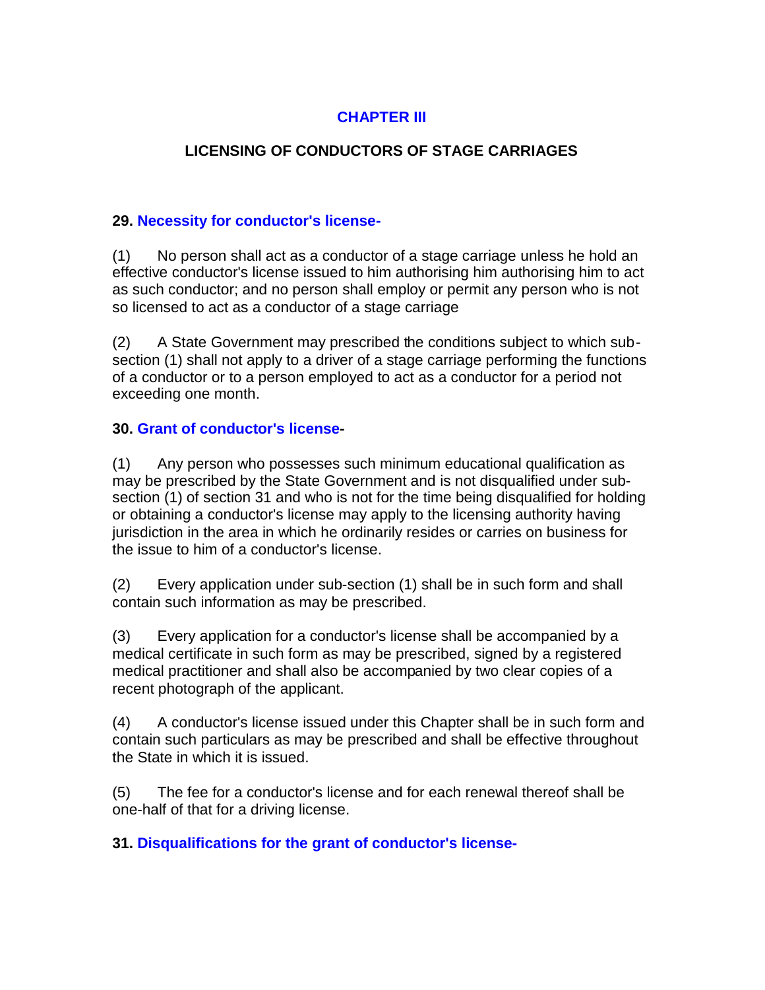## **CHAPTER III**

## **LICENSING OF CONDUCTORS OF STAGE CARRIAGES**

### <span id="page-33-0"></span>**29. Necessity for conductor's license-**

(1) No person shall act as a conductor of a stage carriage unless he hold an effective conductor's license issued to him authorising him authorising him to act as such conductor; and no person shall employ or permit any person who is not so licensed to act as a conductor of a stage carriage

(2) A State Government may prescribed the conditions subject to which subsection (1) shall not apply to a driver of a stage carriage performing the functions of a conductor or to a person employed to act as a conductor for a period not exceeding one month.

### <span id="page-33-1"></span>**30. Grant of conductor's license-**

(1) Any person who possesses such minimum educational qualification as may be prescribed by the State Government and is not disqualified under subsection (1) of section 31 and who is not for the time being disqualified for holding or obtaining a conductor's license may apply to the licensing authority having jurisdiction in the area in which he ordinarily resides or carries on business for the issue to him of a conductor's license.

(2) Every application under sub-section (1) shall be in such form and shall contain such information as may be prescribed.

(3) Every application for a conductor's license shall be accompanied by a medical certificate in such form as may be prescribed, signed by a registered medical practitioner and shall also be accompanied by two clear copies of a recent photograph of the applicant.

(4) A conductor's license issued under this Chapter shall be in such form and contain such particulars as may be prescribed and shall be effective throughout the State in which it is issued.

(5) The fee for a conductor's license and for each renewal thereof shall be one-half of that for a driving license.

#### <span id="page-33-2"></span>**31. Disqualifications for the grant of conductor's license-**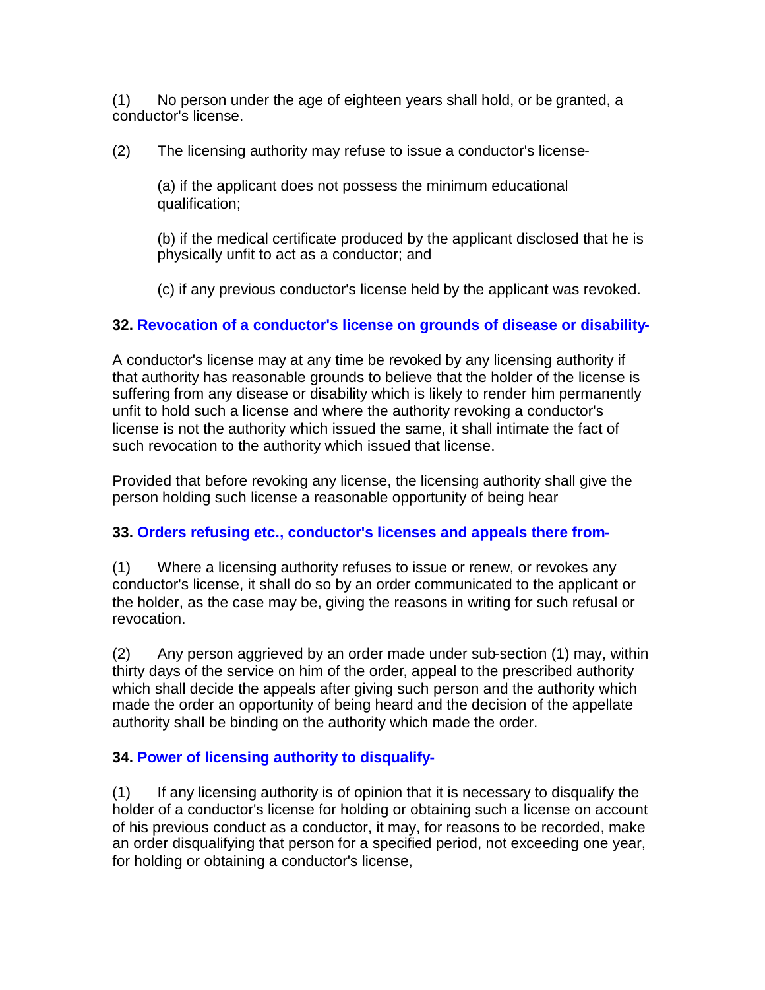(1) No person under the age of eighteen years shall hold, or be granted, a conductor's license.

(2) The licensing authority may refuse to issue a conductor's license-

(a) if the applicant does not possess the minimum educational qualification;

(b) if the medical certificate produced by the applicant disclosed that he is physically unfit to act as a conductor; and

(c) if any previous conductor's license held by the applicant was revoked.

### <span id="page-34-0"></span>**32. Revocation of a conductor's license on grounds of disease or disability-**

A conductor's license may at any time be revoked by any licensing authority if that authority has reasonable grounds to believe that the holder of the license is suffering from any disease or disability which is likely to render him permanently unfit to hold such a license and where the authority revoking a conductor's license is not the authority which issued the same, it shall intimate the fact of such revocation to the authority which issued that license.

Provided that before revoking any license, the licensing authority shall give the person holding such license a reasonable opportunity of being hear

### <span id="page-34-1"></span>**33. Orders refusing etc., conductor's licenses and appeals there from-**

(1) Where a licensing authority refuses to issue or renew, or revokes any conductor's license, it shall do so by an order communicated to the applicant or the holder, as the case may be, giving the reasons in writing for such refusal or revocation.

(2) Any person aggrieved by an order made under sub-section (1) may, within thirty days of the service on him of the order, appeal to the prescribed authority which shall decide the appeals after giving such person and the authority which made the order an opportunity of being heard and the decision of the appellate authority shall be binding on the authority which made the order.

### <span id="page-34-2"></span>**34. Power of licensing authority to disqualify-**

(1) If any licensing authority is of opinion that it is necessary to disqualify the holder of a conductor's license for holding or obtaining such a license on account of his previous conduct as a conductor, it may, for reasons to be recorded, make an order disqualifying that person for a specified period, not exceeding one year, for holding or obtaining a conductor's license,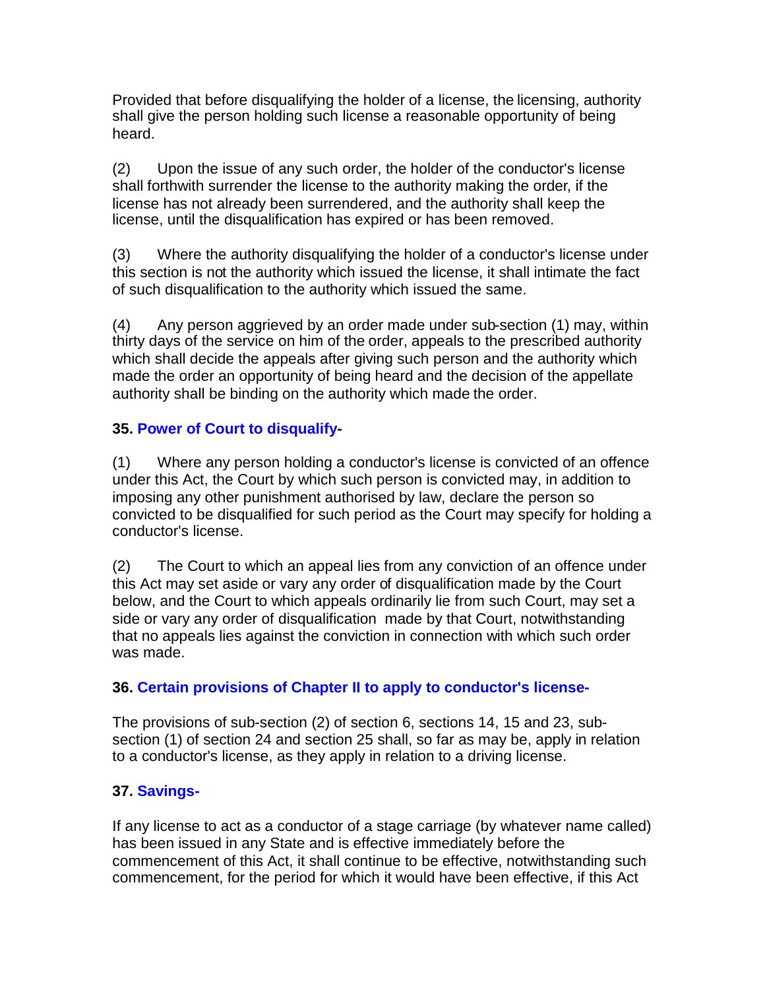Provided that before disqualifying the holder of a license, the licensing, authority shall give the person holding such license a reasonable opportunity of being heard.

(2) Upon the issue of any such order, the holder of the conductor's license shall forthwith surrender the license to the authority making the order, if the license has not already been surrendered, and the authority shall keep the license, until the disqualification has expired or has been removed.

(3) Where the authority disqualifying the holder of a conductor's license under this section is not the authority which issued the license, it shall intimate the fact of such disqualification to the authority which issued the same.

(4) Any person aggrieved by an order made under sub-section (1) may, within thirty days of the service on him of the order, appeals to the prescribed authority which shall decide the appeals after giving such person and the authority which made the order an opportunity of being heard and the decision of the appellate authority shall be binding on the authority which made the order.

### <span id="page-35-0"></span>**35. Power of Court to disqualify-**

(1) Where any person holding a conductor's license is convicted of an offence under this Act, the Court by which such person is convicted may, in addition to imposing any other punishment authorised by law, declare the person so convicted to be disqualified for such period as the Court may specify for holding a conductor's license.

(2) The Court to which an appeal lies from any conviction of an offence under this Act may set aside or vary any order of disqualification made by the Court below, and the Court to which appeals ordinarily lie from such Court, may set a side or vary any order of disqualification made by that Court, notwithstanding that no appeals lies against the conviction in connection with which such order was made.

### <span id="page-35-1"></span>**36. Certain provisions of Chapter II to apply to conductor's license-**

The provisions of sub-section (2) of section 6, sections 14, 15 and 23, subsection (1) of section 24 and section 25 shall, so far as may be, apply in relation to a conductor's license, as they apply in relation to a driving license.

### <span id="page-35-2"></span>**37. Savings-**

If any license to act as a conductor of a stage carriage (by whatever name called) has been issued in any State and is effective immediately before the commencement of this Act, it shall continue to be effective, notwithstanding such commencement, for the period for which it would have been effective, if this Act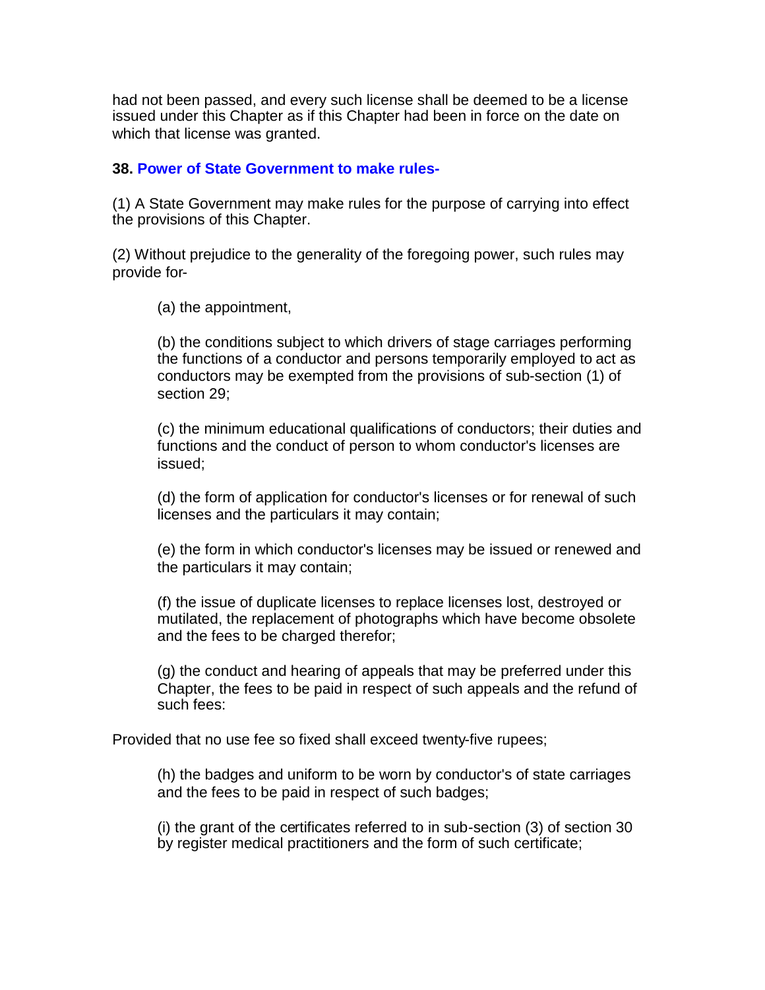had not been passed, and every such license shall be deemed to be a license issued under this Chapter as if this Chapter had been in force on the date on which that license was granted.

#### **38. Power of State Government to make rules-**

(1) A State Government may make rules for the purpose of carrying into effect the provisions of this Chapter.

(2) Without prejudice to the generality of the foregoing power, such rules may provide for-

(a) the appointment,

(b) the conditions subject to which drivers of stage carriages performing the functions of a conductor and persons temporarily employed to act as conductors may be exempted from the provisions of sub-section (1) of section 29;

(c) the minimum educational qualifications of conductors; their duties and functions and the conduct of person to whom conductor's licenses are issued;

(d) the form of application for conductor's licenses or for renewal of such licenses and the particulars it may contain;

(e) the form in which conductor's licenses may be issued or renewed and the particulars it may contain;

(f) the issue of duplicate licenses to replace licenses lost, destroyed or mutilated, the replacement of photographs which have become obsolete and the fees to be charged therefor;

(g) the conduct and hearing of appeals that may be preferred under this Chapter, the fees to be paid in respect of such appeals and the refund of such fees:

Provided that no use fee so fixed shall exceed twenty-five rupees;

(h) the badges and uniform to be worn by conductor's of state carriages and the fees to be paid in respect of such badges;

(i) the grant of the certificates referred to in sub-section (3) of section 30 by register medical practitioners and the form of such certificate;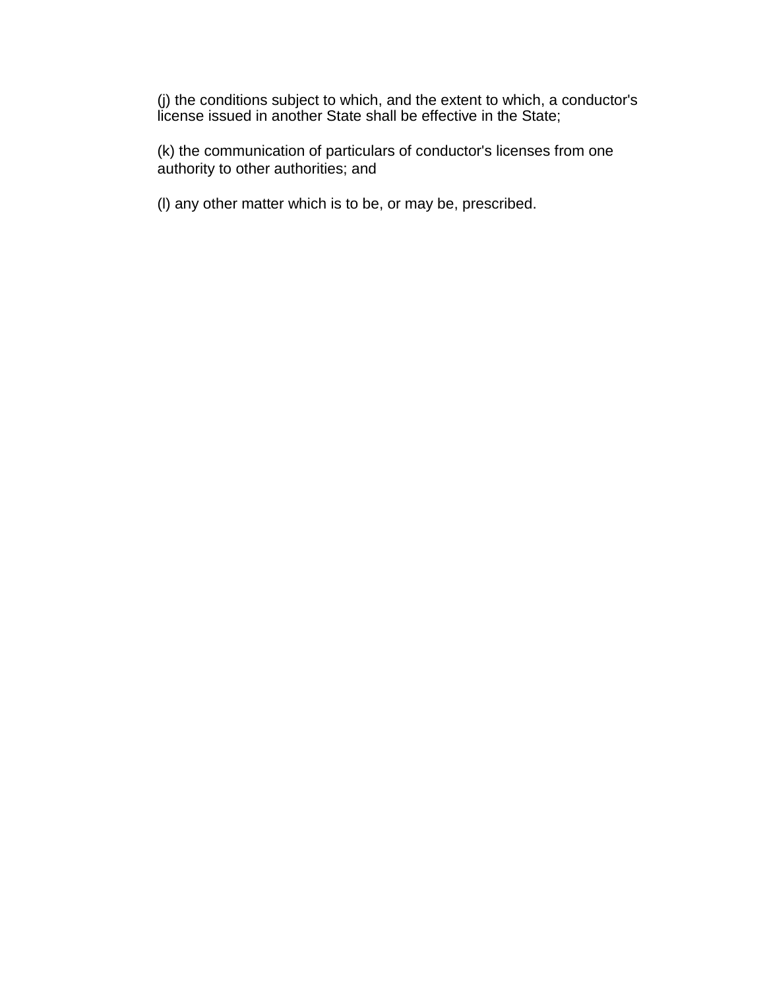(j) the conditions subject to which, and the extent to which, a conductor's license issued in another State shall be effective in the State;

(k) the communication of particulars of conductor's licenses from one authority to other authorities; and

(l) any other matter which is to be, or may be, prescribed.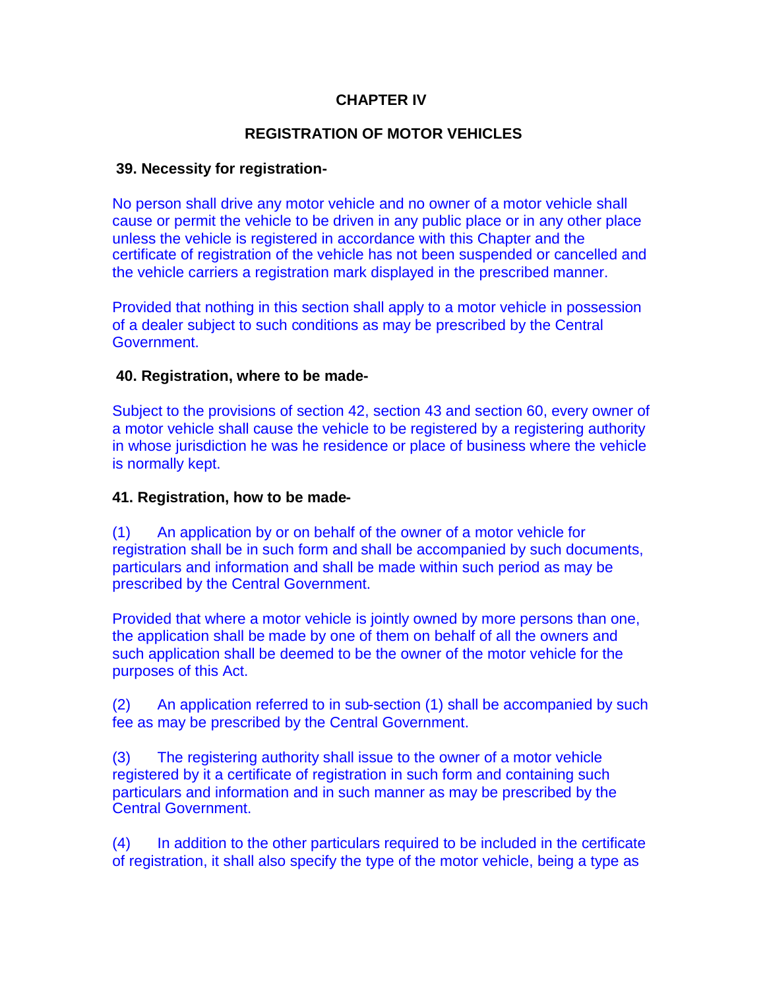# **CHAPTER IV**

# **REGISTRATION OF MOTOR VEHICLES**

## **39. Necessity for registration-**

No person shall drive any motor vehicle and no owner of a motor vehicle shall cause or permit the vehicle to be driven in any public place or in any other place unless the vehicle is registered in accordance with this Chapter and the certificate of registration of the vehicle has not been suspended or cancelled and the vehicle carriers a registration mark displayed in the prescribed manner.

Provided that nothing in this section shall apply to a motor vehicle in possession of a dealer subject to such conditions as may be prescribed by the Central Government.

## **40. Registration, where to be made-**

Subject to the provisions of section 42, section 43 and section 60, every owner of a motor vehicle shall cause the vehicle to be registered by a registering authority in whose jurisdiction he was he residence or place of business where the vehicle is normally kept.

### **41. Registration, how to be made-**

(1) An application by or on behalf of the owner of a motor vehicle for registration shall be in such form and shall be accompanied by such documents, particulars and information and shall be made within such period as may be prescribed by the Central Government.

Provided that where a motor vehicle is jointly owned by more persons than one, the application shall be made by one of them on behalf of all the owners and such application shall be deemed to be the owner of the motor vehicle for the purposes of this Act.

(2) An application referred to in sub-section (1) shall be accompanied by such fee as may be prescribed by the Central Government.

(3) The registering authority shall issue to the owner of a motor vehicle registered by it a certificate of registration in such form and containing such particulars and information and in such manner as may be prescribed by the Central Government.

(4) In addition to the other particulars required to be included in the certificate of registration, it shall also specify the type of the motor vehicle, being a type as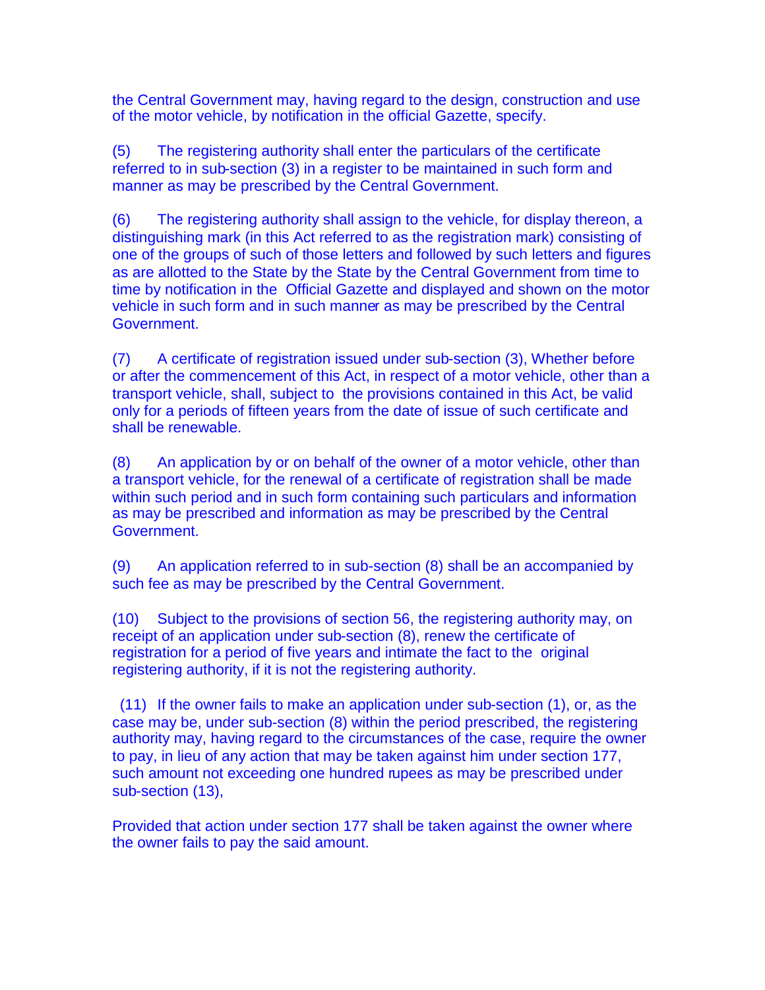the Central Government may, having regard to the design, construction and use of the motor vehicle, by notification in the official Gazette, specify.

(5) The registering authority shall enter the particulars of the certificate referred to in sub-section (3) in a register to be maintained in such form and manner as may be prescribed by the Central Government.

(6) The registering authority shall assign to the vehicle, for display thereon, a distinguishing mark (in this Act referred to as the registration mark) consisting of one of the groups of such of those letters and followed by such letters and figures as are allotted to the State by the State by the Central Government from time to time by notification in the Official Gazette and displayed and shown on the motor vehicle in such form and in such manner as may be prescribed by the Central Government.

(7) A certificate of registration issued under sub-section (3), Whether before or after the commencement of this Act, in respect of a motor vehicle, other than a transport vehicle, shall, subject to the provisions contained in this Act, be valid only for a periods of fifteen years from the date of issue of such certificate and shall be renewable.

(8) An application by or on behalf of the owner of a motor vehicle, other than a transport vehicle, for the renewal of a certificate of registration shall be made within such period and in such form containing such particulars and information as may be prescribed and information as may be prescribed by the Central Government.

(9) An application referred to in sub-section (8) shall be an accompanied by such fee as may be prescribed by the Central Government.

(10) Subject to the provisions of section 56, the registering authority may, on receipt of an application under sub-section (8), renew the certificate of registration for a period of five years and intimate the fact to the original registering authority, if it is not the registering authority.

(11) If the owner fails to make an application under sub-section (1), or, as the case may be, under sub-section (8) within the period prescribed, the registering authority may, having regard to the circumstances of the case, require the owner to pay, in lieu of any action that may be taken against him under section 177, such amount not exceeding one hundred rupees as may be prescribed under sub-section (13),

Provided that action under section 177 shall be taken against the owner where the owner fails to pay the said amount.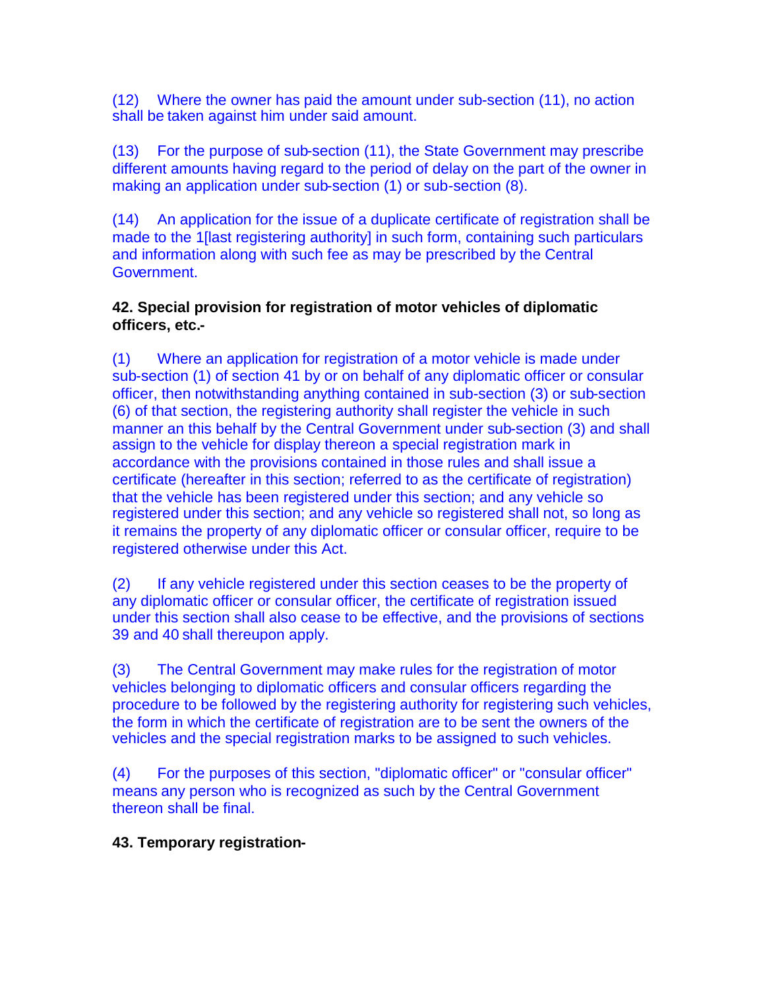(12) Where the owner has paid the amount under sub-section (11), no action shall be taken against him under said amount.

(13) For the purpose of sub-section (11), the State Government may prescribe different amounts having regard to the period of delay on the part of the owner in making an application under sub-section (1) or sub-section (8).

(14) An application for the issue of a duplicate certificate of registration shall be made to the 1[last registering authority] in such form, containing such particulars and information along with such fee as may be prescribed by the Central Government.

# **42. Special provision for registration of motor vehicles of diplomatic officers, etc.-**

(1) Where an application for registration of a motor vehicle is made under sub-section (1) of section 41 by or on behalf of any diplomatic officer or consular officer, then notwithstanding anything contained in sub-section (3) or sub-section (6) of that section, the registering authority shall register the vehicle in such manner an this behalf by the Central Government under sub-section (3) and shall assign to the vehicle for display thereon a special registration mark in accordance with the provisions contained in those rules and shall issue a certificate (hereafter in this section; referred to as the certificate of registration) that the vehicle has been registered under this section; and any vehicle so registered under this section; and any vehicle so registered shall not, so long as it remains the property of any diplomatic officer or consular officer, require to be registered otherwise under this Act.

(2) If any vehicle registered under this section ceases to be the property of any diplomatic officer or consular officer, the certificate of registration issued under this section shall also cease to be effective, and the provisions of sections 39 and 40 shall thereupon apply.

(3) The Central Government may make rules for the registration of motor vehicles belonging to diplomatic officers and consular officers regarding the procedure to be followed by the registering authority for registering such vehicles, the form in which the certificate of registration are to be sent the owners of the vehicles and the special registration marks to be assigned to such vehicles.

(4) For the purposes of this section, "diplomatic officer" or "consular officer" means any person who is recognized as such by the Central Government thereon shall be final.

# **43. Temporary registration-**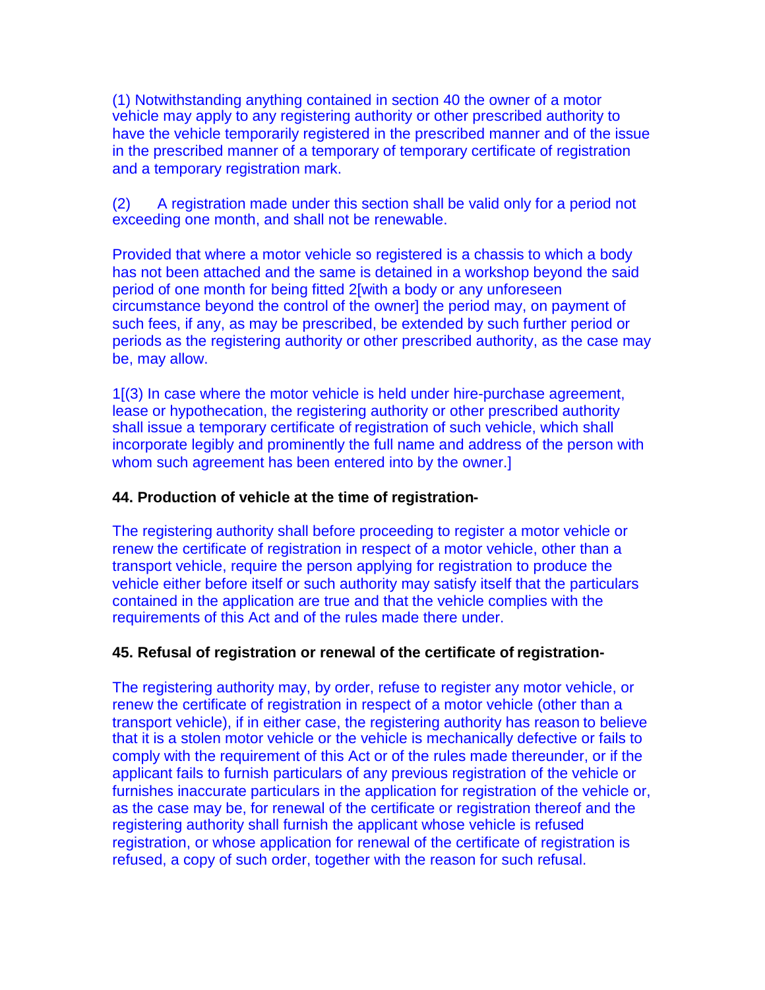(1) Notwithstanding anything contained in section 40 the owner of a motor vehicle may apply to any registering authority or other prescribed authority to have the vehicle temporarily registered in the prescribed manner and of the issue in the prescribed manner of a temporary of temporary certificate of registration and a temporary registration mark.

(2) A registration made under this section shall be valid only for a period not exceeding one month, and shall not be renewable.

Provided that where a motor vehicle so registered is a chassis to which a body has not been attached and the same is detained in a workshop beyond the said period of one month for being fitted 2[with a body or any unforeseen circumstance beyond the control of the owner] the period may, on payment of such fees, if any, as may be prescribed, be extended by such further period or periods as the registering authority or other prescribed authority, as the case may be, may allow.

1[(3) In case where the motor vehicle is held under hire-purchase agreement, lease or hypothecation, the registering authority or other prescribed authority shall issue a temporary certificate of registration of such vehicle, which shall incorporate legibly and prominently the full name and address of the person with whom such agreement has been entered into by the owner.]

# **44. Production of vehicle at the time of registration-**

The registering authority shall before proceeding to register a motor vehicle or renew the certificate of registration in respect of a motor vehicle, other than a transport vehicle, require the person applying for registration to produce the vehicle either before itself or such authority may satisfy itself that the particulars contained in the application are true and that the vehicle complies with the requirements of this Act and of the rules made there under.

# **45. Refusal of registration or renewal of the certificate of registration-**

The registering authority may, by order, refuse to register any motor vehicle, or renew the certificate of registration in respect of a motor vehicle (other than a transport vehicle), if in either case, the registering authority has reason to believe that it is a stolen motor vehicle or the vehicle is mechanically defective or fails to comply with the requirement of this Act or of the rules made thereunder, or if the applicant fails to furnish particulars of any previous registration of the vehicle or furnishes inaccurate particulars in the application for registration of the vehicle or, as the case may be, for renewal of the certificate or registration thereof and the registering authority shall furnish the applicant whose vehicle is refused registration, or whose application for renewal of the certificate of registration is refused, a copy of such order, together with the reason for such refusal.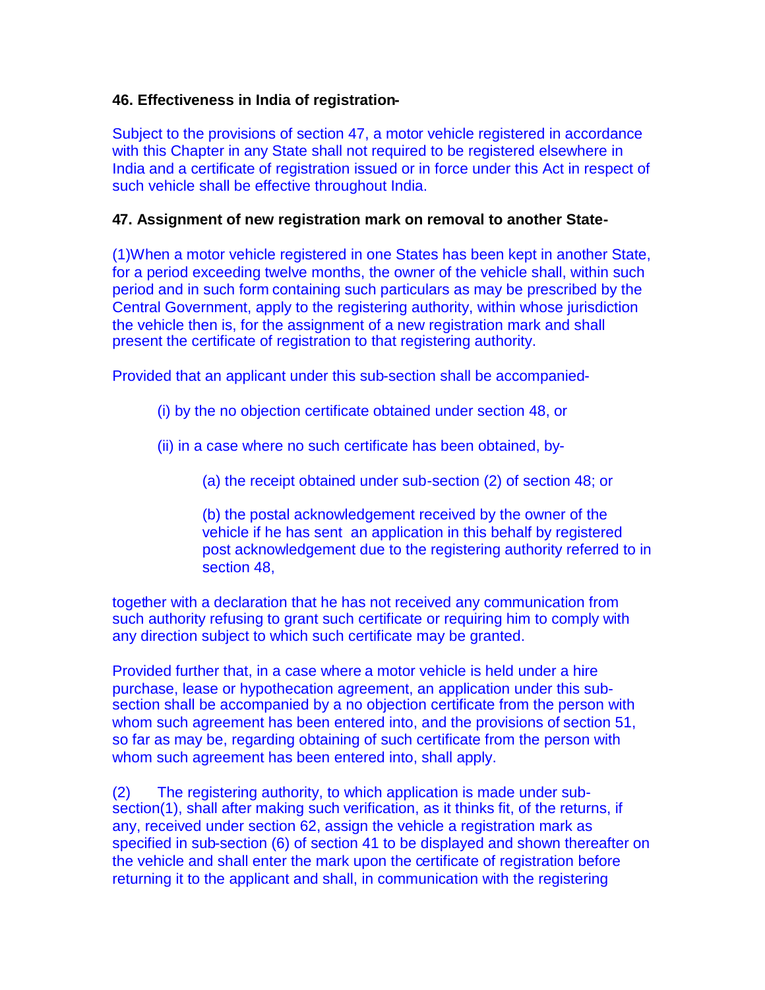## **46. Effectiveness in India of registration-**

Subject to the provisions of section 47, a motor vehicle registered in accordance with this Chapter in any State shall not required to be registered elsewhere in India and a certificate of registration issued or in force under this Act in respect of such vehicle shall be effective throughout India.

## **47. Assignment of new registration mark on removal to another State-**

(1)When a motor vehicle registered in one States has been kept in another State, for a period exceeding twelve months, the owner of the vehicle shall, within such period and in such form containing such particulars as may be prescribed by the Central Government, apply to the registering authority, within whose jurisdiction the vehicle then is, for the assignment of a new registration mark and shall present the certificate of registration to that registering authority.

Provided that an applicant under this sub-section shall be accompanied-

- (i) by the no objection certificate obtained under section 48, or
- (ii) in a case where no such certificate has been obtained, by-
	- (a) the receipt obtained under sub-section (2) of section 48; or

(b) the postal acknowledgement received by the owner of the vehicle if he has sent an application in this behalf by registered post acknowledgement due to the registering authority referred to in section 48,

together with a declaration that he has not received any communication from such authority refusing to grant such certificate or requiring him to comply with any direction subject to which such certificate may be granted.

Provided further that, in a case where a motor vehicle is held under a hire purchase, lease or hypothecation agreement, an application under this subsection shall be accompanied by a no objection certificate from the person with whom such agreement has been entered into, and the provisions of section 51, so far as may be, regarding obtaining of such certificate from the person with whom such agreement has been entered into, shall apply.

(2) The registering authority, to which application is made under subsection(1), shall after making such verification, as it thinks fit, of the returns, if any, received under section 62, assign the vehicle a registration mark as specified in sub-section (6) of section 41 to be displayed and shown thereafter on the vehicle and shall enter the mark upon the certificate of registration before returning it to the applicant and shall, in communication with the registering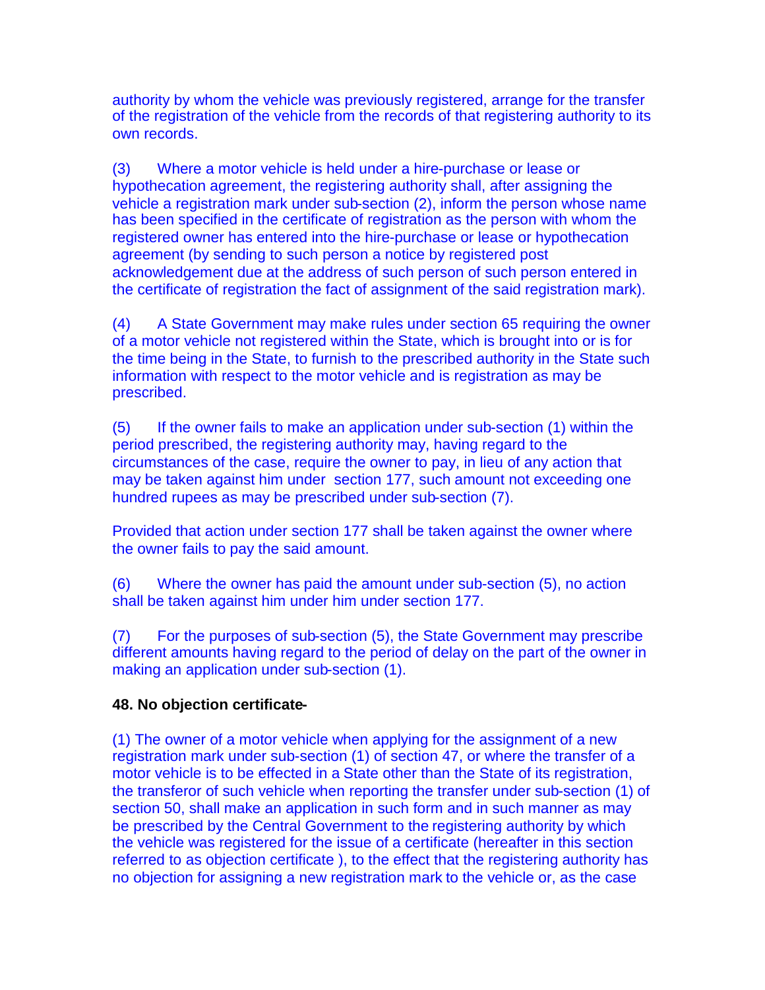authority by whom the vehicle was previously registered, arrange for the transfer of the registration of the vehicle from the records of that registering authority to its own records.

(3) Where a motor vehicle is held under a hire-purchase or lease or hypothecation agreement, the registering authority shall, after assigning the vehicle a registration mark under sub-section (2), inform the person whose name has been specified in the certificate of registration as the person with whom the registered owner has entered into the hire-purchase or lease or hypothecation agreement (by sending to such person a notice by registered post acknowledgement due at the address of such person of such person entered in the certificate of registration the fact of assignment of the said registration mark).

(4) A State Government may make rules under section 65 requiring the owner of a motor vehicle not registered within the State, which is brought into or is for the time being in the State, to furnish to the prescribed authority in the State such information with respect to the motor vehicle and is registration as may be prescribed.

(5) If the owner fails to make an application under sub-section (1) within the period prescribed, the registering authority may, having regard to the circumstances of the case, require the owner to pay, in lieu of any action that may be taken against him under section 177, such amount not exceeding one hundred rupees as may be prescribed under sub-section (7).

Provided that action under section 177 shall be taken against the owner where the owner fails to pay the said amount.

(6) Where the owner has paid the amount under sub-section (5), no action shall be taken against him under him under section 177.

(7) For the purposes of sub-section (5), the State Government may prescribe different amounts having regard to the period of delay on the part of the owner in making an application under sub-section (1).

# **48. No objection certificate-**

(1) The owner of a motor vehicle when applying for the assignment of a new registration mark under sub-section (1) of section 47, or where the transfer of a motor vehicle is to be effected in a State other than the State of its registration, the transferor of such vehicle when reporting the transfer under sub-section (1) of section 50, shall make an application in such form and in such manner as may be prescribed by the Central Government to the registering authority by which the vehicle was registered for the issue of a certificate (hereafter in this section referred to as objection certificate ), to the effect that the registering authority has no objection for assigning a new registration mark to the vehicle or, as the case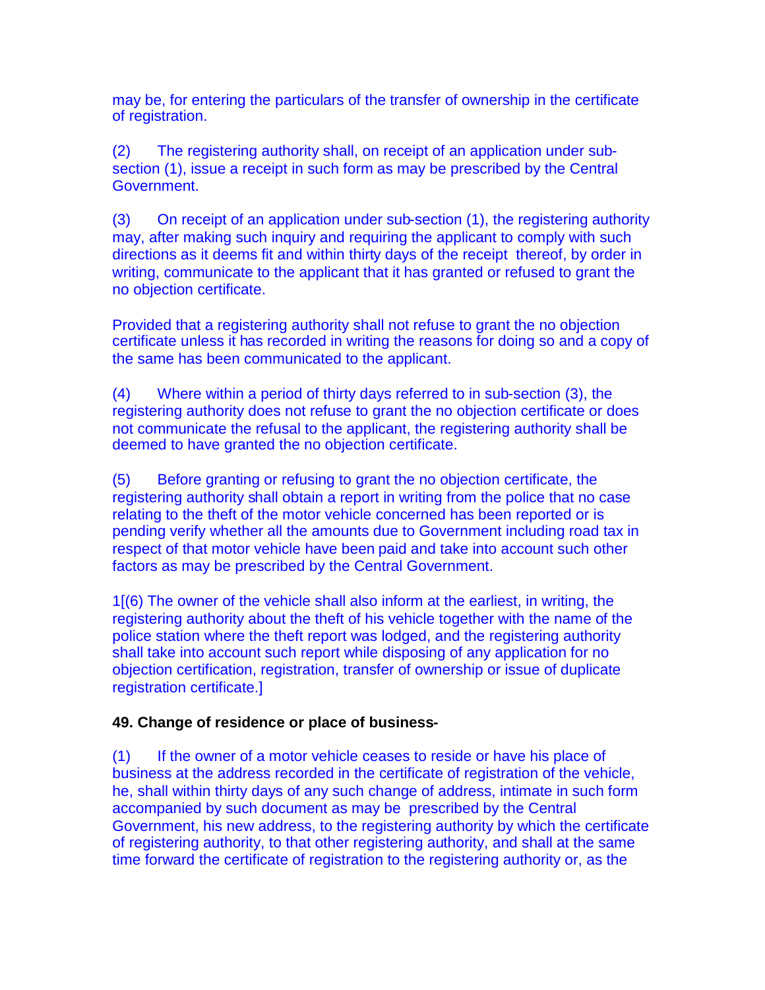may be, for entering the particulars of the transfer of ownership in the certificate of registration.

(2) The registering authority shall, on receipt of an application under subsection (1), issue a receipt in such form as may be prescribed by the Central Government.

(3) On receipt of an application under sub-section (1), the registering authority may, after making such inquiry and requiring the applicant to comply with such directions as it deems fit and within thirty days of the receipt thereof, by order in writing, communicate to the applicant that it has granted or refused to grant the no objection certificate.

Provided that a registering authority shall not refuse to grant the no objection certificate unless it has recorded in writing the reasons for doing so and a copy of the same has been communicated to the applicant.

(4) Where within a period of thirty days referred to in sub-section (3), the registering authority does not refuse to grant the no objection certificate or does not communicate the refusal to the applicant, the registering authority shall be deemed to have granted the no objection certificate.

(5) Before granting or refusing to grant the no objection certificate, the registering authority shall obtain a report in writing from the police that no case relating to the theft of the motor vehicle concerned has been reported or is pending verify whether all the amounts due to Government including road tax in respect of that motor vehicle have been paid and take into account such other factors as may be prescribed by the Central Government.

1[(6) The owner of the vehicle shall also inform at the earliest, in writing, the registering authority about the theft of his vehicle together with the name of the police station where the theft report was lodged, and the registering authority shall take into account such report while disposing of any application for no objection certification, registration, transfer of ownership or issue of duplicate registration certificate.]

# **49. Change of residence or place of business-**

(1) If the owner of a motor vehicle ceases to reside or have his place of business at the address recorded in the certificate of registration of the vehicle, he, shall within thirty days of any such change of address, intimate in such form accompanied by such document as may be prescribed by the Central Government, his new address, to the registering authority by which the certificate of registering authority, to that other registering authority, and shall at the same time forward the certificate of registration to the registering authority or, as the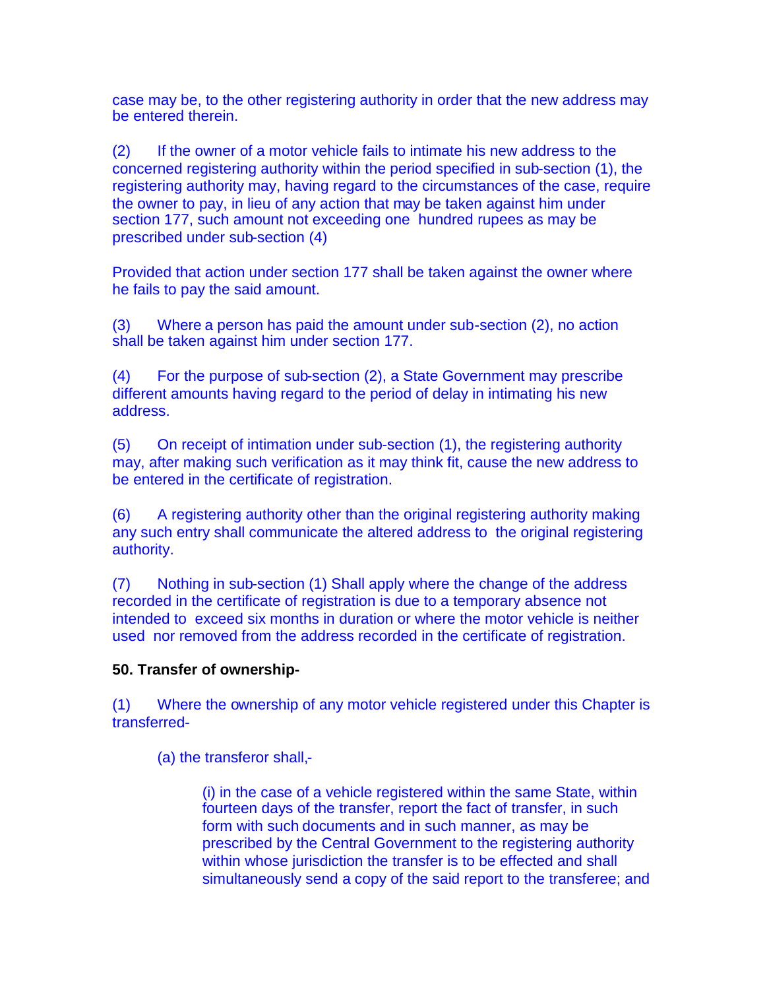case may be, to the other registering authority in order that the new address may be entered therein.

(2) If the owner of a motor vehicle fails to intimate his new address to the concerned registering authority within the period specified in sub-section (1), the registering authority may, having regard to the circumstances of the case, require the owner to pay, in lieu of any action that may be taken against him under section 177, such amount not exceeding one hundred rupees as may be prescribed under sub-section (4)

Provided that action under section 177 shall be taken against the owner where he fails to pay the said amount.

(3) Where a person has paid the amount under sub-section (2), no action shall be taken against him under section 177.

(4) For the purpose of sub-section (2), a State Government may prescribe different amounts having regard to the period of delay in intimating his new address.

(5) On receipt of intimation under sub-section (1), the registering authority may, after making such verification as it may think fit, cause the new address to be entered in the certificate of registration.

(6) A registering authority other than the original registering authority making any such entry shall communicate the altered address to the original registering authority.

(7) Nothing in sub-section (1) Shall apply where the change of the address recorded in the certificate of registration is due to a temporary absence not intended to exceed six months in duration or where the motor vehicle is neither used nor removed from the address recorded in the certificate of registration.

# **50. Transfer of ownership-**

(1) Where the ownership of any motor vehicle registered under this Chapter is transferred-

(a) the transferor shall,-

(i) in the case of a vehicle registered within the same State, within fourteen days of the transfer, report the fact of transfer, in such form with such documents and in such manner, as may be prescribed by the Central Government to the registering authority within whose jurisdiction the transfer is to be effected and shall simultaneously send a copy of the said report to the transferee; and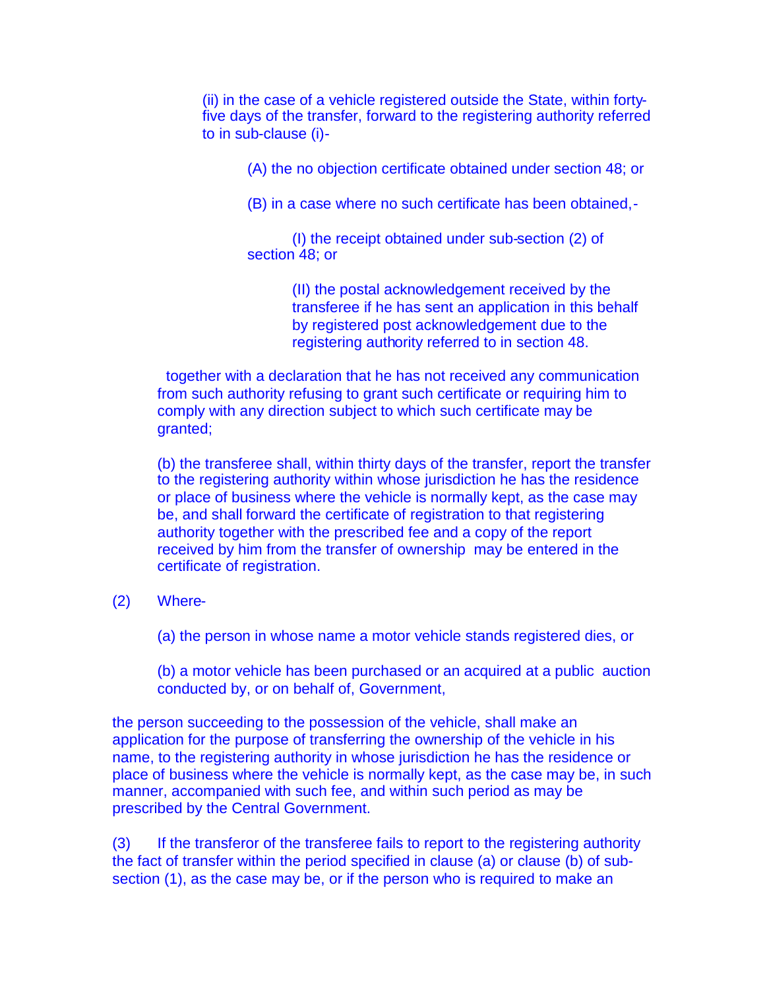(ii) in the case of a vehicle registered outside the State, within fortyfive days of the transfer, forward to the registering authority referred to in sub-clause (i)-

(A) the no objection certificate obtained under section 48; or

(B) in a case where no such certificate has been obtained,-

(I) the receipt obtained under sub-section (2) of section 48; or

> (II) the postal acknowledgement received by the transferee if he has sent an application in this behalf by registered post acknowledgement due to the registering authority referred to in section 48.

together with a declaration that he has not received any communication from such authority refusing to grant such certificate or requiring him to comply with any direction subject to which such certificate may be granted;

(b) the transferee shall, within thirty days of the transfer, report the transfer to the registering authority within whose jurisdiction he has the residence or place of business where the vehicle is normally kept, as the case may be, and shall forward the certificate of registration to that registering authority together with the prescribed fee and a copy of the report received by him from the transfer of ownership may be entered in the certificate of registration.

#### (2) Where-

(a) the person in whose name a motor vehicle stands registered dies, or

(b) a motor vehicle has been purchased or an acquired at a public auction conducted by, or on behalf of, Government,

the person succeeding to the possession of the vehicle, shall make an application for the purpose of transferring the ownership of the vehicle in his name, to the registering authority in whose jurisdiction he has the residence or place of business where the vehicle is normally kept, as the case may be, in such manner, accompanied with such fee, and within such period as may be prescribed by the Central Government.

(3) If the transferor of the transferee fails to report to the registering authority the fact of transfer within the period specified in clause (a) or clause (b) of subsection (1), as the case may be, or if the person who is required to make an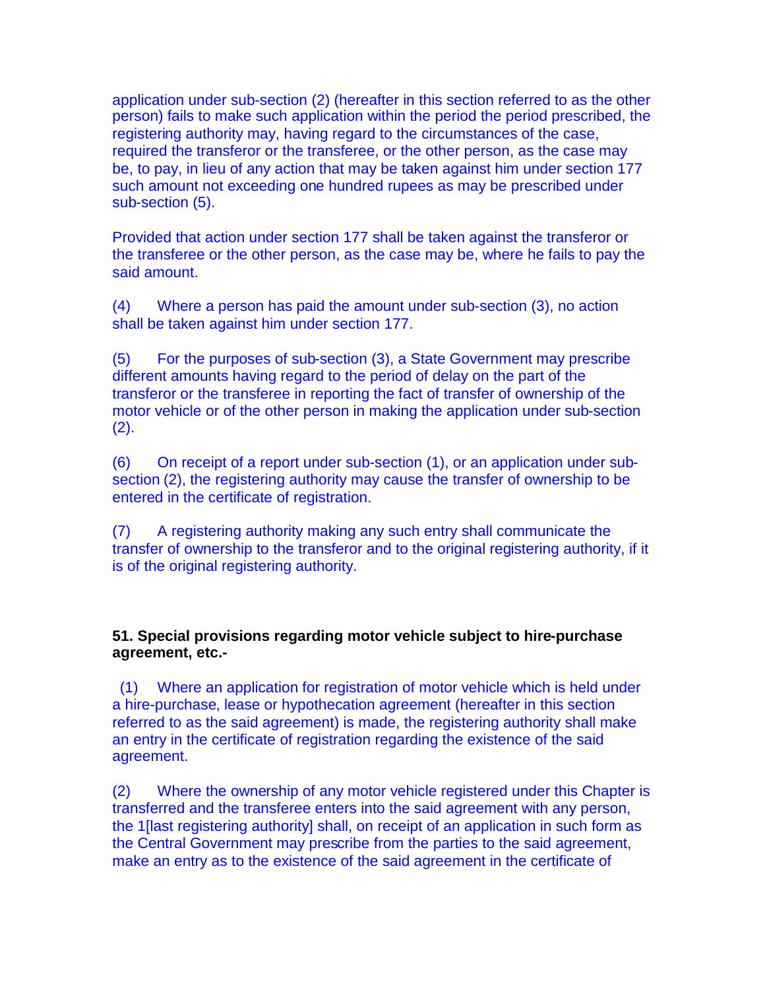application under sub-section (2) (hereafter in this section referred to as the other person) fails to make such application within the period the period prescribed, the registering authority may, having regard to the circumstances of the case, required the transferor or the transferee, or the other person, as the case may be, to pay, in lieu of any action that may be taken against him under section 177 such amount not exceeding one hundred rupees as may be prescribed under sub-section (5).

Provided that action under section 177 shall be taken against the transferor or the transferee or the other person, as the case may be, where he fails to pay the said amount.

(4) Where a person has paid the amount under sub-section (3), no action shall be taken against him under section 177.

(5) For the purposes of sub-section (3), a State Government may prescribe different amounts having regard to the period of delay on the part of the transferor or the transferee in reporting the fact of transfer of ownership of the motor vehicle or of the other person in making the application under sub-section (2).

(6) On receipt of a report under sub-section (1), or an application under subsection (2), the registering authority may cause the transfer of ownership to be entered in the certificate of registration.

(7) A registering authority making any such entry shall communicate the transfer of ownership to the transferor and to the original registering authority, if it is of the original registering authority.

**51. Special provisions regarding motor vehicle subject to hire-purchase agreement, etc.-**

(1) Where an application for registration of motor vehicle which is held under a hire-purchase, lease or hypothecation agreement (hereafter in this section referred to as the said agreement) is made, the registering authority shall make an entry in the certificate of registration regarding the existence of the said agreement.

(2) Where the ownership of any motor vehicle registered under this Chapter is transferred and the transferee enters into the said agreement with any person, the 1[last registering authority] shall, on receipt of an application in such form as the Central Government may prescribe from the parties to the said agreement, make an entry as to the existence of the said agreement in the certificate of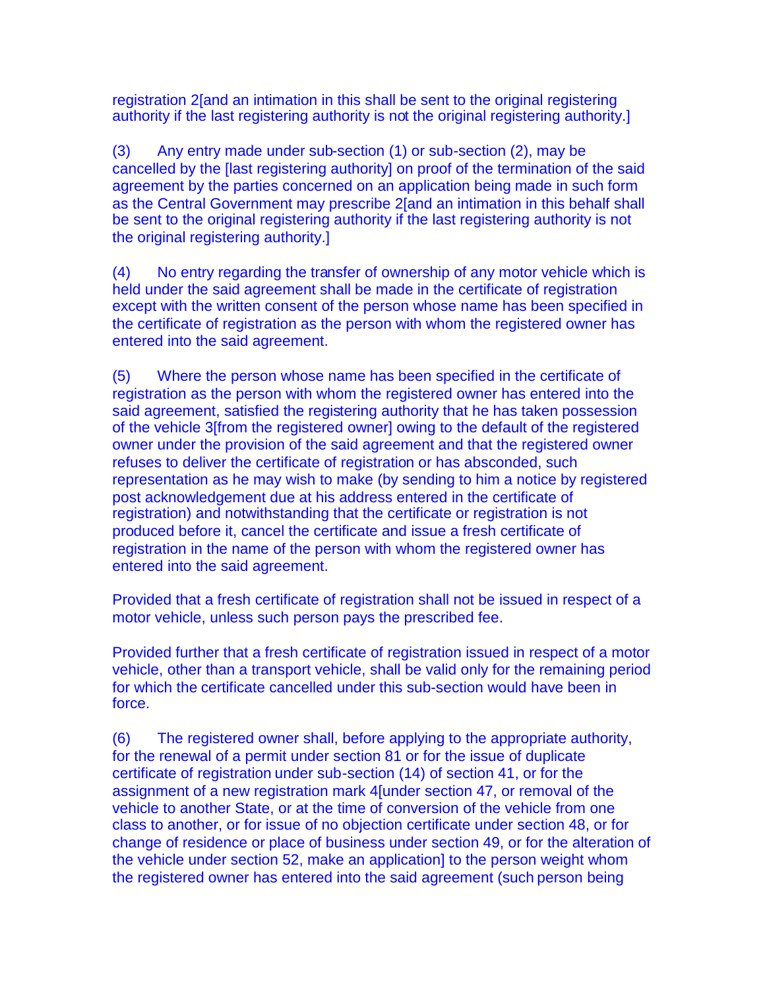registration 2[and an intimation in this shall be sent to the original registering authority if the last registering authority is not the original registering authority.]

(3) Any entry made under sub-section (1) or sub-section (2), may be cancelled by the [last registering authority] on proof of the termination of the said agreement by the parties concerned on an application being made in such form as the Central Government may prescribe 2[and an intimation in this behalf shall be sent to the original registering authority if the last registering authority is not the original registering authority.]

(4) No entry regarding the transfer of ownership of any motor vehicle which is held under the said agreement shall be made in the certificate of registration except with the written consent of the person whose name has been specified in the certificate of registration as the person with whom the registered owner has entered into the said agreement.

(5) Where the person whose name has been specified in the certificate of registration as the person with whom the registered owner has entered into the said agreement, satisfied the registering authority that he has taken possession of the vehicle 3[from the registered owner] owing to the default of the registered owner under the provision of the said agreement and that the registered owner refuses to deliver the certificate of registration or has absconded, such representation as he may wish to make (by sending to him a notice by registered post acknowledgement due at his address entered in the certificate of registration) and notwithstanding that the certificate or registration is not produced before it, cancel the certificate and issue a fresh certificate of registration in the name of the person with whom the registered owner has entered into the said agreement.

Provided that a fresh certificate of registration shall not be issued in respect of a motor vehicle, unless such person pays the prescribed fee.

Provided further that a fresh certificate of registration issued in respect of a motor vehicle, other than a transport vehicle, shall be valid only for the remaining period for which the certificate cancelled under this sub-section would have been in force.

(6) The registered owner shall, before applying to the appropriate authority, for the renewal of a permit under section 81 or for the issue of duplicate certificate of registration under sub-section (14) of section 41, or for the assignment of a new registration mark 4[under section 47, or removal of the vehicle to another State, or at the time of conversion of the vehicle from one class to another, or for issue of no objection certificate under section 48, or for change of residence or place of business under section 49, or for the alteration of the vehicle under section 52, make an application] to the person weight whom the registered owner has entered into the said agreement (such person being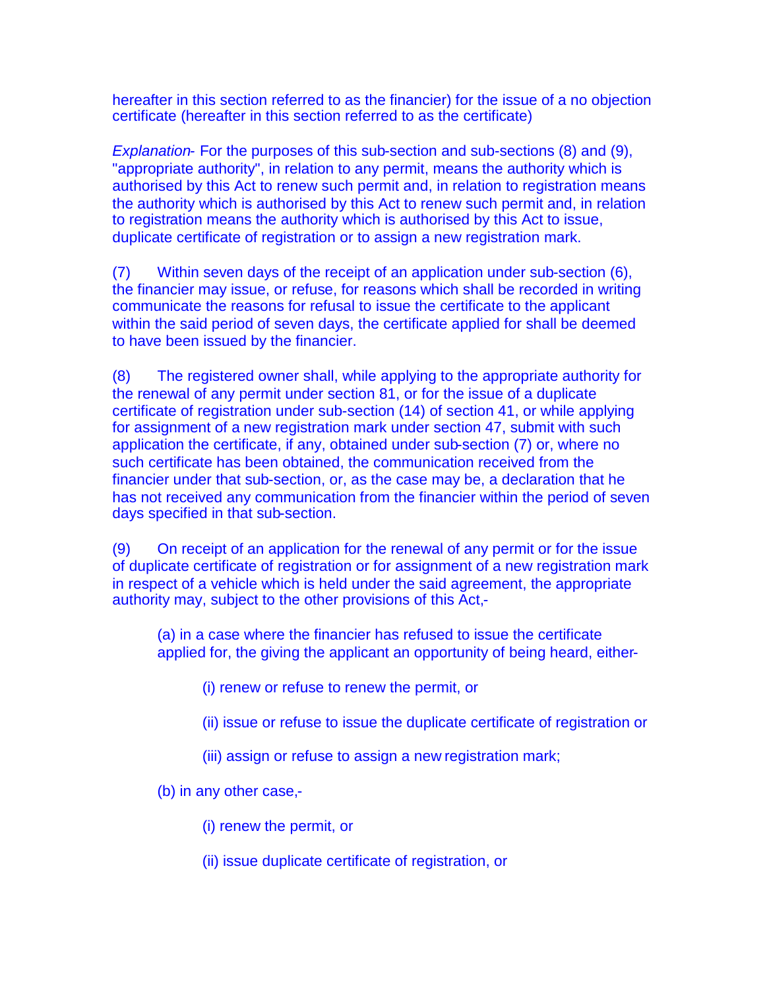hereafter in this section referred to as the financier) for the issue of a no objection certificate (hereafter in this section referred to as the certificate)

*Explanation-* For the purposes of this sub-section and sub-sections (8) and (9), "appropriate authority", in relation to any permit, means the authority which is authorised by this Act to renew such permit and, in relation to registration means the authority which is authorised by this Act to renew such permit and, in relation to registration means the authority which is authorised by this Act to issue, duplicate certificate of registration or to assign a new registration mark.

(7) Within seven days of the receipt of an application under sub-section (6), the financier may issue, or refuse, for reasons which shall be recorded in writing communicate the reasons for refusal to issue the certificate to the applicant within the said period of seven days, the certificate applied for shall be deemed to have been issued by the financier.

(8) The registered owner shall, while applying to the appropriate authority for the renewal of any permit under section 81, or for the issue of a duplicate certificate of registration under sub-section (14) of section 41, or while applying for assignment of a new registration mark under section 47, submit with such application the certificate, if any, obtained under sub-section (7) or, where no such certificate has been obtained, the communication received from the financier under that sub-section, or, as the case may be, a declaration that he has not received any communication from the financier within the period of seven days specified in that sub-section.

(9) On receipt of an application for the renewal of any permit or for the issue of duplicate certificate of registration or for assignment of a new registration mark in respect of a vehicle which is held under the said agreement, the appropriate authority may, subject to the other provisions of this Act,-

(a) in a case where the financier has refused to issue the certificate applied for, the giving the applicant an opportunity of being heard, either-

- (i) renew or refuse to renew the permit, or
- (ii) issue or refuse to issue the duplicate certificate of registration or
- (iii) assign or refuse to assign a new registration mark;

(b) in any other case,-

- (i) renew the permit, or
- (ii) issue duplicate certificate of registration, or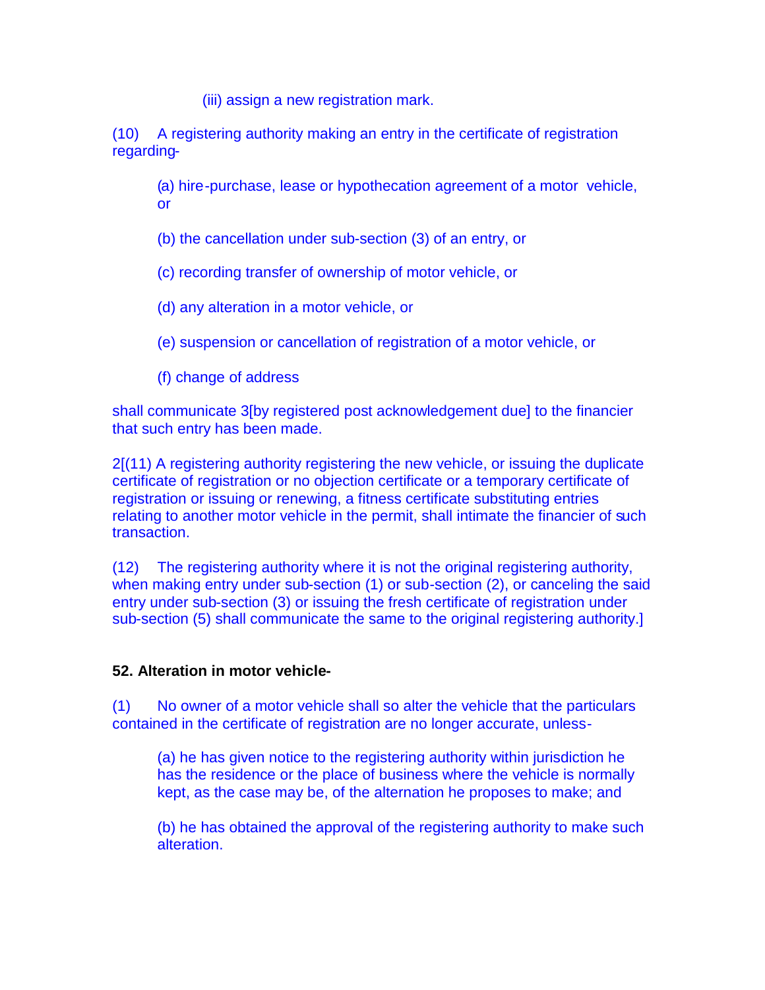(iii) assign a new registration mark.

(10) A registering authority making an entry in the certificate of registration regarding-

(a) hire-purchase, lease or hypothecation agreement of a motor vehicle, or

(b) the cancellation under sub-section (3) of an entry, or

(c) recording transfer of ownership of motor vehicle, or

(d) any alteration in a motor vehicle, or

(e) suspension or cancellation of registration of a motor vehicle, or

(f) change of address

shall communicate 3[by registered post acknowledgement due] to the financier that such entry has been made.

2[(11) A registering authority registering the new vehicle, or issuing the duplicate certificate of registration or no objection certificate or a temporary certificate of registration or issuing or renewing, a fitness certificate substituting entries relating to another motor vehicle in the permit, shall intimate the financier of such transaction.

(12) The registering authority where it is not the original registering authority, when making entry under sub-section (1) or sub-section (2), or canceling the said entry under sub-section (3) or issuing the fresh certificate of registration under sub-section (5) shall communicate the same to the original registering authority.]

### **52. Alteration in motor vehicle-**

(1) No owner of a motor vehicle shall so alter the vehicle that the particulars contained in the certificate of registration are no longer accurate, unless-

(a) he has given notice to the registering authority within jurisdiction he has the residence or the place of business where the vehicle is normally kept, as the case may be, of the alternation he proposes to make; and

(b) he has obtained the approval of the registering authority to make such alteration.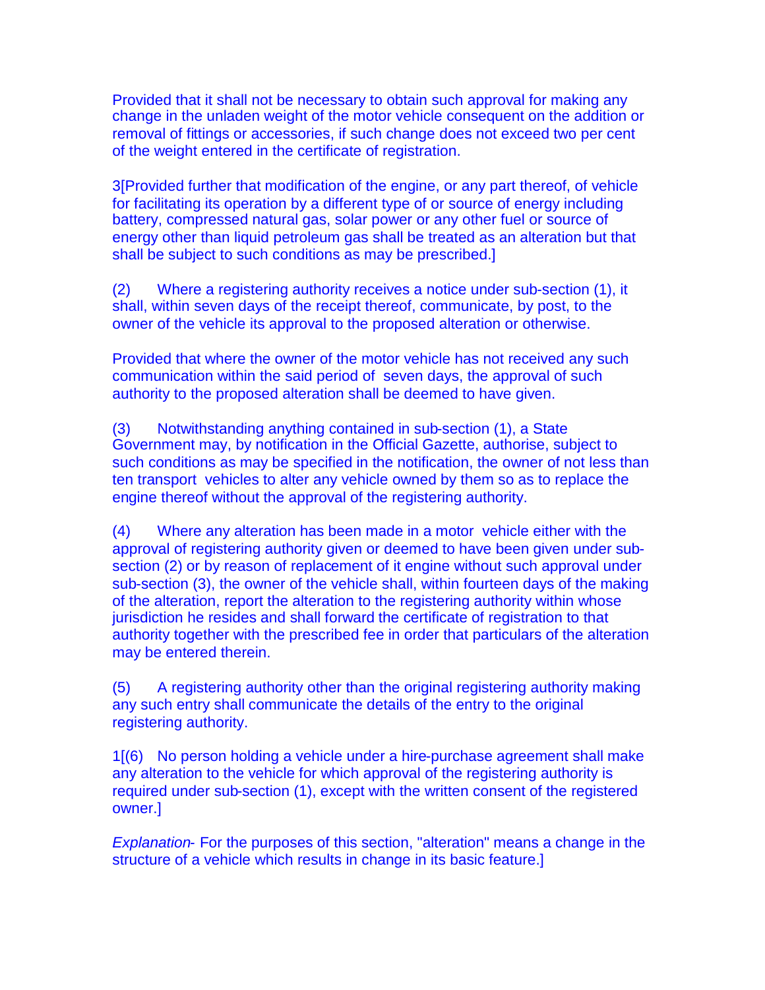Provided that it shall not be necessary to obtain such approval for making any change in the unladen weight of the motor vehicle consequent on the addition or removal of fittings or accessories, if such change does not exceed two per cent of the weight entered in the certificate of registration.

3[Provided further that modification of the engine, or any part thereof, of vehicle for facilitating its operation by a different type of or source of energy including battery, compressed natural gas, solar power or any other fuel or source of energy other than liquid petroleum gas shall be treated as an alteration but that shall be subject to such conditions as may be prescribed.]

(2) Where a registering authority receives a notice under sub-section (1), it shall, within seven days of the receipt thereof, communicate, by post, to the owner of the vehicle its approval to the proposed alteration or otherwise.

Provided that where the owner of the motor vehicle has not received any such communication within the said period of seven days, the approval of such authority to the proposed alteration shall be deemed to have given.

(3) Notwithstanding anything contained in sub-section (1), a State Government may, by notification in the Official Gazette, authorise, subject to such conditions as may be specified in the notification, the owner of not less than ten transport vehicles to alter any vehicle owned by them so as to replace the engine thereof without the approval of the registering authority.

(4) Where any alteration has been made in a motor vehicle either with the approval of registering authority given or deemed to have been given under subsection (2) or by reason of replacement of it engine without such approval under sub-section (3), the owner of the vehicle shall, within fourteen days of the making of the alteration, report the alteration to the registering authority within whose jurisdiction he resides and shall forward the certificate of registration to that authority together with the prescribed fee in order that particulars of the alteration may be entered therein.

(5) A registering authority other than the original registering authority making any such entry shall communicate the details of the entry to the original registering authority.

1[(6) No person holding a vehicle under a hire-purchase agreement shall make any alteration to the vehicle for which approval of the registering authority is required under sub-section (1), except with the written consent of the registered owner.]

*Explanation-* For the purposes of this section, "alteration" means a change in the structure of a vehicle which results in change in its basic feature.]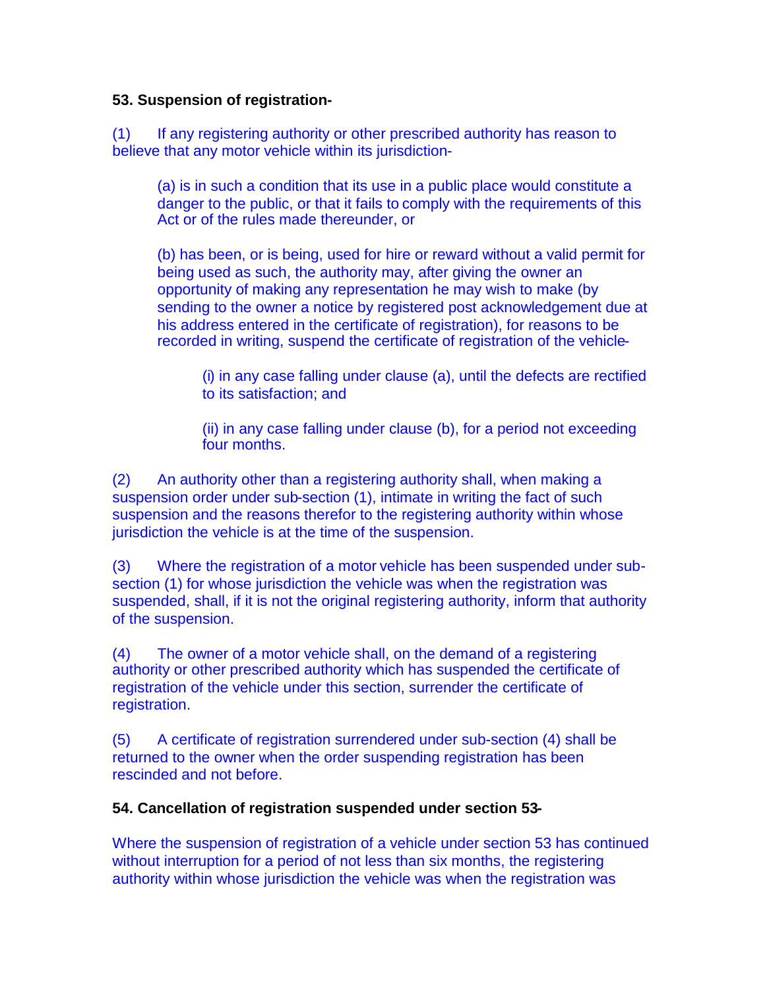# **53. Suspension of registration-**

(1) If any registering authority or other prescribed authority has reason to believe that any motor vehicle within its jurisdiction-

(a) is in such a condition that its use in a public place would constitute a danger to the public, or that it fails to comply with the requirements of this Act or of the rules made thereunder, or

(b) has been, or is being, used for hire or reward without a valid permit for being used as such, the authority may, after giving the owner an opportunity of making any representation he may wish to make (by sending to the owner a notice by registered post acknowledgement due at his address entered in the certificate of registration), for reasons to be recorded in writing, suspend the certificate of registration of the vehicle-

(i) in any case falling under clause (a), until the defects are rectified to its satisfaction; and

(ii) in any case falling under clause (b), for a period not exceeding four months.

(2) An authority other than a registering authority shall, when making a suspension order under sub-section (1), intimate in writing the fact of such suspension and the reasons therefor to the registering authority within whose jurisdiction the vehicle is at the time of the suspension.

(3) Where the registration of a motor vehicle has been suspended under subsection (1) for whose jurisdiction the vehicle was when the registration was suspended, shall, if it is not the original registering authority, inform that authority of the suspension.

(4) The owner of a motor vehicle shall, on the demand of a registering authority or other prescribed authority which has suspended the certificate of registration of the vehicle under this section, surrender the certificate of registration.

(5) A certificate of registration surrendered under sub-section (4) shall be returned to the owner when the order suspending registration has been rescinded and not before.

# **54. Cancellation of registration suspended under section 53-**

Where the suspension of registration of a vehicle under section 53 has continued without interruption for a period of not less than six months, the registering authority within whose jurisdiction the vehicle was when the registration was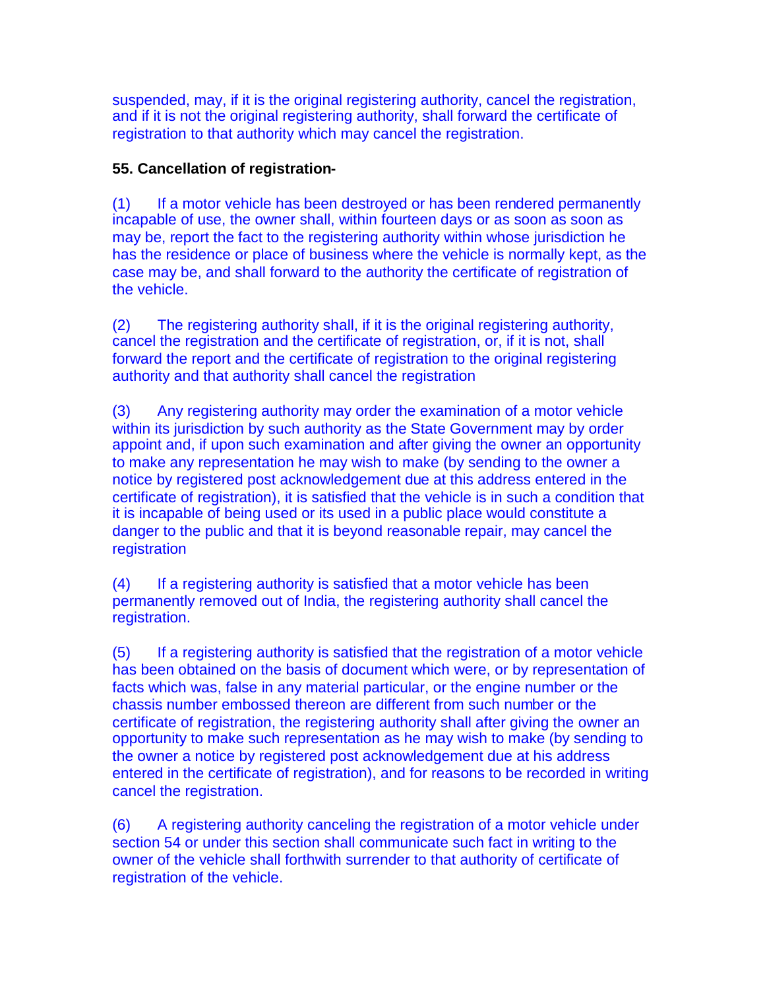suspended, may, if it is the original registering authority, cancel the registration, and if it is not the original registering authority, shall forward the certificate of registration to that authority which may cancel the registration.

# **55. Cancellation of registration-**

(1) If a motor vehicle has been destroyed or has been rendered permanently incapable of use, the owner shall, within fourteen days or as soon as soon as may be, report the fact to the registering authority within whose jurisdiction he has the residence or place of business where the vehicle is normally kept, as the case may be, and shall forward to the authority the certificate of registration of the vehicle.

(2) The registering authority shall, if it is the original registering authority, cancel the registration and the certificate of registration, or, if it is not, shall forward the report and the certificate of registration to the original registering authority and that authority shall cancel the registration

(3) Any registering authority may order the examination of a motor vehicle within its jurisdiction by such authority as the State Government may by order appoint and, if upon such examination and after giving the owner an opportunity to make any representation he may wish to make (by sending to the owner a notice by registered post acknowledgement due at this address entered in the certificate of registration), it is satisfied that the vehicle is in such a condition that it is incapable of being used or its used in a public place would constitute a danger to the public and that it is beyond reasonable repair, may cancel the registration

(4) If a registering authority is satisfied that a motor vehicle has been permanently removed out of India, the registering authority shall cancel the registration.

(5) If a registering authority is satisfied that the registration of a motor vehicle has been obtained on the basis of document which were, or by representation of facts which was, false in any material particular, or the engine number or the chassis number embossed thereon are different from such number or the certificate of registration, the registering authority shall after giving the owner an opportunity to make such representation as he may wish to make (by sending to the owner a notice by registered post acknowledgement due at his address entered in the certificate of registration), and for reasons to be recorded in writing cancel the registration.

(6) A registering authority canceling the registration of a motor vehicle under section 54 or under this section shall communicate such fact in writing to the owner of the vehicle shall forthwith surrender to that authority of certificate of registration of the vehicle.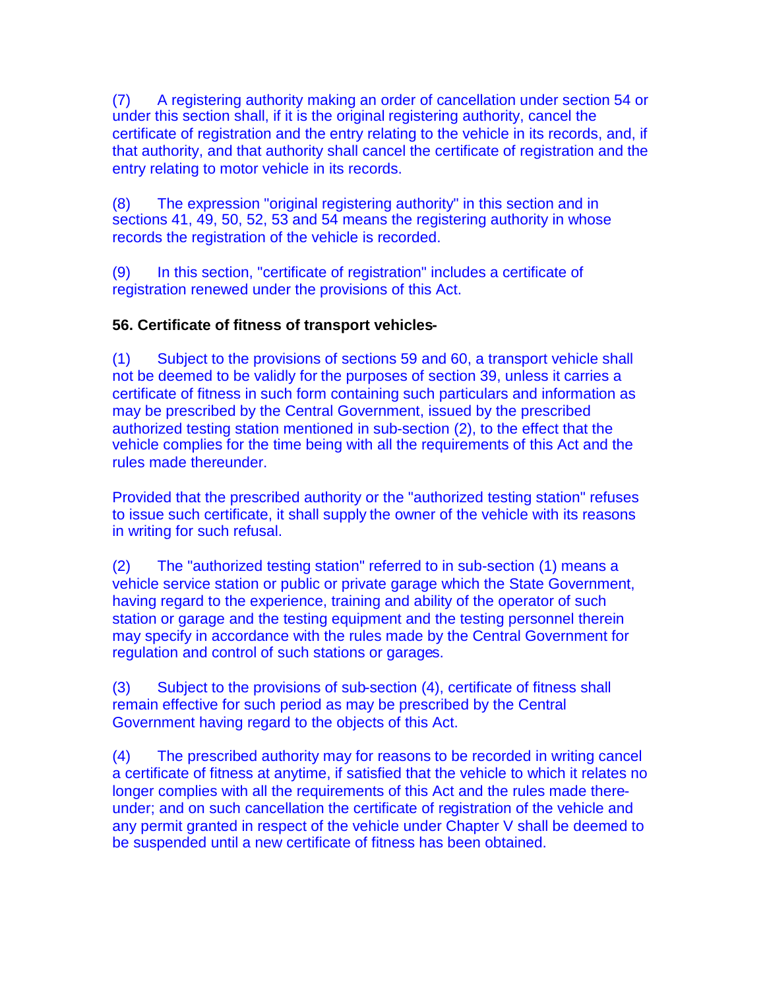(7) A registering authority making an order of cancellation under section 54 or under this section shall, if it is the original registering authority, cancel the certificate of registration and the entry relating to the vehicle in its records, and, if that authority, and that authority shall cancel the certificate of registration and the entry relating to motor vehicle in its records.

(8) The expression "original registering authority" in this section and in sections 41, 49, 50, 52, 53 and 54 means the registering authority in whose records the registration of the vehicle is recorded.

(9) In this section, "certificate of registration" includes a certificate of registration renewed under the provisions of this Act.

# **56. Certificate of fitness of transport vehicles-**

(1) Subject to the provisions of sections 59 and 60, a transport vehicle shall not be deemed to be validly for the purposes of section 39, unless it carries a certificate of fitness in such form containing such particulars and information as may be prescribed by the Central Government, issued by the prescribed authorized testing station mentioned in sub-section (2), to the effect that the vehicle complies for the time being with all the requirements of this Act and the rules made thereunder.

Provided that the prescribed authority or the "authorized testing station" refuses to issue such certificate, it shall supply the owner of the vehicle with its reasons in writing for such refusal.

(2) The "authorized testing station" referred to in sub-section (1) means a vehicle service station or public or private garage which the State Government, having regard to the experience, training and ability of the operator of such station or garage and the testing equipment and the testing personnel therein may specify in accordance with the rules made by the Central Government for regulation and control of such stations or garages.

(3) Subject to the provisions of sub-section (4), certificate of fitness shall remain effective for such period as may be prescribed by the Central Government having regard to the objects of this Act.

(4) The prescribed authority may for reasons to be recorded in writing cancel a certificate of fitness at anytime, if satisfied that the vehicle to which it relates no longer complies with all the requirements of this Act and the rules made thereunder; and on such cancellation the certificate of registration of the vehicle and any permit granted in respect of the vehicle under Chapter V shall be deemed to be suspended until a new certificate of fitness has been obtained.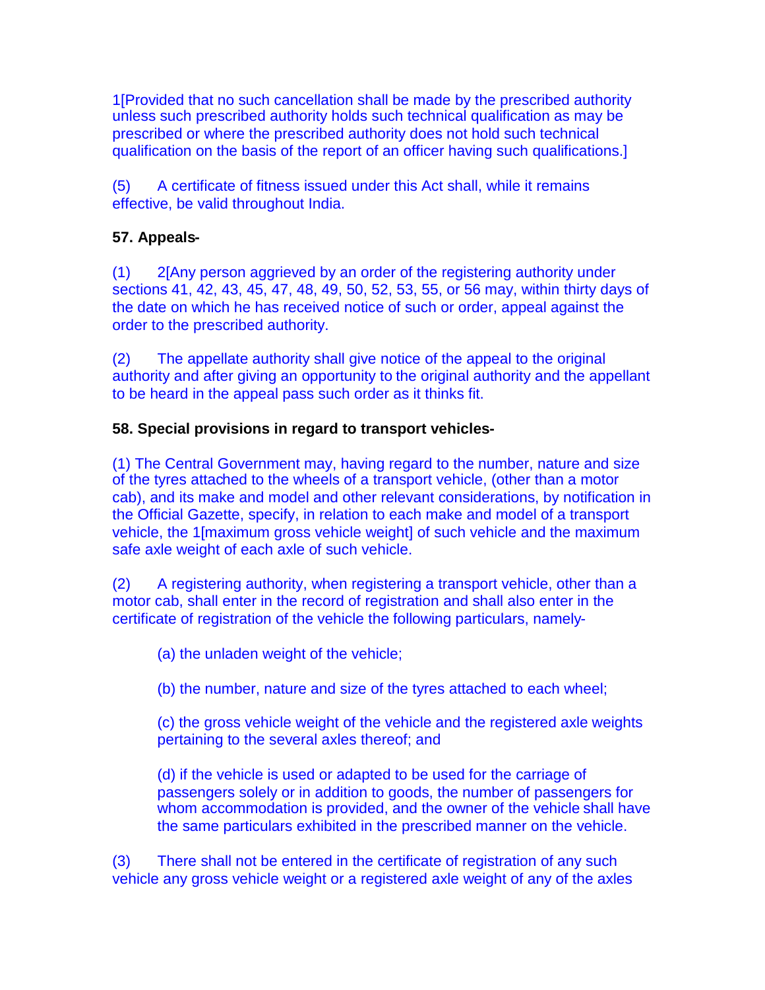1[Provided that no such cancellation shall be made by the prescribed authority unless such prescribed authority holds such technical qualification as may be prescribed or where the prescribed authority does not hold such technical qualification on the basis of the report of an officer having such qualifications.]

(5) A certificate of fitness issued under this Act shall, while it remains effective, be valid throughout India.

# **57. Appeals-**

(1) 2[Any person aggrieved by an order of the registering authority under sections 41, 42, 43, 45, 47, 48, 49, 50, 52, 53, 55, or 56 may, within thirty days of the date on which he has received notice of such or order, appeal against the order to the prescribed authority.

(2) The appellate authority shall give notice of the appeal to the original authority and after giving an opportunity to the original authority and the appellant to be heard in the appeal pass such order as it thinks fit.

# **58. Special provisions in regard to transport vehicles-**

(1) The Central Government may, having regard to the number, nature and size of the tyres attached to the wheels of a transport vehicle, (other than a motor cab), and its make and model and other relevant considerations, by notification in the Official Gazette, specify, in relation to each make and model of a transport vehicle, the 1[maximum gross vehicle weight] of such vehicle and the maximum safe axle weight of each axle of such vehicle.

(2) A registering authority, when registering a transport vehicle, other than a motor cab, shall enter in the record of registration and shall also enter in the certificate of registration of the vehicle the following particulars, namely-

(a) the unladen weight of the vehicle;

(b) the number, nature and size of the tyres attached to each wheel;

(c) the gross vehicle weight of the vehicle and the registered axle weights pertaining to the several axles thereof; and

(d) if the vehicle is used or adapted to be used for the carriage of passengers solely or in addition to goods, the number of passengers for whom accommodation is provided, and the owner of the vehicle shall have the same particulars exhibited in the prescribed manner on the vehicle.

(3) There shall not be entered in the certificate of registration of any such vehicle any gross vehicle weight or a registered axle weight of any of the axles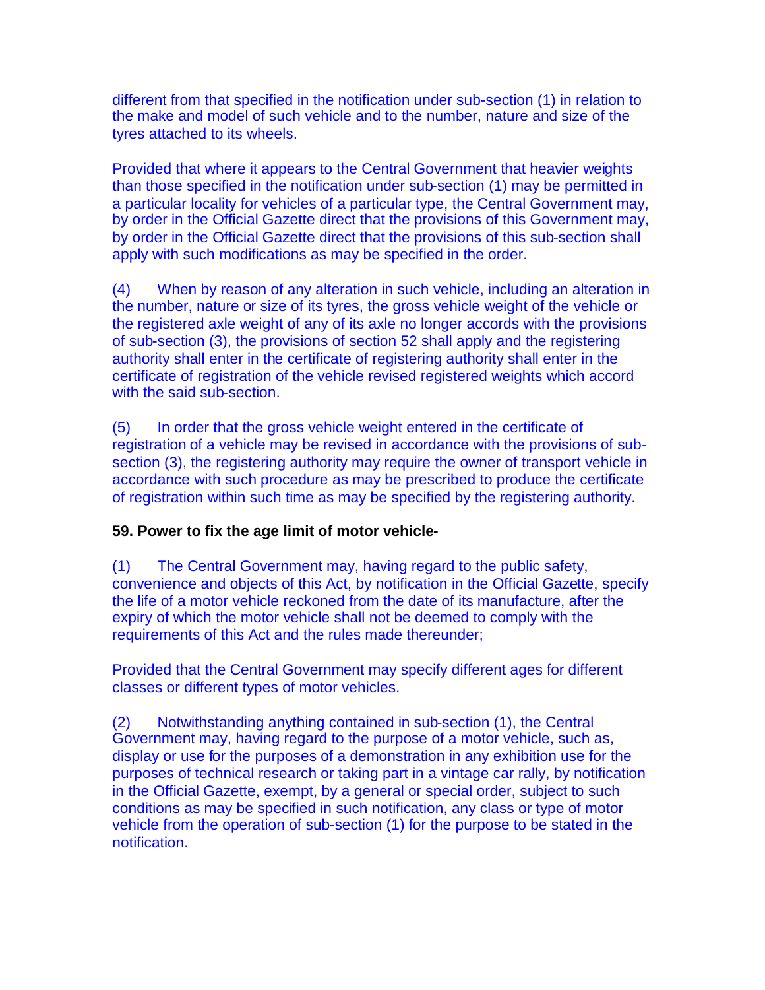different from that specified in the notification under sub-section (1) in relation to the make and model of such vehicle and to the number, nature and size of the tyres attached to its wheels.

Provided that where it appears to the Central Government that heavier weights than those specified in the notification under sub-section (1) may be permitted in a particular locality for vehicles of a particular type, the Central Government may, by order in the Official Gazette direct that the provisions of this Government may, by order in the Official Gazette direct that the provisions of this sub-section shall apply with such modifications as may be specified in the order.

(4) When by reason of any alteration in such vehicle, including an alteration in the number, nature or size of its tyres, the gross vehicle weight of the vehicle or the registered axle weight of any of its axle no longer accords with the provisions of sub-section (3), the provisions of section 52 shall apply and the registering authority shall enter in the certificate of registering authority shall enter in the certificate of registration of the vehicle revised registered weights which accord with the said sub-section.

(5) In order that the gross vehicle weight entered in the certificate of registration of a vehicle may be revised in accordance with the provisions of subsection (3), the registering authority may require the owner of transport vehicle in accordance with such procedure as may be prescribed to produce the certificate of registration within such time as may be specified by the registering authority.

# **59. Power to fix the age limit of motor vehicle-**

(1) The Central Government may, having regard to the public safety, convenience and objects of this Act, by notification in the Official Gazette, specify the life of a motor vehicle reckoned from the date of its manufacture, after the expiry of which the motor vehicle shall not be deemed to comply with the requirements of this Act and the rules made thereunder;

Provided that the Central Government may specify different ages for different classes or different types of motor vehicles.

(2) Notwithstanding anything contained in sub-section (1), the Central Government may, having regard to the purpose of a motor vehicle, such as, display or use for the purposes of a demonstration in any exhibition use for the purposes of technical research or taking part in a vintage car rally, by notification in the Official Gazette, exempt, by a general or special order, subject to such conditions as may be specified in such notification, any class or type of motor vehicle from the operation of sub-section (1) for the purpose to be stated in the notification.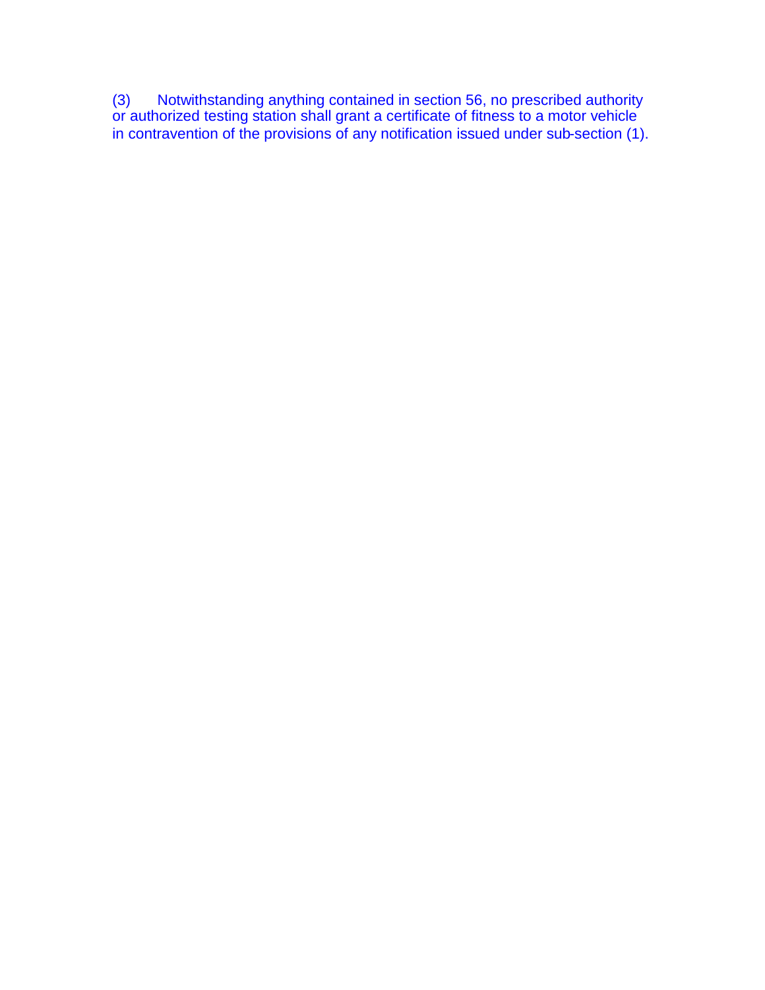(3) Notwithstanding anything contained in section 56, no prescribed authority or authorized testing station shall grant a certificate of fitness to a motor vehicle in contravention of the provisions of any notification issued under sub-section (1).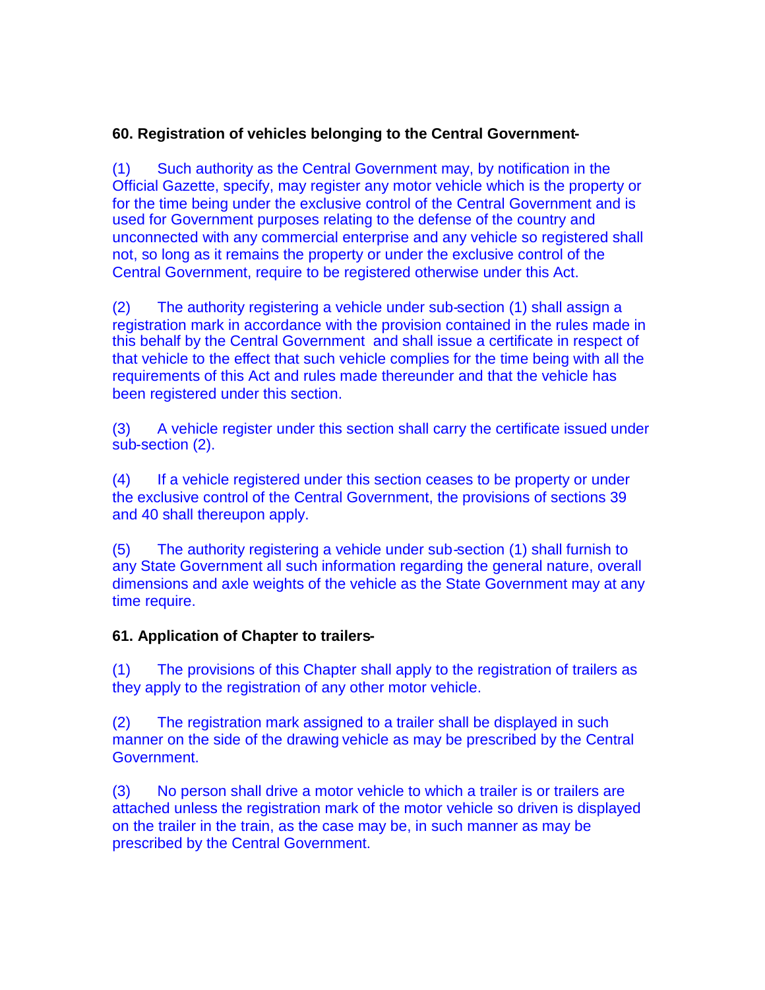# **60. Registration of vehicles belonging to the Central Government-**

(1) Such authority as the Central Government may, by notification in the Official Gazette, specify, may register any motor vehicle which is the property or for the time being under the exclusive control of the Central Government and is used for Government purposes relating to the defense of the country and unconnected with any commercial enterprise and any vehicle so registered shall not, so long as it remains the property or under the exclusive control of the Central Government, require to be registered otherwise under this Act.

(2) The authority registering a vehicle under sub-section (1) shall assign a registration mark in accordance with the provision contained in the rules made in this behalf by the Central Government and shall issue a certificate in respect of that vehicle to the effect that such vehicle complies for the time being with all the requirements of this Act and rules made thereunder and that the vehicle has been registered under this section.

(3) A vehicle register under this section shall carry the certificate issued under sub-section (2).

(4) If a vehicle registered under this section ceases to be property or under the exclusive control of the Central Government, the provisions of sections 39 and 40 shall thereupon apply.

(5) The authority registering a vehicle under sub-section (1) shall furnish to any State Government all such information regarding the general nature, overall dimensions and axle weights of the vehicle as the State Government may at any time require.

# **61. Application of Chapter to trailers-**

(1) The provisions of this Chapter shall apply to the registration of trailers as they apply to the registration of any other motor vehicle.

(2) The registration mark assigned to a trailer shall be displayed in such manner on the side of the drawing vehicle as may be prescribed by the Central Government.

(3) No person shall drive a motor vehicle to which a trailer is or trailers are attached unless the registration mark of the motor vehicle so driven is displayed on the trailer in the train, as the case may be, in such manner as may be prescribed by the Central Government.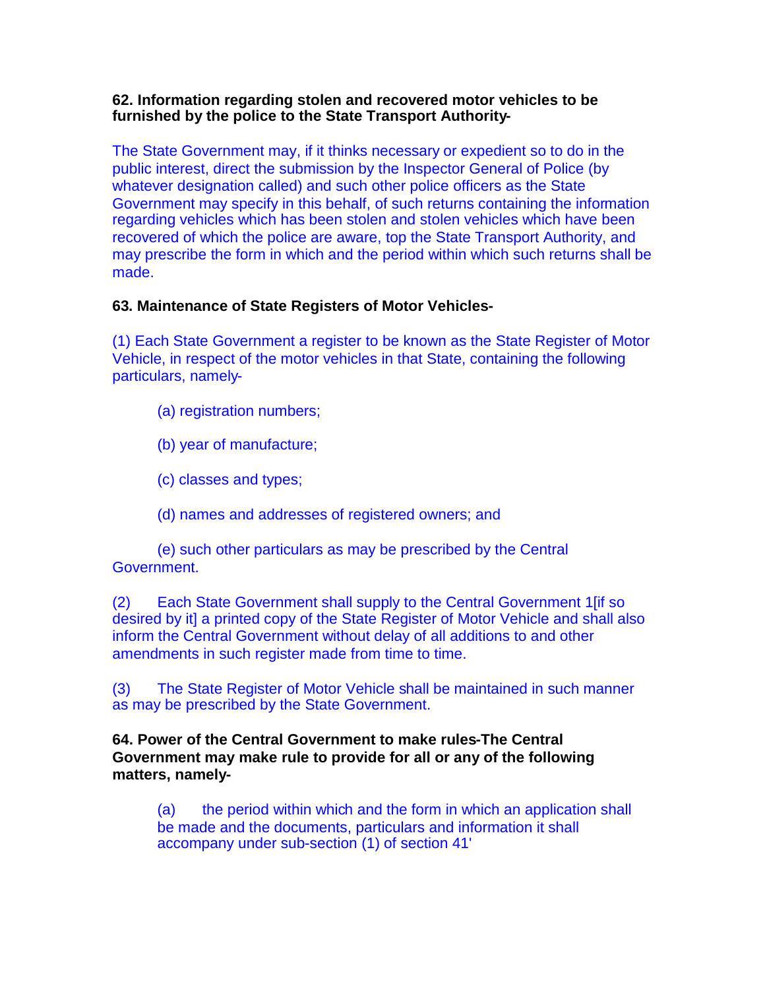## **62. Information regarding stolen and recovered motor vehicles to be furnished by the police to the State Transport Authority-**

The State Government may, if it thinks necessary or expedient so to do in the public interest, direct the submission by the Inspector General of Police (by whatever designation called) and such other police officers as the State Government may specify in this behalf, of such returns containing the information regarding vehicles which has been stolen and stolen vehicles which have been recovered of which the police are aware, top the State Transport Authority, and may prescribe the form in which and the period within which such returns shall be made.

# **63. Maintenance of State Registers of Motor Vehicles-**

(1) Each State Government a register to be known as the State Register of Motor Vehicle, in respect of the motor vehicles in that State, containing the following particulars, namely-

- (a) registration numbers;
- (b) year of manufacture;
- (c) classes and types;
- (d) names and addresses of registered owners; and

(e) such other particulars as may be prescribed by the Central Government.

(2) Each State Government shall supply to the Central Government 1[if so desired by it] a printed copy of the State Register of Motor Vehicle and shall also inform the Central Government without delay of all additions to and other amendments in such register made from time to time.

(3) The State Register of Motor Vehicle shall be maintained in such manner as may be prescribed by the State Government.

**64. Power of the Central Government to make rules-The Central Government may make rule to provide for all or any of the following matters, namely-**

(a) the period within which and the form in which an application shall be made and the documents, particulars and information it shall accompany under sub-section (1) of section 41'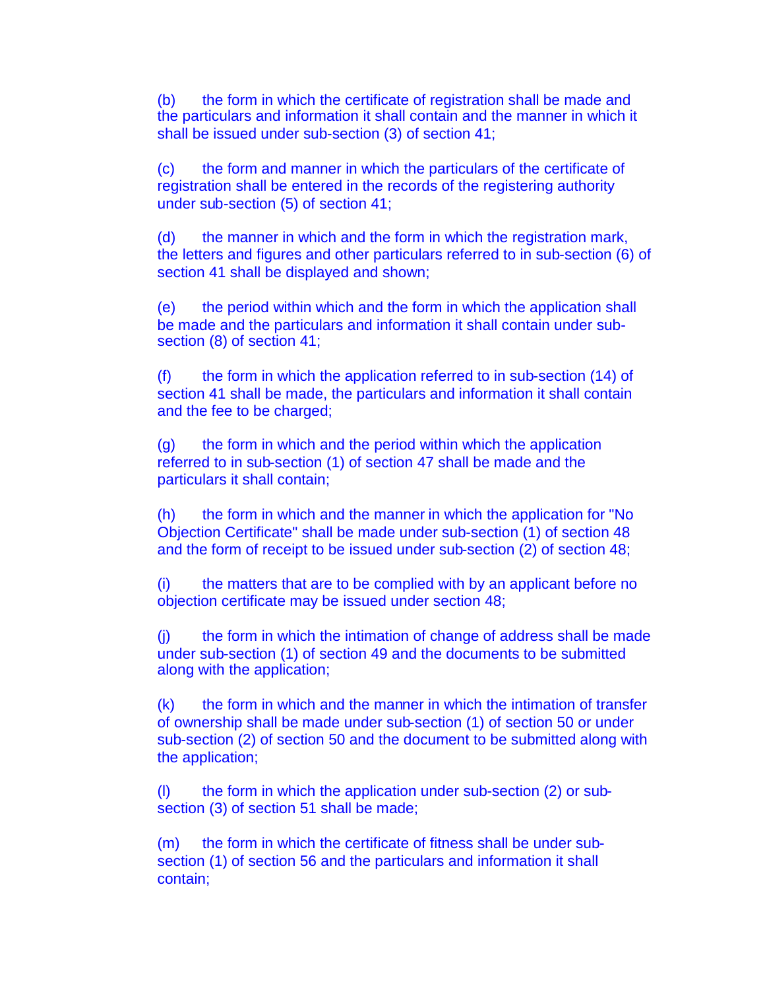(b) the form in which the certificate of registration shall be made and the particulars and information it shall contain and the manner in which it shall be issued under sub-section (3) of section 41;

(c) the form and manner in which the particulars of the certificate of registration shall be entered in the records of the registering authority under sub-section (5) of section 41;

(d) the manner in which and the form in which the registration mark, the letters and figures and other particulars referred to in sub-section (6) of section 41 shall be displayed and shown;

(e) the period within which and the form in which the application shall be made and the particulars and information it shall contain under subsection (8) of section 41;

(f) the form in which the application referred to in sub-section (14) of section 41 shall be made, the particulars and information it shall contain and the fee to be charged;

(g) the form in which and the period within which the application referred to in sub-section (1) of section 47 shall be made and the particulars it shall contain;

(h) the form in which and the manner in which the application for "No Objection Certificate" shall be made under sub-section (1) of section 48 and the form of receipt to be issued under sub-section (2) of section 48;

(i) the matters that are to be complied with by an applicant before no objection certificate may be issued under section 48;

(j) the form in which the intimation of change of address shall be made under sub-section (1) of section 49 and the documents to be submitted along with the application;

(k) the form in which and the manner in which the intimation of transfer of ownership shall be made under sub-section (1) of section 50 or under sub-section (2) of section 50 and the document to be submitted along with the application;

(l) the form in which the application under sub-section (2) or subsection (3) of section 51 shall be made;

(m) the form in which the certificate of fitness shall be under subsection (1) of section 56 and the particulars and information it shall contain;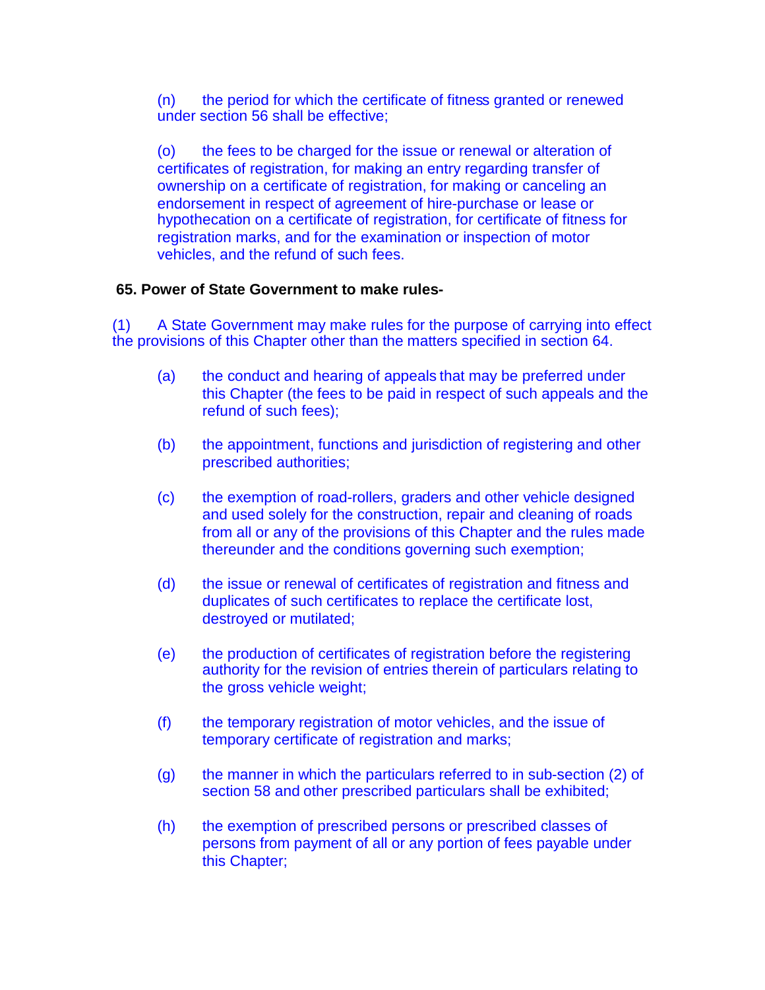(n) the period for which the certificate of fitness granted or renewed under section 56 shall be effective;

(o) the fees to be charged for the issue or renewal or alteration of certificates of registration, for making an entry regarding transfer of ownership on a certificate of registration, for making or canceling an endorsement in respect of agreement of hire-purchase or lease or hypothecation on a certificate of registration, for certificate of fitness for registration marks, and for the examination or inspection of motor vehicles, and the refund of such fees.

### **65. Power of State Government to make rules-**

(1) A State Government may make rules for the purpose of carrying into effect the provisions of this Chapter other than the matters specified in section 64.

- (a) the conduct and hearing of appeals that may be preferred under this Chapter (the fees to be paid in respect of such appeals and the refund of such fees);
- (b) the appointment, functions and jurisdiction of registering and other prescribed authorities;
- (c) the exemption of road-rollers, graders and other vehicle designed and used solely for the construction, repair and cleaning of roads from all or any of the provisions of this Chapter and the rules made thereunder and the conditions governing such exemption;
- (d) the issue or renewal of certificates of registration and fitness and duplicates of such certificates to replace the certificate lost, destroyed or mutilated;
- (e) the production of certificates of registration before the registering authority for the revision of entries therein of particulars relating to the gross vehicle weight;
- (f) the temporary registration of motor vehicles, and the issue of temporary certificate of registration and marks;
- (g) the manner in which the particulars referred to in sub-section (2) of section 58 and other prescribed particulars shall be exhibited;
- (h) the exemption of prescribed persons or prescribed classes of persons from payment of all or any portion of fees payable under this Chapter;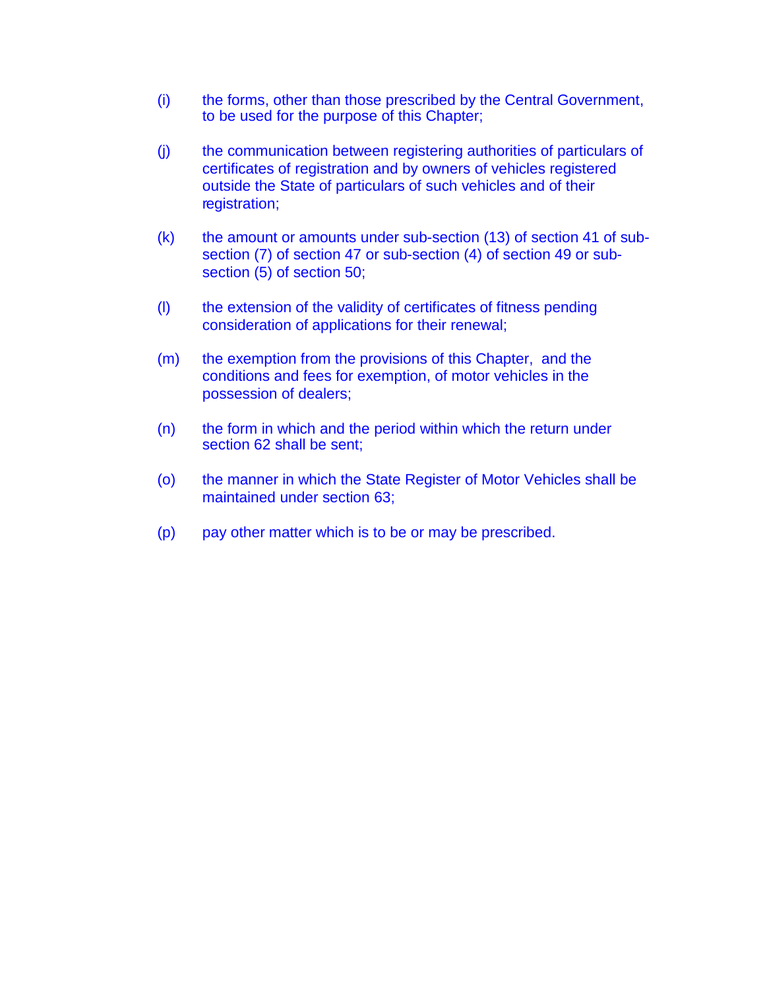- (i) the forms, other than those prescribed by the Central Government, to be used for the purpose of this Chapter;
- (j) the communication between registering authorities of particulars of certificates of registration and by owners of vehicles registered outside the State of particulars of such vehicles and of their registration;
- (k) the amount or amounts under sub-section (13) of section 41 of subsection (7) of section 47 or sub-section (4) of section 49 or subsection (5) of section 50;
- (l) the extension of the validity of certificates of fitness pending consideration of applications for their renewal;
- (m) the exemption from the provisions of this Chapter, and the conditions and fees for exemption, of motor vehicles in the possession of dealers;
- (n) the form in which and the period within which the return under section 62 shall be sent;
- (o) the manner in which the State Register of Motor Vehicles shall be maintained under section 63;
- (p) pay other matter which is to be or may be prescribed.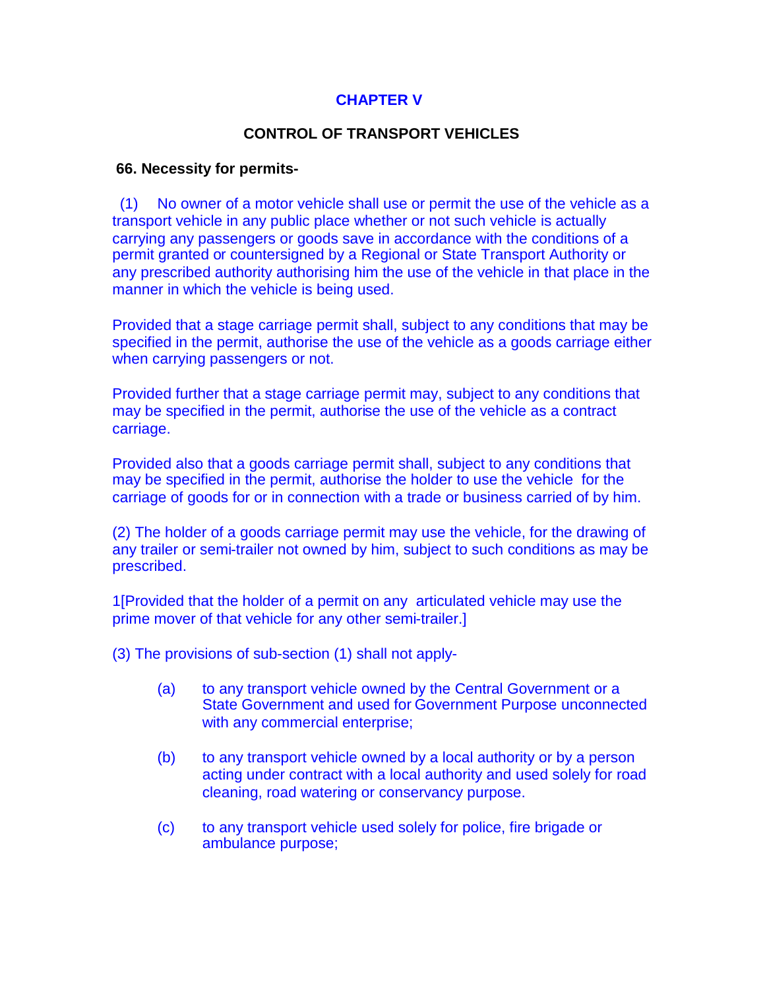## **CHAPTER V**

### **CONTROL OF TRANSPORT VEHICLES**

#### **66. Necessity for permits-**

(1) No owner of a motor vehicle shall use or permit the use of the vehicle as a transport vehicle in any public place whether or not such vehicle is actually carrying any passengers or goods save in accordance with the conditions of a permit granted or countersigned by a Regional or State Transport Authority or any prescribed authority authorising him the use of the vehicle in that place in the manner in which the vehicle is being used.

Provided that a stage carriage permit shall, subject to any conditions that may be specified in the permit, authorise the use of the vehicle as a goods carriage either when carrying passengers or not.

Provided further that a stage carriage permit may, subject to any conditions that may be specified in the permit, authorise the use of the vehicle as a contract carriage.

Provided also that a goods carriage permit shall, subject to any conditions that may be specified in the permit, authorise the holder to use the vehicle for the carriage of goods for or in connection with a trade or business carried of by him.

(2) The holder of a goods carriage permit may use the vehicle, for the drawing of any trailer or semi-trailer not owned by him, subject to such conditions as may be prescribed.

1[Provided that the holder of a permit on any articulated vehicle may use the prime mover of that vehicle for any other semi-trailer.]

(3) The provisions of sub-section (1) shall not apply-

- (a) to any transport vehicle owned by the Central Government or a State Government and used for Government Purpose unconnected with any commercial enterprise;
- (b) to any transport vehicle owned by a local authority or by a person acting under contract with a local authority and used solely for road cleaning, road watering or conservancy purpose.
- (c) to any transport vehicle used solely for police, fire brigade or ambulance purpose;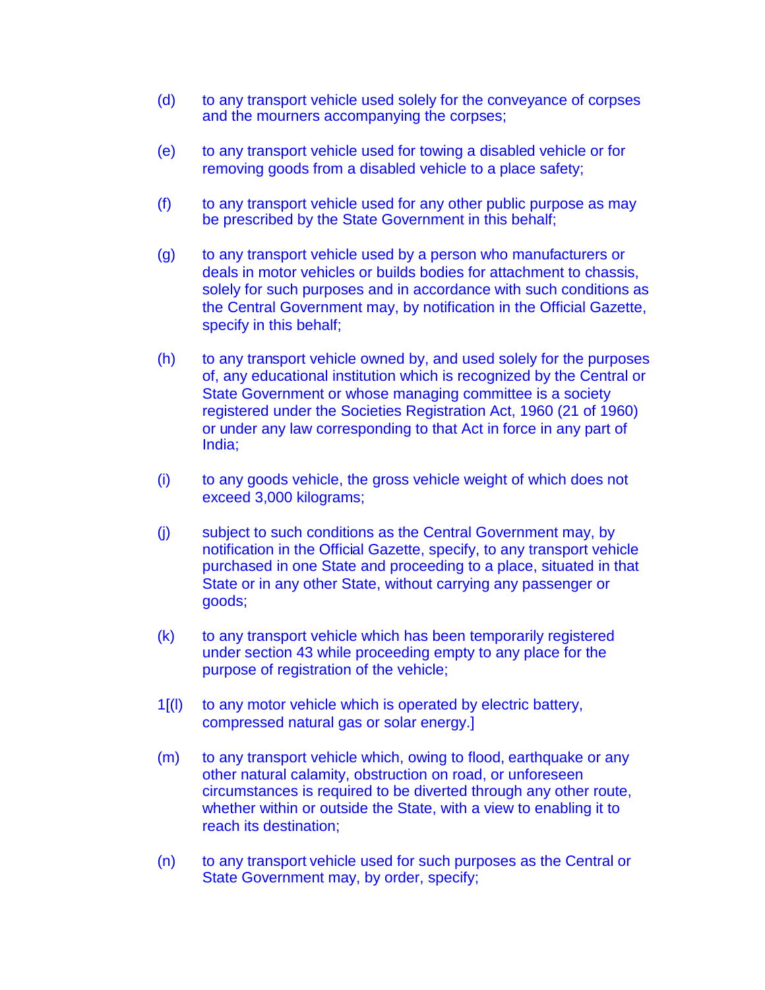- (d) to any transport vehicle used solely for the conveyance of corpses and the mourners accompanying the corpses;
- (e) to any transport vehicle used for towing a disabled vehicle or for removing goods from a disabled vehicle to a place safety;
- (f) to any transport vehicle used for any other public purpose as may be prescribed by the State Government in this behalf;
- (g) to any transport vehicle used by a person who manufacturers or deals in motor vehicles or builds bodies for attachment to chassis, solely for such purposes and in accordance with such conditions as the Central Government may, by notification in the Official Gazette, specify in this behalf;
- (h) to any transport vehicle owned by, and used solely for the purposes of, any educational institution which is recognized by the Central or State Government or whose managing committee is a society registered under the Societies Registration Act, 1960 (21 of 1960) or under any law corresponding to that Act in force in any part of India;
- (i) to any goods vehicle, the gross vehicle weight of which does not exceed 3,000 kilograms;
- (j) subject to such conditions as the Central Government may, by notification in the Official Gazette, specify, to any transport vehicle purchased in one State and proceeding to a place, situated in that State or in any other State, without carrying any passenger or goods;
- (k) to any transport vehicle which has been temporarily registered under section 43 while proceeding empty to any place for the purpose of registration of the vehicle;
- 1[(l) to any motor vehicle which is operated by electric battery, compressed natural gas or solar energy.]
- (m) to any transport vehicle which, owing to flood, earthquake or any other natural calamity, obstruction on road, or unforeseen circumstances is required to be diverted through any other route, whether within or outside the State, with a view to enabling it to reach its destination;
- (n) to any transport vehicle used for such purposes as the Central or State Government may, by order, specify;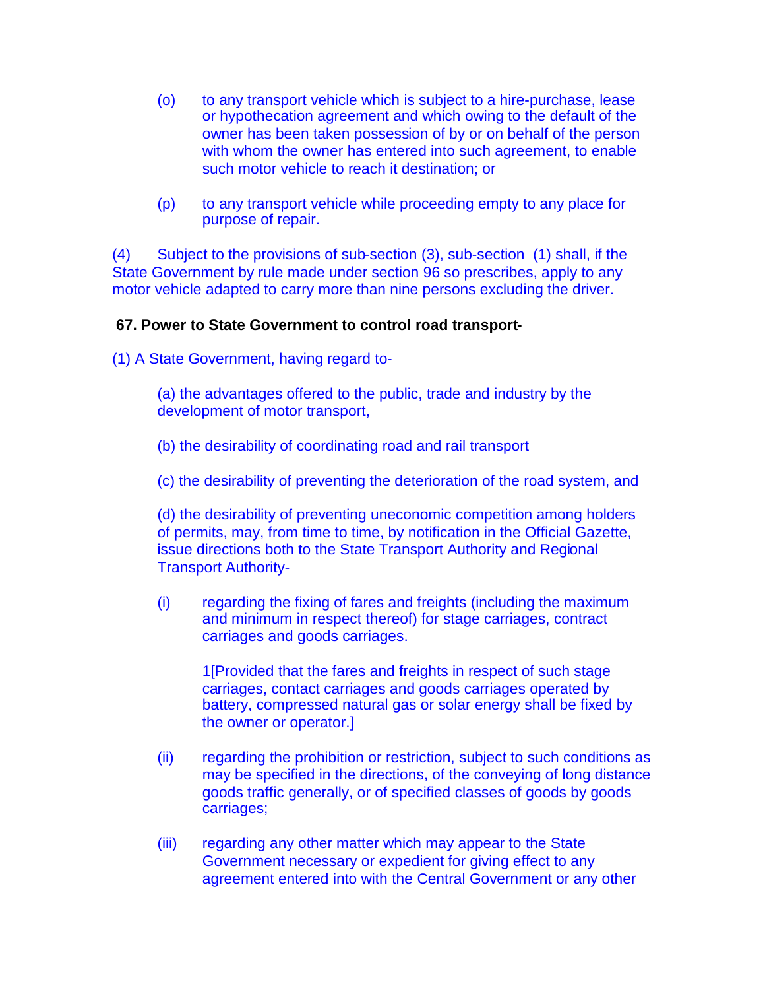- (o) to any transport vehicle which is subject to a hire-purchase, lease or hypothecation agreement and which owing to the default of the owner has been taken possession of by or on behalf of the person with whom the owner has entered into such agreement, to enable such motor vehicle to reach it destination; or
- (p) to any transport vehicle while proceeding empty to any place for purpose of repair.

(4) Subject to the provisions of sub-section (3), sub-section (1) shall, if the State Government by rule made under section 96 so prescribes, apply to any motor vehicle adapted to carry more than nine persons excluding the driver.

## **67. Power to State Government to control road transport-**

(1) A State Government, having regard to-

(a) the advantages offered to the public, trade and industry by the development of motor transport,

- (b) the desirability of coordinating road and rail transport
- (c) the desirability of preventing the deterioration of the road system, and

(d) the desirability of preventing uneconomic competition among holders of permits, may, from time to time, by notification in the Official Gazette, issue directions both to the State Transport Authority and Regional Transport Authority-

(i) regarding the fixing of fares and freights (including the maximum and minimum in respect thereof) for stage carriages, contract carriages and goods carriages.

1[Provided that the fares and freights in respect of such stage carriages, contact carriages and goods carriages operated by battery, compressed natural gas or solar energy shall be fixed by the owner or operator.]

- (ii) regarding the prohibition or restriction, subject to such conditions as may be specified in the directions, of the conveying of long distance goods traffic generally, or of specified classes of goods by goods carriages;
- (iii) regarding any other matter which may appear to the State Government necessary or expedient for giving effect to any agreement entered into with the Central Government or any other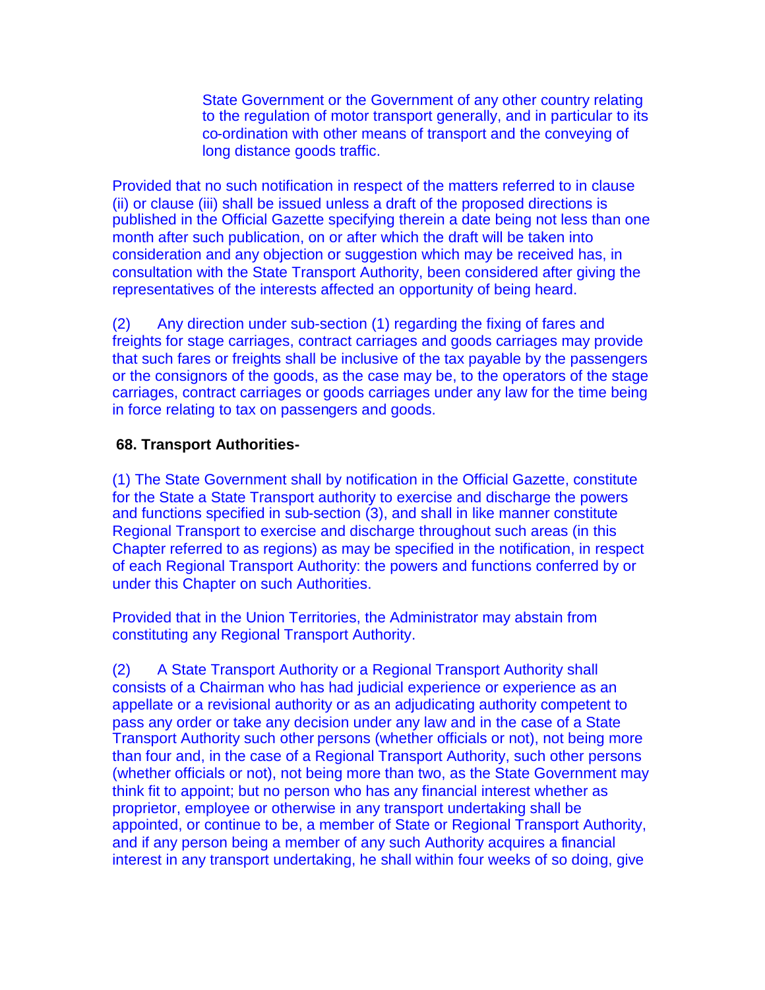State Government or the Government of any other country relating to the regulation of motor transport generally, and in particular to its co-ordination with other means of transport and the conveying of long distance goods traffic.

Provided that no such notification in respect of the matters referred to in clause (ii) or clause (iii) shall be issued unless a draft of the proposed directions is published in the Official Gazette specifying therein a date being not less than one month after such publication, on or after which the draft will be taken into consideration and any objection or suggestion which may be received has, in consultation with the State Transport Authority, been considered after giving the representatives of the interests affected an opportunity of being heard.

(2) Any direction under sub-section (1) regarding the fixing of fares and freights for stage carriages, contract carriages and goods carriages may provide that such fares or freights shall be inclusive of the tax payable by the passengers or the consignors of the goods, as the case may be, to the operators of the stage carriages, contract carriages or goods carriages under any law for the time being in force relating to tax on passengers and goods.

# **68. Transport Authorities-**

(1) The State Government shall by notification in the Official Gazette, constitute for the State a State Transport authority to exercise and discharge the powers and functions specified in sub-section (3), and shall in like manner constitute Regional Transport to exercise and discharge throughout such areas (in this Chapter referred to as regions) as may be specified in the notification, in respect of each Regional Transport Authority: the powers and functions conferred by or under this Chapter on such Authorities.

Provided that in the Union Territories, the Administrator may abstain from constituting any Regional Transport Authority.

(2) A State Transport Authority or a Regional Transport Authority shall consists of a Chairman who has had judicial experience or experience as an appellate or a revisional authority or as an adjudicating authority competent to pass any order or take any decision under any law and in the case of a State Transport Authority such other persons (whether officials or not), not being more than four and, in the case of a Regional Transport Authority, such other persons (whether officials or not), not being more than two, as the State Government may think fit to appoint; but no person who has any financial interest whether as proprietor, employee or otherwise in any transport undertaking shall be appointed, or continue to be, a member of State or Regional Transport Authority, and if any person being a member of any such Authority acquires a financial interest in any transport undertaking, he shall within four weeks of so doing, give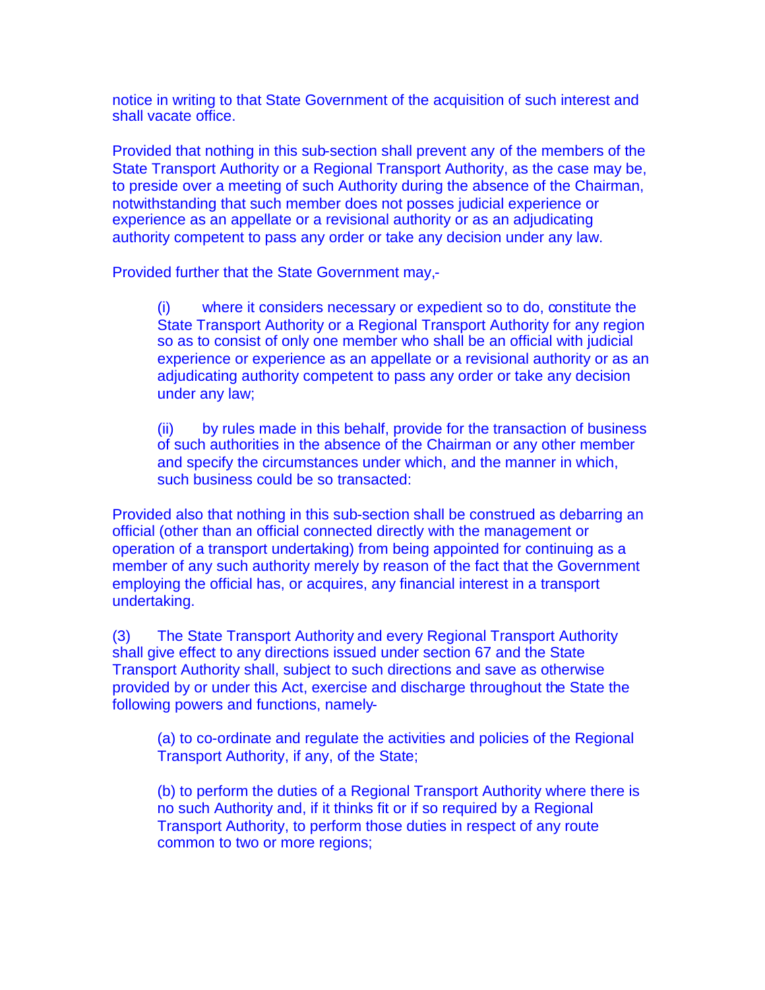notice in writing to that State Government of the acquisition of such interest and shall vacate office.

Provided that nothing in this sub-section shall prevent any of the members of the State Transport Authority or a Regional Transport Authority, as the case may be, to preside over a meeting of such Authority during the absence of the Chairman, notwithstanding that such member does not posses judicial experience or experience as an appellate or a revisional authority or as an adjudicating authority competent to pass any order or take any decision under any law.

Provided further that the State Government may,-

(i) where it considers necessary or expedient so to do, constitute the State Transport Authority or a Regional Transport Authority for any region so as to consist of only one member who shall be an official with judicial experience or experience as an appellate or a revisional authority or as an adjudicating authority competent to pass any order or take any decision under any law;

(ii) by rules made in this behalf, provide for the transaction of business of such authorities in the absence of the Chairman or any other member and specify the circumstances under which, and the manner in which, such business could be so transacted:

Provided also that nothing in this sub-section shall be construed as debarring an official (other than an official connected directly with the management or operation of a transport undertaking) from being appointed for continuing as a member of any such authority merely by reason of the fact that the Government employing the official has, or acquires, any financial interest in a transport undertaking.

(3) The State Transport Authority and every Regional Transport Authority shall give effect to any directions issued under section 67 and the State Transport Authority shall, subject to such directions and save as otherwise provided by or under this Act, exercise and discharge throughout the State the following powers and functions, namely-

(a) to co-ordinate and regulate the activities and policies of the Regional Transport Authority, if any, of the State;

(b) to perform the duties of a Regional Transport Authority where there is no such Authority and, if it thinks fit or if so required by a Regional Transport Authority, to perform those duties in respect of any route common to two or more regions;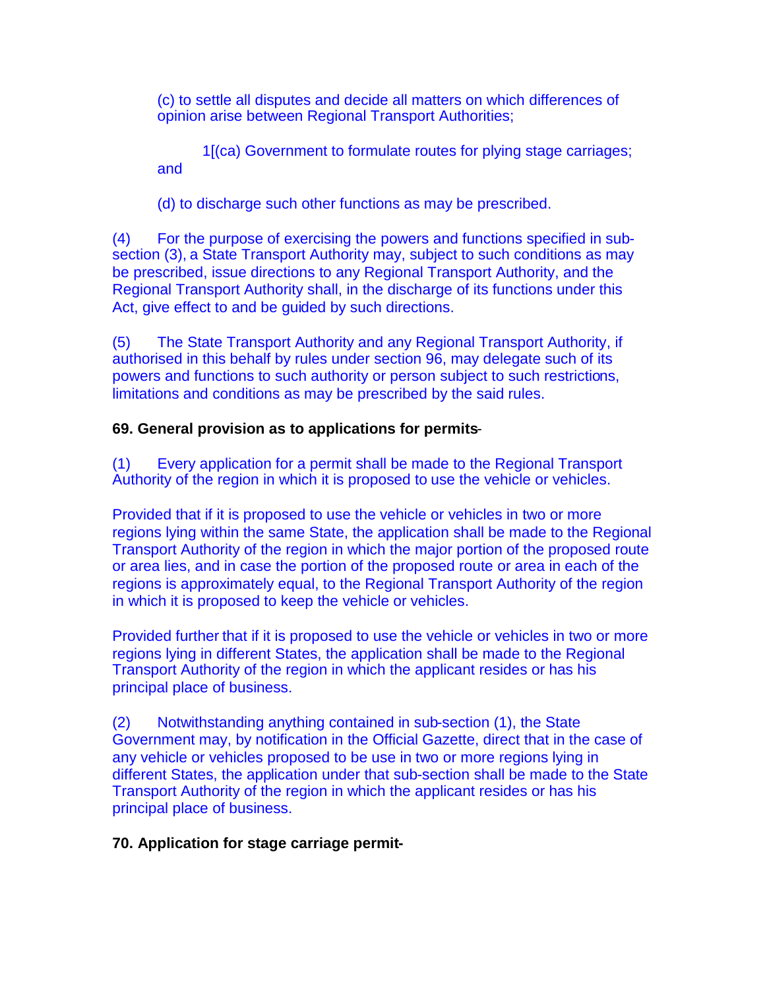(c) to settle all disputes and decide all matters on which differences of opinion arise between Regional Transport Authorities;

1[(ca) Government to formulate routes for plying stage carriages; and

(d) to discharge such other functions as may be prescribed.

(4) For the purpose of exercising the powers and functions specified in subsection (3), a State Transport Authority may, subject to such conditions as may be prescribed, issue directions to any Regional Transport Authority, and the Regional Transport Authority shall, in the discharge of its functions under this Act, give effect to and be guided by such directions.

(5) The State Transport Authority and any Regional Transport Authority, if authorised in this behalf by rules under section 96, may delegate such of its powers and functions to such authority or person subject to such restrictions, limitations and conditions as may be prescribed by the said rules.

# **69. General provision as to applications for permits**-

(1) Every application for a permit shall be made to the Regional Transport Authority of the region in which it is proposed to use the vehicle or vehicles.

Provided that if it is proposed to use the vehicle or vehicles in two or more regions lying within the same State, the application shall be made to the Regional Transport Authority of the region in which the major portion of the proposed route or area lies, and in case the portion of the proposed route or area in each of the regions is approximately equal, to the Regional Transport Authority of the region in which it is proposed to keep the vehicle or vehicles.

Provided further that if it is proposed to use the vehicle or vehicles in two or more regions lying in different States, the application shall be made to the Regional Transport Authority of the region in which the applicant resides or has his principal place of business.

(2) Notwithstanding anything contained in sub-section (1), the State Government may, by notification in the Official Gazette, direct that in the case of any vehicle or vehicles proposed to be use in two or more regions lying in different States, the application under that sub-section shall be made to the State Transport Authority of the region in which the applicant resides or has his principal place of business.

# **70. Application for stage carriage permit-**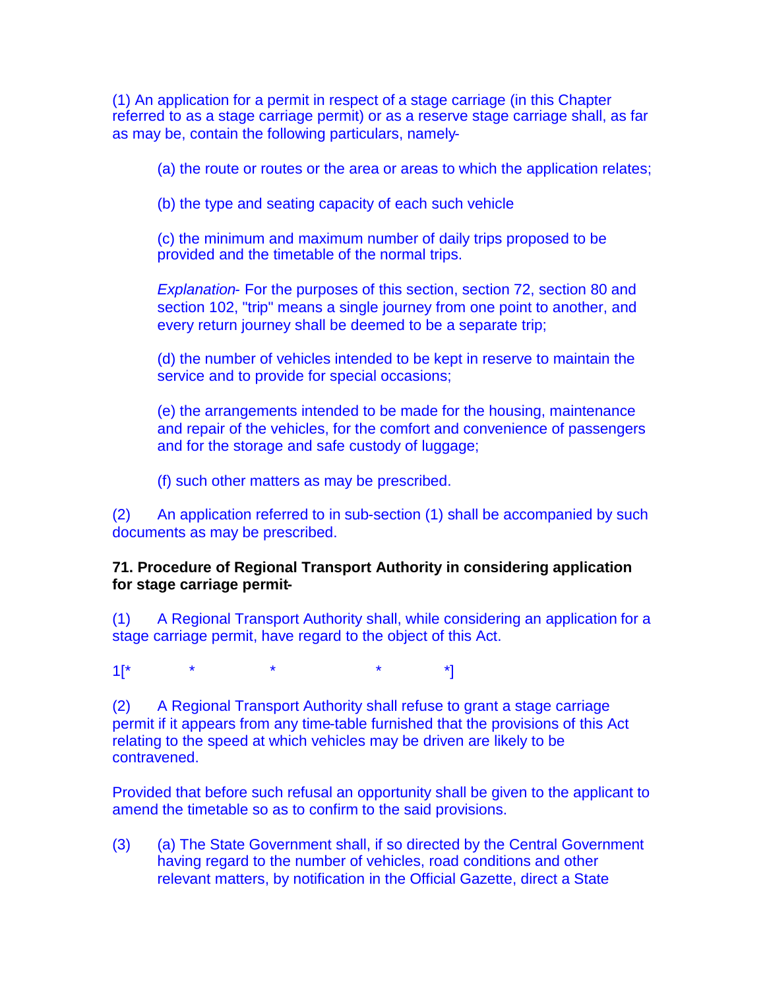(1) An application for a permit in respect of a stage carriage (in this Chapter referred to as a stage carriage permit) or as a reserve stage carriage shall, as far as may be, contain the following particulars, namely-

(a) the route or routes or the area or areas to which the application relates;

(b) the type and seating capacity of each such vehicle

(c) the minimum and maximum number of daily trips proposed to be provided and the timetable of the normal trips.

*Explanation-* For the purposes of this section, section 72, section 80 and section 102, "trip" means a single journey from one point to another, and every return journey shall be deemed to be a separate trip;

(d) the number of vehicles intended to be kept in reserve to maintain the service and to provide for special occasions;

(e) the arrangements intended to be made for the housing, maintenance and repair of the vehicles, for the comfort and convenience of passengers and for the storage and safe custody of luggage;

(f) such other matters as may be prescribed.

(2) An application referred to in sub-section (1) shall be accompanied by such documents as may be prescribed.

**71. Procedure of Regional Transport Authority in considering application for stage carriage permit-**

(1) A Regional Transport Authority shall, while considering an application for a stage carriage permit, have regard to the object of this Act.

 $1[^* \quad \quad \quad \ast \quad \quad \quad \ast \quad \quad \quad \ast \quad \quad \quad \ast \quad \quad \quad \ast]$ 

(2) A Regional Transport Authority shall refuse to grant a stage carriage permit if it appears from any time-table furnished that the provisions of this Act relating to the speed at which vehicles may be driven are likely to be contravened.

Provided that before such refusal an opportunity shall be given to the applicant to amend the timetable so as to confirm to the said provisions.

(3) (a) The State Government shall, if so directed by the Central Government having regard to the number of vehicles, road conditions and other relevant matters, by notification in the Official Gazette, direct a State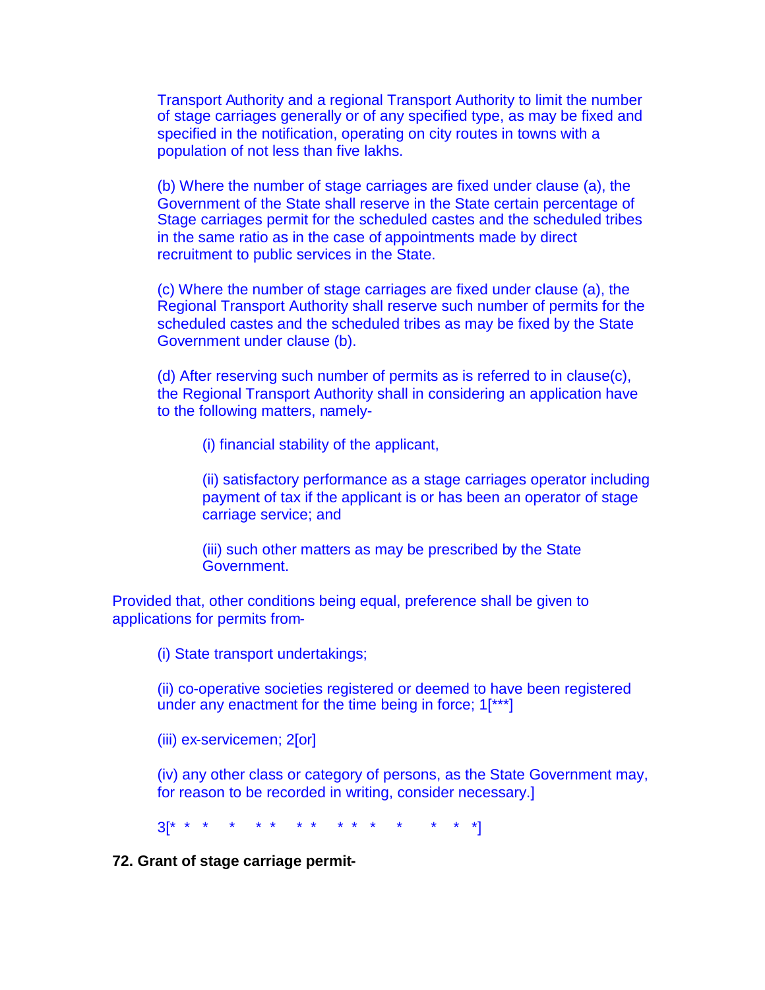Transport Authority and a regional Transport Authority to limit the number of stage carriages generally or of any specified type, as may be fixed and specified in the notification, operating on city routes in towns with a population of not less than five lakhs.

(b) Where the number of stage carriages are fixed under clause (a), the Government of the State shall reserve in the State certain percentage of Stage carriages permit for the scheduled castes and the scheduled tribes in the same ratio as in the case of appointments made by direct recruitment to public services in the State.

(c) Where the number of stage carriages are fixed under clause (a), the Regional Transport Authority shall reserve such number of permits for the scheduled castes and the scheduled tribes as may be fixed by the State Government under clause (b).

(d) After reserving such number of permits as is referred to in clause(c), the Regional Transport Authority shall in considering an application have to the following matters, namely-

(i) financial stability of the applicant,

(ii) satisfactory performance as a stage carriages operator including payment of tax if the applicant is or has been an operator of stage carriage service; and

(iii) such other matters as may be prescribed by the State Government.

Provided that, other conditions being equal, preference shall be given to applications for permits from-

(i) State transport undertakings;

(ii) co-operative societies registered or deemed to have been registered under any enactment for the time being in force; 1[\*\*\*]

(iii) ex-servicemen; 2[or]

(iv) any other class or category of persons, as the State Government may, for reason to be recorded in writing, consider necessary.]

3[\* \* \* \* \* \* \* \* \* \* \* \* \* \* \*]

**72. Grant of stage carriage permit-**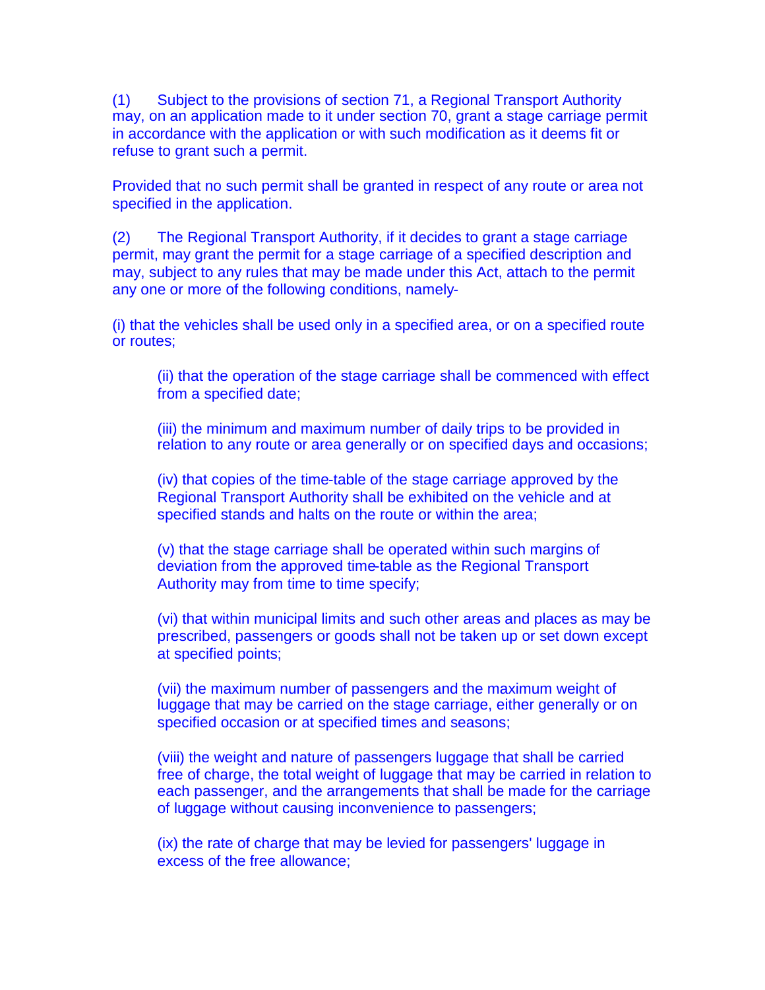(1) Subject to the provisions of section 71, a Regional Transport Authority may, on an application made to it under section 70, grant a stage carriage permit in accordance with the application or with such modification as it deems fit or refuse to grant such a permit.

Provided that no such permit shall be granted in respect of any route or area not specified in the application.

(2) The Regional Transport Authority, if it decides to grant a stage carriage permit, may grant the permit for a stage carriage of a specified description and may, subject to any rules that may be made under this Act, attach to the permit any one or more of the following conditions, namely-

(i) that the vehicles shall be used only in a specified area, or on a specified route or routes;

(ii) that the operation of the stage carriage shall be commenced with effect from a specified date;

(iii) the minimum and maximum number of daily trips to be provided in relation to any route or area generally or on specified days and occasions;

(iv) that copies of the time-table of the stage carriage approved by the Regional Transport Authority shall be exhibited on the vehicle and at specified stands and halts on the route or within the area;

(v) that the stage carriage shall be operated within such margins of deviation from the approved time-table as the Regional Transport Authority may from time to time specify;

(vi) that within municipal limits and such other areas and places as may be prescribed, passengers or goods shall not be taken up or set down except at specified points;

(vii) the maximum number of passengers and the maximum weight of luggage that may be carried on the stage carriage, either generally or on specified occasion or at specified times and seasons;

(viii) the weight and nature of passengers luggage that shall be carried free of charge, the total weight of luggage that may be carried in relation to each passenger, and the arrangements that shall be made for the carriage of luggage without causing inconvenience to passengers;

(ix) the rate of charge that may be levied for passengers' luggage in excess of the free allowance;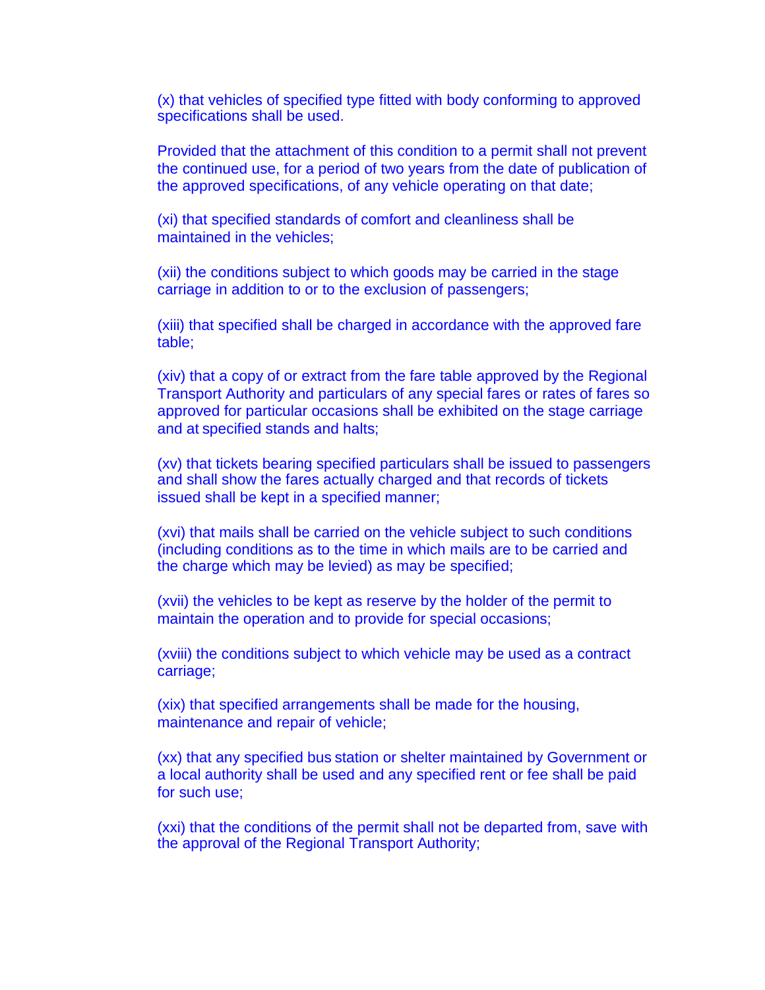(x) that vehicles of specified type fitted with body conforming to approved specifications shall be used.

Provided that the attachment of this condition to a permit shall not prevent the continued use, for a period of two years from the date of publication of the approved specifications, of any vehicle operating on that date;

(xi) that specified standards of comfort and cleanliness shall be maintained in the vehicles;

(xii) the conditions subject to which goods may be carried in the stage carriage in addition to or to the exclusion of passengers;

(xiii) that specified shall be charged in accordance with the approved fare table;

(xiv) that a copy of or extract from the fare table approved by the Regional Transport Authority and particulars of any special fares or rates of fares so approved for particular occasions shall be exhibited on the stage carriage and at specified stands and halts;

(xv) that tickets bearing specified particulars shall be issued to passengers and shall show the fares actually charged and that records of tickets issued shall be kept in a specified manner;

(xvi) that mails shall be carried on the vehicle subject to such conditions (including conditions as to the time in which mails are to be carried and the charge which may be levied) as may be specified;

(xvii) the vehicles to be kept as reserve by the holder of the permit to maintain the operation and to provide for special occasions;

(xviii) the conditions subject to which vehicle may be used as a contract carriage;

(xix) that specified arrangements shall be made for the housing, maintenance and repair of vehicle;

(xx) that any specified bus station or shelter maintained by Government or a local authority shall be used and any specified rent or fee shall be paid for such use;

(xxi) that the conditions of the permit shall not be departed from, save with the approval of the Regional Transport Authority;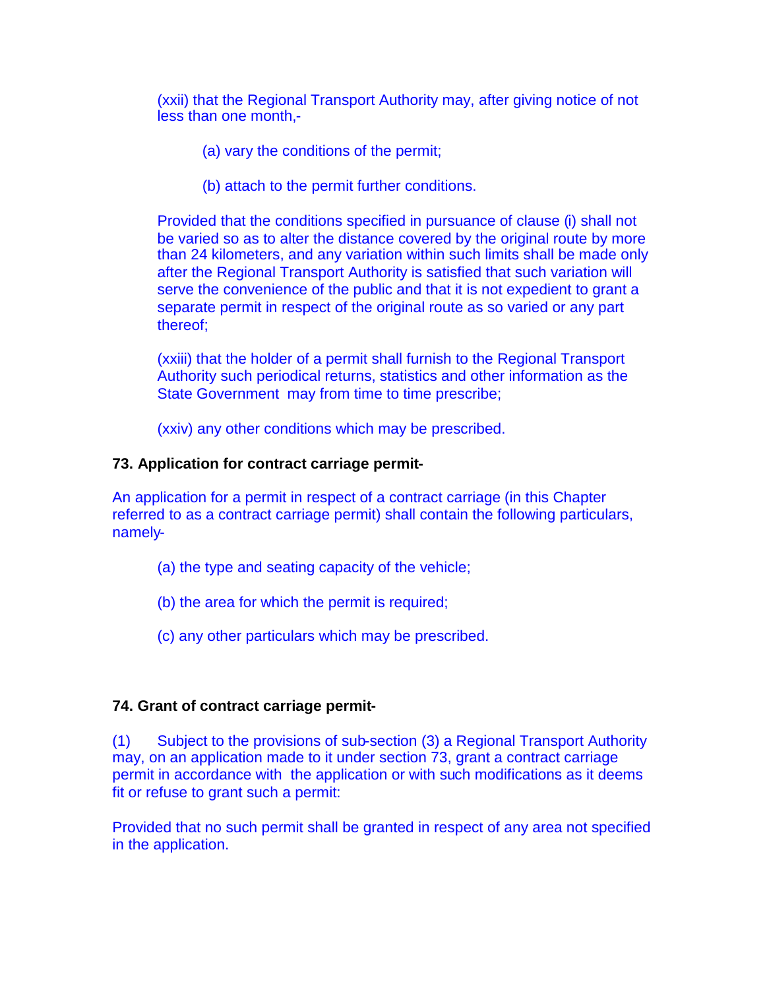(xxii) that the Regional Transport Authority may, after giving notice of not less than one month,-

- (a) vary the conditions of the permit;
- (b) attach to the permit further conditions.

Provided that the conditions specified in pursuance of clause (i) shall not be varied so as to alter the distance covered by the original route by more than 24 kilometers, and any variation within such limits shall be made only after the Regional Transport Authority is satisfied that such variation will serve the convenience of the public and that it is not expedient to grant a separate permit in respect of the original route as so varied or any part thereof;

(xxiii) that the holder of a permit shall furnish to the Regional Transport Authority such periodical returns, statistics and other information as the State Government may from time to time prescribe;

(xxiv) any other conditions which may be prescribed.

## **73. Application for contract carriage permit-**

An application for a permit in respect of a contract carriage (in this Chapter referred to as a contract carriage permit) shall contain the following particulars, namely-

- (a) the type and seating capacity of the vehicle;
- (b) the area for which the permit is required;
- (c) any other particulars which may be prescribed.

# **74. Grant of contract carriage permit-**

(1) Subject to the provisions of sub-section (3) a Regional Transport Authority may, on an application made to it under section 73, grant a contract carriage permit in accordance with the application or with such modifications as it deems fit or refuse to grant such a permit:

Provided that no such permit shall be granted in respect of any area not specified in the application.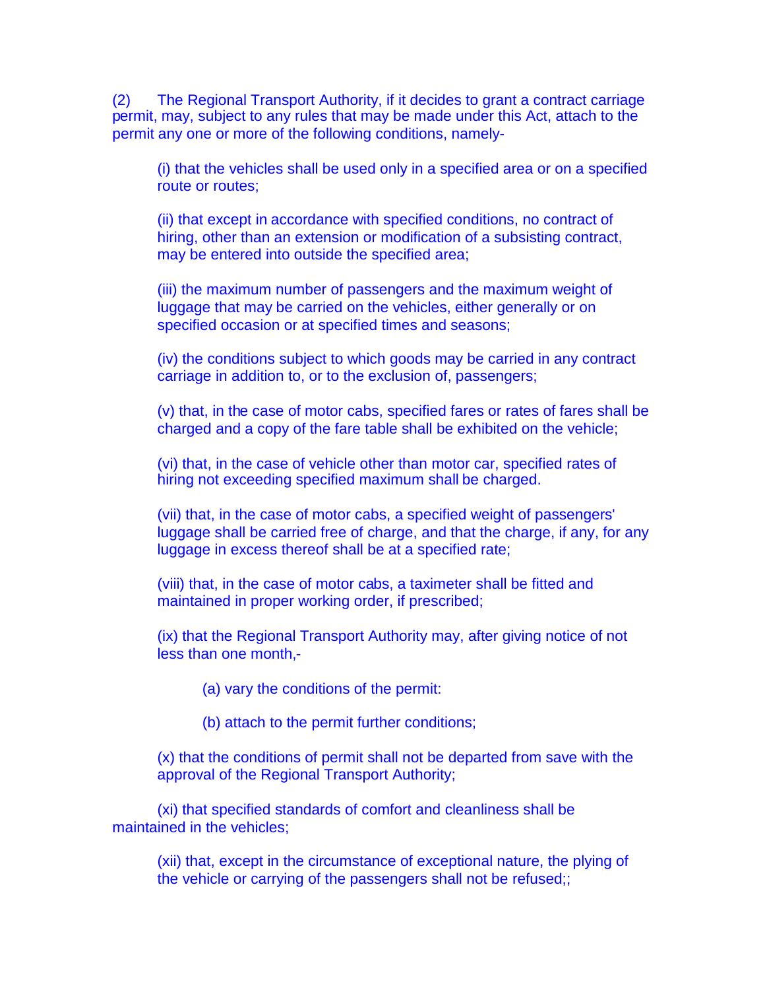(2) The Regional Transport Authority, if it decides to grant a contract carriage permit, may, subject to any rules that may be made under this Act, attach to the permit any one or more of the following conditions, namely-

(i) that the vehicles shall be used only in a specified area or on a specified route or routes;

(ii) that except in accordance with specified conditions, no contract of hiring, other than an extension or modification of a subsisting contract, may be entered into outside the specified area;

(iii) the maximum number of passengers and the maximum weight of luggage that may be carried on the vehicles, either generally or on specified occasion or at specified times and seasons;

(iv) the conditions subject to which goods may be carried in any contract carriage in addition to, or to the exclusion of, passengers;

(v) that, in the case of motor cabs, specified fares or rates of fares shall be charged and a copy of the fare table shall be exhibited on the vehicle;

(vi) that, in the case of vehicle other than motor car, specified rates of hiring not exceeding specified maximum shall be charged.

(vii) that, in the case of motor cabs, a specified weight of passengers' luggage shall be carried free of charge, and that the charge, if any, for any luggage in excess thereof shall be at a specified rate;

(viii) that, in the case of motor cabs, a taximeter shall be fitted and maintained in proper working order, if prescribed;

(ix) that the Regional Transport Authority may, after giving notice of not less than one month,-

(a) vary the conditions of the permit:

(b) attach to the permit further conditions;

(x) that the conditions of permit shall not be departed from save with the approval of the Regional Transport Authority;

(xi) that specified standards of comfort and cleanliness shall be maintained in the vehicles;

(xii) that, except in the circumstance of exceptional nature, the plying of the vehicle or carrying of the passengers shall not be refused;;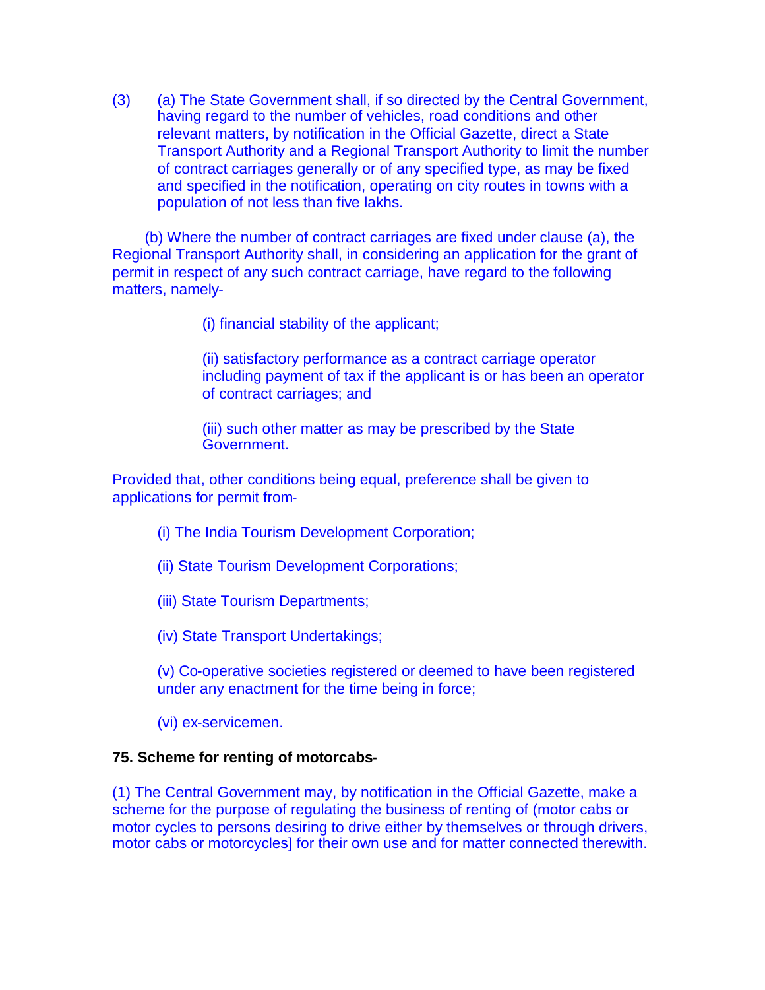(3) (a) The State Government shall, if so directed by the Central Government, having regard to the number of vehicles, road conditions and other relevant matters, by notification in the Official Gazette, direct a State Transport Authority and a Regional Transport Authority to limit the number of contract carriages generally or of any specified type, as may be fixed and specified in the notification, operating on city routes in towns with a population of not less than five lakhs.

(b) Where the number of contract carriages are fixed under clause (a), the Regional Transport Authority shall, in considering an application for the grant of permit in respect of any such contract carriage, have regard to the following matters, namely-

(i) financial stability of the applicant;

(ii) satisfactory performance as a contract carriage operator including payment of tax if the applicant is or has been an operator of contract carriages; and

(iii) such other matter as may be prescribed by the State Government.

Provided that, other conditions being equal, preference shall be given to applications for permit from-

- (i) The India Tourism Development Corporation;
- (ii) State Tourism Development Corporations;
- (iii) State Tourism Departments;
- (iv) State Transport Undertakings;

(v) Co-operative societies registered or deemed to have been registered under any enactment for the time being in force;

(vi) ex-servicemen.

#### **75. Scheme for renting of motorcabs-**

(1) The Central Government may, by notification in the Official Gazette, make a scheme for the purpose of regulating the business of renting of (motor cabs or motor cycles to persons desiring to drive either by themselves or through drivers, motor cabs or motorcycles] for their own use and for matter connected therewith.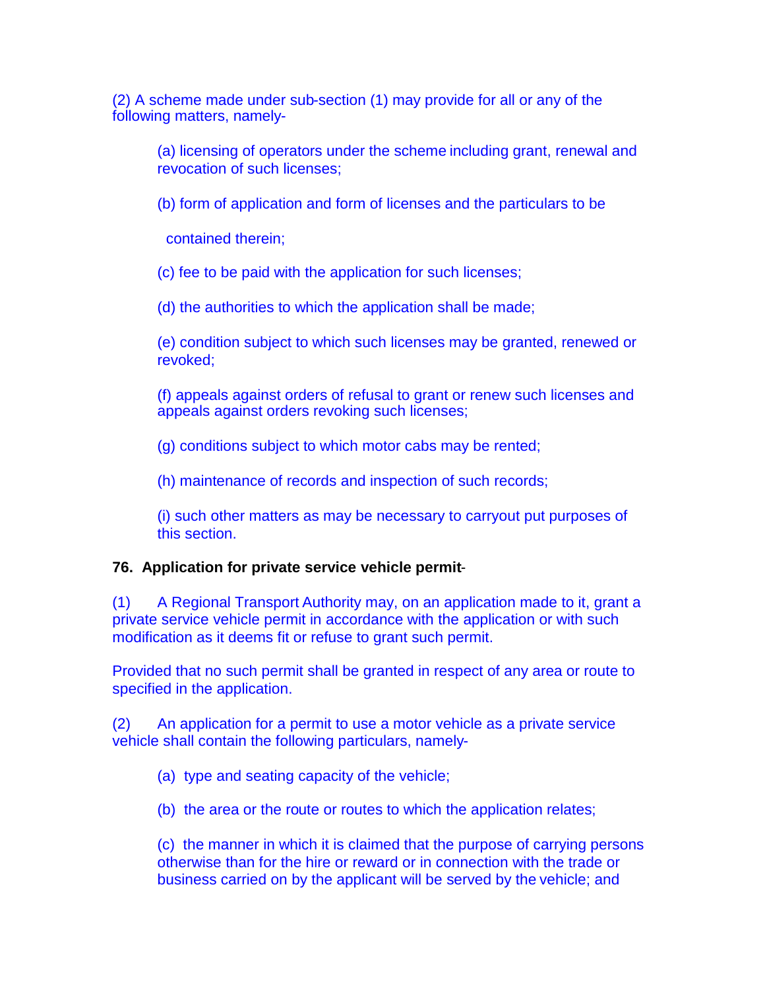(2) A scheme made under sub-section (1) may provide for all or any of the following matters, namely-

(a) licensing of operators under the scheme including grant, renewal and revocation of such licenses;

(b) form of application and form of licenses and the particulars to be

contained therein;

(c) fee to be paid with the application for such licenses;

(d) the authorities to which the application shall be made;

(e) condition subject to which such licenses may be granted, renewed or revoked;

(f) appeals against orders of refusal to grant or renew such licenses and appeals against orders revoking such licenses;

(g) conditions subject to which motor cabs may be rented;

(h) maintenance of records and inspection of such records;

(i) such other matters as may be necessary to carryout put purposes of this section.

### **76. Application for private service vehicle permit**-

(1) A Regional Transport Authority may, on an application made to it, grant a private service vehicle permit in accordance with the application or with such modification as it deems fit or refuse to grant such permit.

Provided that no such permit shall be granted in respect of any area or route to specified in the application.

(2) An application for a permit to use a motor vehicle as a private service vehicle shall contain the following particulars, namely-

(a) type and seating capacity of the vehicle;

(b) the area or the route or routes to which the application relates;

(c) the manner in which it is claimed that the purpose of carrying persons otherwise than for the hire or reward or in connection with the trade or business carried on by the applicant will be served by the vehicle; and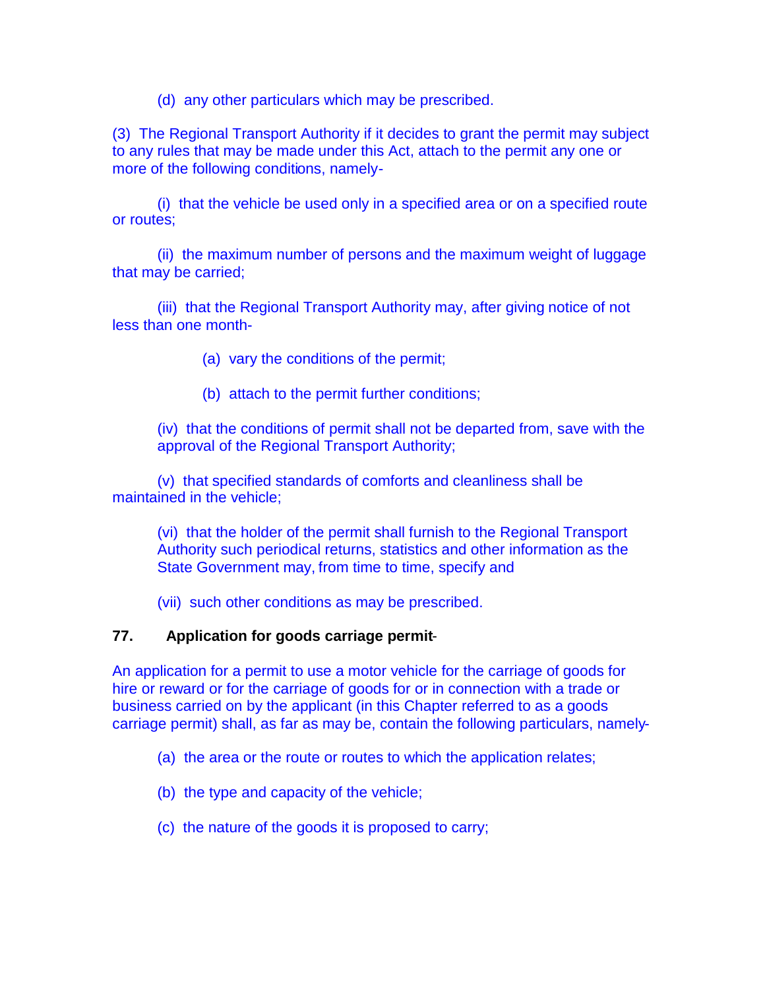(d) any other particulars which may be prescribed.

(3) The Regional Transport Authority if it decides to grant the permit may subject to any rules that may be made under this Act, attach to the permit any one or more of the following conditions, namely-

(i) that the vehicle be used only in a specified area or on a specified route or routes;

(ii) the maximum number of persons and the maximum weight of luggage that may be carried;

(iii) that the Regional Transport Authority may, after giving notice of not less than one month-

(a) vary the conditions of the permit;

(b) attach to the permit further conditions;

(iv) that the conditions of permit shall not be departed from, save with the approval of the Regional Transport Authority;

(v) that specified standards of comforts and cleanliness shall be maintained in the vehicle;

(vi) that the holder of the permit shall furnish to the Regional Transport Authority such periodical returns, statistics and other information as the State Government may, from time to time, specify and

(vii) such other conditions as may be prescribed.

### **77. Application for goods carriage permit**-

An application for a permit to use a motor vehicle for the carriage of goods for hire or reward or for the carriage of goods for or in connection with a trade or business carried on by the applicant (in this Chapter referred to as a goods carriage permit) shall, as far as may be, contain the following particulars, namely-

- (a) the area or the route or routes to which the application relates;
- (b) the type and capacity of the vehicle;
- (c) the nature of the goods it is proposed to carry;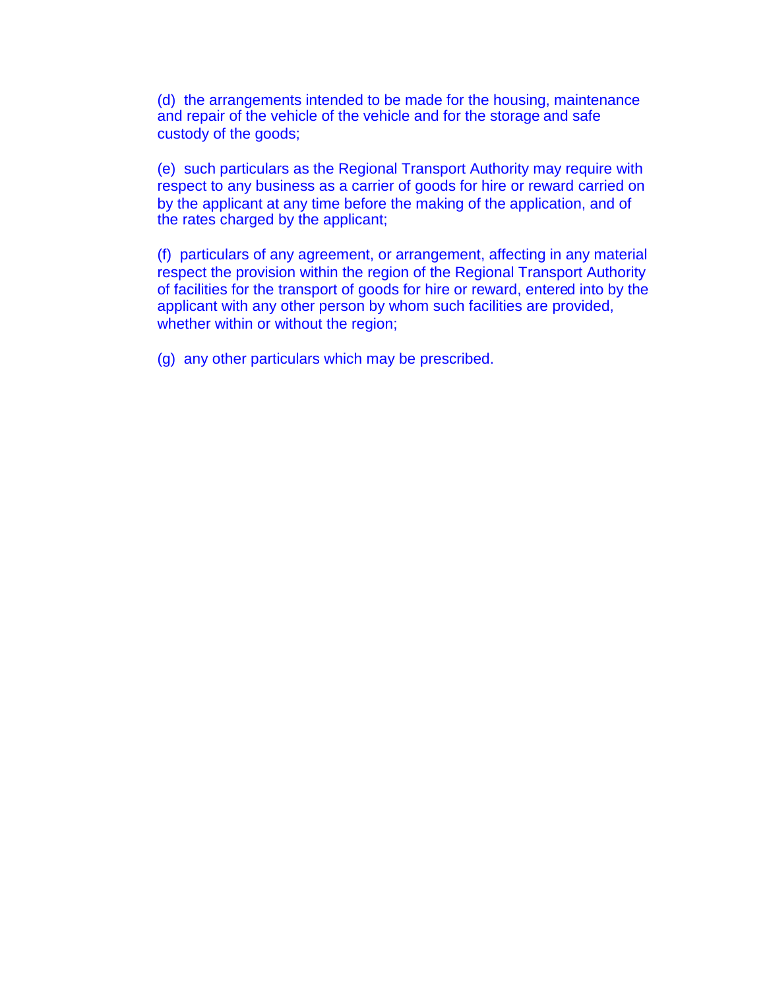(d) the arrangements intended to be made for the housing, maintenance and repair of the vehicle of the vehicle and for the storage and safe custody of the goods;

(e) such particulars as the Regional Transport Authority may require with respect to any business as a carrier of goods for hire or reward carried on by the applicant at any time before the making of the application, and of the rates charged by the applicant;

(f) particulars of any agreement, or arrangement, affecting in any material respect the provision within the region of the Regional Transport Authority of facilities for the transport of goods for hire or reward, entered into by the applicant with any other person by whom such facilities are provided, whether within or without the region;

(g) any other particulars which may be prescribed.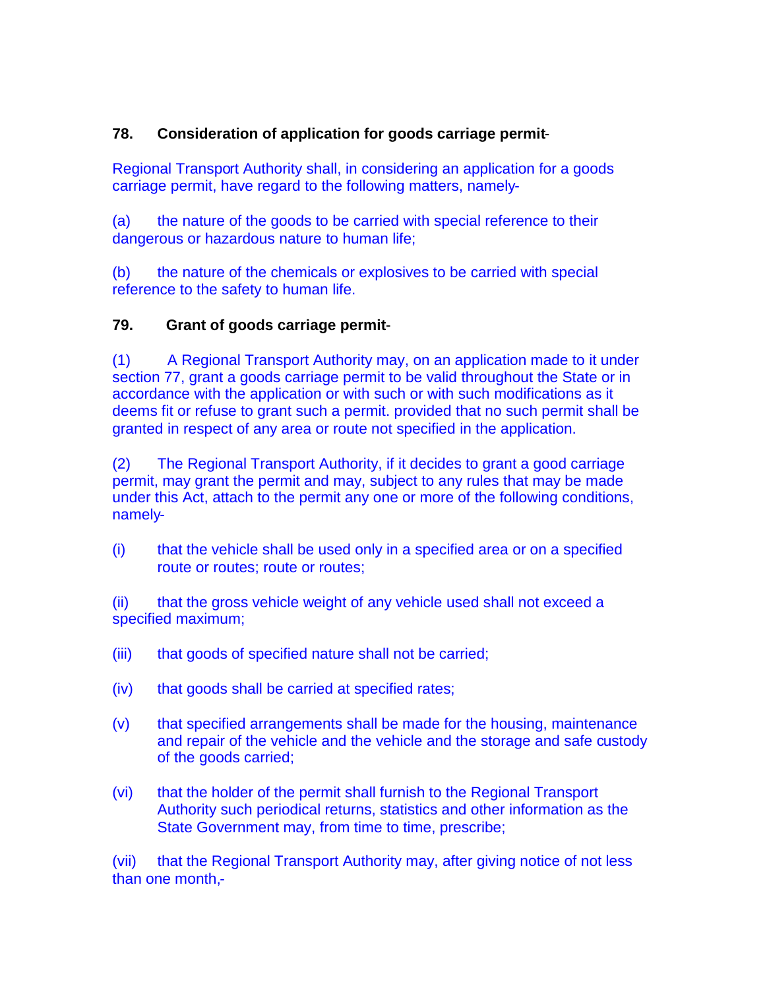# **78. Consideration of application for goods carriage permit**-

Regional Transport Authority shall, in considering an application for a goods carriage permit, have regard to the following matters, namely-

(a) the nature of the goods to be carried with special reference to their dangerous or hazardous nature to human life;

(b) the nature of the chemicals or explosives to be carried with special reference to the safety to human life.

### **79. Grant of goods carriage permit**-

(1) A Regional Transport Authority may, on an application made to it under section 77, grant a goods carriage permit to be valid throughout the State or in accordance with the application or with such or with such modifications as it deems fit or refuse to grant such a permit. provided that no such permit shall be granted in respect of any area or route not specified in the application.

(2) The Regional Transport Authority, if it decides to grant a good carriage permit, may grant the permit and may, subject to any rules that may be made under this Act, attach to the permit any one or more of the following conditions, namely-

(i) that the vehicle shall be used only in a specified area or on a specified route or routes; route or routes;

(ii) that the gross vehicle weight of any vehicle used shall not exceed a specified maximum;

- (iii) that goods of specified nature shall not be carried;
- (iv) that goods shall be carried at specified rates;
- (v) that specified arrangements shall be made for the housing, maintenance and repair of the vehicle and the vehicle and the storage and safe custody of the goods carried;
- (vi) that the holder of the permit shall furnish to the Regional Transport Authority such periodical returns, statistics and other information as the State Government may, from time to time, prescribe;

(vii) that the Regional Transport Authority may, after giving notice of not less than one month,-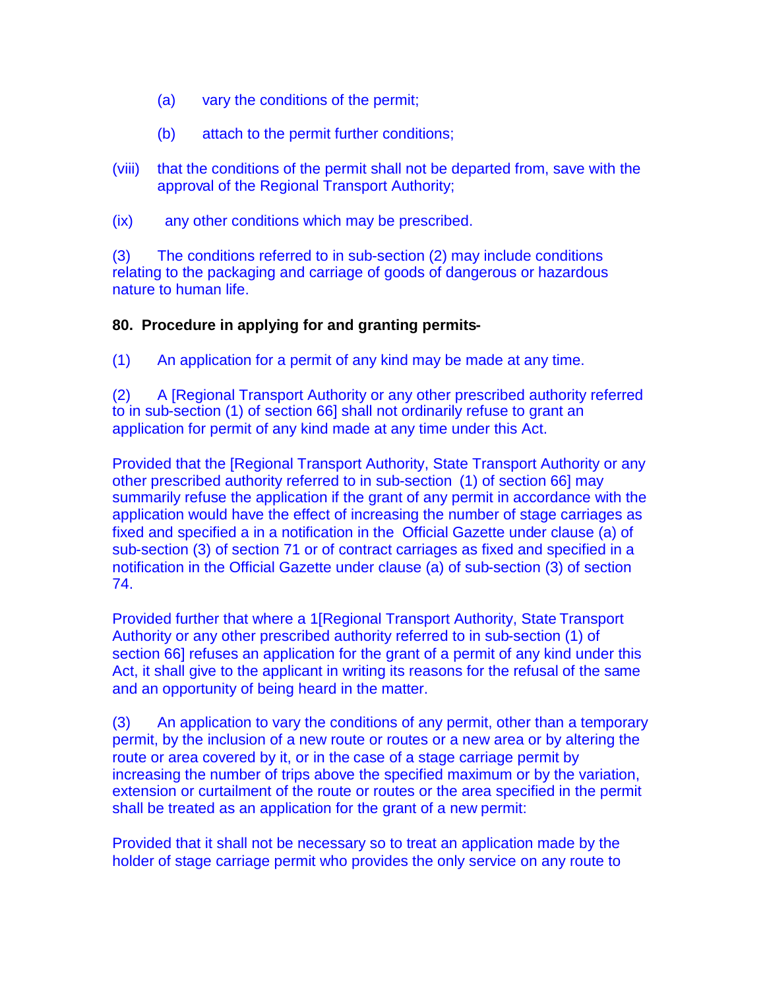- (a) vary the conditions of the permit;
- (b) attach to the permit further conditions;
- (viii) that the conditions of the permit shall not be departed from, save with the approval of the Regional Transport Authority;
- (ix) any other conditions which may be prescribed.

(3) The conditions referred to in sub-section (2) may include conditions relating to the packaging and carriage of goods of dangerous or hazardous nature to human life.

#### **80. Procedure in applying for and granting permits-**

(1) An application for a permit of any kind may be made at any time.

(2) A [Regional Transport Authority or any other prescribed authority referred to in sub-section (1) of section 66] shall not ordinarily refuse to grant an application for permit of any kind made at any time under this Act.

Provided that the [Regional Transport Authority, State Transport Authority or any other prescribed authority referred to in sub-section (1) of section 66] may summarily refuse the application if the grant of any permit in accordance with the application would have the effect of increasing the number of stage carriages as fixed and specified a in a notification in the Official Gazette under clause (a) of sub-section (3) of section 71 or of contract carriages as fixed and specified in a notification in the Official Gazette under clause (a) of sub-section (3) of section 74.

Provided further that where a 1[Regional Transport Authority, State Transport Authority or any other prescribed authority referred to in sub-section (1) of section 66] refuses an application for the grant of a permit of any kind under this Act, it shall give to the applicant in writing its reasons for the refusal of the same and an opportunity of being heard in the matter.

(3) An application to vary the conditions of any permit, other than a temporary permit, by the inclusion of a new route or routes or a new area or by altering the route or area covered by it, or in the case of a stage carriage permit by increasing the number of trips above the specified maximum or by the variation, extension or curtailment of the route or routes or the area specified in the permit shall be treated as an application for the grant of a new permit:

Provided that it shall not be necessary so to treat an application made by the holder of stage carriage permit who provides the only service on any route to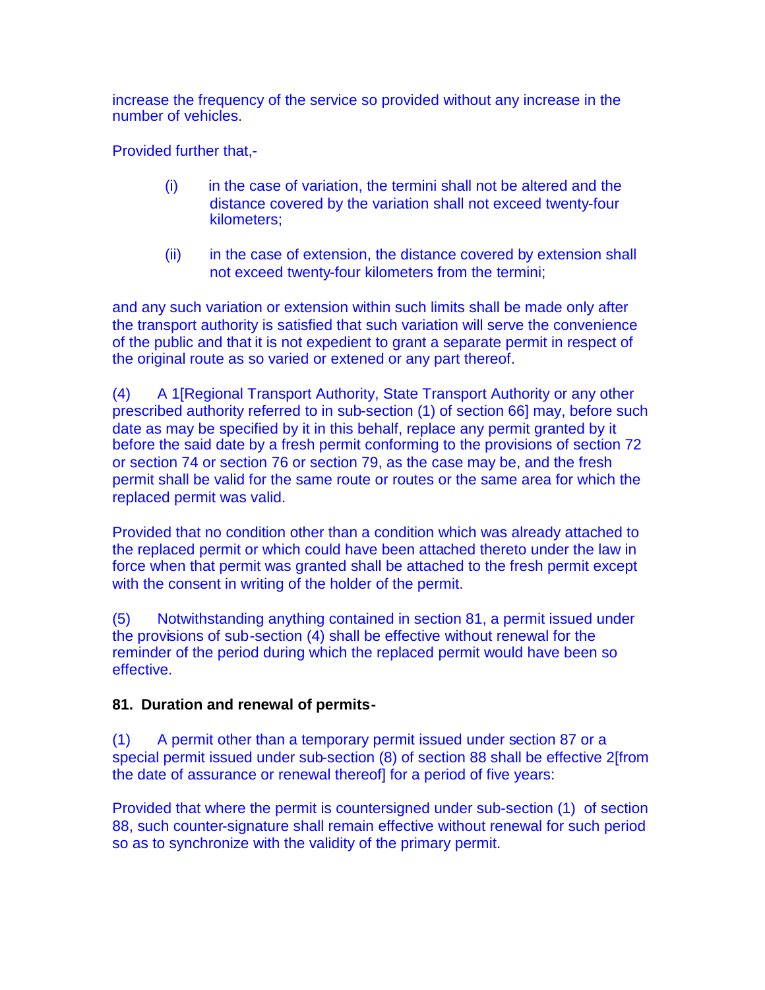increase the frequency of the service so provided without any increase in the number of vehicles.

Provided further that,-

- (i) in the case of variation, the termini shall not be altered and the distance covered by the variation shall not exceed twenty-four kilometers;
- (ii) in the case of extension, the distance covered by extension shall not exceed twenty-four kilometers from the termini;

and any such variation or extension within such limits shall be made only after the transport authority is satisfied that such variation will serve the convenience of the public and that it is not expedient to grant a separate permit in respect of the original route as so varied or extened or any part thereof.

(4) A 1[Regional Transport Authority, State Transport Authority or any other prescribed authority referred to in sub-section (1) of section 66] may, before such date as may be specified by it in this behalf, replace any permit granted by it before the said date by a fresh permit conforming to the provisions of section 72 or section 74 or section 76 or section 79, as the case may be, and the fresh permit shall be valid for the same route or routes or the same area for which the replaced permit was valid.

Provided that no condition other than a condition which was already attached to the replaced permit or which could have been attached thereto under the law in force when that permit was granted shall be attached to the fresh permit except with the consent in writing of the holder of the permit.

(5) Notwithstanding anything contained in section 81, a permit issued under the provisions of sub-section (4) shall be effective without renewal for the reminder of the period during which the replaced permit would have been so effective.

### **81. Duration and renewal of permits-**

(1) A permit other than a temporary permit issued under section 87 or a special permit issued under sub-section (8) of section 88 shall be effective 2[from the date of assurance or renewal thereof] for a period of five years:

Provided that where the permit is countersigned under sub-section (1) of section 88, such counter-signature shall remain effective without renewal for such period so as to synchronize with the validity of the primary permit.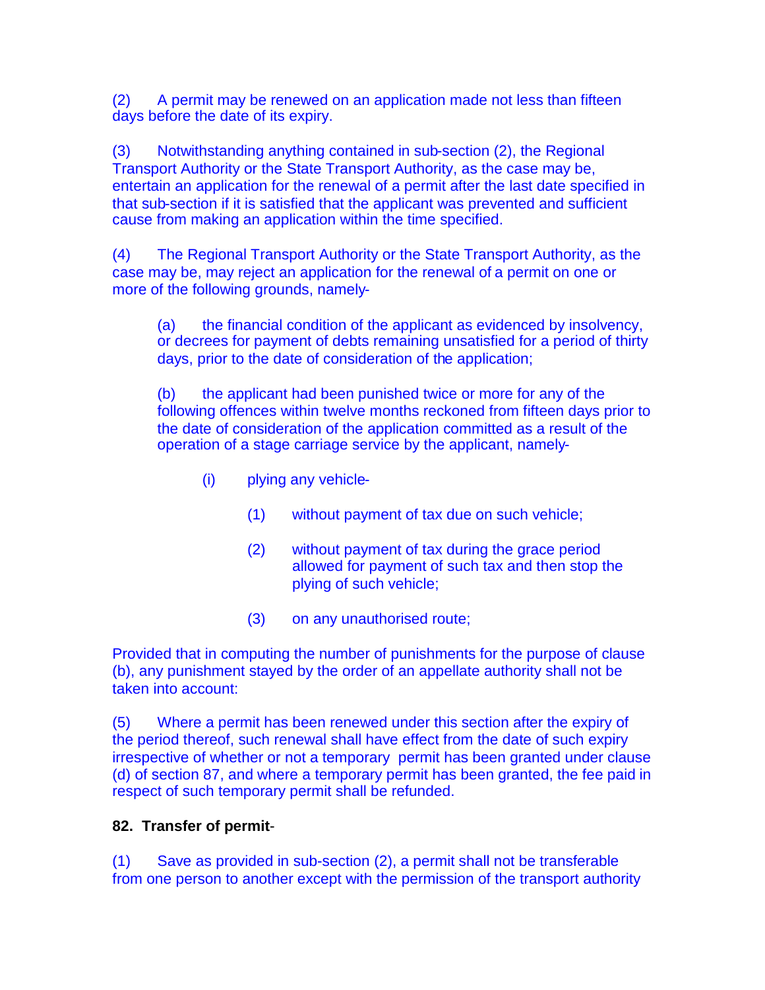(2) A permit may be renewed on an application made not less than fifteen days before the date of its expiry.

(3) Notwithstanding anything contained in sub-section (2), the Regional Transport Authority or the State Transport Authority, as the case may be, entertain an application for the renewal of a permit after the last date specified in that sub-section if it is satisfied that the applicant was prevented and sufficient cause from making an application within the time specified.

(4) The Regional Transport Authority or the State Transport Authority, as the case may be, may reject an application for the renewal of a permit on one or more of the following grounds, namely-

(a) the financial condition of the applicant as evidenced by insolvency, or decrees for payment of debts remaining unsatisfied for a period of thirty days, prior to the date of consideration of the application;

(b) the applicant had been punished twice or more for any of the following offences within twelve months reckoned from fifteen days prior to the date of consideration of the application committed as a result of the operation of a stage carriage service by the applicant, namely-

- (i) plying any vehicle-
	- (1) without payment of tax due on such vehicle;
	- (2) without payment of tax during the grace period allowed for payment of such tax and then stop the plying of such vehicle;
	- (3) on any unauthorised route;

Provided that in computing the number of punishments for the purpose of clause (b), any punishment stayed by the order of an appellate authority shall not be taken into account:

(5) Where a permit has been renewed under this section after the expiry of the period thereof, such renewal shall have effect from the date of such expiry irrespective of whether or not a temporary permit has been granted under clause (d) of section 87, and where a temporary permit has been granted, the fee paid in respect of such temporary permit shall be refunded.

### **82. Transfer of permit**-

(1) Save as provided in sub-section (2), a permit shall not be transferable from one person to another except with the permission of the transport authority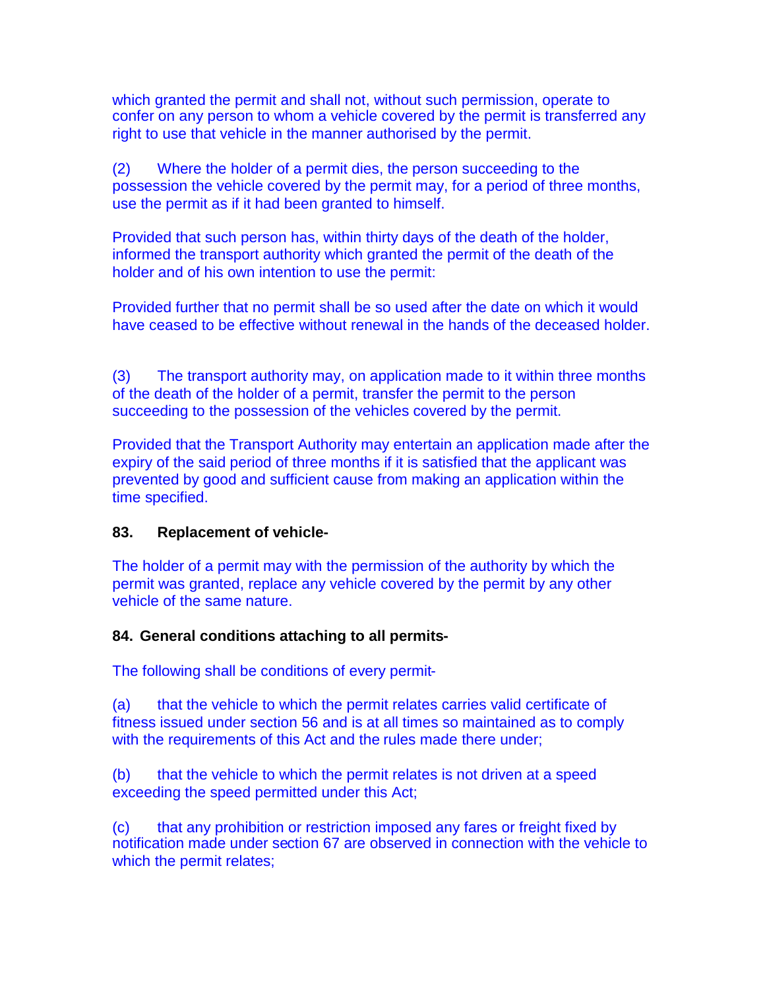which granted the permit and shall not, without such permission, operate to confer on any person to whom a vehicle covered by the permit is transferred any right to use that vehicle in the manner authorised by the permit.

(2) Where the holder of a permit dies, the person succeeding to the possession the vehicle covered by the permit may, for a period of three months, use the permit as if it had been granted to himself.

Provided that such person has, within thirty days of the death of the holder, informed the transport authority which granted the permit of the death of the holder and of his own intention to use the permit:

Provided further that no permit shall be so used after the date on which it would have ceased to be effective without renewal in the hands of the deceased holder.

(3) The transport authority may, on application made to it within three months of the death of the holder of a permit, transfer the permit to the person succeeding to the possession of the vehicles covered by the permit.

Provided that the Transport Authority may entertain an application made after the expiry of the said period of three months if it is satisfied that the applicant was prevented by good and sufficient cause from making an application within the time specified.

### **83. Replacement of vehicle-**

The holder of a permit may with the permission of the authority by which the permit was granted, replace any vehicle covered by the permit by any other vehicle of the same nature.

### **84. General conditions attaching to all permits-**

The following shall be conditions of every permit-

(a) that the vehicle to which the permit relates carries valid certificate of fitness issued under section 56 and is at all times so maintained as to comply with the requirements of this Act and the rules made there under;

(b) that the vehicle to which the permit relates is not driven at a speed exceeding the speed permitted under this Act;

(c) that any prohibition or restriction imposed any fares or freight fixed by notification made under section 67 are observed in connection with the vehicle to which the permit relates;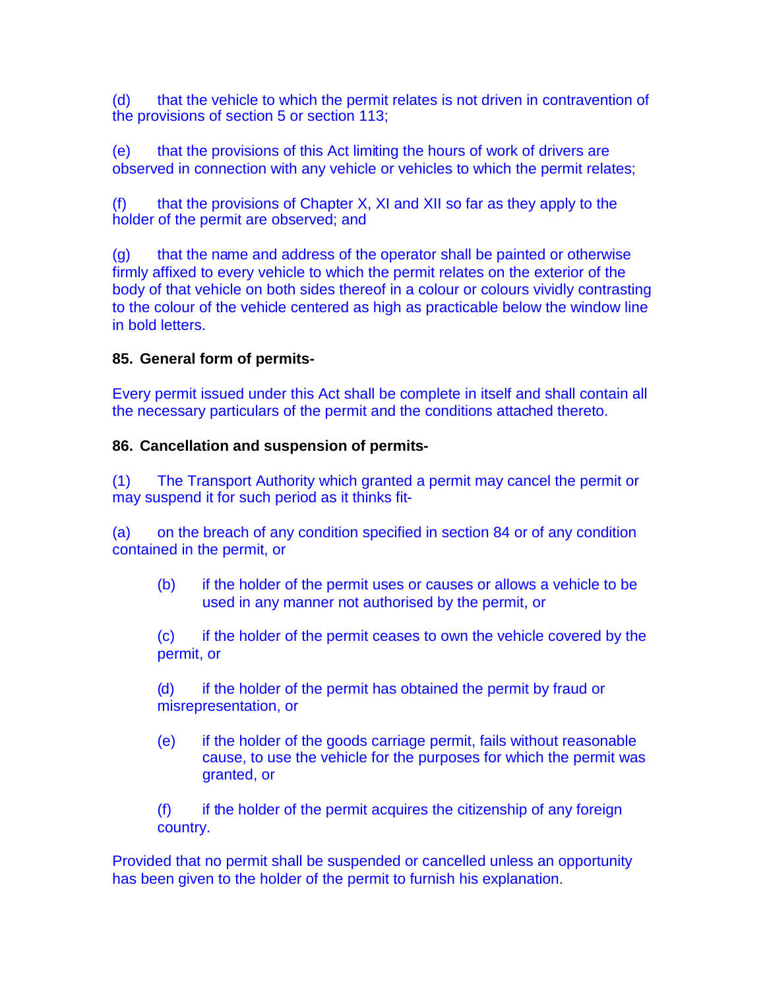(d) that the vehicle to which the permit relates is not driven in contravention of the provisions of section 5 or section 113;

(e) that the provisions of this Act limiting the hours of work of drivers are observed in connection with any vehicle or vehicles to which the permit relates;

(f) that the provisions of Chapter X, XI and XII so far as they apply to the holder of the permit are observed; and

(g) that the name and address of the operator shall be painted or otherwise firmly affixed to every vehicle to which the permit relates on the exterior of the body of that vehicle on both sides thereof in a colour or colours vividly contrasting to the colour of the vehicle centered as high as practicable below the window line in bold letters.

### **85. General form of permits-**

Every permit issued under this Act shall be complete in itself and shall contain all the necessary particulars of the permit and the conditions attached thereto.

### **86. Cancellation and suspension of permits-**

(1) The Transport Authority which granted a permit may cancel the permit or may suspend it for such period as it thinks fit-

(a) on the breach of any condition specified in section 84 or of any condition contained in the permit, or

(b) if the holder of the permit uses or causes or allows a vehicle to be used in any manner not authorised by the permit, or

(c) if the holder of the permit ceases to own the vehicle covered by the permit, or

(d) if the holder of the permit has obtained the permit by fraud or misrepresentation, or

(e) if the holder of the goods carriage permit, fails without reasonable cause, to use the vehicle for the purposes for which the permit was granted, or

(f) if the holder of the permit acquires the citizenship of any foreign country.

Provided that no permit shall be suspended or cancelled unless an opportunity has been given to the holder of the permit to furnish his explanation.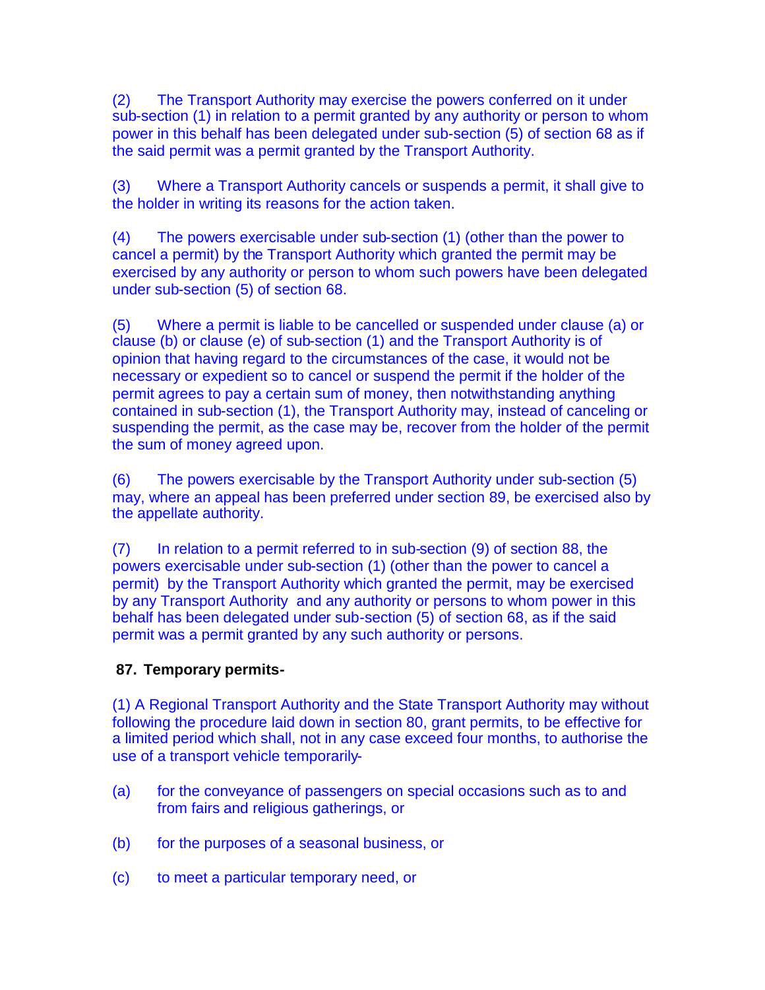(2) The Transport Authority may exercise the powers conferred on it under sub-section (1) in relation to a permit granted by any authority or person to whom power in this behalf has been delegated under sub-section (5) of section 68 as if the said permit was a permit granted by the Transport Authority.

(3) Where a Transport Authority cancels or suspends a permit, it shall give to the holder in writing its reasons for the action taken.

(4) The powers exercisable under sub-section (1) (other than the power to cancel a permit) by the Transport Authority which granted the permit may be exercised by any authority or person to whom such powers have been delegated under sub-section (5) of section 68.

(5) Where a permit is liable to be cancelled or suspended under clause (a) or clause (b) or clause (e) of sub-section (1) and the Transport Authority is of opinion that having regard to the circumstances of the case, it would not be necessary or expedient so to cancel or suspend the permit if the holder of the permit agrees to pay a certain sum of money, then notwithstanding anything contained in sub-section (1), the Transport Authority may, instead of canceling or suspending the permit, as the case may be, recover from the holder of the permit the sum of money agreed upon.

(6) The powers exercisable by the Transport Authority under sub-section (5) may, where an appeal has been preferred under section 89, be exercised also by the appellate authority.

(7) In relation to a permit referred to in sub-section (9) of section 88, the powers exercisable under sub-section (1) (other than the power to cancel a permit) by the Transport Authority which granted the permit, may be exercised by any Transport Authority and any authority or persons to whom power in this behalf has been delegated under sub-section (5) of section 68, as if the said permit was a permit granted by any such authority or persons.

# **87. Temporary permits-**

(1) A Regional Transport Authority and the State Transport Authority may without following the procedure laid down in section 80, grant permits, to be effective for a limited period which shall, not in any case exceed four months, to authorise the use of a transport vehicle temporarily-

- (a) for the conveyance of passengers on special occasions such as to and from fairs and religious gatherings, or
- (b) for the purposes of a seasonal business, or
- (c) to meet a particular temporary need, or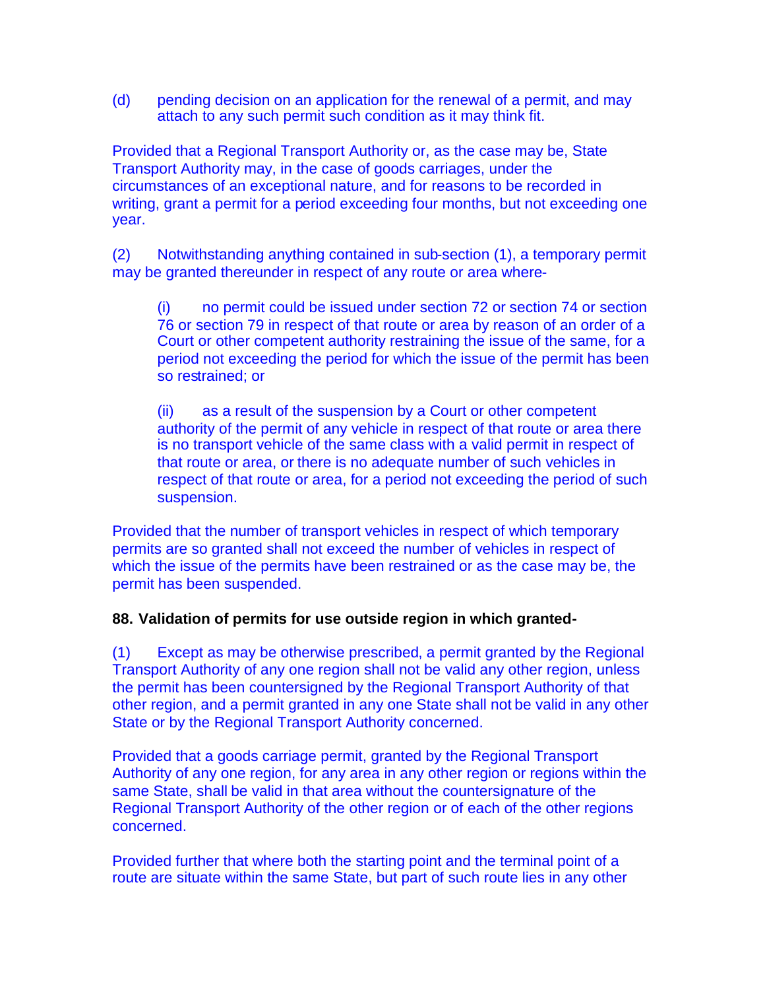(d) pending decision on an application for the renewal of a permit, and may attach to any such permit such condition as it may think fit.

Provided that a Regional Transport Authority or, as the case may be, State Transport Authority may, in the case of goods carriages, under the circumstances of an exceptional nature, and for reasons to be recorded in writing, grant a permit for a period exceeding four months, but not exceeding one year.

(2) Notwithstanding anything contained in sub-section (1), a temporary permit may be granted thereunder in respect of any route or area where-

(i) no permit could be issued under section 72 or section 74 or section 76 or section 79 in respect of that route or area by reason of an order of a Court or other competent authority restraining the issue of the same, for a period not exceeding the period for which the issue of the permit has been so restrained; or

(ii) as a result of the suspension by a Court or other competent authority of the permit of any vehicle in respect of that route or area there is no transport vehicle of the same class with a valid permit in respect of that route or area, or there is no adequate number of such vehicles in respect of that route or area, for a period not exceeding the period of such suspension.

Provided that the number of transport vehicles in respect of which temporary permits are so granted shall not exceed the number of vehicles in respect of which the issue of the permits have been restrained or as the case may be, the permit has been suspended.

### **88. Validation of permits for use outside region in which granted-**

(1) Except as may be otherwise prescribed, a permit granted by the Regional Transport Authority of any one region shall not be valid any other region, unless the permit has been countersigned by the Regional Transport Authority of that other region, and a permit granted in any one State shall not be valid in any other State or by the Regional Transport Authority concerned.

Provided that a goods carriage permit, granted by the Regional Transport Authority of any one region, for any area in any other region or regions within the same State, shall be valid in that area without the countersignature of the Regional Transport Authority of the other region or of each of the other regions concerned.

Provided further that where both the starting point and the terminal point of a route are situate within the same State, but part of such route lies in any other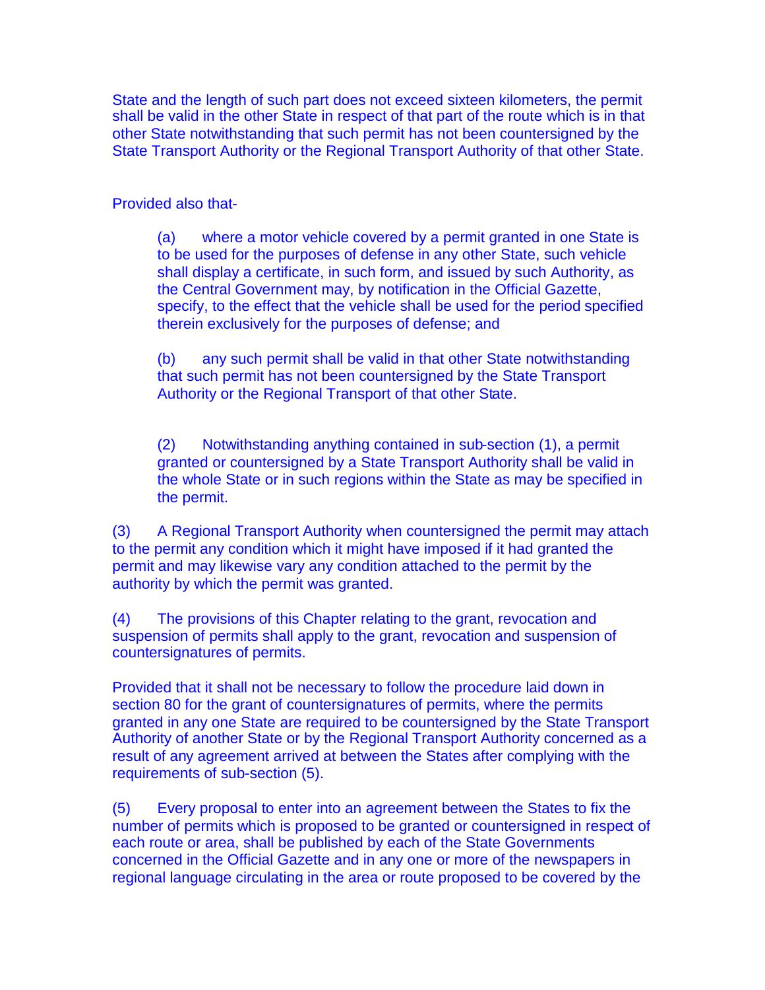State and the length of such part does not exceed sixteen kilometers, the permit shall be valid in the other State in respect of that part of the route which is in that other State notwithstanding that such permit has not been countersigned by the State Transport Authority or the Regional Transport Authority of that other State.

Provided also that-

(a) where a motor vehicle covered by a permit granted in one State is to be used for the purposes of defense in any other State, such vehicle shall display a certificate, in such form, and issued by such Authority, as the Central Government may, by notification in the Official Gazette, specify, to the effect that the vehicle shall be used for the period specified therein exclusively for the purposes of defense; and

(b) any such permit shall be valid in that other State notwithstanding that such permit has not been countersigned by the State Transport Authority or the Regional Transport of that other State.

(2) Notwithstanding anything contained in sub-section (1), a permit granted or countersigned by a State Transport Authority shall be valid in the whole State or in such regions within the State as may be specified in the permit.

(3) A Regional Transport Authority when countersigned the permit may attach to the permit any condition which it might have imposed if it had granted the permit and may likewise vary any condition attached to the permit by the authority by which the permit was granted.

(4) The provisions of this Chapter relating to the grant, revocation and suspension of permits shall apply to the grant, revocation and suspension of countersignatures of permits.

Provided that it shall not be necessary to follow the procedure laid down in section 80 for the grant of countersignatures of permits, where the permits granted in any one State are required to be countersigned by the State Transport Authority of another State or by the Regional Transport Authority concerned as a result of any agreement arrived at between the States after complying with the requirements of sub-section (5).

(5) Every proposal to enter into an agreement between the States to fix the number of permits which is proposed to be granted or countersigned in respect of each route or area, shall be published by each of the State Governments concerned in the Official Gazette and in any one or more of the newspapers in regional language circulating in the area or route proposed to be covered by the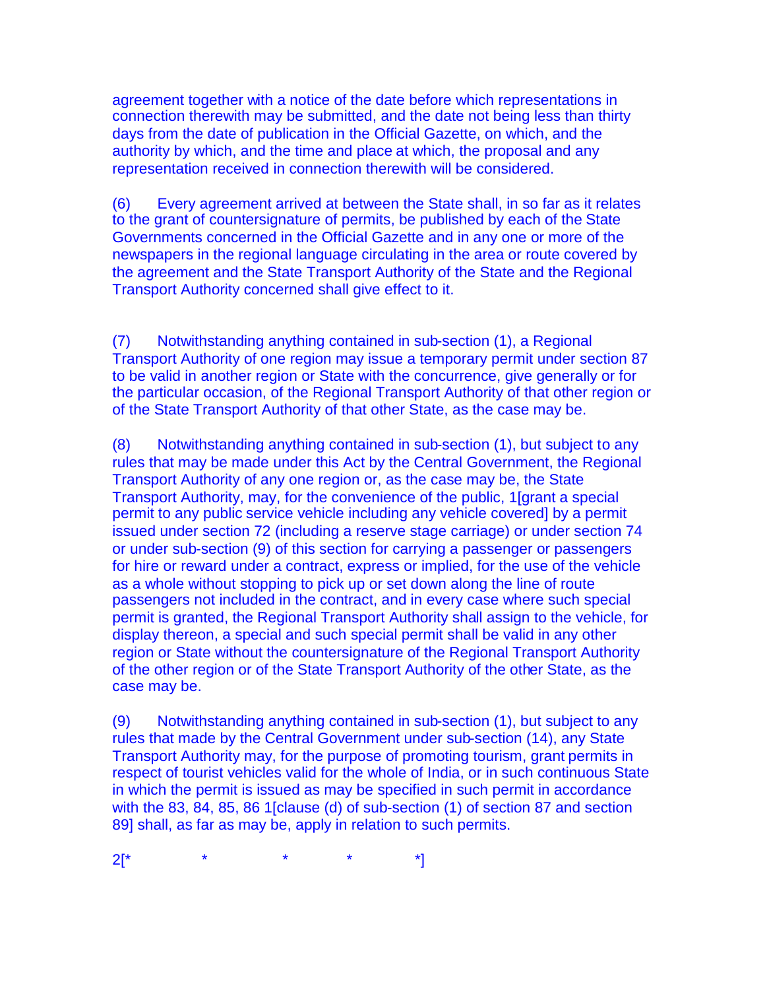agreement together with a notice of the date before which representations in connection therewith may be submitted, and the date not being less than thirty days from the date of publication in the Official Gazette, on which, and the authority by which, and the time and place at which, the proposal and any representation received in connection therewith will be considered.

(6) Every agreement arrived at between the State shall, in so far as it relates to the grant of countersignature of permits, be published by each of the State Governments concerned in the Official Gazette and in any one or more of the newspapers in the regional language circulating in the area or route covered by the agreement and the State Transport Authority of the State and the Regional Transport Authority concerned shall give effect to it.

(7) Notwithstanding anything contained in sub-section (1), a Regional Transport Authority of one region may issue a temporary permit under section 87 to be valid in another region or State with the concurrence, give generally or for the particular occasion, of the Regional Transport Authority of that other region or of the State Transport Authority of that other State, as the case may be.

(8) Notwithstanding anything contained in sub-section (1), but subject to any rules that may be made under this Act by the Central Government, the Regional Transport Authority of any one region or, as the case may be, the State Transport Authority, may, for the convenience of the public, 1[grant a special permit to any public service vehicle including any vehicle covered] by a permit issued under section 72 (including a reserve stage carriage) or under section 74 or under sub-section (9) of this section for carrying a passenger or passengers for hire or reward under a contract, express or implied, for the use of the vehicle as a whole without stopping to pick up or set down along the line of route passengers not included in the contract, and in every case where such special permit is granted, the Regional Transport Authority shall assign to the vehicle, for display thereon, a special and such special permit shall be valid in any other region or State without the countersignature of the Regional Transport Authority of the other region or of the State Transport Authority of the other State, as the case may be.

(9) Notwithstanding anything contained in sub-section (1), but subject to any rules that made by the Central Government under sub-section (14), any State Transport Authority may, for the purpose of promoting tourism, grant permits in respect of tourist vehicles valid for the whole of India, or in such continuous State in which the permit is issued as may be specified in such permit in accordance with the 83, 84, 85, 86 1[clause (d) of sub-section (1) of section 87 and section 89] shall, as far as may be, apply in relation to such permits.

 $2[^*$  \* \* \* \* \*]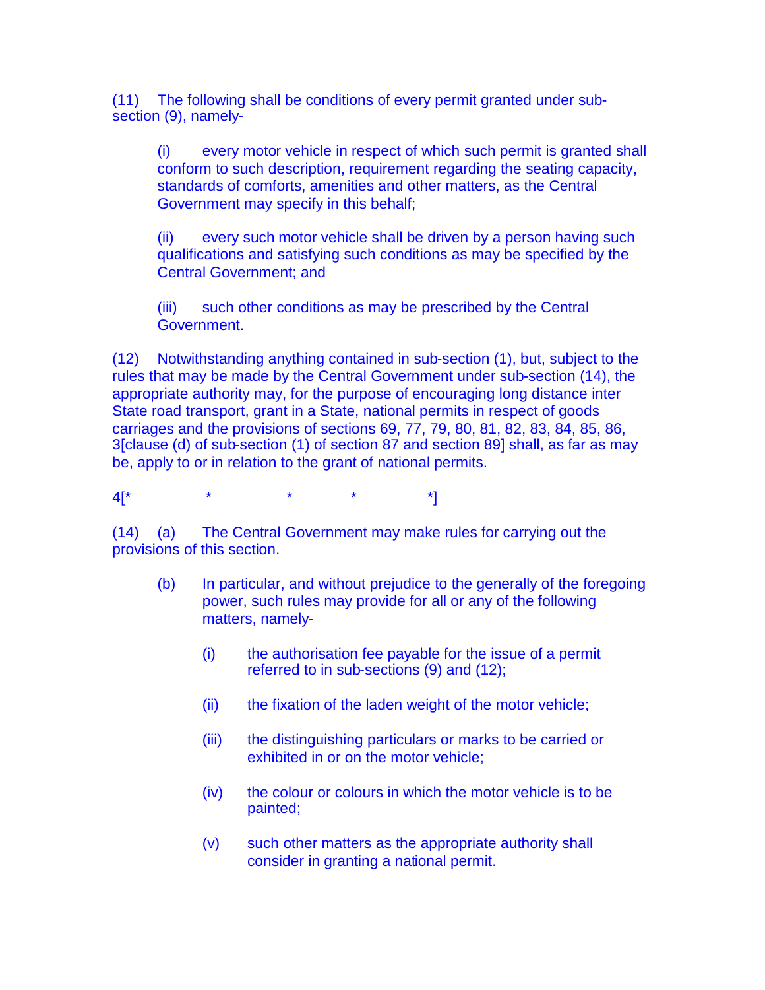(11) The following shall be conditions of every permit granted under subsection (9), namely-

(i) every motor vehicle in respect of which such permit is granted shall conform to such description, requirement regarding the seating capacity, standards of comforts, amenities and other matters, as the Central Government may specify in this behalf;

(ii) every such motor vehicle shall be driven by a person having such qualifications and satisfying such conditions as may be specified by the Central Government; and

(iii) such other conditions as may be prescribed by the Central Government.

(12) Notwithstanding anything contained in sub-section (1), but, subject to the rules that may be made by the Central Government under sub-section (14), the appropriate authority may, for the purpose of encouraging long distance inter State road transport, grant in a State, national permits in respect of goods carriages and the provisions of sections 69, 77, 79, 80, 81, 82, 83, 84, 85, 86, 3[clause (d) of sub-section (1) of section 87 and section 89] shall, as far as may be, apply to or in relation to the grant of national permits.

4[\* \* \* \* \*]

(14) (a) The Central Government may make rules for carrying out the provisions of this section.

- (b) In particular, and without prejudice to the generally of the foregoing power, such rules may provide for all or any of the following matters, namely-
	- (i) the authorisation fee payable for the issue of a permit referred to in sub-sections (9) and (12);
	- (ii) the fixation of the laden weight of the motor vehicle;
	- (iii) the distinguishing particulars or marks to be carried or exhibited in or on the motor vehicle;
	- (iv) the colour or colours in which the motor vehicle is to be painted;
	- (v) such other matters as the appropriate authority shall consider in granting a national permit.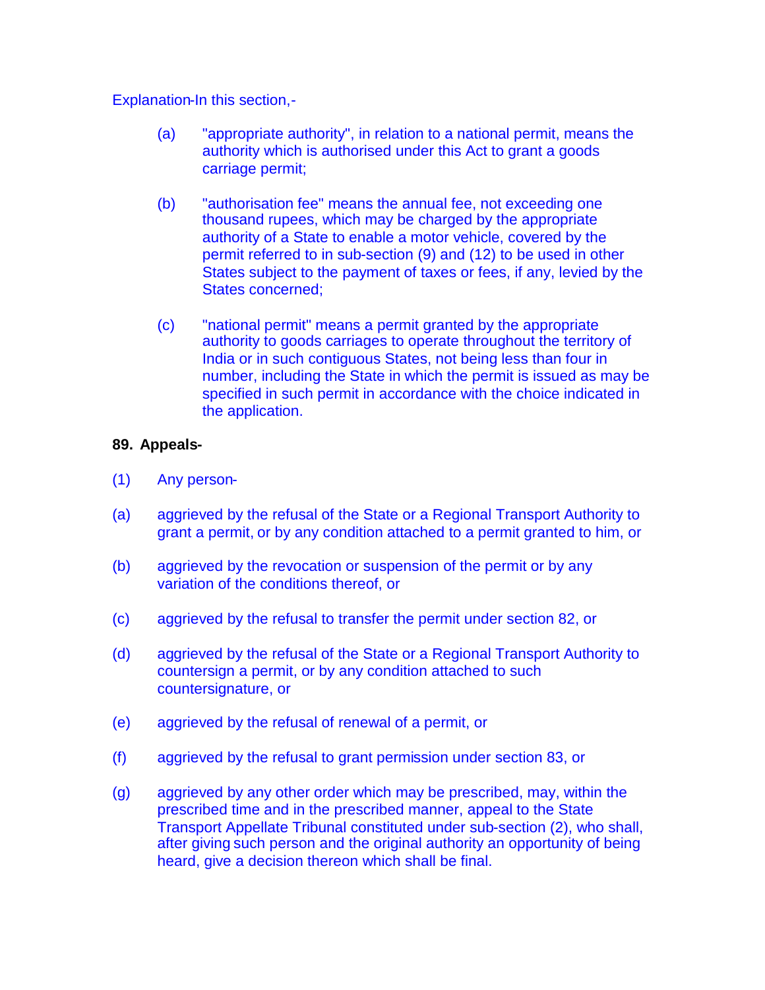Explanation-In this section,-

- (a) "appropriate authority", in relation to a national permit, means the authority which is authorised under this Act to grant a goods carriage permit;
- (b) "authorisation fee" means the annual fee, not exceeding one thousand rupees, which may be charged by the appropriate authority of a State to enable a motor vehicle, covered by the permit referred to in sub-section (9) and (12) to be used in other States subject to the payment of taxes or fees, if any, levied by the States concerned;
- (c) "national permit" means a permit granted by the appropriate authority to goods carriages to operate throughout the territory of India or in such contiguous States, not being less than four in number, including the State in which the permit is issued as may be specified in such permit in accordance with the choice indicated in the application.

#### **89. Appeals-**

- (1) Any person-
- (a) aggrieved by the refusal of the State or a Regional Transport Authority to grant a permit, or by any condition attached to a permit granted to him, or
- (b) aggrieved by the revocation or suspension of the permit or by any variation of the conditions thereof, or
- (c) aggrieved by the refusal to transfer the permit under section 82, or
- (d) aggrieved by the refusal of the State or a Regional Transport Authority to countersign a permit, or by any condition attached to such countersignature, or
- (e) aggrieved by the refusal of renewal of a permit, or
- (f) aggrieved by the refusal to grant permission under section 83, or
- (g) aggrieved by any other order which may be prescribed, may, within the prescribed time and in the prescribed manner, appeal to the State Transport Appellate Tribunal constituted under sub-section (2), who shall, after giving such person and the original authority an opportunity of being heard, give a decision thereon which shall be final.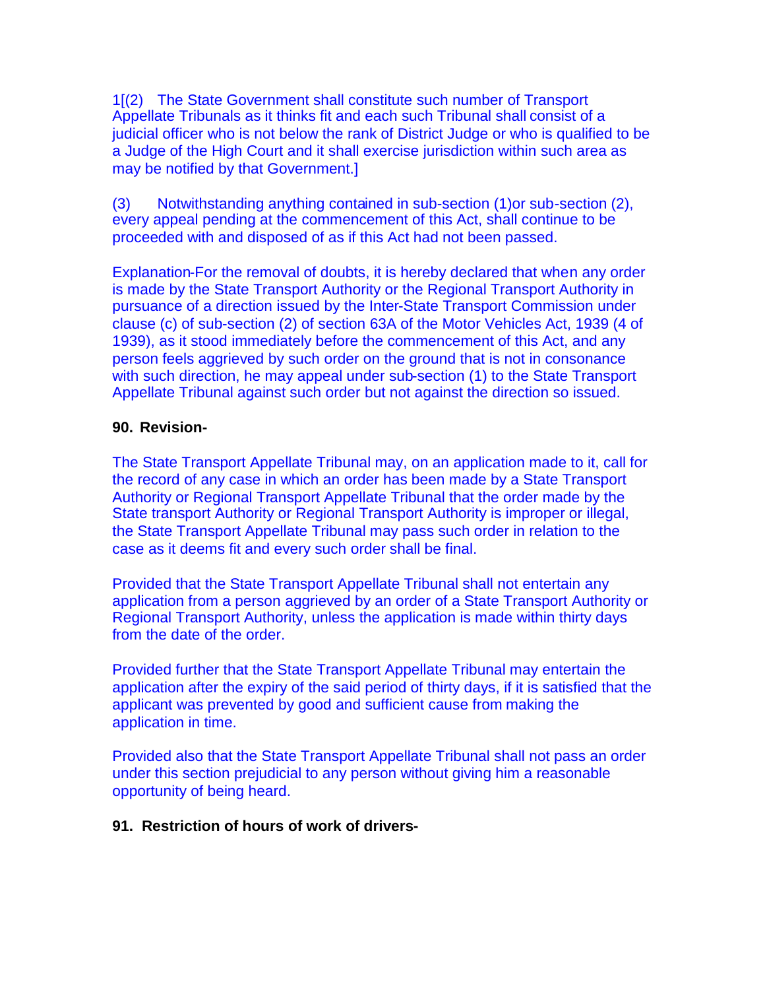1[(2) The State Government shall constitute such number of Transport Appellate Tribunals as it thinks fit and each such Tribunal shall consist of a judicial officer who is not below the rank of District Judge or who is qualified to be a Judge of the High Court and it shall exercise jurisdiction within such area as may be notified by that Government.]

(3) Notwithstanding anything contained in sub-section (1)or sub-section (2), every appeal pending at the commencement of this Act, shall continue to be proceeded with and disposed of as if this Act had not been passed.

Explanation-For the removal of doubts, it is hereby declared that when any order is made by the State Transport Authority or the Regional Transport Authority in pursuance of a direction issued by the Inter-State Transport Commission under clause (c) of sub-section (2) of section 63A of the Motor Vehicles Act, 1939 (4 of 1939), as it stood immediately before the commencement of this Act, and any person feels aggrieved by such order on the ground that is not in consonance with such direction, he may appeal under sub-section (1) to the State Transport Appellate Tribunal against such order but not against the direction so issued.

#### **90. Revision-**

The State Transport Appellate Tribunal may, on an application made to it, call for the record of any case in which an order has been made by a State Transport Authority or Regional Transport Appellate Tribunal that the order made by the State transport Authority or Regional Transport Authority is improper or illegal, the State Transport Appellate Tribunal may pass such order in relation to the case as it deems fit and every such order shall be final.

Provided that the State Transport Appellate Tribunal shall not entertain any application from a person aggrieved by an order of a State Transport Authority or Regional Transport Authority, unless the application is made within thirty days from the date of the order.

Provided further that the State Transport Appellate Tribunal may entertain the application after the expiry of the said period of thirty days, if it is satisfied that the applicant was prevented by good and sufficient cause from making the application in time.

Provided also that the State Transport Appellate Tribunal shall not pass an order under this section prejudicial to any person without giving him a reasonable opportunity of being heard.

#### **91. Restriction of hours of work of drivers-**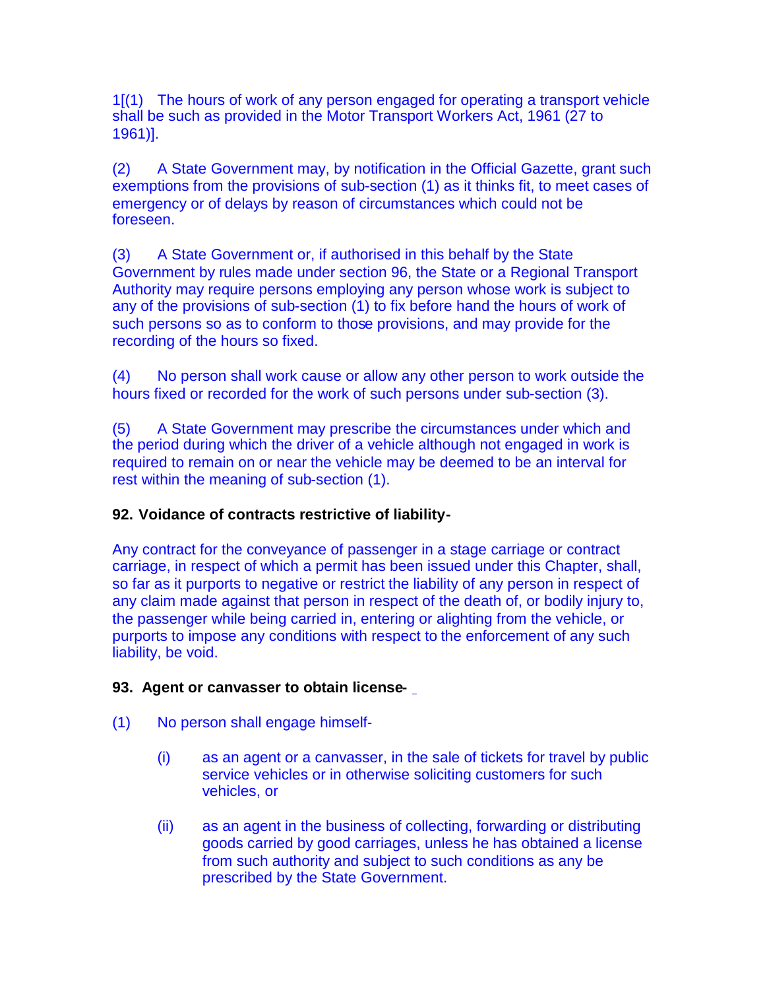1[(1) The hours of work of any person engaged for operating a transport vehicle shall be such as provided in the Motor Transport Workers Act, 1961 (27 to 1961)].

(2) A State Government may, by notification in the Official Gazette, grant such exemptions from the provisions of sub-section (1) as it thinks fit, to meet cases of emergency or of delays by reason of circumstances which could not be foreseen.

(3) A State Government or, if authorised in this behalf by the State Government by rules made under section 96, the State or a Regional Transport Authority may require persons employing any person whose work is subject to any of the provisions of sub-section (1) to fix before hand the hours of work of such persons so as to conform to those provisions, and may provide for the recording of the hours so fixed.

(4) No person shall work cause or allow any other person to work outside the hours fixed or recorded for the work of such persons under sub-section (3).

(5) A State Government may prescribe the circumstances under which and the period during which the driver of a vehicle although not engaged in work is required to remain on or near the vehicle may be deemed to be an interval for rest within the meaning of sub-section (1).

# **92. Voidance of contracts restrictive of liability-**

Any contract for the conveyance of passenger in a stage carriage or contract carriage, in respect of which a permit has been issued under this Chapter, shall, so far as it purports to negative or restrict the liability of any person in respect of any claim made against that person in respect of the death of, or bodily injury to, the passenger while being carried in, entering or alighting from the vehicle, or purports to impose any conditions with respect to the enforcement of any such liability, be void.

# **93. Agent or canvasser to obtain license-**

- (1) No person shall engage himself-
	- (i) as an agent or a canvasser, in the sale of tickets for travel by public service vehicles or in otherwise soliciting customers for such vehicles, or
	- (ii) as an agent in the business of collecting, forwarding or distributing goods carried by good carriages, unless he has obtained a license from such authority and subject to such conditions as any be prescribed by the State Government.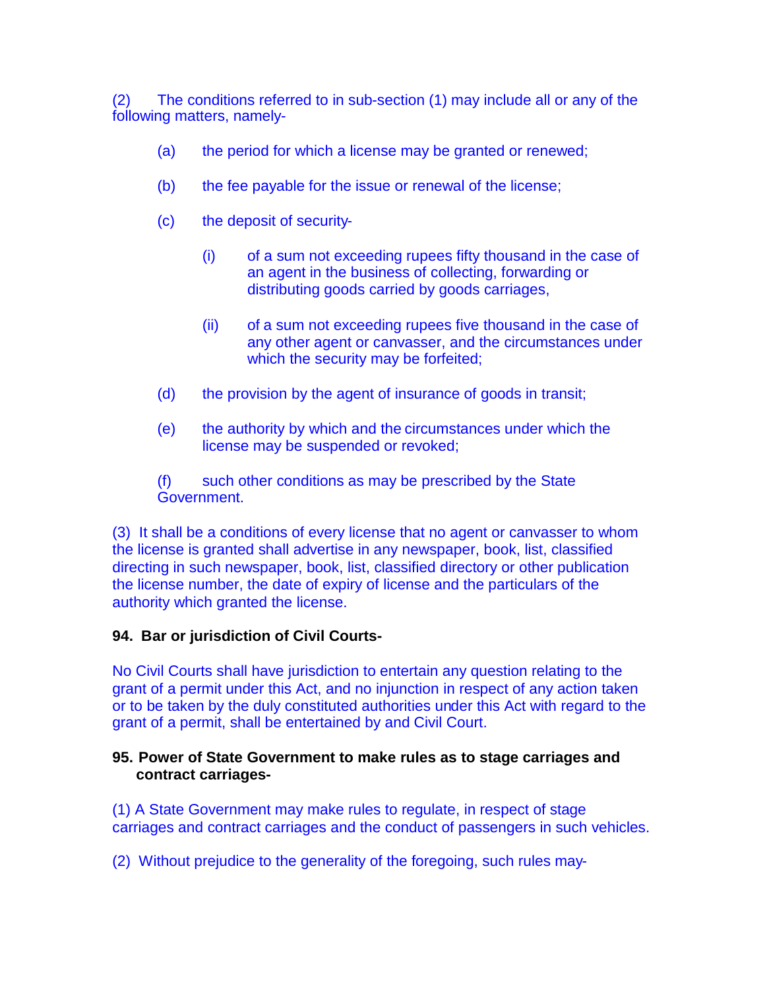(2) The conditions referred to in sub-section (1) may include all or any of the following matters, namely-

- (a) the period for which a license may be granted or renewed;
- (b) the fee payable for the issue or renewal of the license;
- (c) the deposit of security-
	- (i) of a sum not exceeding rupees fifty thousand in the case of an agent in the business of collecting, forwarding or distributing goods carried by goods carriages,
	- (ii) of a sum not exceeding rupees five thousand in the case of any other agent or canvasser, and the circumstances under which the security may be forfeited;
- (d) the provision by the agent of insurance of goods in transit;
- (e) the authority by which and the circumstances under which the license may be suspended or revoked;

(f) such other conditions as may be prescribed by the State Government.

(3) It shall be a conditions of every license that no agent or canvasser to whom the license is granted shall advertise in any newspaper, book, list, classified directing in such newspaper, book, list, classified directory or other publication the license number, the date of expiry of license and the particulars of the authority which granted the license.

### **94. Bar or jurisdiction of Civil Courts-**

No Civil Courts shall have jurisdiction to entertain any question relating to the grant of a permit under this Act, and no injunction in respect of any action taken or to be taken by the duly constituted authorities under this Act with regard to the grant of a permit, shall be entertained by and Civil Court.

### **95. Power of State Government to make rules as to stage carriages and contract carriages-**

(1) A State Government may make rules to regulate, in respect of stage carriages and contract carriages and the conduct of passengers in such vehicles.

(2) Without prejudice to the generality of the foregoing, such rules may-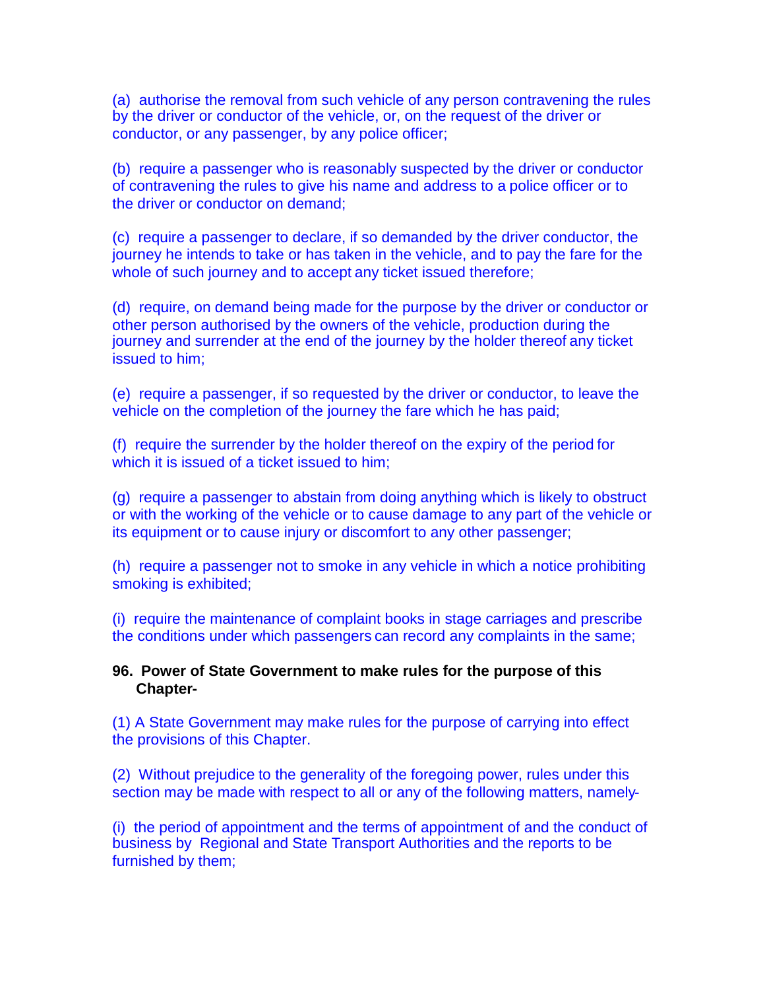(a) authorise the removal from such vehicle of any person contravening the rules by the driver or conductor of the vehicle, or, on the request of the driver or conductor, or any passenger, by any police officer;

(b) require a passenger who is reasonably suspected by the driver or conductor of contravening the rules to give his name and address to a police officer or to the driver or conductor on demand;

(c) require a passenger to declare, if so demanded by the driver conductor, the journey he intends to take or has taken in the vehicle, and to pay the fare for the whole of such journey and to accept any ticket issued therefore;

(d) require, on demand being made for the purpose by the driver or conductor or other person authorised by the owners of the vehicle, production during the journey and surrender at the end of the journey by the holder thereof any ticket issued to him;

(e) require a passenger, if so requested by the driver or conductor, to leave the vehicle on the completion of the journey the fare which he has paid;

(f) require the surrender by the holder thereof on the expiry of the period for which it is issued of a ticket issued to him;

(g) require a passenger to abstain from doing anything which is likely to obstruct or with the working of the vehicle or to cause damage to any part of the vehicle or its equipment or to cause injury or discomfort to any other passenger;

(h) require a passenger not to smoke in any vehicle in which a notice prohibiting smoking is exhibited;

(i) require the maintenance of complaint books in stage carriages and prescribe the conditions under which passengers can record any complaints in the same;

#### **96. Power of State Government to make rules for the purpose of this Chapter-**

(1) A State Government may make rules for the purpose of carrying into effect the provisions of this Chapter.

(2) Without prejudice to the generality of the foregoing power, rules under this section may be made with respect to all or any of the following matters, namely-

(i) the period of appointment and the terms of appointment of and the conduct of business by Regional and State Transport Authorities and the reports to be furnished by them;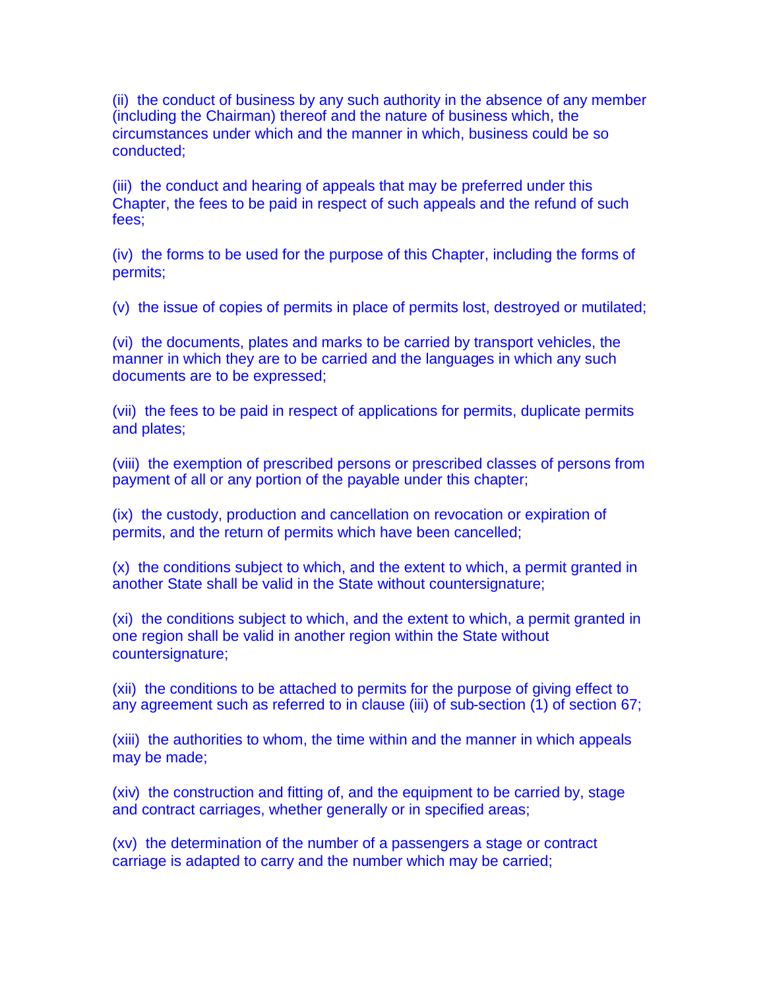(ii) the conduct of business by any such authority in the absence of any member (including the Chairman) thereof and the nature of business which, the circumstances under which and the manner in which, business could be so conducted;

(iii) the conduct and hearing of appeals that may be preferred under this Chapter, the fees to be paid in respect of such appeals and the refund of such fees;

(iv) the forms to be used for the purpose of this Chapter, including the forms of permits;

(v) the issue of copies of permits in place of permits lost, destroyed or mutilated;

(vi) the documents, plates and marks to be carried by transport vehicles, the manner in which they are to be carried and the languages in which any such documents are to be expressed;

(vii) the fees to be paid in respect of applications for permits, duplicate permits and plates;

(viii) the exemption of prescribed persons or prescribed classes of persons from payment of all or any portion of the payable under this chapter;

(ix) the custody, production and cancellation on revocation or expiration of permits, and the return of permits which have been cancelled;

(x) the conditions subject to which, and the extent to which, a permit granted in another State shall be valid in the State without countersignature;

(xi) the conditions subject to which, and the extent to which, a permit granted in one region shall be valid in another region within the State without countersignature;

(xii) the conditions to be attached to permits for the purpose of giving effect to any agreement such as referred to in clause (iii) of sub-section (1) of section 67;

(xiii) the authorities to whom, the time within and the manner in which appeals may be made;

(xiv) the construction and fitting of, and the equipment to be carried by, stage and contract carriages, whether generally or in specified areas;

(xv) the determination of the number of a passengers a stage or contract carriage is adapted to carry and the number which may be carried;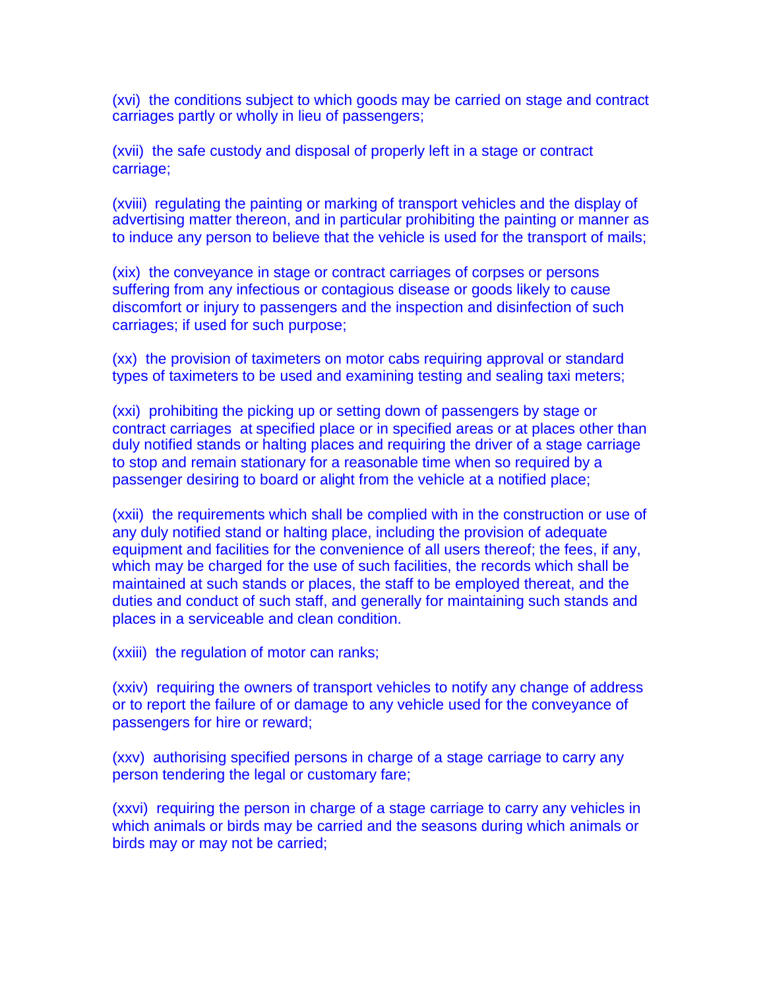(xvi) the conditions subject to which goods may be carried on stage and contract carriages partly or wholly in lieu of passengers;

(xvii) the safe custody and disposal of properly left in a stage or contract carriage;

(xviii) regulating the painting or marking of transport vehicles and the display of advertising matter thereon, and in particular prohibiting the painting or manner as to induce any person to believe that the vehicle is used for the transport of mails;

(xix) the conveyance in stage or contract carriages of corpses or persons suffering from any infectious or contagious disease or goods likely to cause discomfort or injury to passengers and the inspection and disinfection of such carriages; if used for such purpose;

(xx) the provision of taximeters on motor cabs requiring approval or standard types of taximeters to be used and examining testing and sealing taxi meters;

(xxi) prohibiting the picking up or setting down of passengers by stage or contract carriages at specified place or in specified areas or at places other than duly notified stands or halting places and requiring the driver of a stage carriage to stop and remain stationary for a reasonable time when so required by a passenger desiring to board or alight from the vehicle at a notified place;

(xxii) the requirements which shall be complied with in the construction or use of any duly notified stand or halting place, including the provision of adequate equipment and facilities for the convenience of all users thereof; the fees, if any, which may be charged for the use of such facilities, the records which shall be maintained at such stands or places, the staff to be employed thereat, and the duties and conduct of such staff, and generally for maintaining such stands and places in a serviceable and clean condition.

(xxiii) the regulation of motor can ranks;

(xxiv) requiring the owners of transport vehicles to notify any change of address or to report the failure of or damage to any vehicle used for the conveyance of passengers for hire or reward;

(xxv) authorising specified persons in charge of a stage carriage to carry any person tendering the legal or customary fare;

(xxvi) requiring the person in charge of a stage carriage to carry any vehicles in which animals or birds may be carried and the seasons during which animals or birds may or may not be carried;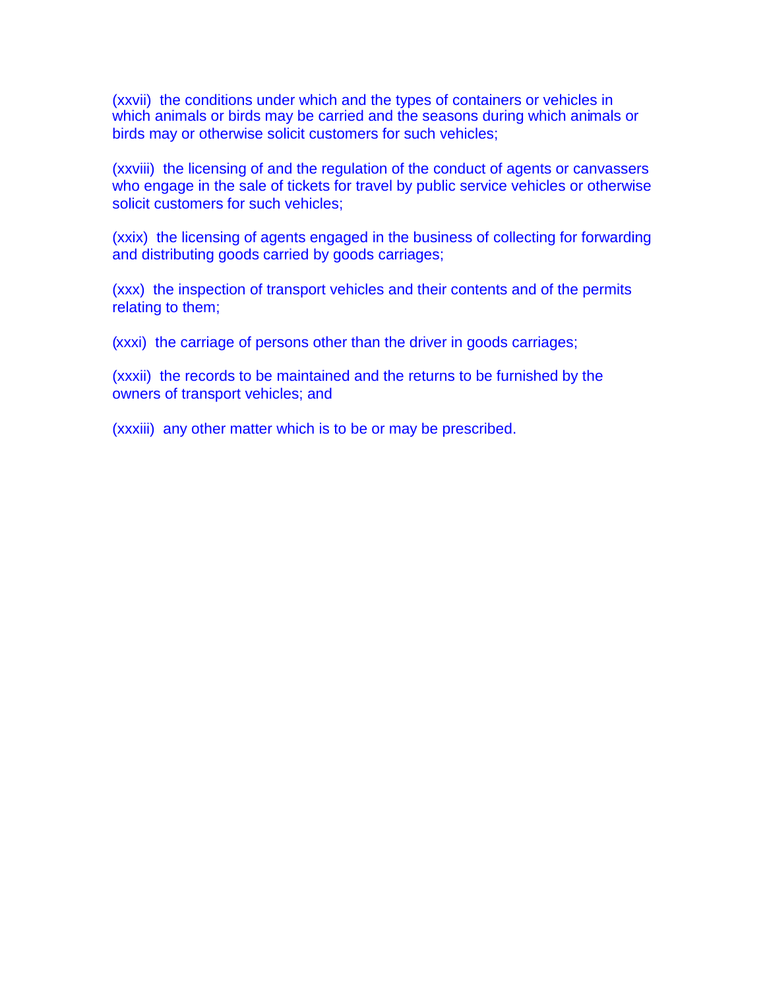(xxvii) the conditions under which and the types of containers or vehicles in which animals or birds may be carried and the seasons during which animals or birds may or otherwise solicit customers for such vehicles;

(xxviii) the licensing of and the regulation of the conduct of agents or canvassers who engage in the sale of tickets for travel by public service vehicles or otherwise solicit customers for such vehicles;

(xxix) the licensing of agents engaged in the business of collecting for forwarding and distributing goods carried by goods carriages;

(xxx) the inspection of transport vehicles and their contents and of the permits relating to them;

(xxxi) the carriage of persons other than the driver in goods carriages;

(xxxii) the records to be maintained and the returns to be furnished by the owners of transport vehicles; and

(xxxiii) any other matter which is to be or may be prescribed.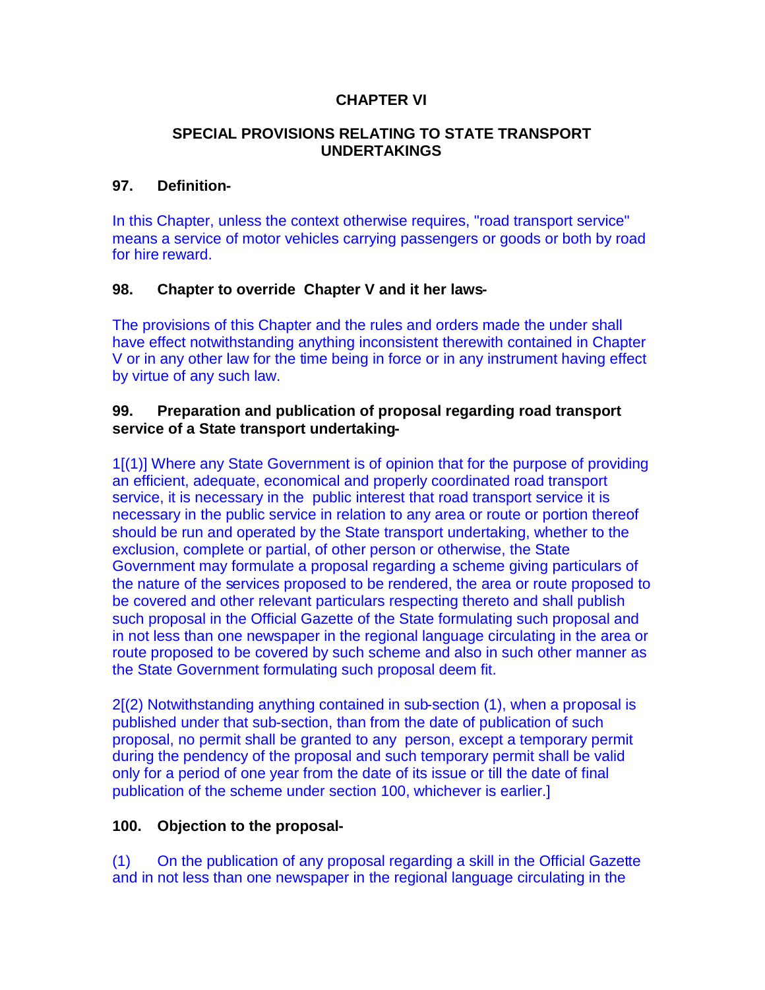### **CHAPTER VI**

#### **SPECIAL PROVISIONS RELATING TO STATE TRANSPORT UNDERTAKINGS**

#### **97. Definition-**

In this Chapter, unless the context otherwise requires, "road transport service" means a service of motor vehicles carrying passengers or goods or both by road for hire reward.

#### **98. Chapter to override Chapter V and it her laws-**

The provisions of this Chapter and the rules and orders made the under shall have effect notwithstanding anything inconsistent therewith contained in Chapter V or in any other law for the time being in force or in any instrument having effect by virtue of any such law.

#### **99. Preparation and publication of proposal regarding road transport service of a State transport undertaking-**

1[(1)] Where any State Government is of opinion that for the purpose of providing an efficient, adequate, economical and properly coordinated road transport service, it is necessary in the public interest that road transport service it is necessary in the public service in relation to any area or route or portion thereof should be run and operated by the State transport undertaking, whether to the exclusion, complete or partial, of other person or otherwise, the State Government may formulate a proposal regarding a scheme giving particulars of the nature of the services proposed to be rendered, the area or route proposed to be covered and other relevant particulars respecting thereto and shall publish such proposal in the Official Gazette of the State formulating such proposal and in not less than one newspaper in the regional language circulating in the area or route proposed to be covered by such scheme and also in such other manner as the State Government formulating such proposal deem fit.

2[(2) Notwithstanding anything contained in sub-section (1), when a proposal is published under that sub-section, than from the date of publication of such proposal, no permit shall be granted to any person, except a temporary permit during the pendency of the proposal and such temporary permit shall be valid only for a period of one year from the date of its issue or till the date of final publication of the scheme under section 100, whichever is earlier.]

### **100. Objection to the proposal-**

(1) On the publication of any proposal regarding a skill in the Official Gazette and in not less than one newspaper in the regional language circulating in the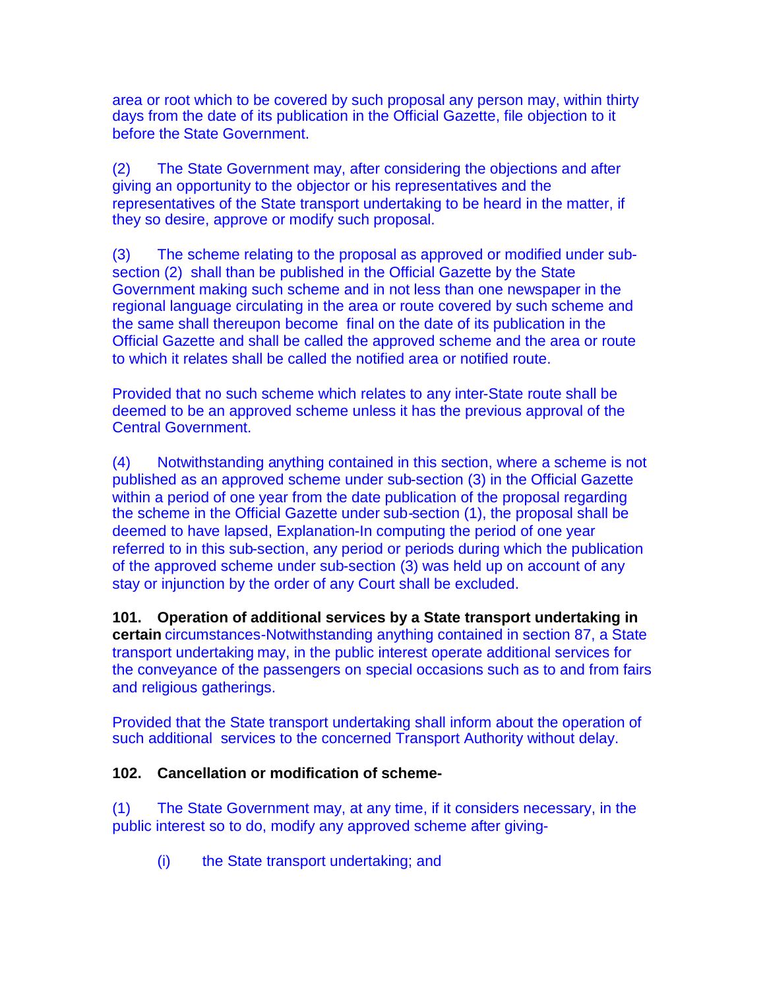area or root which to be covered by such proposal any person may, within thirty days from the date of its publication in the Official Gazette, file objection to it before the State Government.

(2) The State Government may, after considering the objections and after giving an opportunity to the objector or his representatives and the representatives of the State transport undertaking to be heard in the matter, if they so desire, approve or modify such proposal.

(3) The scheme relating to the proposal as approved or modified under subsection (2) shall than be published in the Official Gazette by the State Government making such scheme and in not less than one newspaper in the regional language circulating in the area or route covered by such scheme and the same shall thereupon become final on the date of its publication in the Official Gazette and shall be called the approved scheme and the area or route to which it relates shall be called the notified area or notified route.

Provided that no such scheme which relates to any inter-State route shall be deemed to be an approved scheme unless it has the previous approval of the Central Government.

(4) Notwithstanding anything contained in this section, where a scheme is not published as an approved scheme under sub-section (3) in the Official Gazette within a period of one year from the date publication of the proposal regarding the scheme in the Official Gazette under sub-section (1), the proposal shall be deemed to have lapsed, Explanation-In computing the period of one year referred to in this sub-section, any period or periods during which the publication of the approved scheme under sub-section (3) was held up on account of any stay or injunction by the order of any Court shall be excluded.

**101. Operation of additional services by a State transport undertaking in certain** circumstances-Notwithstanding anything contained in section 87, a State transport undertaking may, in the public interest operate additional services for the conveyance of the passengers on special occasions such as to and from fairs and religious gatherings.

Provided that the State transport undertaking shall inform about the operation of such additional services to the concerned Transport Authority without delay.

### **102. Cancellation or modification of scheme-**

(1) The State Government may, at any time, if it considers necessary, in the public interest so to do, modify any approved scheme after giving-

(i) the State transport undertaking; and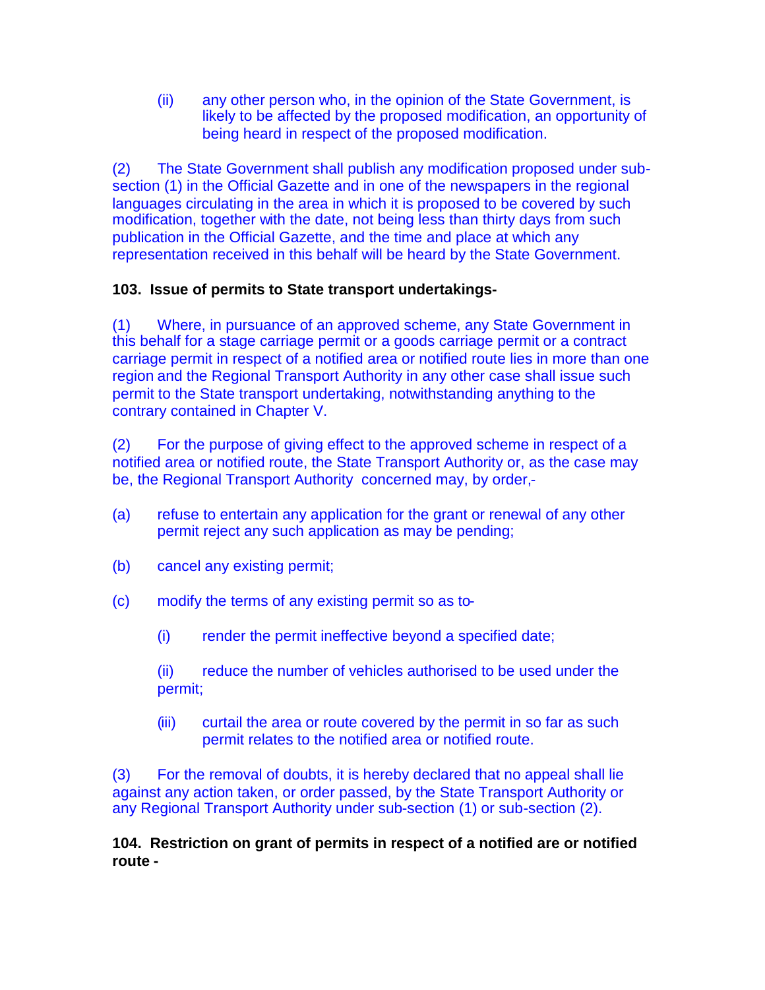(ii) any other person who, in the opinion of the State Government, is likely to be affected by the proposed modification, an opportunity of being heard in respect of the proposed modification.

(2) The State Government shall publish any modification proposed under subsection (1) in the Official Gazette and in one of the newspapers in the regional languages circulating in the area in which it is proposed to be covered by such modification, together with the date, not being less than thirty days from such publication in the Official Gazette, and the time and place at which any representation received in this behalf will be heard by the State Government.

## **103. Issue of permits to State transport undertakings-**

(1) Where, in pursuance of an approved scheme, any State Government in this behalf for a stage carriage permit or a goods carriage permit or a contract carriage permit in respect of a notified area or notified route lies in more than one region and the Regional Transport Authority in any other case shall issue such permit to the State transport undertaking, notwithstanding anything to the contrary contained in Chapter V.

(2) For the purpose of giving effect to the approved scheme in respect of a notified area or notified route, the State Transport Authority or, as the case may be, the Regional Transport Authority concerned may, by order,-

- (a) refuse to entertain any application for the grant or renewal of any other permit reject any such application as may be pending;
- (b) cancel any existing permit;
- (c) modify the terms of any existing permit so as to-
	- (i) render the permit ineffective beyond a specified date;

(ii) reduce the number of vehicles authorised to be used under the permit;

(iii) curtail the area or route covered by the permit in so far as such permit relates to the notified area or notified route.

(3) For the removal of doubts, it is hereby declared that no appeal shall lie against any action taken, or order passed, by the State Transport Authority or any Regional Transport Authority under sub-section (1) or sub-section (2).

**104. Restriction on grant of permits in respect of a notified are or notified route -**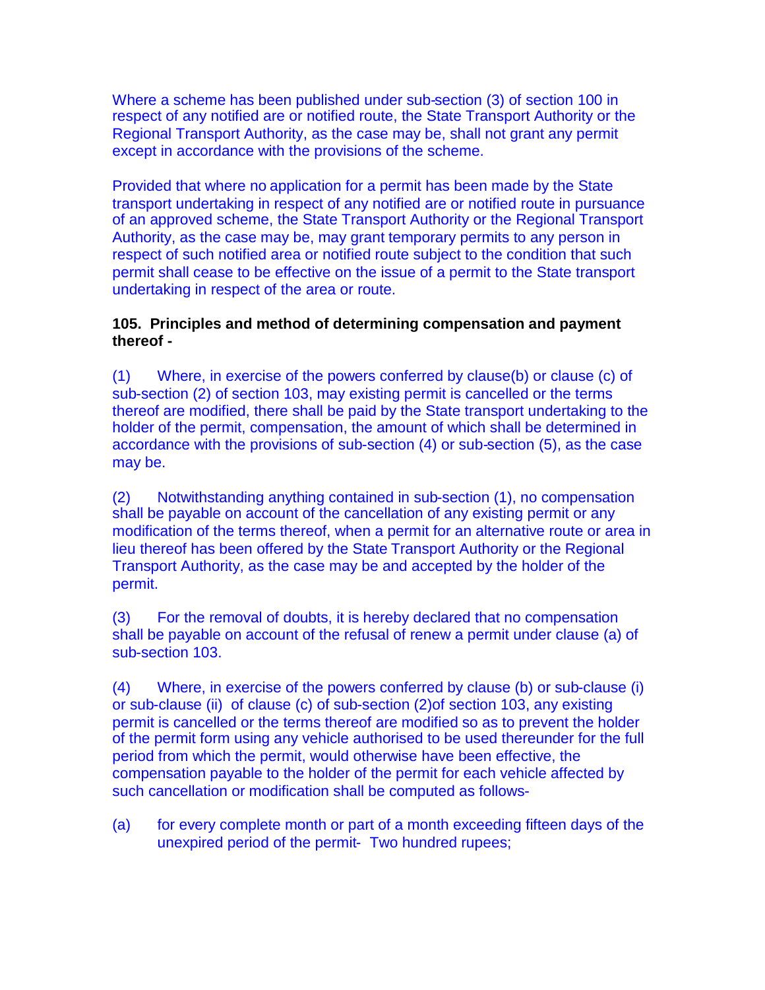Where a scheme has been published under sub-section (3) of section 100 in respect of any notified are or notified route, the State Transport Authority or the Regional Transport Authority, as the case may be, shall not grant any permit except in accordance with the provisions of the scheme.

Provided that where no application for a permit has been made by the State transport undertaking in respect of any notified are or notified route in pursuance of an approved scheme, the State Transport Authority or the Regional Transport Authority, as the case may be, may grant temporary permits to any person in respect of such notified area or notified route subject to the condition that such permit shall cease to be effective on the issue of a permit to the State transport undertaking in respect of the area or route.

### **105. Principles and method of determining compensation and payment thereof -**

(1) Where, in exercise of the powers conferred by clause(b) or clause (c) of sub-section (2) of section 103, may existing permit is cancelled or the terms thereof are modified, there shall be paid by the State transport undertaking to the holder of the permit, compensation, the amount of which shall be determined in accordance with the provisions of sub-section (4) or sub-section (5), as the case may be.

(2) Notwithstanding anything contained in sub-section (1), no compensation shall be payable on account of the cancellation of any existing permit or any modification of the terms thereof, when a permit for an alternative route or area in lieu thereof has been offered by the State Transport Authority or the Regional Transport Authority, as the case may be and accepted by the holder of the permit.

(3) For the removal of doubts, it is hereby declared that no compensation shall be payable on account of the refusal of renew a permit under clause (a) of sub-section 103.

(4) Where, in exercise of the powers conferred by clause (b) or sub-clause (i) or sub-clause (ii) of clause (c) of sub-section (2)of section 103, any existing permit is cancelled or the terms thereof are modified so as to prevent the holder of the permit form using any vehicle authorised to be used thereunder for the full period from which the permit, would otherwise have been effective, the compensation payable to the holder of the permit for each vehicle affected by such cancellation or modification shall be computed as follows-

(a) for every complete month or part of a month exceeding fifteen days of the unexpired period of the permit- Two hundred rupees;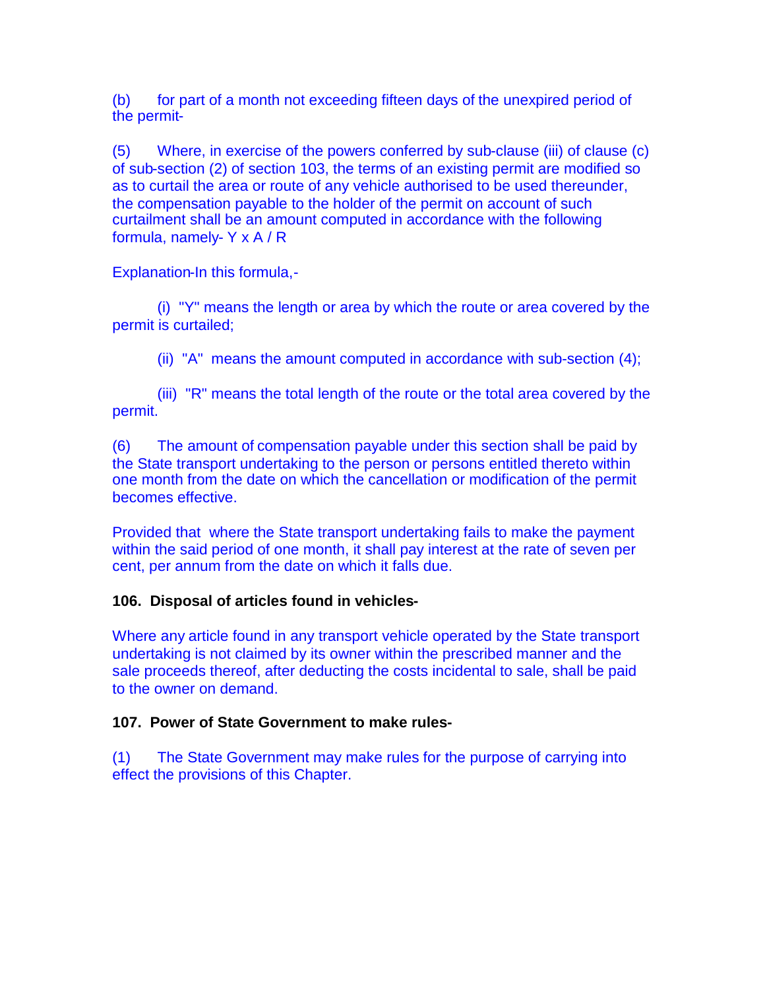(b) for part of a month not exceeding fifteen days of the unexpired period of the permit-

(5) Where, in exercise of the powers conferred by sub-clause (iii) of clause (c) of sub-section (2) of section 103, the terms of an existing permit are modified so as to curtail the area or route of any vehicle authorised to be used thereunder, the compensation payable to the holder of the permit on account of such curtailment shall be an amount computed in accordance with the following formula, namely- Y x A / R

Explanation-In this formula,-

(i) "Y" means the length or area by which the route or area covered by the permit is curtailed;

(ii) "A" means the amount computed in accordance with sub-section (4);

(iii) "R" means the total length of the route or the total area covered by the permit.

(6) The amount of compensation payable under this section shall be paid by the State transport undertaking to the person or persons entitled thereto within one month from the date on which the cancellation or modification of the permit becomes effective.

Provided that where the State transport undertaking fails to make the payment within the said period of one month, it shall pay interest at the rate of seven per cent, per annum from the date on which it falls due.

### **106. Disposal of articles found in vehicles-**

Where any article found in any transport vehicle operated by the State transport undertaking is not claimed by its owner within the prescribed manner and the sale proceeds thereof, after deducting the costs incidental to sale, shall be paid to the owner on demand.

### **107. Power of State Government to make rules-**

(1) The State Government may make rules for the purpose of carrying into effect the provisions of this Chapter.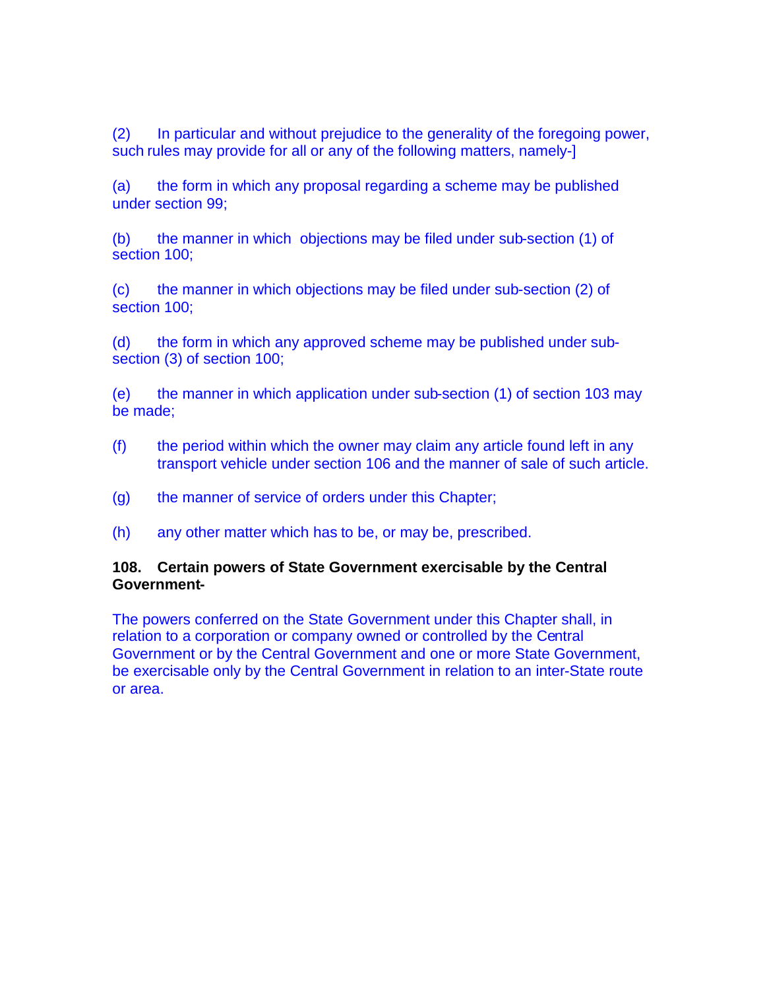(2) In particular and without prejudice to the generality of the foregoing power, such rules may provide for all or any of the following matters, namely-]

(a) the form in which any proposal regarding a scheme may be published under section 99;

(b) the manner in which objections may be filed under sub-section (1) of section 100;

(c) the manner in which objections may be filed under sub-section (2) of section 100;

(d) the form in which any approved scheme may be published under subsection (3) of section 100;

(e) the manner in which application under sub-section (1) of section 103 may be made;

- (f) the period within which the owner may claim any article found left in any transport vehicle under section 106 and the manner of sale of such article.
- (g) the manner of service of orders under this Chapter;
- (h) any other matter which has to be, or may be, prescribed.

### **108. Certain powers of State Government exercisable by the Central Government-**

The powers conferred on the State Government under this Chapter shall, in relation to a corporation or company owned or controlled by the Central Government or by the Central Government and one or more State Government, be exercisable only by the Central Government in relation to an inter-State route or area.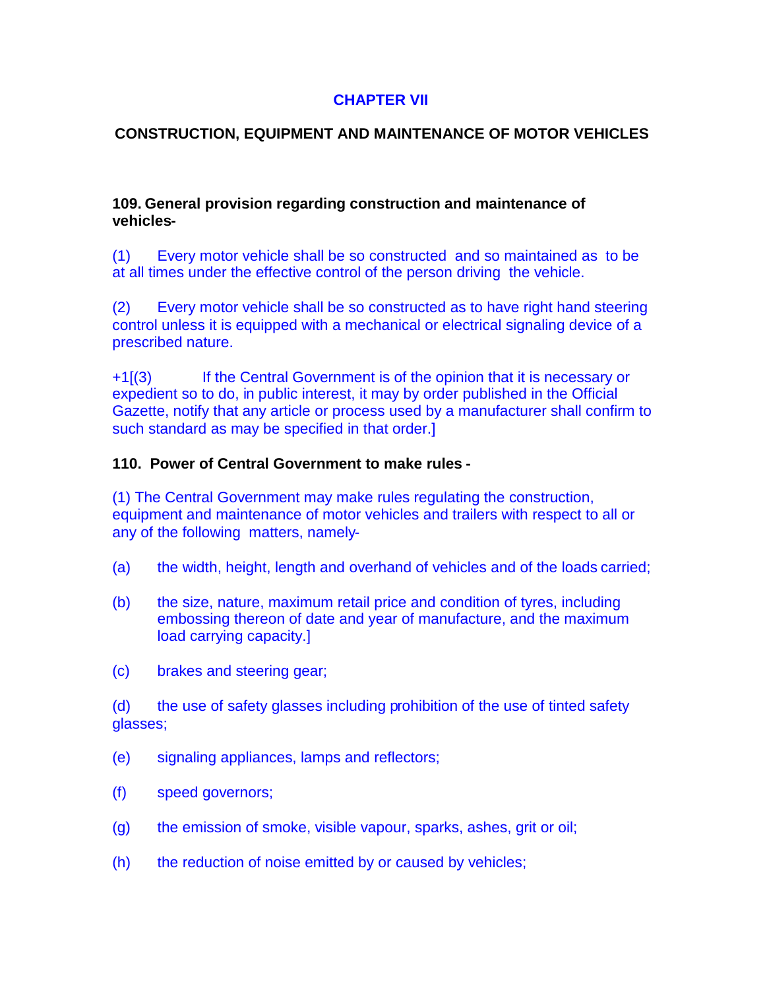## **CHAPTER VII**

## **CONSTRUCTION, EQUIPMENT AND MAINTENANCE OF MOTOR VEHICLES**

#### **109. General provision regarding construction and maintenance of vehicles-**

(1) Every motor vehicle shall be so constructed and so maintained as to be at all times under the effective control of the person driving the vehicle.

(2) Every motor vehicle shall be so constructed as to have right hand steering control unless it is equipped with a mechanical or electrical signaling device of a prescribed nature.

+1[(3) If the Central Government is of the opinion that it is necessary or expedient so to do, in public interest, it may by order published in the Official Gazette, notify that any article or process used by a manufacturer shall confirm to such standard as may be specified in that order.]

### **110. Power of Central Government to make rules -**

(1) The Central Government may make rules regulating the construction, equipment and maintenance of motor vehicles and trailers with respect to all or any of the following matters, namely-

- (a) the width, height, length and overhand of vehicles and of the loads carried;
- (b) the size, nature, maximum retail price and condition of tyres, including embossing thereon of date and year of manufacture, and the maximum load carrying capacity.]
- (c) brakes and steering gear;

(d) the use of safety glasses including prohibition of the use of tinted safety glasses;

- (e) signaling appliances, lamps and reflectors;
- (f) speed governors;
- (g) the emission of smoke, visible vapour, sparks, ashes, grit or oil;
- (h) the reduction of noise emitted by or caused by vehicles;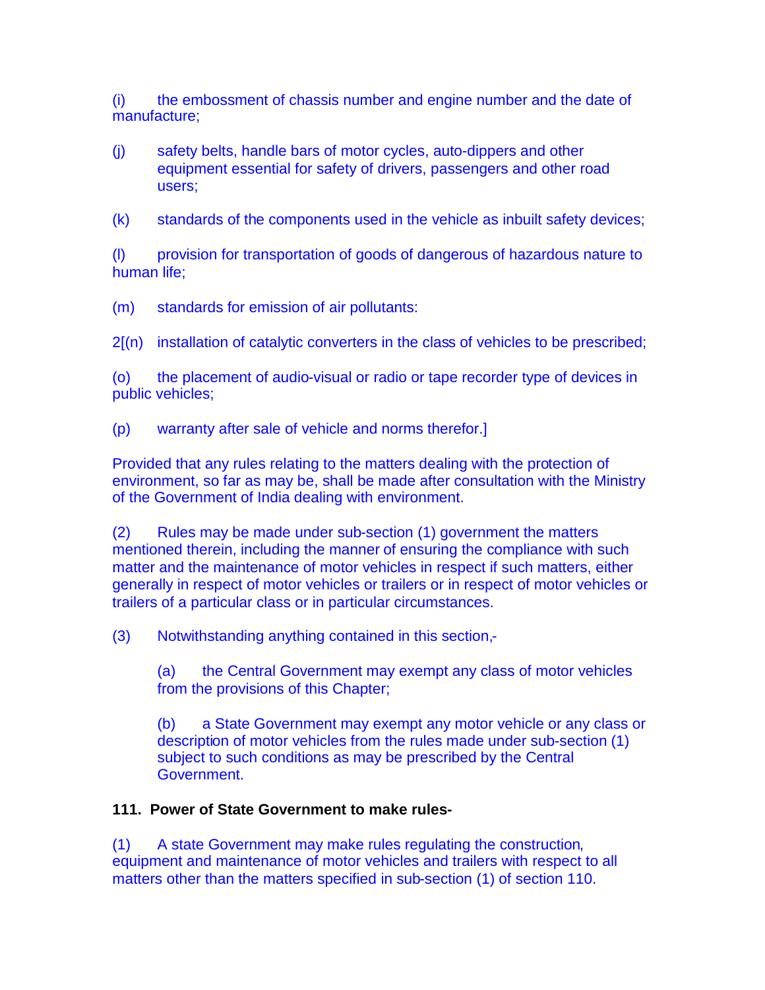(i) the embossment of chassis number and engine number and the date of manufacture;

(j) safety belts, handle bars of motor cycles, auto-dippers and other equipment essential for safety of drivers, passengers and other road users;

(k) standards of the components used in the vehicle as inbuilt safety devices;

(l) provision for transportation of goods of dangerous of hazardous nature to human life;

(m) standards for emission of air pollutants:

 $2(n)$  installation of catalytic converters in the class of vehicles to be prescribed;

(o) the placement of audio-visual or radio or tape recorder type of devices in public vehicles;

(p) warranty after sale of vehicle and norms therefor.]

Provided that any rules relating to the matters dealing with the protection of environment, so far as may be, shall be made after consultation with the Ministry of the Government of India dealing with environment.

(2) Rules may be made under sub-section (1) government the matters mentioned therein, including the manner of ensuring the compliance with such matter and the maintenance of motor vehicles in respect if such matters, either generally in respect of motor vehicles or trailers or in respect of motor vehicles or trailers of a particular class or in particular circumstances.

(3) Notwithstanding anything contained in this section,-

(a) the Central Government may exempt any class of motor vehicles from the provisions of this Chapter;

(b) a State Government may exempt any motor vehicle or any class or description of motor vehicles from the rules made under sub-section (1) subject to such conditions as may be prescribed by the Central Government.

# **111. Power of State Government to make rules-**

(1) A state Government may make rules regulating the construction, equipment and maintenance of motor vehicles and trailers with respect to all matters other than the matters specified in sub-section (1) of section 110.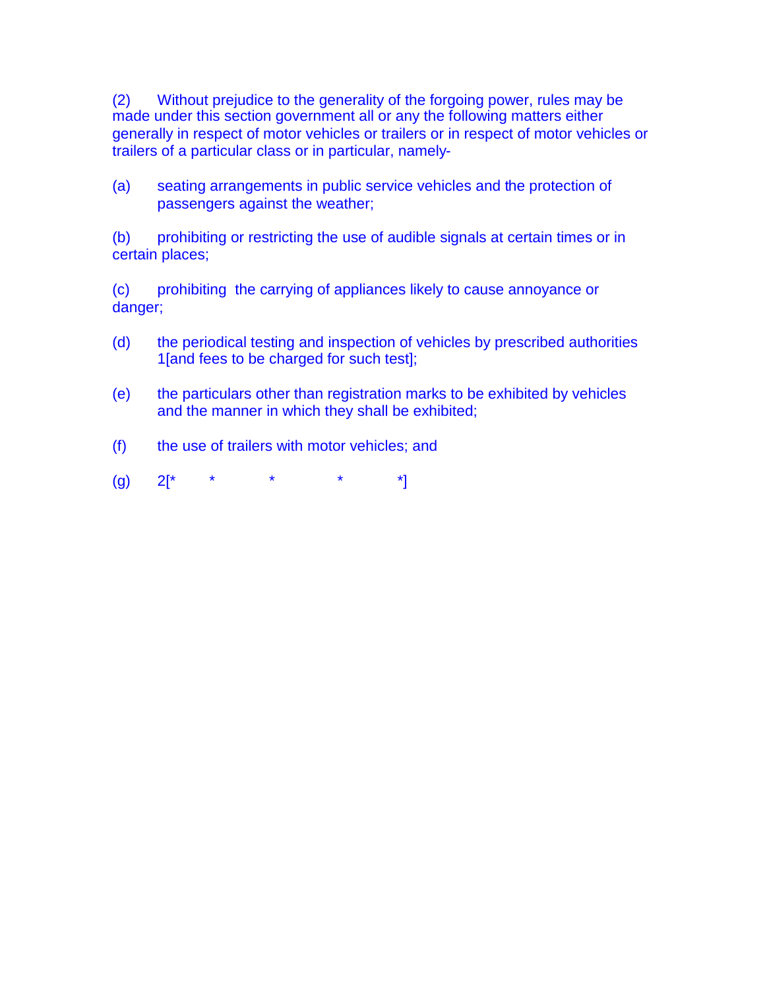(2) Without prejudice to the generality of the forgoing power, rules may be made under this section government all or any the following matters either generally in respect of motor vehicles or trailers or in respect of motor vehicles or trailers of a particular class or in particular, namely-

(a) seating arrangements in public service vehicles and the protection of passengers against the weather;

(b) prohibiting or restricting the use of audible signals at certain times or in certain places;

(c) prohibiting the carrying of appliances likely to cause annoyance or danger;

- (d) the periodical testing and inspection of vehicles by prescribed authorities 1[and fees to be charged for such test];
- (e) the particulars other than registration marks to be exhibited by vehicles and the manner in which they shall be exhibited;
- (f) the use of trailers with motor vehicles; and
- $(9)$  2[\* \* \* \* \*]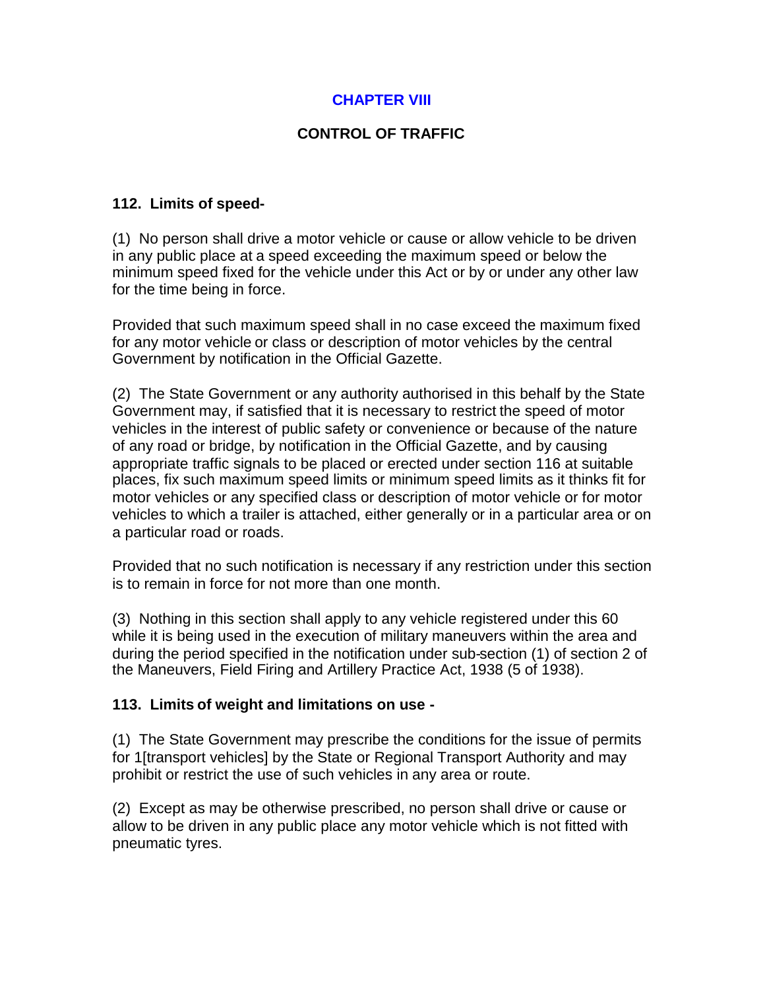# **CHAPTER VIII**

# **CONTROL OF TRAFFIC**

## **112. Limits of speed-**

(1) No person shall drive a motor vehicle or cause or allow vehicle to be driven in any public place at a speed exceeding the maximum speed or below the minimum speed fixed for the vehicle under this Act or by or under any other law for the time being in force.

Provided that such maximum speed shall in no case exceed the maximum fixed for any motor vehicle or class or description of motor vehicles by the central Government by notification in the Official Gazette.

(2) The State Government or any authority authorised in this behalf by the State Government may, if satisfied that it is necessary to restrict the speed of motor vehicles in the interest of public safety or convenience or because of the nature of any road or bridge, by notification in the Official Gazette, and by causing appropriate traffic signals to be placed or erected under section 116 at suitable places, fix such maximum speed limits or minimum speed limits as it thinks fit for motor vehicles or any specified class or description of motor vehicle or for motor vehicles to which a trailer is attached, either generally or in a particular area or on a particular road or roads.

Provided that no such notification is necessary if any restriction under this section is to remain in force for not more than one month.

(3) Nothing in this section shall apply to any vehicle registered under this 60 while it is being used in the execution of military maneuvers within the area and during the period specified in the notification under sub-section (1) of section 2 of the Maneuvers, Field Firing and Artillery Practice Act, 1938 (5 of 1938).

### **113. Limits of weight and limitations on use -**

(1) The State Government may prescribe the conditions for the issue of permits for 1[transport vehicles] by the State or Regional Transport Authority and may prohibit or restrict the use of such vehicles in any area or route.

(2) Except as may be otherwise prescribed, no person shall drive or cause or allow to be driven in any public place any motor vehicle which is not fitted with pneumatic tyres.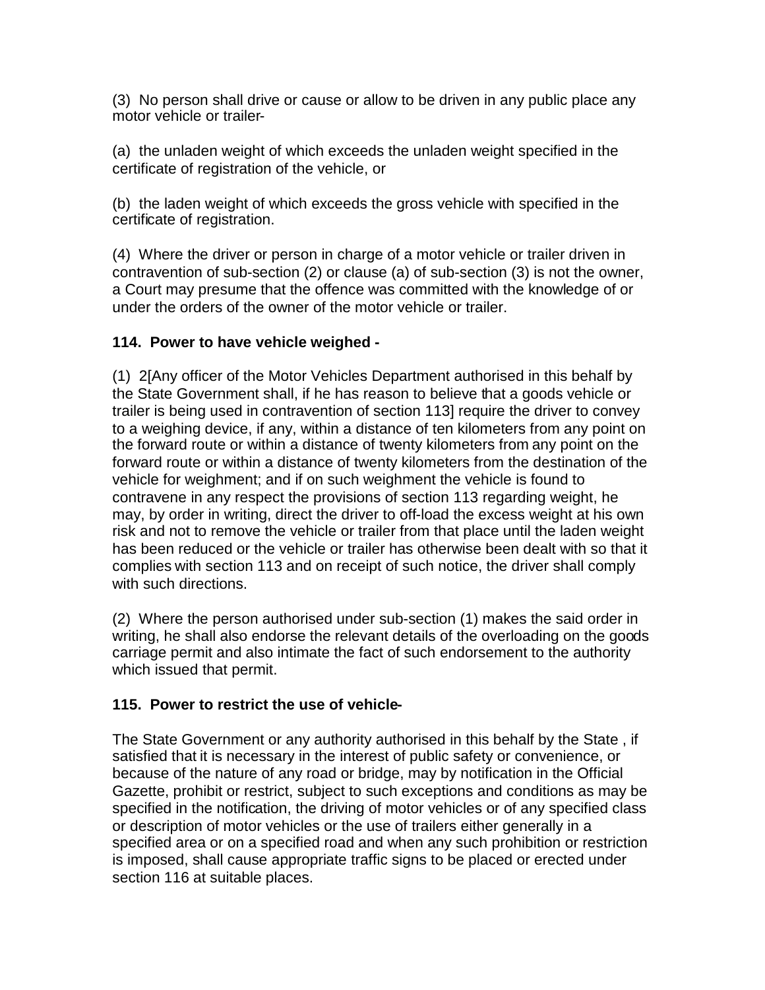(3) No person shall drive or cause or allow to be driven in any public place any motor vehicle or trailer-

(a) the unladen weight of which exceeds the unladen weight specified in the certificate of registration of the vehicle, or

(b) the laden weight of which exceeds the gross vehicle with specified in the certificate of registration.

(4) Where the driver or person in charge of a motor vehicle or trailer driven in contravention of sub-section (2) or clause (a) of sub-section (3) is not the owner, a Court may presume that the offence was committed with the knowledge of or under the orders of the owner of the motor vehicle or trailer.

# **114. Power to have vehicle weighed -**

(1) 2[Any officer of the Motor Vehicles Department authorised in this behalf by the State Government shall, if he has reason to believe that a goods vehicle or trailer is being used in contravention of section 113] require the driver to convey to a weighing device, if any, within a distance of ten kilometers from any point on the forward route or within a distance of twenty kilometers from any point on the forward route or within a distance of twenty kilometers from the destination of the vehicle for weighment; and if on such weighment the vehicle is found to contravene in any respect the provisions of section 113 regarding weight, he may, by order in writing, direct the driver to off-load the excess weight at his own risk and not to remove the vehicle or trailer from that place until the laden weight has been reduced or the vehicle or trailer has otherwise been dealt with so that it complies with section 113 and on receipt of such notice, the driver shall comply with such directions.

(2) Where the person authorised under sub-section (1) makes the said order in writing, he shall also endorse the relevant details of the overloading on the goods carriage permit and also intimate the fact of such endorsement to the authority which issued that permit.

# **115. Power to restrict the use of vehicle-**

The State Government or any authority authorised in this behalf by the State , if satisfied that it is necessary in the interest of public safety or convenience, or because of the nature of any road or bridge, may by notification in the Official Gazette, prohibit or restrict, subject to such exceptions and conditions as may be specified in the notification, the driving of motor vehicles or of any specified class or description of motor vehicles or the use of trailers either generally in a specified area or on a specified road and when any such prohibition or restriction is imposed, shall cause appropriate traffic signs to be placed or erected under section 116 at suitable places.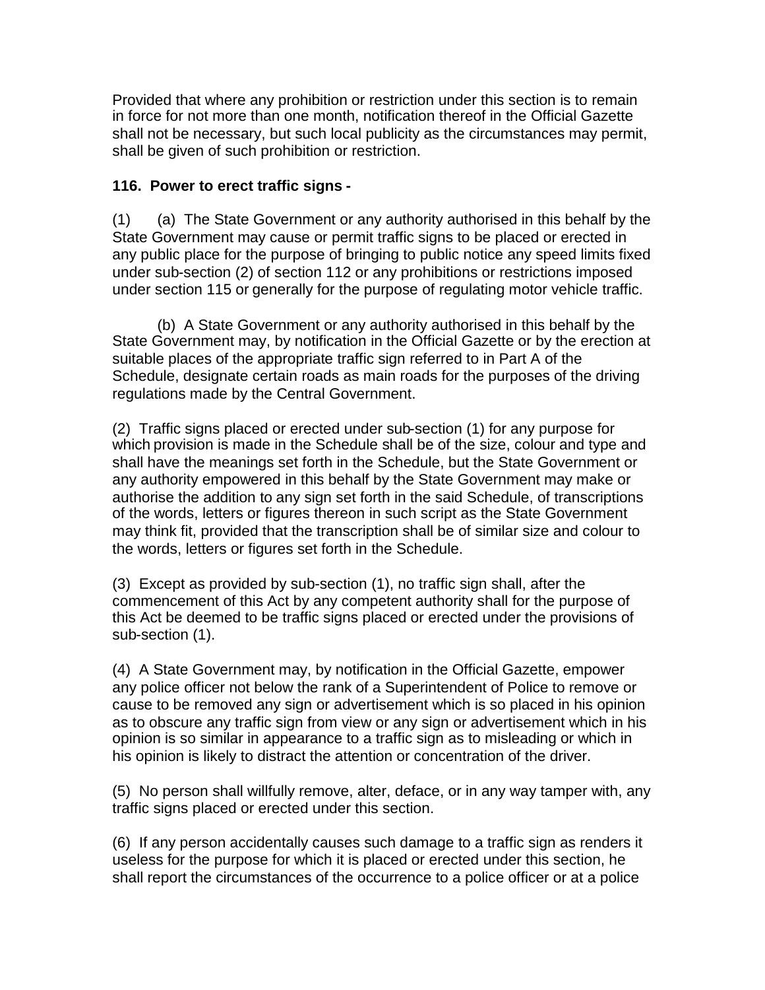Provided that where any prohibition or restriction under this section is to remain in force for not more than one month, notification thereof in the Official Gazette shall not be necessary, but such local publicity as the circumstances may permit, shall be given of such prohibition or restriction.

## **116. Power to erect traffic signs -**

(1) (a) The State Government or any authority authorised in this behalf by the State Government may cause or permit traffic signs to be placed or erected in any public place for the purpose of bringing to public notice any speed limits fixed under sub-section (2) of section 112 or any prohibitions or restrictions imposed under section 115 or generally for the purpose of regulating motor vehicle traffic.

(b) A State Government or any authority authorised in this behalf by the State Government may, by notification in the Official Gazette or by the erection at suitable places of the appropriate traffic sign referred to in Part A of the Schedule, designate certain roads as main roads for the purposes of the driving regulations made by the Central Government.

(2) Traffic signs placed or erected under sub-section (1) for any purpose for which provision is made in the Schedule shall be of the size, colour and type and shall have the meanings set forth in the Schedule, but the State Government or any authority empowered in this behalf by the State Government may make or authorise the addition to any sign set forth in the said Schedule, of transcriptions of the words, letters or figures thereon in such script as the State Government may think fit, provided that the transcription shall be of similar size and colour to the words, letters or figures set forth in the Schedule.

(3) Except as provided by sub-section (1), no traffic sign shall, after the commencement of this Act by any competent authority shall for the purpose of this Act be deemed to be traffic signs placed or erected under the provisions of sub-section (1).

(4) A State Government may, by notification in the Official Gazette, empower any police officer not below the rank of a Superintendent of Police to remove or cause to be removed any sign or advertisement which is so placed in his opinion as to obscure any traffic sign from view or any sign or advertisement which in his opinion is so similar in appearance to a traffic sign as to misleading or which in his opinion is likely to distract the attention or concentration of the driver.

(5) No person shall willfully remove, alter, deface, or in any way tamper with, any traffic signs placed or erected under this section.

(6) If any person accidentally causes such damage to a traffic sign as renders it useless for the purpose for which it is placed or erected under this section, he shall report the circumstances of the occurrence to a police officer or at a police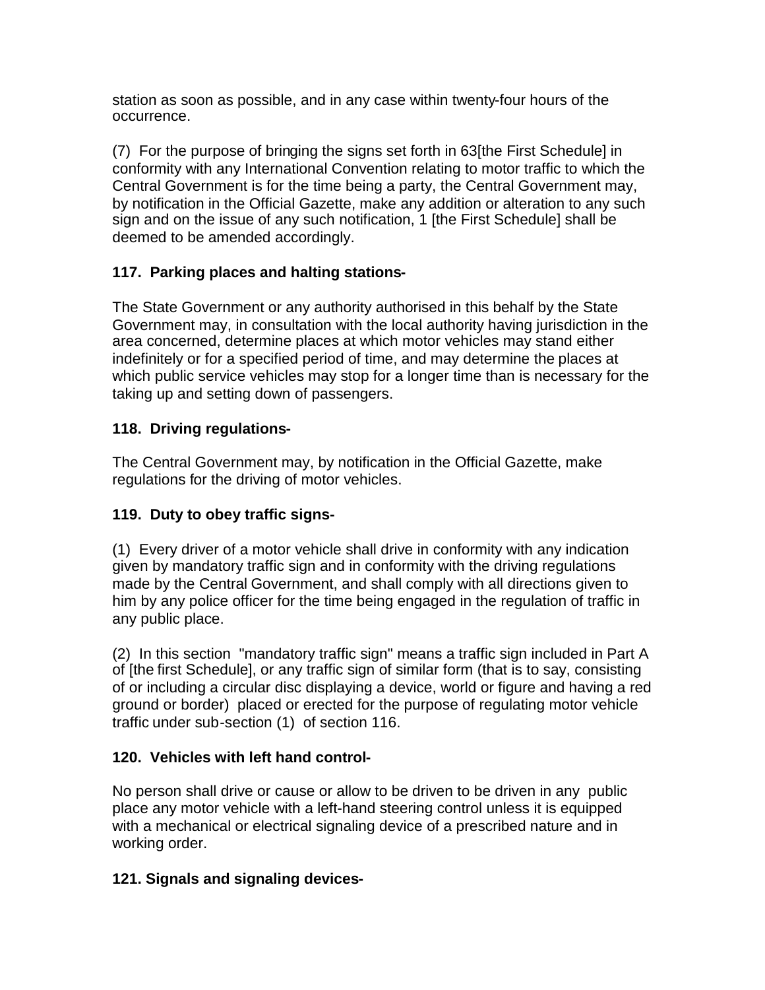station as soon as possible, and in any case within twenty-four hours of the occurrence.

(7) For the purpose of bringing the signs set forth in 63[the First Schedule] in conformity with any International Convention relating to motor traffic to which the Central Government is for the time being a party, the Central Government may, by notification in the Official Gazette, make any addition or alteration to any such sign and on the issue of any such notification, 1 [the First Schedule] shall be deemed to be amended accordingly.

# **117. Parking places and halting stations-**

The State Government or any authority authorised in this behalf by the State Government may, in consultation with the local authority having jurisdiction in the area concerned, determine places at which motor vehicles may stand either indefinitely or for a specified period of time, and may determine the places at which public service vehicles may stop for a longer time than is necessary for the taking up and setting down of passengers.

# **118. Driving regulations-**

The Central Government may, by notification in the Official Gazette, make regulations for the driving of motor vehicles.

# **119. Duty to obey traffic signs-**

(1) Every driver of a motor vehicle shall drive in conformity with any indication given by mandatory traffic sign and in conformity with the driving regulations made by the Central Government, and shall comply with all directions given to him by any police officer for the time being engaged in the regulation of traffic in any public place.

(2) In this section "mandatory traffic sign" means a traffic sign included in Part A of [the first Schedule], or any traffic sign of similar form (that is to say, consisting of or including a circular disc displaying a device, world or figure and having a red ground or border) placed or erected for the purpose of regulating motor vehicle traffic under sub-section (1) of section 116.

# **120. Vehicles with left hand control-**

No person shall drive or cause or allow to be driven to be driven in any public place any motor vehicle with a left-hand steering control unless it is equipped with a mechanical or electrical signaling device of a prescribed nature and in working order.

# **121. Signals and signaling devices-**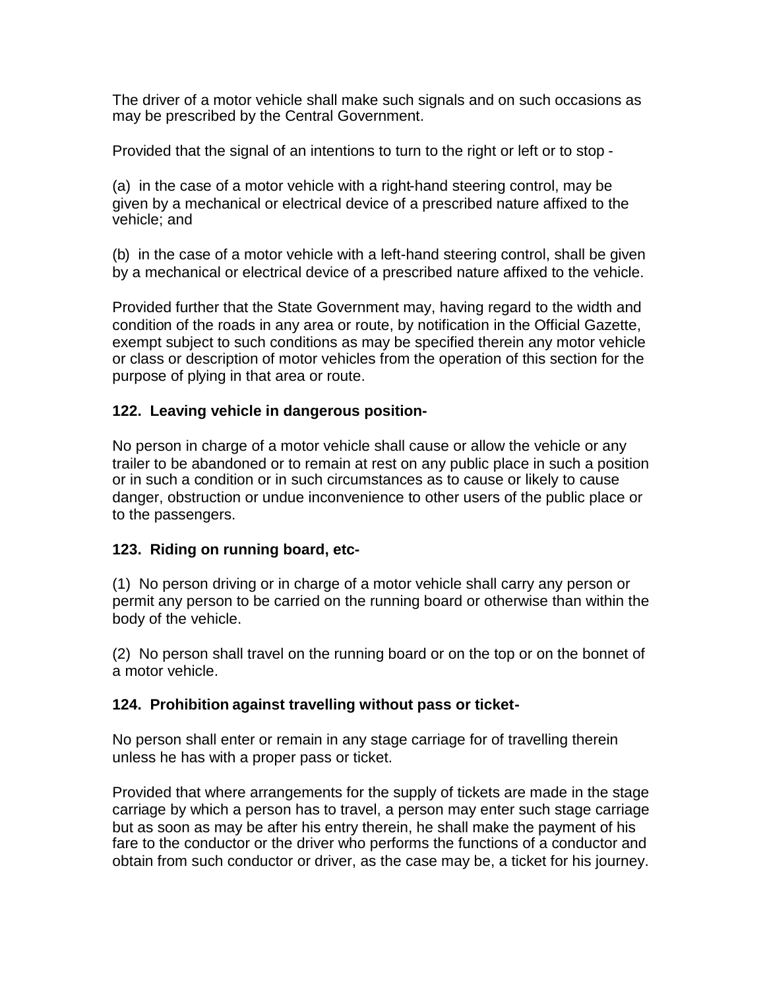The driver of a motor vehicle shall make such signals and on such occasions as may be prescribed by the Central Government.

Provided that the signal of an intentions to turn to the right or left or to stop -

(a) in the case of a motor vehicle with a right-hand steering control, may be given by a mechanical or electrical device of a prescribed nature affixed to the vehicle; and

(b) in the case of a motor vehicle with a left-hand steering control, shall be given by a mechanical or electrical device of a prescribed nature affixed to the vehicle.

Provided further that the State Government may, having regard to the width and condition of the roads in any area or route, by notification in the Official Gazette, exempt subject to such conditions as may be specified therein any motor vehicle or class or description of motor vehicles from the operation of this section for the purpose of plying in that area or route.

# **122. Leaving vehicle in dangerous position-**

No person in charge of a motor vehicle shall cause or allow the vehicle or any trailer to be abandoned or to remain at rest on any public place in such a position or in such a condition or in such circumstances as to cause or likely to cause danger, obstruction or undue inconvenience to other users of the public place or to the passengers.

## **123. Riding on running board, etc-**

(1) No person driving or in charge of a motor vehicle shall carry any person or permit any person to be carried on the running board or otherwise than within the body of the vehicle.

(2) No person shall travel on the running board or on the top or on the bonnet of a motor vehicle.

## **124. Prohibition against travelling without pass or ticket-**

No person shall enter or remain in any stage carriage for of travelling therein unless he has with a proper pass or ticket.

Provided that where arrangements for the supply of tickets are made in the stage carriage by which a person has to travel, a person may enter such stage carriage but as soon as may be after his entry therein, he shall make the payment of his fare to the conductor or the driver who performs the functions of a conductor and obtain from such conductor or driver, as the case may be, a ticket for his journey.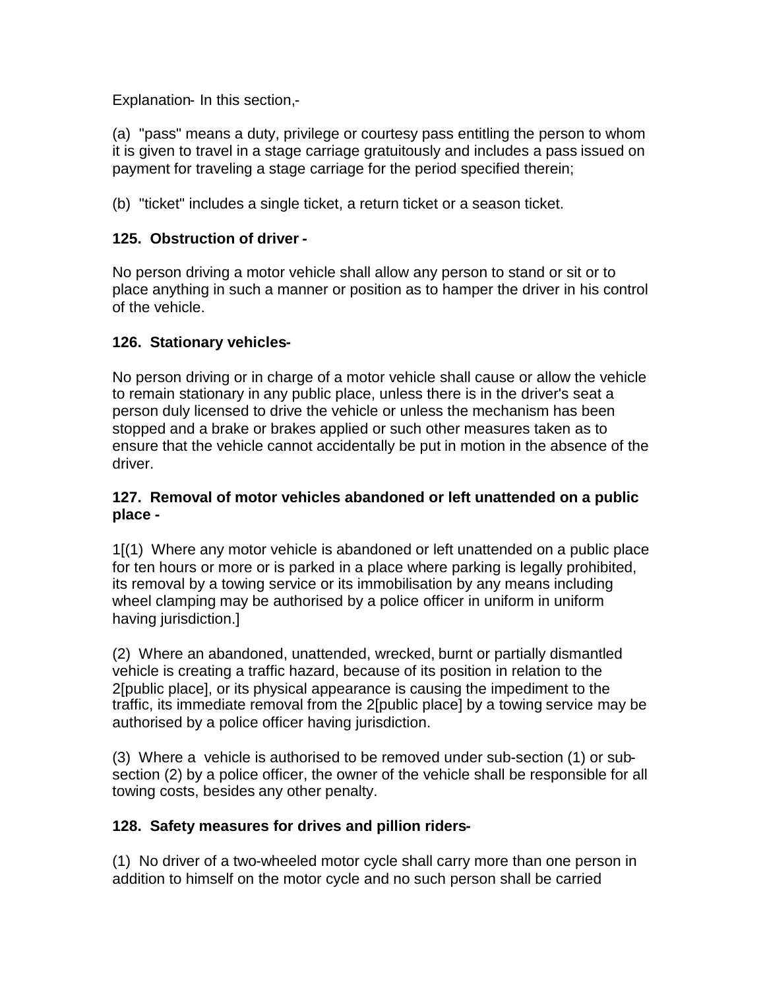Explanation- In this section,-

(a) "pass" means a duty, privilege or courtesy pass entitling the person to whom it is given to travel in a stage carriage gratuitously and includes a pass issued on payment for traveling a stage carriage for the period specified therein;

(b) "ticket" includes a single ticket, a return ticket or a season ticket.

# **125. Obstruction of driver -**

No person driving a motor vehicle shall allow any person to stand or sit or to place anything in such a manner or position as to hamper the driver in his control of the vehicle.

## **126. Stationary vehicles-**

No person driving or in charge of a motor vehicle shall cause or allow the vehicle to remain stationary in any public place, unless there is in the driver's seat a person duly licensed to drive the vehicle or unless the mechanism has been stopped and a brake or brakes applied or such other measures taken as to ensure that the vehicle cannot accidentally be put in motion in the absence of the driver.

## **127. Removal of motor vehicles abandoned or left unattended on a public place -**

1[(1) Where any motor vehicle is abandoned or left unattended on a public place for ten hours or more or is parked in a place where parking is legally prohibited, its removal by a towing service or its immobilisation by any means including wheel clamping may be authorised by a police officer in uniform in uniform having jurisdiction.]

(2) Where an abandoned, unattended, wrecked, burnt or partially dismantled vehicle is creating a traffic hazard, because of its position in relation to the 2[public place], or its physical appearance is causing the impediment to the traffic, its immediate removal from the 2[public place] by a towing service may be authorised by a police officer having jurisdiction.

(3) Where a vehicle is authorised to be removed under sub-section (1) or subsection (2) by a police officer, the owner of the vehicle shall be responsible for all towing costs, besides any other penalty.

## **128. Safety measures for drives and pillion riders-**

(1) No driver of a two-wheeled motor cycle shall carry more than one person in addition to himself on the motor cycle and no such person shall be carried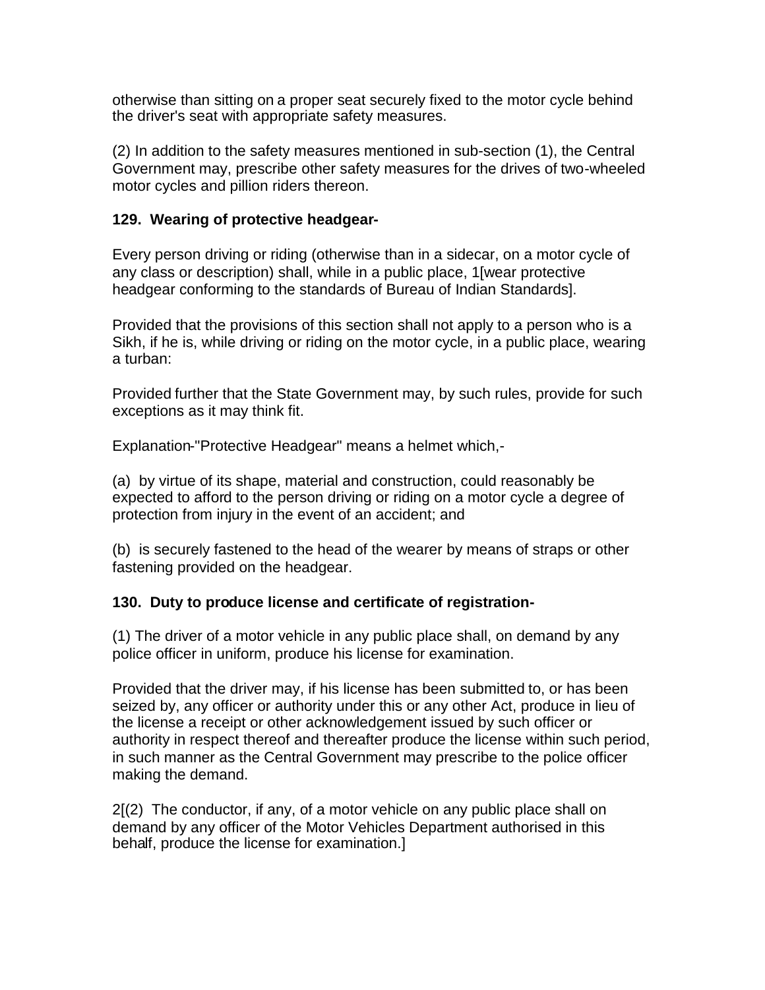otherwise than sitting on a proper seat securely fixed to the motor cycle behind the driver's seat with appropriate safety measures.

(2) In addition to the safety measures mentioned in sub-section (1), the Central Government may, prescribe other safety measures for the drives of two-wheeled motor cycles and pillion riders thereon.

## **129. Wearing of protective headgear-**

Every person driving or riding (otherwise than in a sidecar, on a motor cycle of any class or description) shall, while in a public place, 1[wear protective headgear conforming to the standards of Bureau of Indian Standards].

Provided that the provisions of this section shall not apply to a person who is a Sikh, if he is, while driving or riding on the motor cycle, in a public place, wearing a turban:

Provided further that the State Government may, by such rules, provide for such exceptions as it may think fit.

Explanation-"Protective Headgear" means a helmet which,-

(a) by virtue of its shape, material and construction, could reasonably be expected to afford to the person driving or riding on a motor cycle a degree of protection from injury in the event of an accident; and

(b) is securely fastened to the head of the wearer by means of straps or other fastening provided on the headgear.

# **130. Duty to produce license and certificate of registration-**

(1) The driver of a motor vehicle in any public place shall, on demand by any police officer in uniform, produce his license for examination.

Provided that the driver may, if his license has been submitted to, or has been seized by, any officer or authority under this or any other Act, produce in lieu of the license a receipt or other acknowledgement issued by such officer or authority in respect thereof and thereafter produce the license within such period, in such manner as the Central Government may prescribe to the police officer making the demand.

2[(2) The conductor, if any, of a motor vehicle on any public place shall on demand by any officer of the Motor Vehicles Department authorised in this behalf, produce the license for examination.]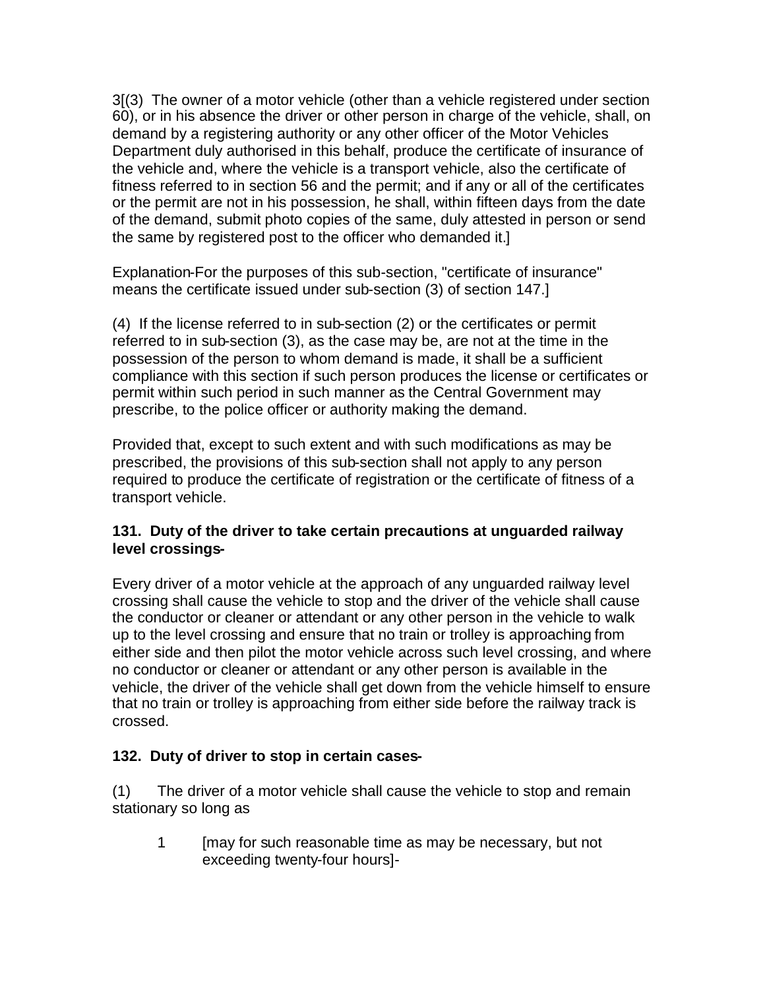3[(3) The owner of a motor vehicle (other than a vehicle registered under section 60), or in his absence the driver or other person in charge of the vehicle, shall, on demand by a registering authority or any other officer of the Motor Vehicles Department duly authorised in this behalf, produce the certificate of insurance of the vehicle and, where the vehicle is a transport vehicle, also the certificate of fitness referred to in section 56 and the permit; and if any or all of the certificates or the permit are not in his possession, he shall, within fifteen days from the date of the demand, submit photo copies of the same, duly attested in person or send the same by registered post to the officer who demanded it.]

Explanation-For the purposes of this sub-section, "certificate of insurance" means the certificate issued under sub-section (3) of section 147.]

(4) If the license referred to in sub-section (2) or the certificates or permit referred to in sub-section (3), as the case may be, are not at the time in the possession of the person to whom demand is made, it shall be a sufficient compliance with this section if such person produces the license or certificates or permit within such period in such manner as the Central Government may prescribe, to the police officer or authority making the demand.

Provided that, except to such extent and with such modifications as may be prescribed, the provisions of this sub-section shall not apply to any person required to produce the certificate of registration or the certificate of fitness of a transport vehicle.

# **131. Duty of the driver to take certain precautions at unguarded railway level crossings-**

Every driver of a motor vehicle at the approach of any unguarded railway level crossing shall cause the vehicle to stop and the driver of the vehicle shall cause the conductor or cleaner or attendant or any other person in the vehicle to walk up to the level crossing and ensure that no train or trolley is approaching from either side and then pilot the motor vehicle across such level crossing, and where no conductor or cleaner or attendant or any other person is available in the vehicle, the driver of the vehicle shall get down from the vehicle himself to ensure that no train or trolley is approaching from either side before the railway track is crossed.

# **132. Duty of driver to stop in certain cases-**

(1) The driver of a motor vehicle shall cause the vehicle to stop and remain stationary so long as

1 [may for such reasonable time as may be necessary, but not exceeding twenty-four hours]-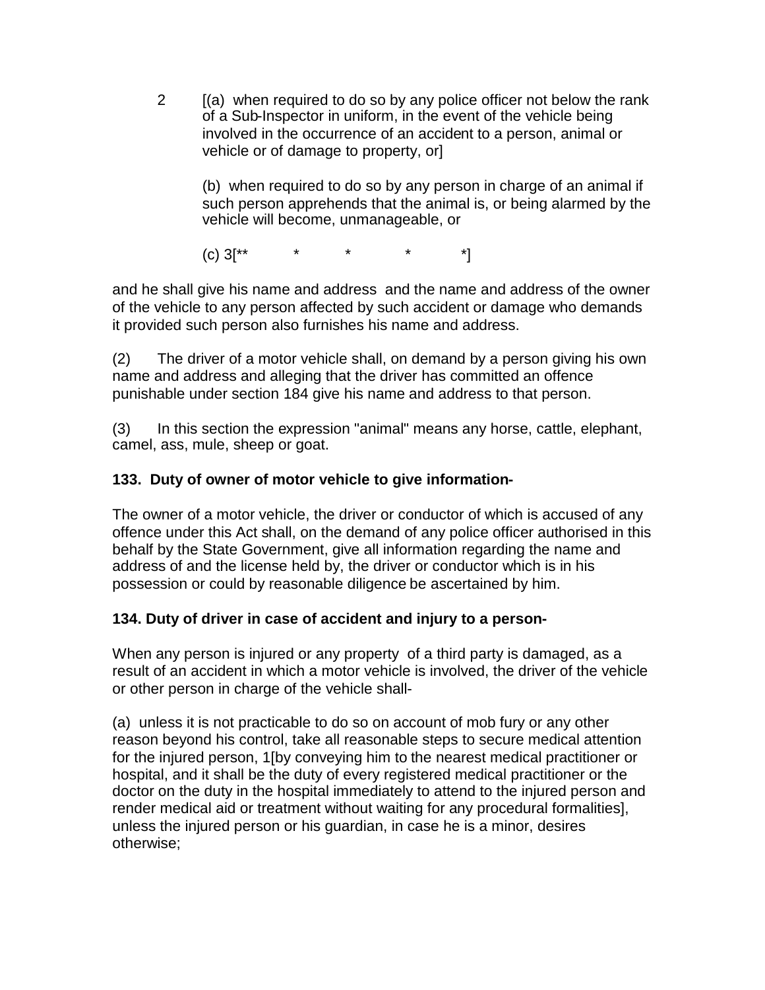2 [(a) when required to do so by any police officer not below the rank of a Sub-Inspector in uniform, in the event of the vehicle being involved in the occurrence of an accident to a person, animal or vehicle or of damage to property, or]

(b) when required to do so by any person in charge of an animal if such person apprehends that the animal is, or being alarmed by the vehicle will become, unmanageable, or

 $(c) 3^{**}$  \* \* \* \* \*]

and he shall give his name and address and the name and address of the owner of the vehicle to any person affected by such accident or damage who demands it provided such person also furnishes his name and address.

(2) The driver of a motor vehicle shall, on demand by a person giving his own name and address and alleging that the driver has committed an offence punishable under section 184 give his name and address to that person.

(3) In this section the expression "animal" means any horse, cattle, elephant, camel, ass, mule, sheep or goat.

# **133. Duty of owner of motor vehicle to give information-**

The owner of a motor vehicle, the driver or conductor of which is accused of any offence under this Act shall, on the demand of any police officer authorised in this behalf by the State Government, give all information regarding the name and address of and the license held by, the driver or conductor which is in his possession or could by reasonable diligence be ascertained by him.

# **134. Duty of driver in case of accident and injury to a person-**

When any person is injured or any property of a third party is damaged, as a result of an accident in which a motor vehicle is involved, the driver of the vehicle or other person in charge of the vehicle shall-

(a) unless it is not practicable to do so on account of mob fury or any other reason beyond his control, take all reasonable steps to secure medical attention for the injured person, 1[by conveying him to the nearest medical practitioner or hospital, and it shall be the duty of every registered medical practitioner or the doctor on the duty in the hospital immediately to attend to the injured person and render medical aid or treatment without waiting for any procedural formalities], unless the injured person or his guardian, in case he is a minor, desires otherwise;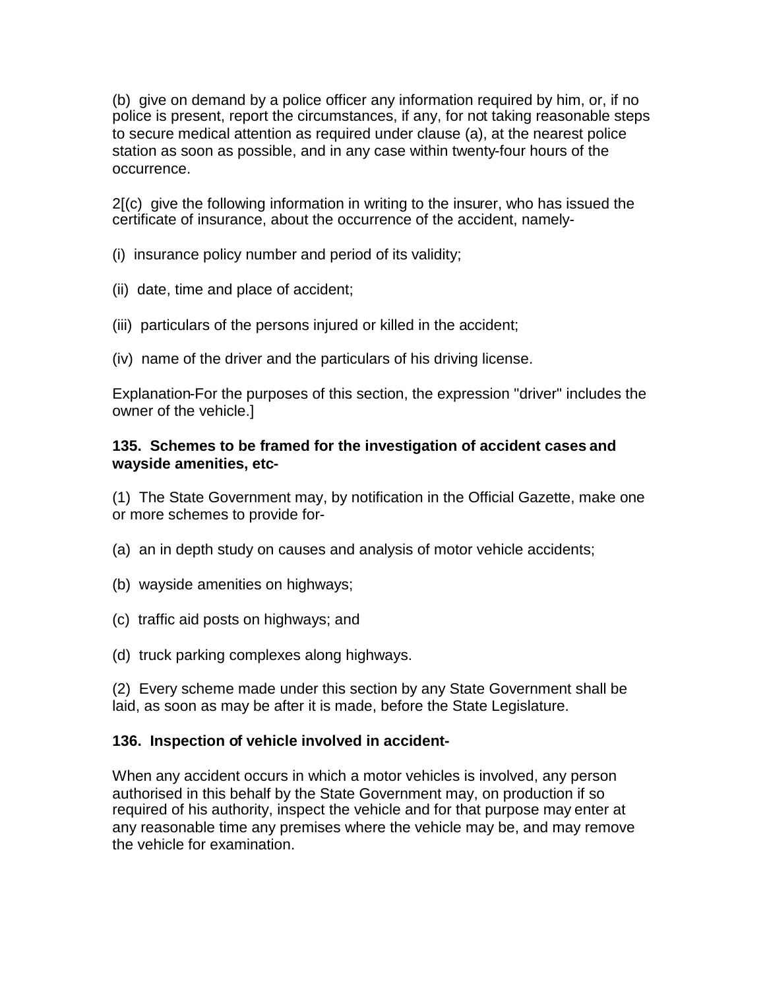(b) give on demand by a police officer any information required by him, or, if no police is present, report the circumstances, if any, for not taking reasonable steps to secure medical attention as required under clause (a), at the nearest police station as soon as possible, and in any case within twenty-four hours of the occurrence.

2[(c) give the following information in writing to the insurer, who has issued the certificate of insurance, about the occurrence of the accident, namely-

(i) insurance policy number and period of its validity;

- (ii) date, time and place of accident;
- (iii) particulars of the persons injured or killed in the accident;
- (iv) name of the driver and the particulars of his driving license.

Explanation-For the purposes of this section, the expression "driver" includes the owner of the vehicle.]

## **135. Schemes to be framed for the investigation of accident cases and wayside amenities, etc-**

(1) The State Government may, by notification in the Official Gazette, make one or more schemes to provide for-

- (a) an in depth study on causes and analysis of motor vehicle accidents;
- (b) wayside amenities on highways;
- (c) traffic aid posts on highways; and
- (d) truck parking complexes along highways.

(2) Every scheme made under this section by any State Government shall be laid, as soon as may be after it is made, before the State Legislature.

## **136. Inspection of vehicle involved in accident-**

When any accident occurs in which a motor vehicles is involved, any person authorised in this behalf by the State Government may, on production if so required of his authority, inspect the vehicle and for that purpose may enter at any reasonable time any premises where the vehicle may be, and may remove the vehicle for examination.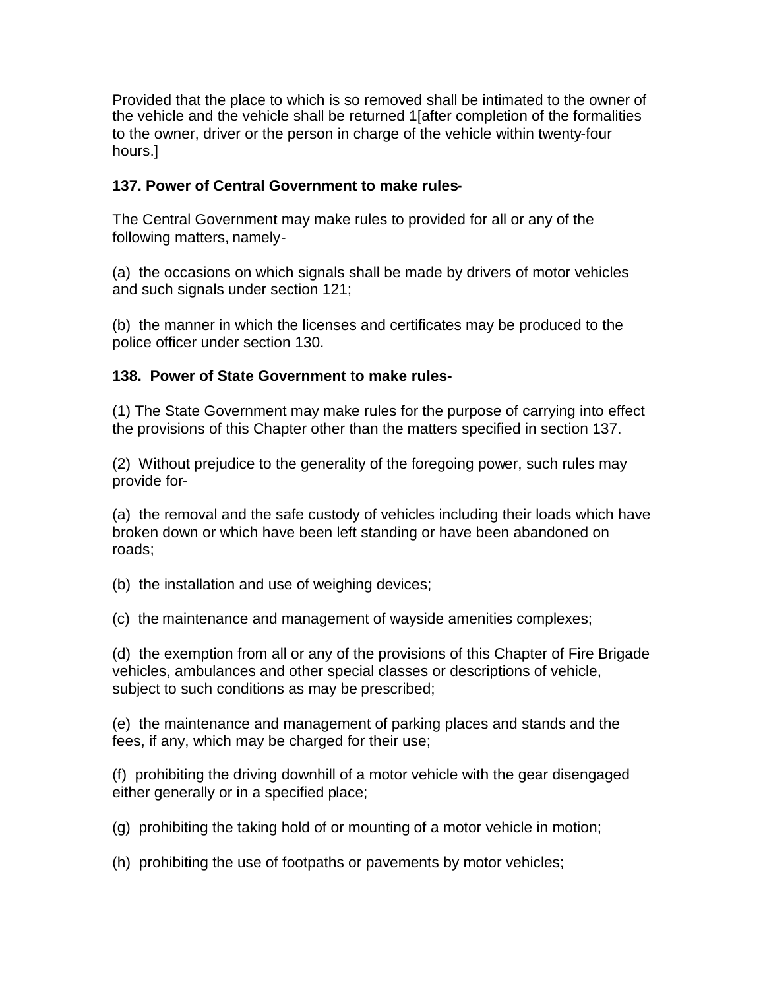Provided that the place to which is so removed shall be intimated to the owner of the vehicle and the vehicle shall be returned 1[after completion of the formalities to the owner, driver or the person in charge of the vehicle within twenty-four hours.]

## **137. Power of Central Government to make rules-**

The Central Government may make rules to provided for all or any of the following matters, namely-

(a) the occasions on which signals shall be made by drivers of motor vehicles and such signals under section 121;

(b) the manner in which the licenses and certificates may be produced to the police officer under section 130.

## **138. Power of State Government to make rules-**

(1) The State Government may make rules for the purpose of carrying into effect the provisions of this Chapter other than the matters specified in section 137.

(2) Without prejudice to the generality of the foregoing power, such rules may provide for-

(a) the removal and the safe custody of vehicles including their loads which have broken down or which have been left standing or have been abandoned on roads;

(b) the installation and use of weighing devices;

(c) the maintenance and management of wayside amenities complexes;

(d) the exemption from all or any of the provisions of this Chapter of Fire Brigade vehicles, ambulances and other special classes or descriptions of vehicle, subject to such conditions as may be prescribed;

(e) the maintenance and management of parking places and stands and the fees, if any, which may be charged for their use;

(f) prohibiting the driving downhill of a motor vehicle with the gear disengaged either generally or in a specified place;

(g) prohibiting the taking hold of or mounting of a motor vehicle in motion;

(h) prohibiting the use of footpaths or pavements by motor vehicles;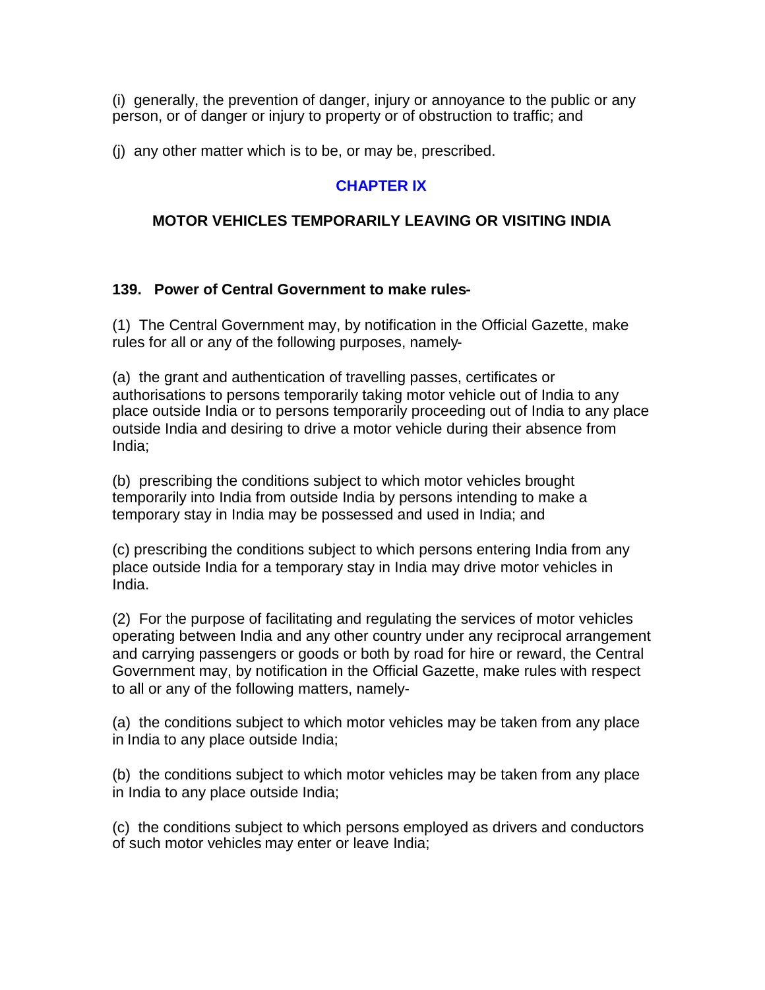(i) generally, the prevention of danger, injury or annoyance to the public or any person, or of danger or injury to property or of obstruction to traffic; and

(j) any other matter which is to be, or may be, prescribed.

## **CHAPTER IX**

## **MOTOR VEHICLES TEMPORARILY LEAVING OR VISITING INDIA**

### **139. Power of Central Government to make rules-**

(1) The Central Government may, by notification in the Official Gazette, make rules for all or any of the following purposes, namely-

(a) the grant and authentication of travelling passes, certificates or authorisations to persons temporarily taking motor vehicle out of India to any place outside India or to persons temporarily proceeding out of India to any place outside India and desiring to drive a motor vehicle during their absence from India;

(b) prescribing the conditions subject to which motor vehicles brought temporarily into India from outside India by persons intending to make a temporary stay in India may be possessed and used in India; and

(c) prescribing the conditions subject to which persons entering India from any place outside India for a temporary stay in India may drive motor vehicles in India.

(2) For the purpose of facilitating and regulating the services of motor vehicles operating between India and any other country under any reciprocal arrangement and carrying passengers or goods or both by road for hire or reward, the Central Government may, by notification in the Official Gazette, make rules with respect to all or any of the following matters, namely-

(a) the conditions subject to which motor vehicles may be taken from any place in India to any place outside India;

(b) the conditions subject to which motor vehicles may be taken from any place in India to any place outside India;

(c) the conditions subject to which persons employed as drivers and conductors of such motor vehicles may enter or leave India;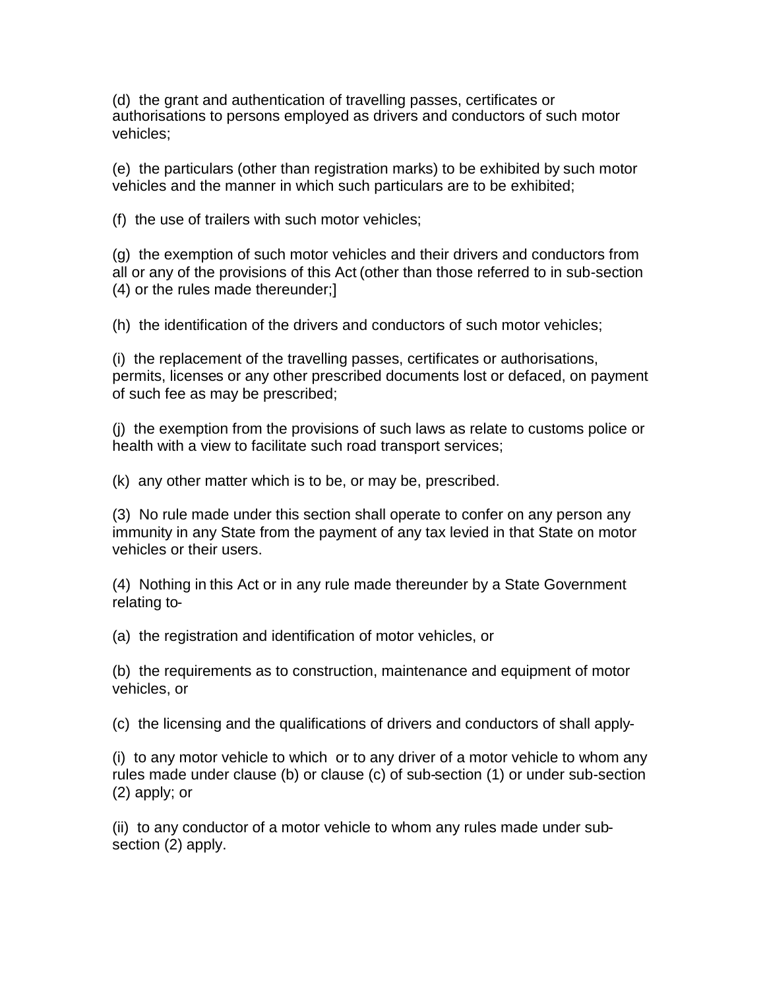(d) the grant and authentication of travelling passes, certificates or authorisations to persons employed as drivers and conductors of such motor vehicles;

(e) the particulars (other than registration marks) to be exhibited by such motor vehicles and the manner in which such particulars are to be exhibited;

(f) the use of trailers with such motor vehicles;

(g) the exemption of such motor vehicles and their drivers and conductors from all or any of the provisions of this Act (other than those referred to in sub-section (4) or the rules made thereunder;]

(h) the identification of the drivers and conductors of such motor vehicles;

(i) the replacement of the travelling passes, certificates or authorisations, permits, licenses or any other prescribed documents lost or defaced, on payment of such fee as may be prescribed;

(j) the exemption from the provisions of such laws as relate to customs police or health with a view to facilitate such road transport services;

(k) any other matter which is to be, or may be, prescribed.

(3) No rule made under this section shall operate to confer on any person any immunity in any State from the payment of any tax levied in that State on motor vehicles or their users.

(4) Nothing in this Act or in any rule made thereunder by a State Government relating to-

(a) the registration and identification of motor vehicles, or

(b) the requirements as to construction, maintenance and equipment of motor vehicles, or

(c) the licensing and the qualifications of drivers and conductors of shall apply-

(i) to any motor vehicle to which or to any driver of a motor vehicle to whom any rules made under clause (b) or clause (c) of sub-section (1) or under sub-section (2) apply; or

(ii) to any conductor of a motor vehicle to whom any rules made under subsection (2) apply.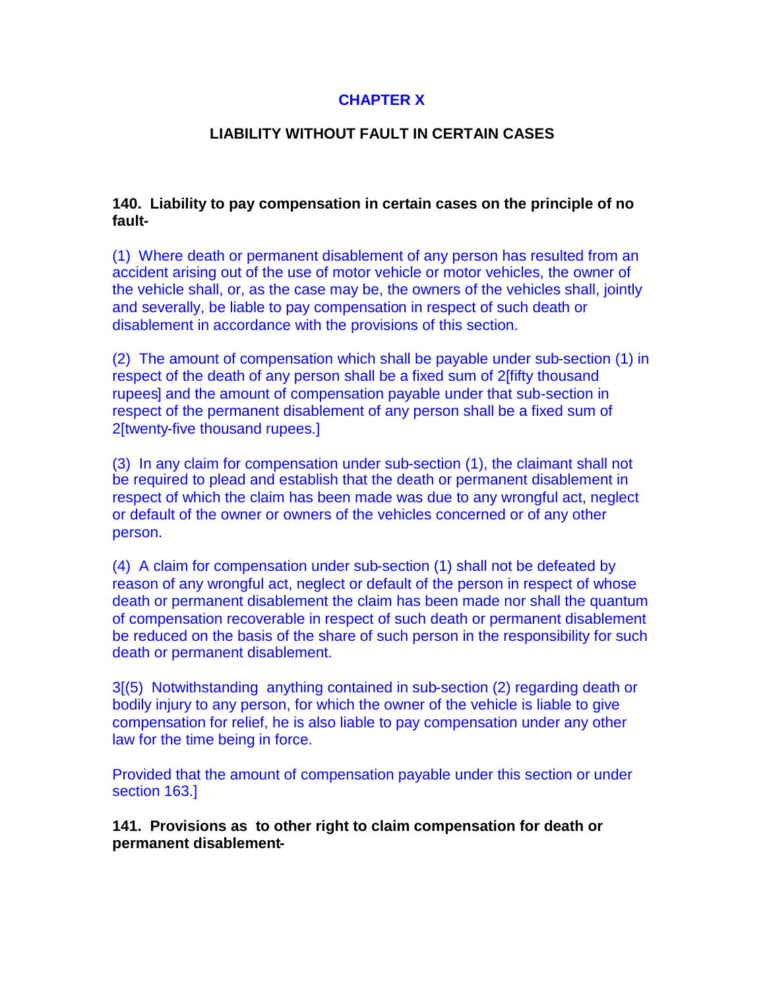# **CHAPTER X**

## **LIABILITY WITHOUT FAULT IN CERTAIN CASES**

### **140. Liability to pay compensation in certain cases on the principle of no fault-**

(1) Where death or permanent disablement of any person has resulted from an accident arising out of the use of motor vehicle or motor vehicles, the owner of the vehicle shall, or, as the case may be, the owners of the vehicles shall, jointly and severally, be liable to pay compensation in respect of such death or disablement in accordance with the provisions of this section.

(2) The amount of compensation which shall be payable under sub-section (1) in respect of the death of any person shall be a fixed sum of 2[fifty thousand rupees] and the amount of compensation payable under that sub-section in respect of the permanent disablement of any person shall be a fixed sum of 2[twenty-five thousand rupees.]

(3) In any claim for compensation under sub-section (1), the claimant shall not be required to plead and establish that the death or permanent disablement in respect of which the claim has been made was due to any wrongful act, neglect or default of the owner or owners of the vehicles concerned or of any other person.

(4) A claim for compensation under sub-section (1) shall not be defeated by reason of any wrongful act, neglect or default of the person in respect of whose death or permanent disablement the claim has been made nor shall the quantum of compensation recoverable in respect of such death or permanent disablement be reduced on the basis of the share of such person in the responsibility for such death or permanent disablement.

3[(5) Notwithstanding anything contained in sub-section (2) regarding death or bodily injury to any person, for which the owner of the vehicle is liable to give compensation for relief, he is also liable to pay compensation under any other law for the time being in force.

Provided that the amount of compensation payable under this section or under section 163.]

**141. Provisions as to other right to claim compensation for death or permanent disablement-**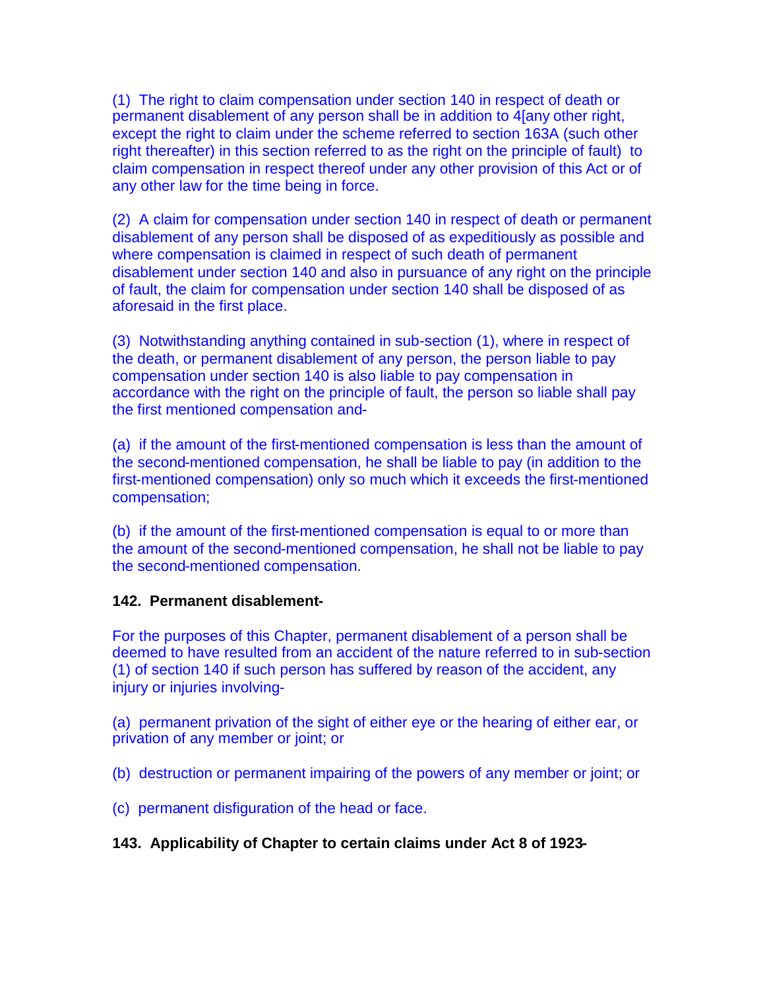(1) The right to claim compensation under section 140 in respect of death or permanent disablement of any person shall be in addition to 4[any other right, except the right to claim under the scheme referred to section 163A (such other right thereafter) in this section referred to as the right on the principle of fault) to claim compensation in respect thereof under any other provision of this Act or of any other law for the time being in force.

(2) A claim for compensation under section 140 in respect of death or permanent disablement of any person shall be disposed of as expeditiously as possible and where compensation is claimed in respect of such death of permanent disablement under section 140 and also in pursuance of any right on the principle of fault, the claim for compensation under section 140 shall be disposed of as aforesaid in the first place.

(3) Notwithstanding anything contained in sub-section (1), where in respect of the death, or permanent disablement of any person, the person liable to pay compensation under section 140 is also liable to pay compensation in accordance with the right on the principle of fault, the person so liable shall pay the first mentioned compensation and-

(a) if the amount of the first-mentioned compensation is less than the amount of the second-mentioned compensation, he shall be liable to pay (in addition to the first-mentioned compensation) only so much which it exceeds the first-mentioned compensation;

(b) if the amount of the first-mentioned compensation is equal to or more than the amount of the second-mentioned compensation, he shall not be liable to pay the second-mentioned compensation.

## **142. Permanent disablement-**

For the purposes of this Chapter, permanent disablement of a person shall be deemed to have resulted from an accident of the nature referred to in sub-section (1) of section 140 if such person has suffered by reason of the accident, any injury or injuries involving-

(a) permanent privation of the sight of either eye or the hearing of either ear, or privation of any member or joint; or

(b) destruction or permanent impairing of the powers of any member or joint; or

(c) permanent disfiguration of the head or face.

## **143. Applicability of Chapter to certain claims under Act 8 of 1923-**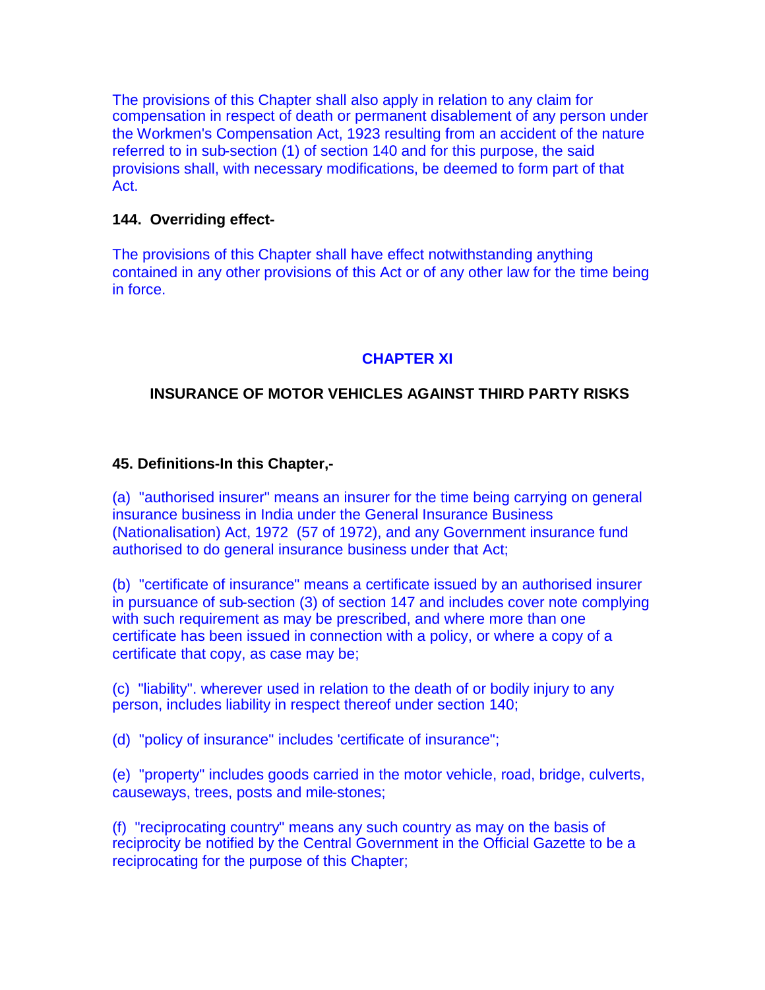The provisions of this Chapter shall also apply in relation to any claim for compensation in respect of death or permanent disablement of any person under the Workmen's Compensation Act, 1923 resulting from an accident of the nature referred to in sub-section (1) of section 140 and for this purpose, the said provisions shall, with necessary modifications, be deemed to form part of that Act.

### **144. Overriding effect-**

The provisions of this Chapter shall have effect notwithstanding anything contained in any other provisions of this Act or of any other law for the time being in force.

## **CHAPTER XI**

## **INSURANCE OF MOTOR VEHICLES AGAINST THIRD PARTY RISKS**

## **45. Definitions-In this Chapter,-**

(a) "authorised insurer" means an insurer for the time being carrying on general insurance business in India under the General Insurance Business (Nationalisation) Act, 1972 (57 of 1972), and any Government insurance fund authorised to do general insurance business under that Act;

(b) "certificate of insurance" means a certificate issued by an authorised insurer in pursuance of sub-section (3) of section 147 and includes cover note complying with such requirement as may be prescribed, and where more than one certificate has been issued in connection with a policy, or where a copy of a certificate that copy, as case may be;

(c) "liability". wherever used in relation to the death of or bodily injury to any person, includes liability in respect thereof under section 140;

(d) "policy of insurance" includes 'certificate of insurance";

(e) "property" includes goods carried in the motor vehicle, road, bridge, culverts, causeways, trees, posts and mile-stones;

(f) "reciprocating country" means any such country as may on the basis of reciprocity be notified by the Central Government in the Official Gazette to be a reciprocating for the purpose of this Chapter;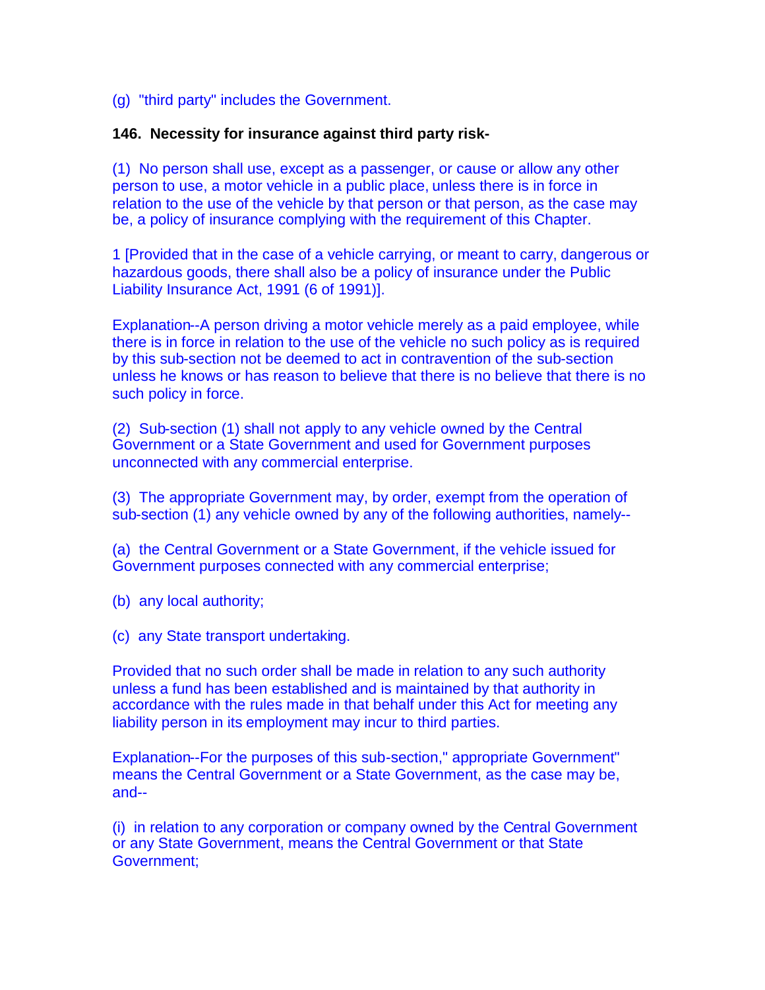### (g) "third party" includes the Government.

#### **146. Necessity for insurance against third party risk-**

(1) No person shall use, except as a passenger, or cause or allow any other person to use, a motor vehicle in a public place, unless there is in force in relation to the use of the vehicle by that person or that person, as the case may be, a policy of insurance complying with the requirement of this Chapter.

1 [Provided that in the case of a vehicle carrying, or meant to carry, dangerous or hazardous goods, there shall also be a policy of insurance under the Public Liability Insurance Act, 1991 (6 of 1991)].

Explanation--A person driving a motor vehicle merely as a paid employee, while there is in force in relation to the use of the vehicle no such policy as is required by this sub-section not be deemed to act in contravention of the sub-section unless he knows or has reason to believe that there is no believe that there is no such policy in force.

(2) Sub-section (1) shall not apply to any vehicle owned by the Central Government or a State Government and used for Government purposes unconnected with any commercial enterprise.

(3) The appropriate Government may, by order, exempt from the operation of sub-section (1) any vehicle owned by any of the following authorities, namely--

(a) the Central Government or a State Government, if the vehicle issued for Government purposes connected with any commercial enterprise;

(b) any local authority;

(c) any State transport undertaking.

Provided that no such order shall be made in relation to any such authority unless a fund has been established and is maintained by that authority in accordance with the rules made in that behalf under this Act for meeting any liability person in its employment may incur to third parties.

Explanation--For the purposes of this sub-section," appropriate Government" means the Central Government or a State Government, as the case may be, and--

(i) in relation to any corporation or company owned by the Central Government or any State Government, means the Central Government or that State Government;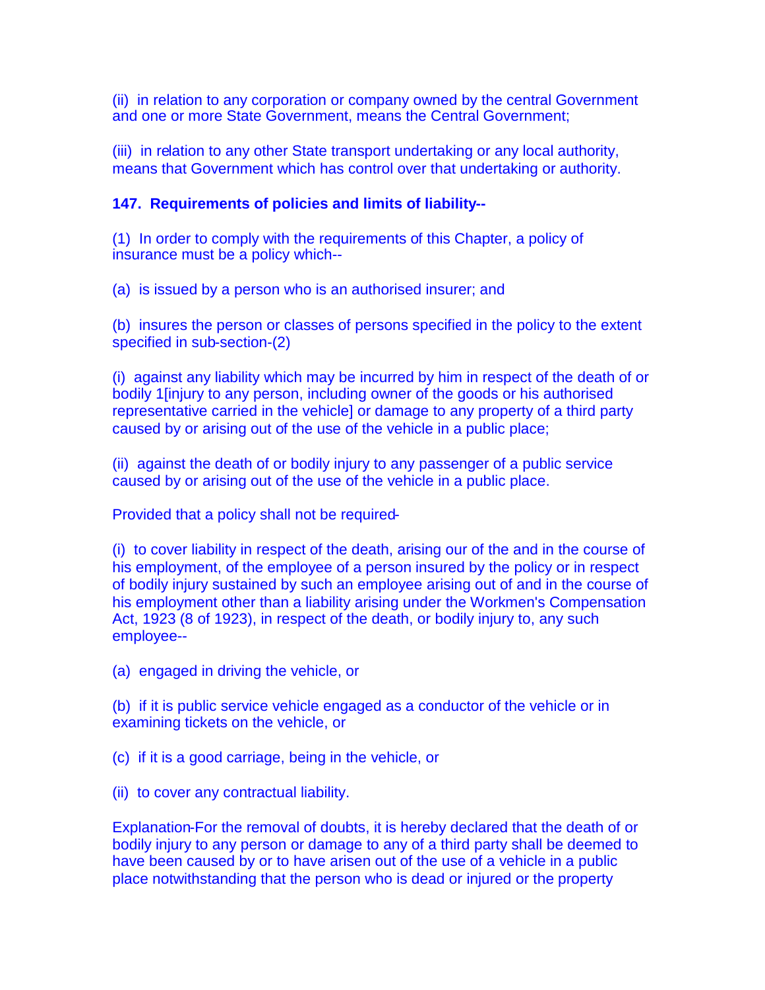(ii) in relation to any corporation or company owned by the central Government and one or more State Government, means the Central Government;

(iii) in relation to any other State transport undertaking or any local authority, means that Government which has control over that undertaking or authority.

### **147. Requirements of policies and limits of liability--**

(1) In order to comply with the requirements of this Chapter, a policy of insurance must be a policy which--

(a) is issued by a person who is an authorised insurer; and

(b) insures the person or classes of persons specified in the policy to the extent specified in sub-section-(2)

(i) against any liability which may be incurred by him in respect of the death of or bodily 1[injury to any person, including owner of the goods or his authorised representative carried in the vehicle] or damage to any property of a third party caused by or arising out of the use of the vehicle in a public place;

(ii) against the death of or bodily injury to any passenger of a public service caused by or arising out of the use of the vehicle in a public place.

Provided that a policy shall not be required-

(i) to cover liability in respect of the death, arising our of the and in the course of his employment, of the employee of a person insured by the policy or in respect of bodily injury sustained by such an employee arising out of and in the course of his employment other than a liability arising under the Workmen's Compensation Act, 1923 (8 of 1923), in respect of the death, or bodily injury to, any such employee--

(a) engaged in driving the vehicle, or

(b) if it is public service vehicle engaged as a conductor of the vehicle or in examining tickets on the vehicle, or

(c) if it is a good carriage, being in the vehicle, or

(ii) to cover any contractual liability.

Explanation-For the removal of doubts, it is hereby declared that the death of or bodily injury to any person or damage to any of a third party shall be deemed to have been caused by or to have arisen out of the use of a vehicle in a public place notwithstanding that the person who is dead or injured or the property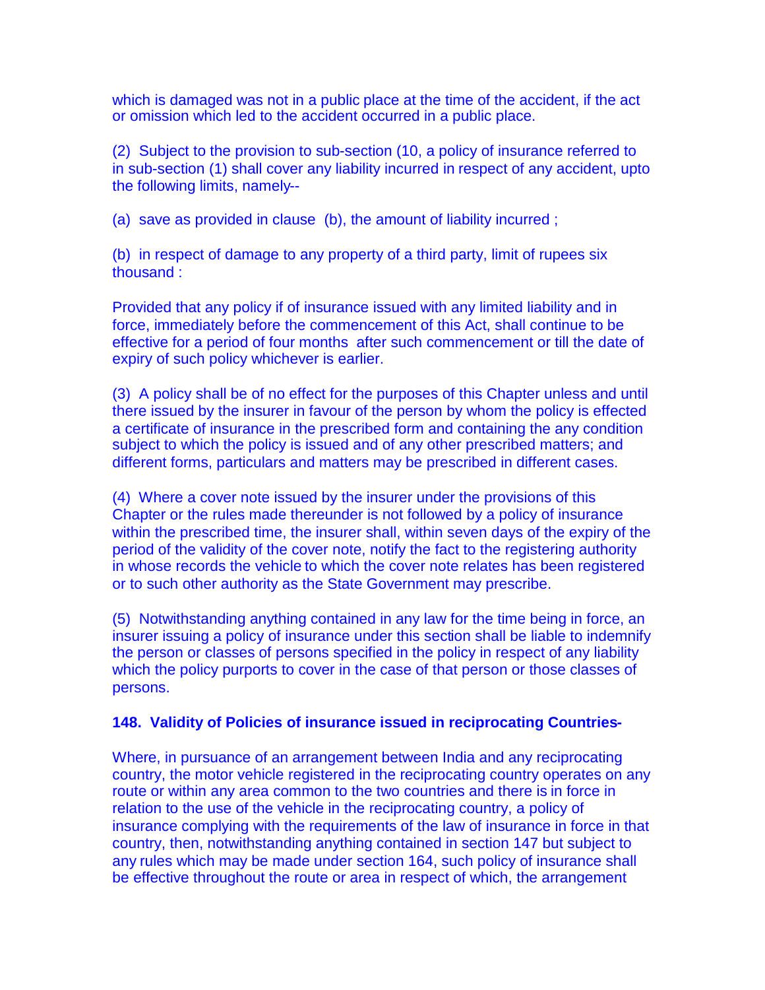which is damaged was not in a public place at the time of the accident, if the act or omission which led to the accident occurred in a public place.

(2) Subject to the provision to sub-section (10, a policy of insurance referred to in sub-section (1) shall cover any liability incurred in respect of any accident, upto the following limits, namely--

(a) save as provided in clause (b), the amount of liability incurred;

(b) in respect of damage to any property of a third party, limit of rupees six thousand :

Provided that any policy if of insurance issued with any limited liability and in force, immediately before the commencement of this Act, shall continue to be effective for a period of four months after such commencement or till the date of expiry of such policy whichever is earlier.

(3) A policy shall be of no effect for the purposes of this Chapter unless and until there issued by the insurer in favour of the person by whom the policy is effected a certificate of insurance in the prescribed form and containing the any condition subject to which the policy is issued and of any other prescribed matters; and different forms, particulars and matters may be prescribed in different cases.

(4) Where a cover note issued by the insurer under the provisions of this Chapter or the rules made thereunder is not followed by a policy of insurance within the prescribed time, the insurer shall, within seven days of the expiry of the period of the validity of the cover note, notify the fact to the registering authority in whose records the vehicle to which the cover note relates has been registered or to such other authority as the State Government may prescribe.

(5) Notwithstanding anything contained in any law for the time being in force, an insurer issuing a policy of insurance under this section shall be liable to indemnify the person or classes of persons specified in the policy in respect of any liability which the policy purports to cover in the case of that person or those classes of persons.

## **148. Validity of Policies of insurance issued in reciprocating Countries-**

Where, in pursuance of an arrangement between India and any reciprocating country, the motor vehicle registered in the reciprocating country operates on any route or within any area common to the two countries and there is in force in relation to the use of the vehicle in the reciprocating country, a policy of insurance complying with the requirements of the law of insurance in force in that country, then, notwithstanding anything contained in section 147 but subject to any rules which may be made under section 164, such policy of insurance shall be effective throughout the route or area in respect of which, the arrangement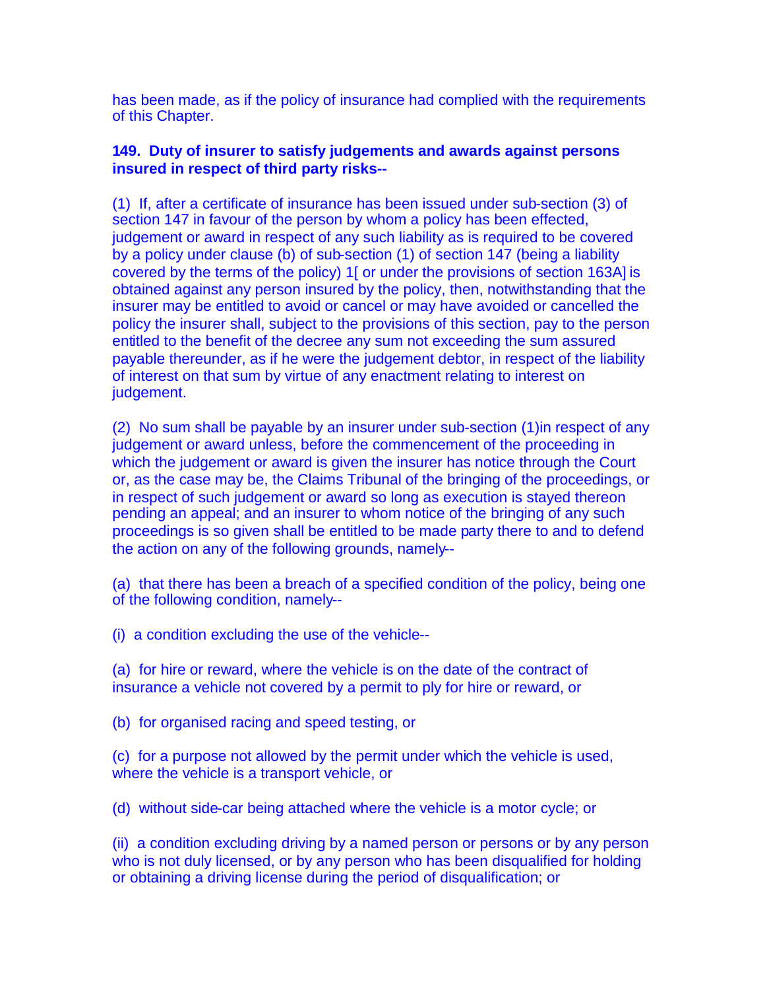has been made, as if the policy of insurance had complied with the requirements of this Chapter.

### **149. Duty of insurer to satisfy judgements and awards against persons insured in respect of third party risks--**

(1) If, after a certificate of insurance has been issued under sub-section (3) of section 147 in favour of the person by whom a policy has been effected, judgement or award in respect of any such liability as is required to be covered by a policy under clause (b) of sub-section (1) of section 147 (being a liability covered by the terms of the policy) 1[ or under the provisions of section 163A] is obtained against any person insured by the policy, then, notwithstanding that the insurer may be entitled to avoid or cancel or may have avoided or cancelled the policy the insurer shall, subject to the provisions of this section, pay to the person entitled to the benefit of the decree any sum not exceeding the sum assured payable thereunder, as if he were the judgement debtor, in respect of the liability of interest on that sum by virtue of any enactment relating to interest on judgement.

(2) No sum shall be payable by an insurer under sub-section (1)in respect of any judgement or award unless, before the commencement of the proceeding in which the judgement or award is given the insurer has notice through the Court or, as the case may be, the Claims Tribunal of the bringing of the proceedings, or in respect of such judgement or award so long as execution is stayed thereon pending an appeal; and an insurer to whom notice of the bringing of any such proceedings is so given shall be entitled to be made party there to and to defend the action on any of the following grounds, namely--

(a) that there has been a breach of a specified condition of the policy, being one of the following condition, namely--

(i) a condition excluding the use of the vehicle--

(a) for hire or reward, where the vehicle is on the date of the contract of insurance a vehicle not covered by a permit to ply for hire or reward, or

(b) for organised racing and speed testing, or

(c) for a purpose not allowed by the permit under which the vehicle is used, where the vehicle is a transport vehicle, or

(d) without side-car being attached where the vehicle is a motor cycle; or

(ii) a condition excluding driving by a named person or persons or by any person who is not duly licensed, or by any person who has been disqualified for holding or obtaining a driving license during the period of disqualification; or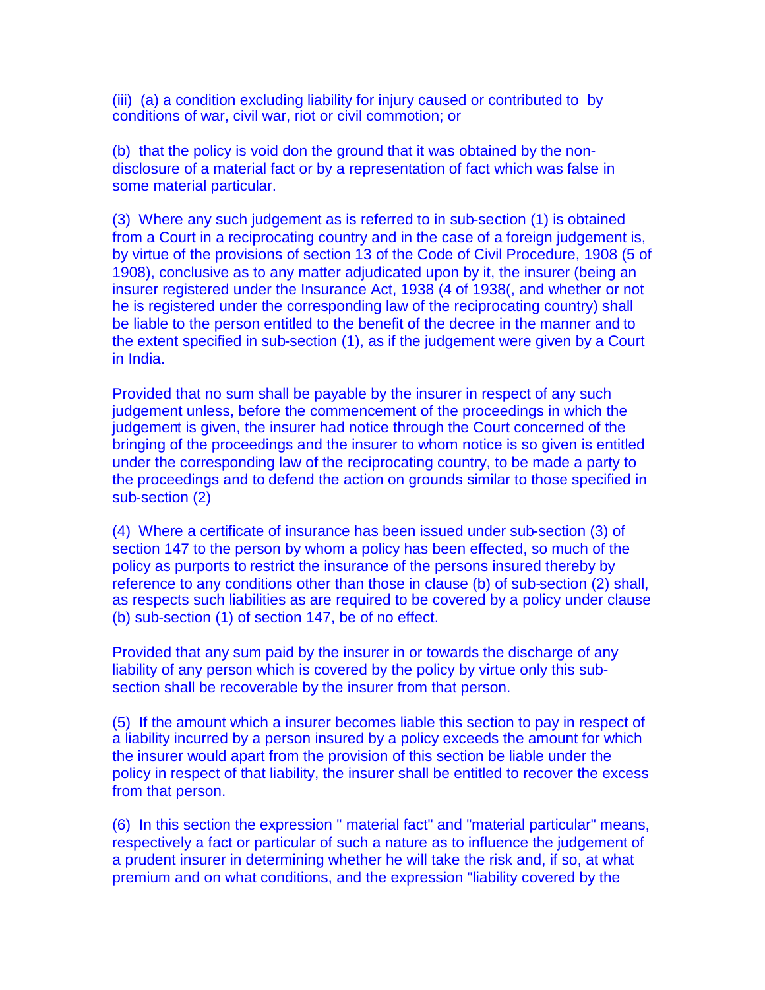(iii) (a) a condition excluding liability for injury caused or contributed to by conditions of war, civil war, riot or civil commotion; or

(b) that the policy is void don the ground that it was obtained by the nondisclosure of a material fact or by a representation of fact which was false in some material particular.

(3) Where any such judgement as is referred to in sub-section (1) is obtained from a Court in a reciprocating country and in the case of a foreign judgement is, by virtue of the provisions of section 13 of the Code of Civil Procedure, 1908 (5 of 1908), conclusive as to any matter adjudicated upon by it, the insurer (being an insurer registered under the Insurance Act, 1938 (4 of 1938(, and whether or not he is registered under the corresponding law of the reciprocating country) shall be liable to the person entitled to the benefit of the decree in the manner and to the extent specified in sub-section (1), as if the judgement were given by a Court in India.

Provided that no sum shall be payable by the insurer in respect of any such judgement unless, before the commencement of the proceedings in which the judgement is given, the insurer had notice through the Court concerned of the bringing of the proceedings and the insurer to whom notice is so given is entitled under the corresponding law of the reciprocating country, to be made a party to the proceedings and to defend the action on grounds similar to those specified in sub-section (2)

(4) Where a certificate of insurance has been issued under sub-section (3) of section 147 to the person by whom a policy has been effected, so much of the policy as purports to restrict the insurance of the persons insured thereby by reference to any conditions other than those in clause (b) of sub-section (2) shall, as respects such liabilities as are required to be covered by a policy under clause (b) sub-section (1) of section 147, be of no effect.

Provided that any sum paid by the insurer in or towards the discharge of any liability of any person which is covered by the policy by virtue only this subsection shall be recoverable by the insurer from that person.

(5) If the amount which a insurer becomes liable this section to pay in respect of a liability incurred by a person insured by a policy exceeds the amount for which the insurer would apart from the provision of this section be liable under the policy in respect of that liability, the insurer shall be entitled to recover the excess from that person.

(6) In this section the expression " material fact" and "material particular" means, respectively a fact or particular of such a nature as to influence the judgement of a prudent insurer in determining whether he will take the risk and, if so, at what premium and on what conditions, and the expression "liability covered by the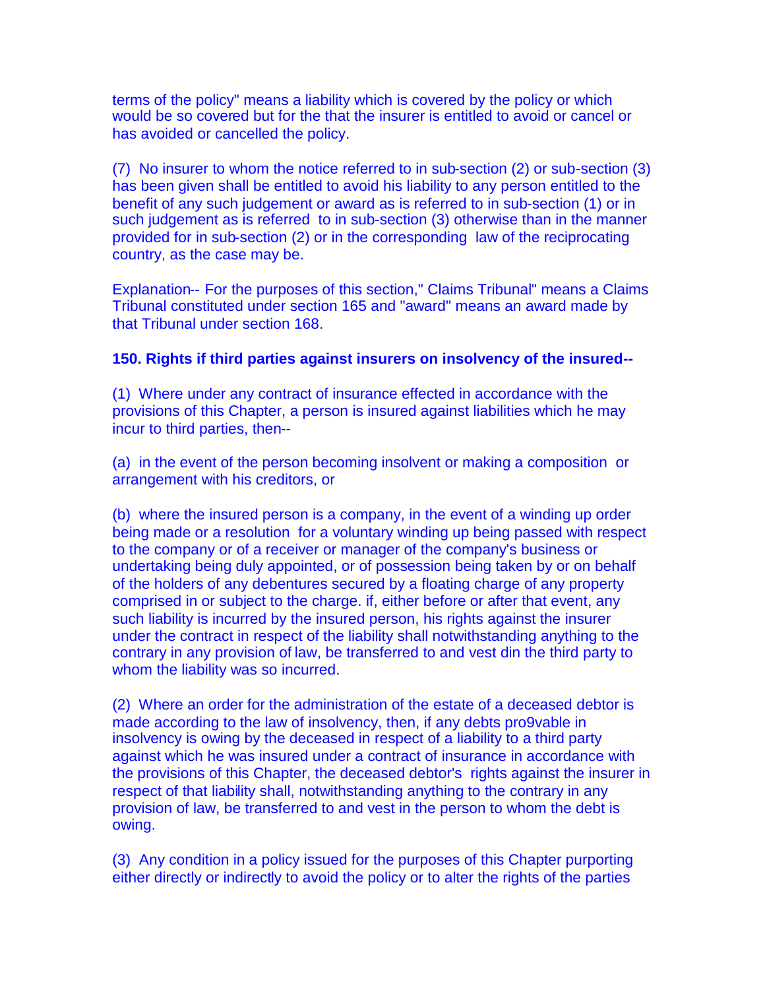terms of the policy" means a liability which is covered by the policy or which would be so covered but for the that the insurer is entitled to avoid or cancel or has avoided or cancelled the policy.

(7) No insurer to whom the notice referred to in sub-section (2) or sub-section (3) has been given shall be entitled to avoid his liability to any person entitled to the benefit of any such judgement or award as is referred to in sub-section (1) or in such judgement as is referred to in sub-section (3) otherwise than in the manner provided for in sub-section (2) or in the corresponding law of the reciprocating country, as the case may be.

Explanation-- For the purposes of this section," Claims Tribunal" means a Claims Tribunal constituted under section 165 and "award" means an award made by that Tribunal under section 168.

#### **150. Rights if third parties against insurers on insolvency of the insured--**

(1) Where under any contract of insurance effected in accordance with the provisions of this Chapter, a person is insured against liabilities which he may incur to third parties, then--

(a) in the event of the person becoming insolvent or making a composition or arrangement with his creditors, or

(b) where the insured person is a company, in the event of a winding up order being made or a resolution for a voluntary winding up being passed with respect to the company or of a receiver or manager of the company's business or undertaking being duly appointed, or of possession being taken by or on behalf of the holders of any debentures secured by a floating charge of any property comprised in or subject to the charge. if, either before or after that event, any such liability is incurred by the insured person, his rights against the insurer under the contract in respect of the liability shall notwithstanding anything to the contrary in any provision of law, be transferred to and vest din the third party to whom the liability was so incurred.

(2) Where an order for the administration of the estate of a deceased debtor is made according to the law of insolvency, then, if any debts pro9vable in insolvency is owing by the deceased in respect of a liability to a third party against which he was insured under a contract of insurance in accordance with the provisions of this Chapter, the deceased debtor's rights against the insurer in respect of that liability shall, notwithstanding anything to the contrary in any provision of law, be transferred to and vest in the person to whom the debt is owing.

(3) Any condition in a policy issued for the purposes of this Chapter purporting either directly or indirectly to avoid the policy or to alter the rights of the parties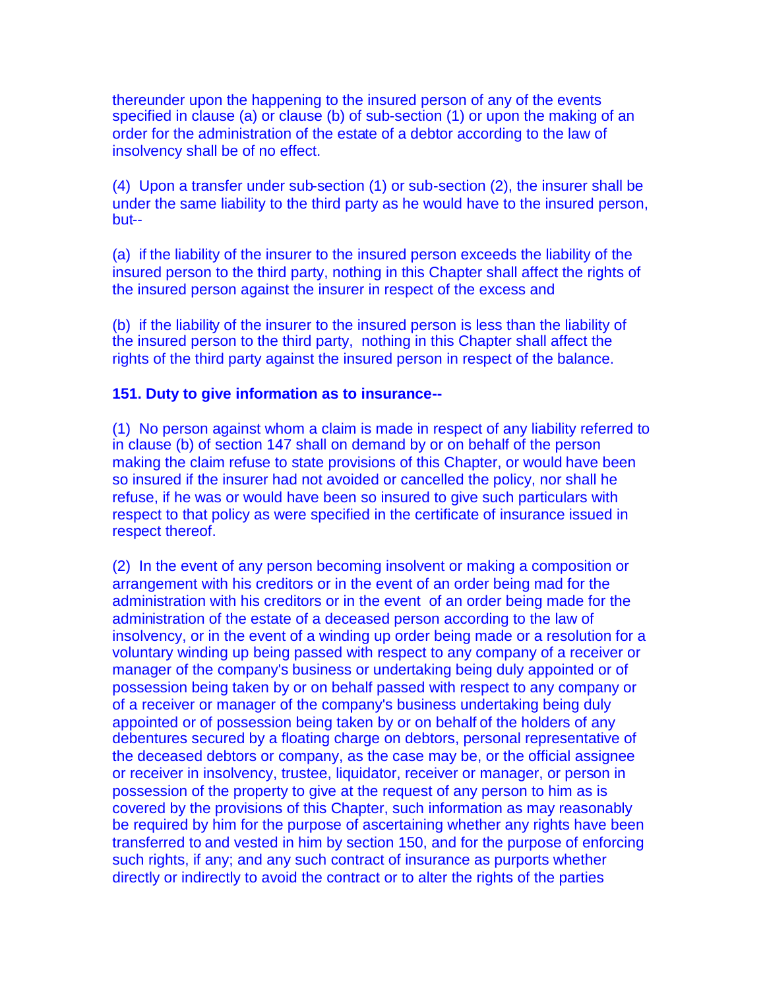thereunder upon the happening to the insured person of any of the events specified in clause (a) or clause (b) of sub-section (1) or upon the making of an order for the administration of the estate of a debtor according to the law of insolvency shall be of no effect.

(4) Upon a transfer under sub-section (1) or sub-section (2), the insurer shall be under the same liability to the third party as he would have to the insured person, but--

(a) if the liability of the insurer to the insured person exceeds the liability of the insured person to the third party, nothing in this Chapter shall affect the rights of the insured person against the insurer in respect of the excess and

(b) if the liability of the insurer to the insured person is less than the liability of the insured person to the third party, nothing in this Chapter shall affect the rights of the third party against the insured person in respect of the balance.

### **151. Duty to give information as to insurance--**

(1) No person against whom a claim is made in respect of any liability referred to in clause (b) of section 147 shall on demand by or on behalf of the person making the claim refuse to state provisions of this Chapter, or would have been so insured if the insurer had not avoided or cancelled the policy, nor shall he refuse, if he was or would have been so insured to give such particulars with respect to that policy as were specified in the certificate of insurance issued in respect thereof.

(2) In the event of any person becoming insolvent or making a composition or arrangement with his creditors or in the event of an order being mad for the administration with his creditors or in the event of an order being made for the administration of the estate of a deceased person according to the law of insolvency, or in the event of a winding up order being made or a resolution for a voluntary winding up being passed with respect to any company of a receiver or manager of the company's business or undertaking being duly appointed or of possession being taken by or on behalf passed with respect to any company or of a receiver or manager of the company's business undertaking being duly appointed or of possession being taken by or on behalf of the holders of any debentures secured by a floating charge on debtors, personal representative of the deceased debtors or company, as the case may be, or the official assignee or receiver in insolvency, trustee, liquidator, receiver or manager, or person in possession of the property to give at the request of any person to him as is covered by the provisions of this Chapter, such information as may reasonably be required by him for the purpose of ascertaining whether any rights have been transferred to and vested in him by section 150, and for the purpose of enforcing such rights, if any; and any such contract of insurance as purports whether directly or indirectly to avoid the contract or to alter the rights of the parties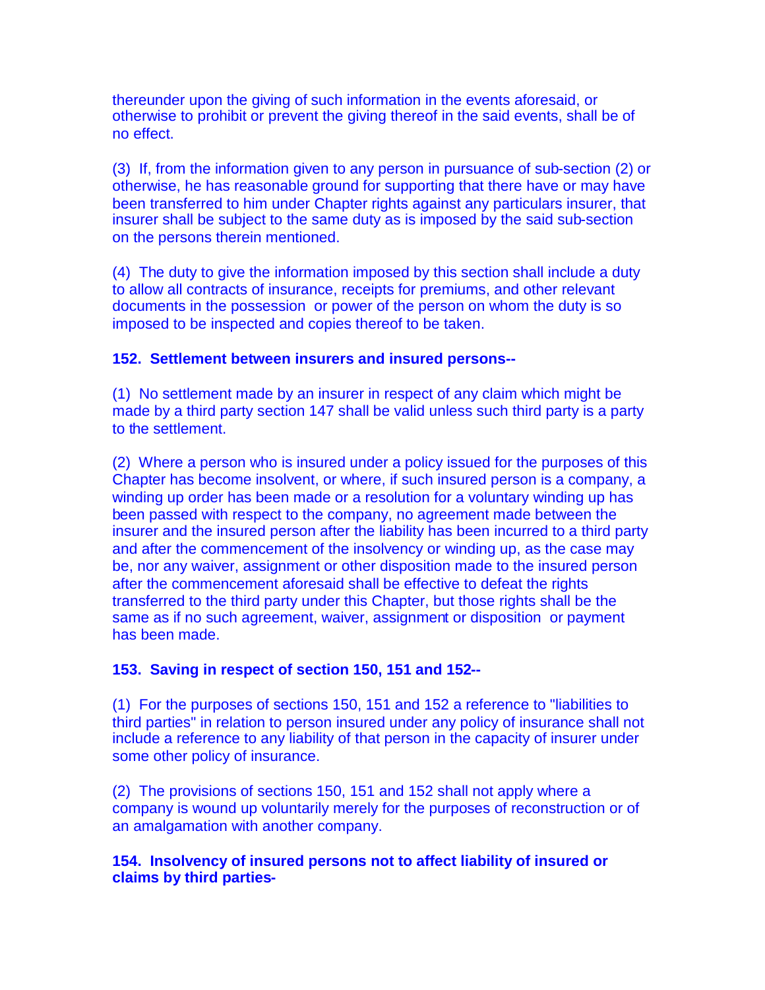thereunder upon the giving of such information in the events aforesaid, or otherwise to prohibit or prevent the giving thereof in the said events, shall be of no effect.

(3) If, from the information given to any person in pursuance of sub-section (2) or otherwise, he has reasonable ground for supporting that there have or may have been transferred to him under Chapter rights against any particulars insurer, that insurer shall be subject to the same duty as is imposed by the said sub-section on the persons therein mentioned.

(4) The duty to give the information imposed by this section shall include a duty to allow all contracts of insurance, receipts for premiums, and other relevant documents in the possession or power of the person on whom the duty is so imposed to be inspected and copies thereof to be taken.

## **152. Settlement between insurers and insured persons--**

(1) No settlement made by an insurer in respect of any claim which might be made by a third party section 147 shall be valid unless such third party is a party to the settlement.

(2) Where a person who is insured under a policy issued for the purposes of this Chapter has become insolvent, or where, if such insured person is a company, a winding up order has been made or a resolution for a voluntary winding up has been passed with respect to the company, no agreement made between the insurer and the insured person after the liability has been incurred to a third party and after the commencement of the insolvency or winding up, as the case may be, nor any waiver, assignment or other disposition made to the insured person after the commencement aforesaid shall be effective to defeat the rights transferred to the third party under this Chapter, but those rights shall be the same as if no such agreement, waiver, assignment or disposition or payment has been made.

# **153. Saving in respect of section 150, 151 and 152--**

(1) For the purposes of sections 150, 151 and 152 a reference to "liabilities to third parties" in relation to person insured under any policy of insurance shall not include a reference to any liability of that person in the capacity of insurer under some other policy of insurance.

(2) The provisions of sections 150, 151 and 152 shall not apply where a company is wound up voluntarily merely for the purposes of reconstruction or of an amalgamation with another company.

## **154. Insolvency of insured persons not to affect liability of insured or claims by third parties-**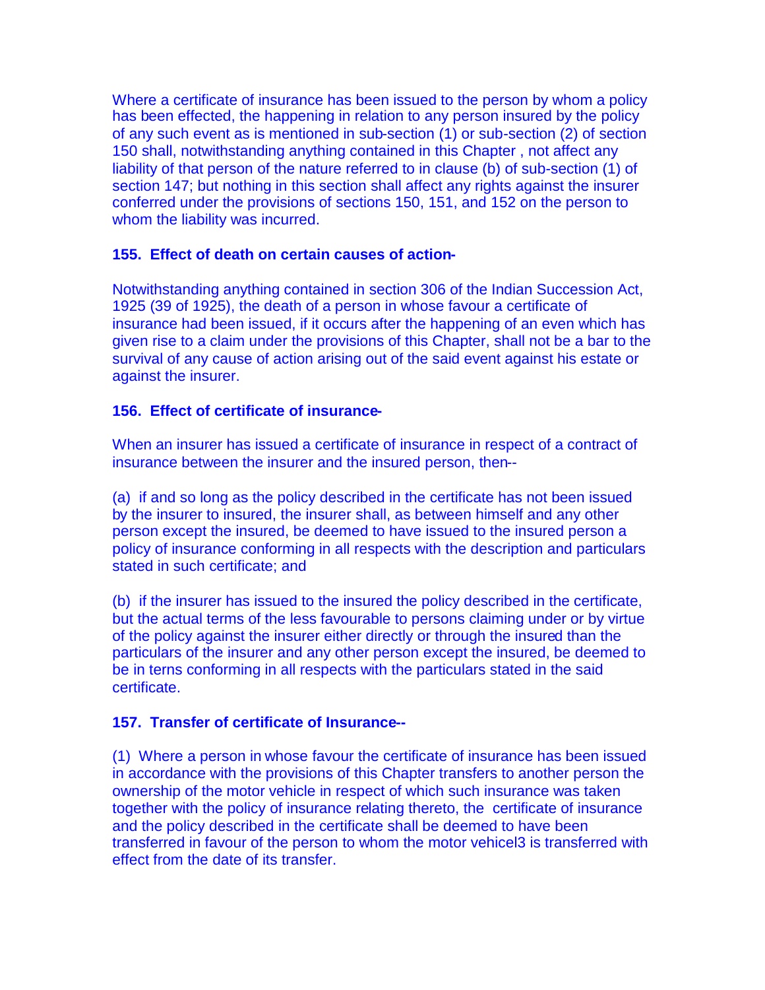Where a certificate of insurance has been issued to the person by whom a policy has been effected, the happening in relation to any person insured by the policy of any such event as is mentioned in sub-section (1) or sub-section (2) of section 150 shall, notwithstanding anything contained in this Chapter , not affect any liability of that person of the nature referred to in clause (b) of sub-section (1) of section 147; but nothing in this section shall affect any rights against the insurer conferred under the provisions of sections 150, 151, and 152 on the person to whom the liability was incurred.

### **155. Effect of death on certain causes of action-**

Notwithstanding anything contained in section 306 of the Indian Succession Act, 1925 (39 of 1925), the death of a person in whose favour a certificate of insurance had been issued, if it occurs after the happening of an even which has given rise to a claim under the provisions of this Chapter, shall not be a bar to the survival of any cause of action arising out of the said event against his estate or against the insurer.

### **156. Effect of certificate of insurance-**

When an insurer has issued a certificate of insurance in respect of a contract of insurance between the insurer and the insured person, then--

(a) if and so long as the policy described in the certificate has not been issued by the insurer to insured, the insurer shall, as between himself and any other person except the insured, be deemed to have issued to the insured person a policy of insurance conforming in all respects with the description and particulars stated in such certificate; and

(b) if the insurer has issued to the insured the policy described in the certificate, but the actual terms of the less favourable to persons claiming under or by virtue of the policy against the insurer either directly or through the insured than the particulars of the insurer and any other person except the insured, be deemed to be in terns conforming in all respects with the particulars stated in the said certificate.

## **157. Transfer of certificate of Insurance--**

(1) Where a person in whose favour the certificate of insurance has been issued in accordance with the provisions of this Chapter transfers to another person the ownership of the motor vehicle in respect of which such insurance was taken together with the policy of insurance relating thereto, the certificate of insurance and the policy described in the certificate shall be deemed to have been transferred in favour of the person to whom the motor vehicel3 is transferred with effect from the date of its transfer.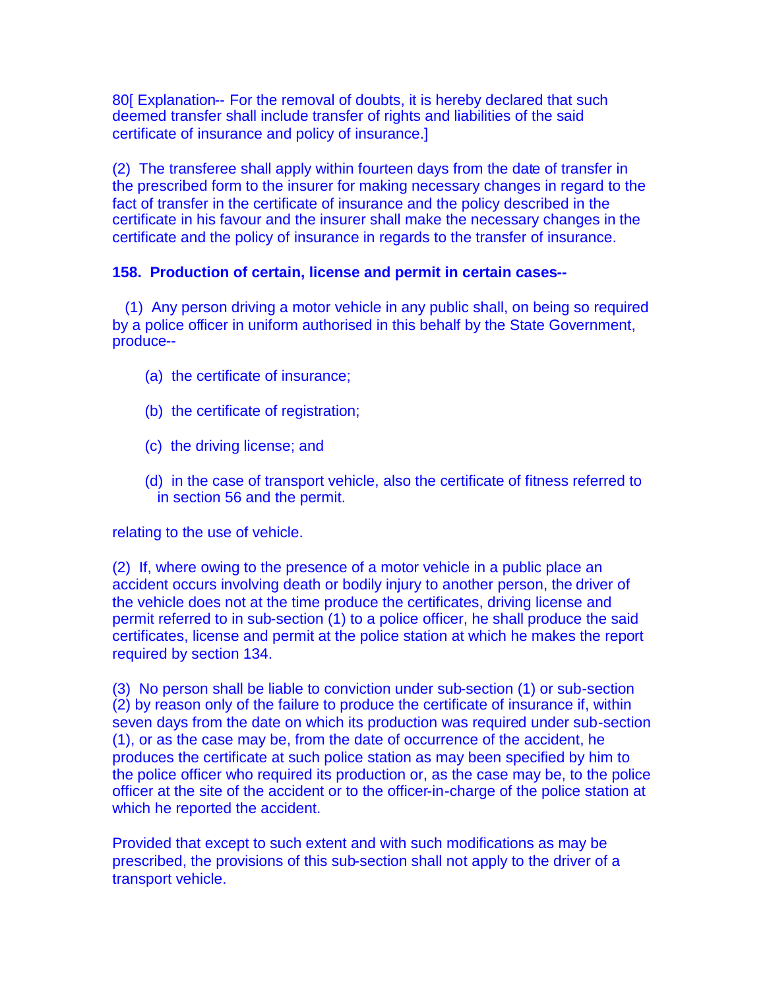80[ Explanation-- For the removal of doubts, it is hereby declared that such deemed transfer shall include transfer of rights and liabilities of the said certificate of insurance and policy of insurance.]

(2) The transferee shall apply within fourteen days from the date of transfer in the prescribed form to the insurer for making necessary changes in regard to the fact of transfer in the certificate of insurance and the policy described in the certificate in his favour and the insurer shall make the necessary changes in the certificate and the policy of insurance in regards to the transfer of insurance.

### **158. Production of certain, license and permit in certain cases--**

(1) Any person driving a motor vehicle in any public shall, on being so required by a police officer in uniform authorised in this behalf by the State Government, produce--

- (a) the certificate of insurance;
- (b) the certificate of registration;
- (c) the driving license; and
- (d) in the case of transport vehicle, also the certificate of fitness referred to in section 56 and the permit.

relating to the use of vehicle.

(2) If, where owing to the presence of a motor vehicle in a public place an accident occurs involving death or bodily injury to another person, the driver of the vehicle does not at the time produce the certificates, driving license and permit referred to in sub-section (1) to a police officer, he shall produce the said certificates, license and permit at the police station at which he makes the report required by section 134.

(3) No person shall be liable to conviction under sub-section (1) or sub-section (2) by reason only of the failure to produce the certificate of insurance if, within seven days from the date on which its production was required under sub-section (1), or as the case may be, from the date of occurrence of the accident, he produces the certificate at such police station as may been specified by him to the police officer who required its production or, as the case may be, to the police officer at the site of the accident or to the officer-in-charge of the police station at which he reported the accident.

Provided that except to such extent and with such modifications as may be prescribed, the provisions of this sub-section shall not apply to the driver of a transport vehicle.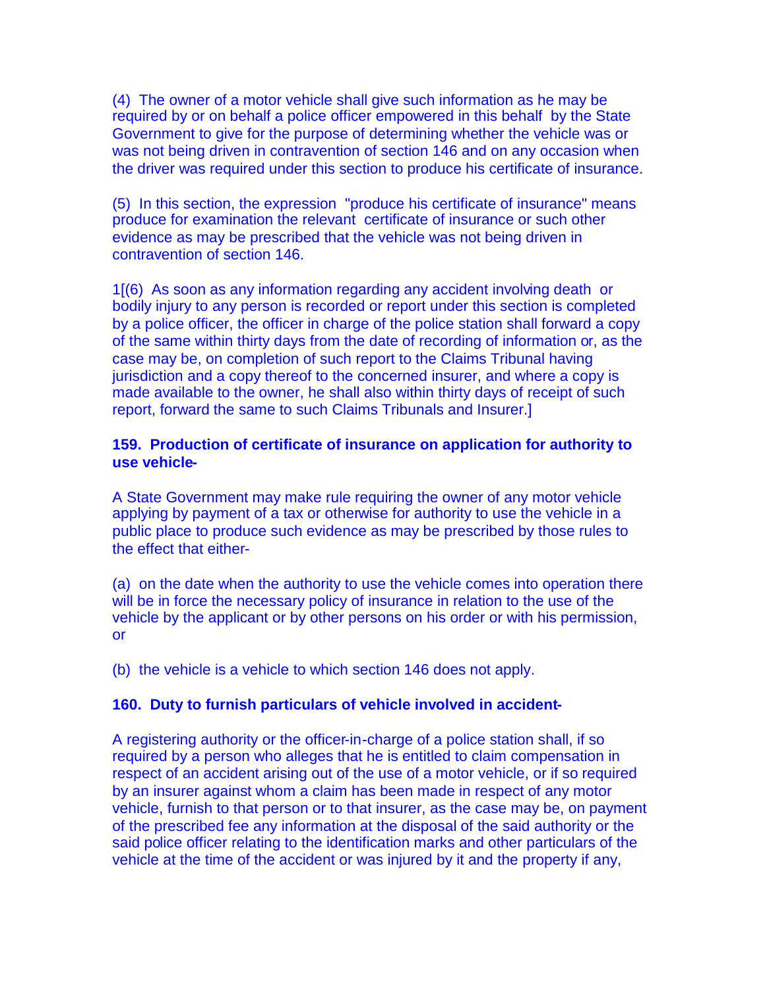(4) The owner of a motor vehicle shall give such information as he may be required by or on behalf a police officer empowered in this behalf by the State Government to give for the purpose of determining whether the vehicle was or was not being driven in contravention of section 146 and on any occasion when the driver was required under this section to produce his certificate of insurance.

(5) In this section, the expression "produce his certificate of insurance" means produce for examination the relevant certificate of insurance or such other evidence as may be prescribed that the vehicle was not being driven in contravention of section 146.

1[(6) As soon as any information regarding any accident involving death or bodily injury to any person is recorded or report under this section is completed by a police officer, the officer in charge of the police station shall forward a copy of the same within thirty days from the date of recording of information or, as the case may be, on completion of such report to the Claims Tribunal having jurisdiction and a copy thereof to the concerned insurer, and where a copy is made available to the owner, he shall also within thirty days of receipt of such report, forward the same to such Claims Tribunals and Insurer.]

### **159. Production of certificate of insurance on application for authority to use vehicle-**

A State Government may make rule requiring the owner of any motor vehicle applying by payment of a tax or otherwise for authority to use the vehicle in a public place to produce such evidence as may be prescribed by those rules to the effect that either-

(a) on the date when the authority to use the vehicle comes into operation there will be in force the necessary policy of insurance in relation to the use of the vehicle by the applicant or by other persons on his order or with his permission, or

(b) the vehicle is a vehicle to which section 146 does not apply.

#### **160. Duty to furnish particulars of vehicle involved in accident-**

A registering authority or the officer-in-charge of a police station shall, if so required by a person who alleges that he is entitled to claim compensation in respect of an accident arising out of the use of a motor vehicle, or if so required by an insurer against whom a claim has been made in respect of any motor vehicle, furnish to that person or to that insurer, as the case may be, on payment of the prescribed fee any information at the disposal of the said authority or the said police officer relating to the identification marks and other particulars of the vehicle at the time of the accident or was injured by it and the property if any,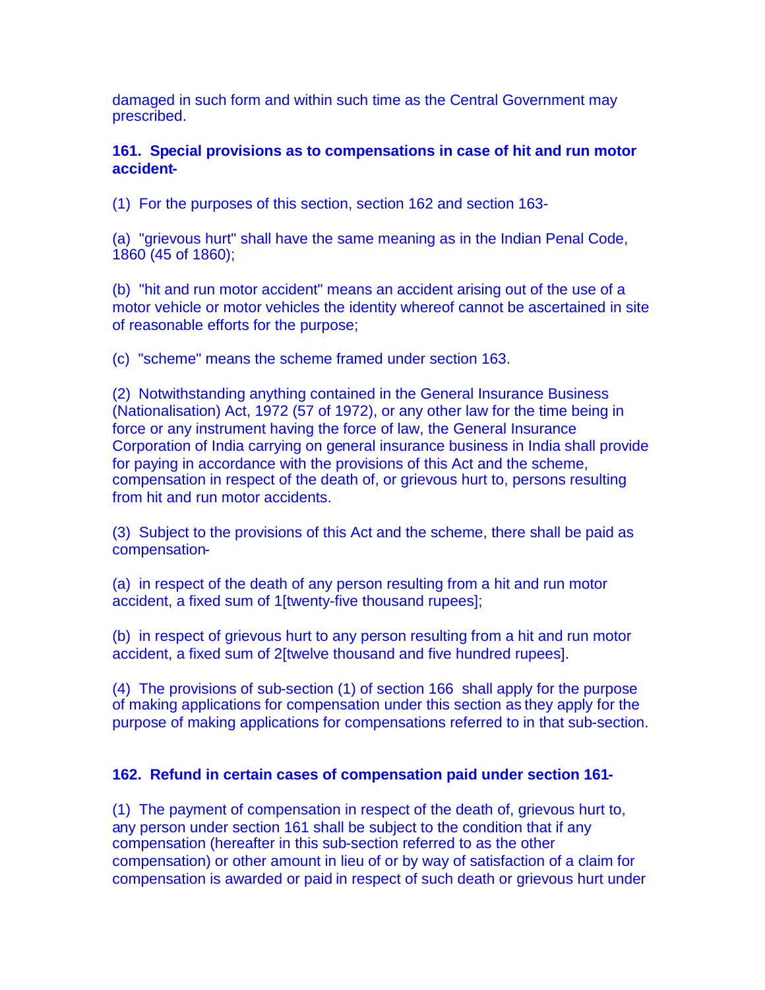damaged in such form and within such time as the Central Government may prescribed.

**161. Special provisions as to compensations in case of hit and run motor accident-**

(1) For the purposes of this section, section 162 and section 163-

(a) "grievous hurt" shall have the same meaning as in the Indian Penal Code, 1860 (45 of 1860);

(b) "hit and run motor accident" means an accident arising out of the use of a motor vehicle or motor vehicles the identity whereof cannot be ascertained in site of reasonable efforts for the purpose;

(c) "scheme" means the scheme framed under section 163.

(2) Notwithstanding anything contained in the General Insurance Business (Nationalisation) Act, 1972 (57 of 1972), or any other law for the time being in force or any instrument having the force of law, the General Insurance Corporation of India carrying on general insurance business in India shall provide for paying in accordance with the provisions of this Act and the scheme, compensation in respect of the death of, or grievous hurt to, persons resulting from hit and run motor accidents.

(3) Subject to the provisions of this Act and the scheme, there shall be paid as compensation-

(a) in respect of the death of any person resulting from a hit and run motor accident, a fixed sum of 1[twenty-five thousand rupees];

(b) in respect of grievous hurt to any person resulting from a hit and run motor accident, a fixed sum of 2[twelve thousand and five hundred rupees].

(4) The provisions of sub-section (1) of section 166 shall apply for the purpose of making applications for compensation under this section as they apply for the purpose of making applications for compensations referred to in that sub-section.

## **162. Refund in certain cases of compensation paid under section 161-**

(1) The payment of compensation in respect of the death of, grievous hurt to, any person under section 161 shall be subject to the condition that if any compensation (hereafter in this sub-section referred to as the other compensation) or other amount in lieu of or by way of satisfaction of a claim for compensation is awarded or paid in respect of such death or grievous hurt under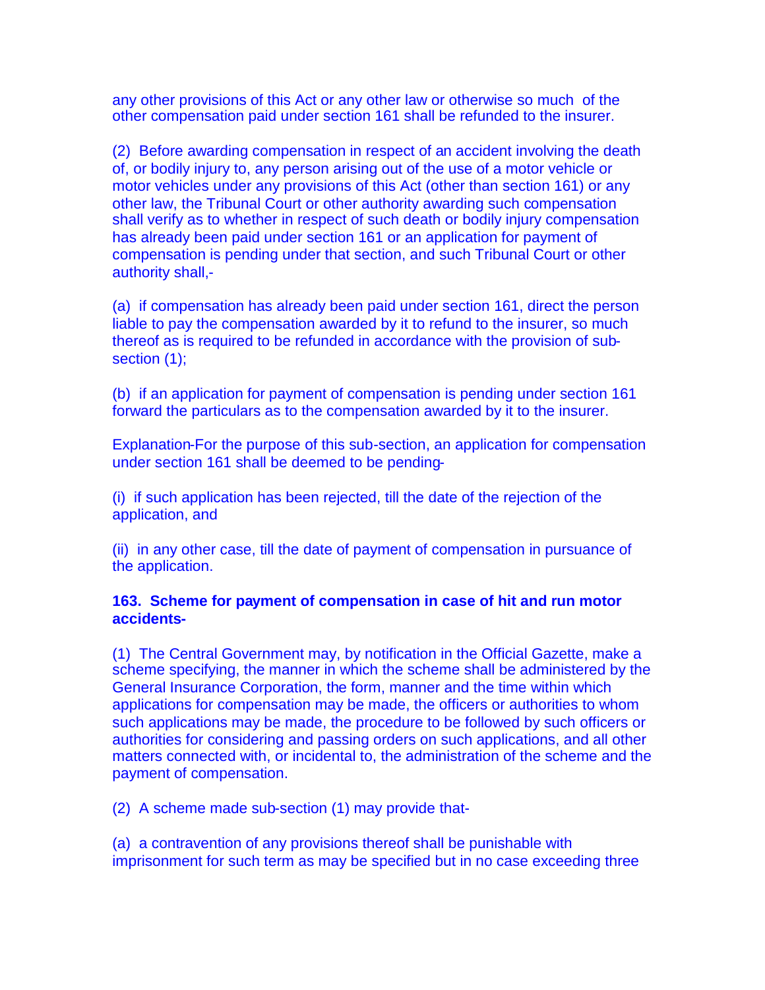any other provisions of this Act or any other law or otherwise so much of the other compensation paid under section 161 shall be refunded to the insurer.

(2) Before awarding compensation in respect of an accident involving the death of, or bodily injury to, any person arising out of the use of a motor vehicle or motor vehicles under any provisions of this Act (other than section 161) or any other law, the Tribunal Court or other authority awarding such compensation shall verify as to whether in respect of such death or bodily injury compensation has already been paid under section 161 or an application for payment of compensation is pending under that section, and such Tribunal Court or other authority shall,-

(a) if compensation has already been paid under section 161, direct the person liable to pay the compensation awarded by it to refund to the insurer, so much thereof as is required to be refunded in accordance with the provision of subsection (1);

(b) if an application for payment of compensation is pending under section 161 forward the particulars as to the compensation awarded by it to the insurer.

Explanation-For the purpose of this sub-section, an application for compensation under section 161 shall be deemed to be pending-

(i) if such application has been rejected, till the date of the rejection of the application, and

(ii) in any other case, till the date of payment of compensation in pursuance of the application.

### **163. Scheme for payment of compensation in case of hit and run motor accidents-**

(1) The Central Government may, by notification in the Official Gazette, make a scheme specifying, the manner in which the scheme shall be administered by the General Insurance Corporation, the form, manner and the time within which applications for compensation may be made, the officers or authorities to whom such applications may be made, the procedure to be followed by such officers or authorities for considering and passing orders on such applications, and all other matters connected with, or incidental to, the administration of the scheme and the payment of compensation.

(2) A scheme made sub-section (1) may provide that-

(a) a contravention of any provisions thereof shall be punishable with imprisonment for such term as may be specified but in no case exceeding three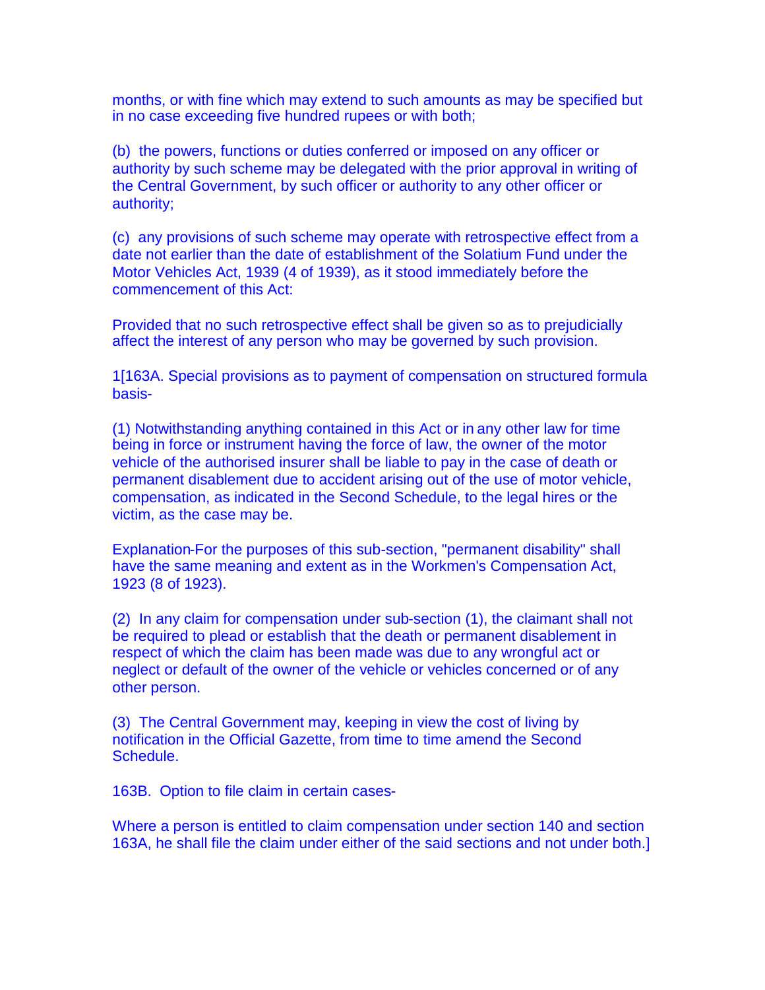months, or with fine which may extend to such amounts as may be specified but in no case exceeding five hundred rupees or with both;

(b) the powers, functions or duties conferred or imposed on any officer or authority by such scheme may be delegated with the prior approval in writing of the Central Government, by such officer or authority to any other officer or authority;

(c) any provisions of such scheme may operate with retrospective effect from a date not earlier than the date of establishment of the Solatium Fund under the Motor Vehicles Act, 1939 (4 of 1939), as it stood immediately before the commencement of this Act:

Provided that no such retrospective effect shall be given so as to prejudicially affect the interest of any person who may be governed by such provision.

1[163A. Special provisions as to payment of compensation on structured formula basis-

(1) Notwithstanding anything contained in this Act or in any other law for time being in force or instrument having the force of law, the owner of the motor vehicle of the authorised insurer shall be liable to pay in the case of death or permanent disablement due to accident arising out of the use of motor vehicle, compensation, as indicated in the Second Schedule, to the legal hires or the victim, as the case may be.

Explanation-For the purposes of this sub-section, "permanent disability" shall have the same meaning and extent as in the Workmen's Compensation Act, 1923 (8 of 1923).

(2) In any claim for compensation under sub-section (1), the claimant shall not be required to plead or establish that the death or permanent disablement in respect of which the claim has been made was due to any wrongful act or neglect or default of the owner of the vehicle or vehicles concerned or of any other person.

(3) The Central Government may, keeping in view the cost of living by notification in the Official Gazette, from time to time amend the Second Schedule.

163B. Option to file claim in certain cases-

Where a person is entitled to claim compensation under section 140 and section 163A, he shall file the claim under either of the said sections and not under both.]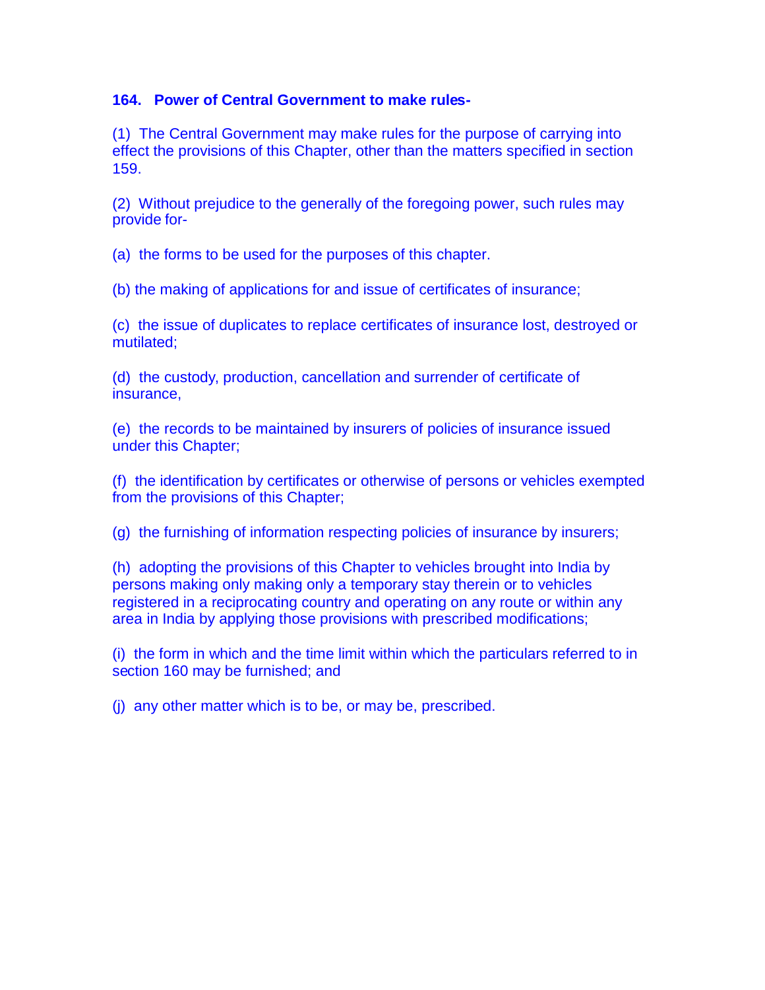### **164. Power of Central Government to make rules-**

(1) The Central Government may make rules for the purpose of carrying into effect the provisions of this Chapter, other than the matters specified in section 159.

(2) Without prejudice to the generally of the foregoing power, such rules may provide for-

(a) the forms to be used for the purposes of this chapter.

(b) the making of applications for and issue of certificates of insurance;

(c) the issue of duplicates to replace certificates of insurance lost, destroyed or mutilated;

(d) the custody, production, cancellation and surrender of certificate of insurance,

(e) the records to be maintained by insurers of policies of insurance issued under this Chapter;

(f) the identification by certificates or otherwise of persons or vehicles exempted from the provisions of this Chapter;

(g) the furnishing of information respecting policies of insurance by insurers;

(h) adopting the provisions of this Chapter to vehicles brought into India by persons making only making only a temporary stay therein or to vehicles registered in a reciprocating country and operating on any route or within any area in India by applying those provisions with prescribed modifications;

(i) the form in which and the time limit within which the particulars referred to in section 160 may be furnished; and

(j) any other matter which is to be, or may be, prescribed.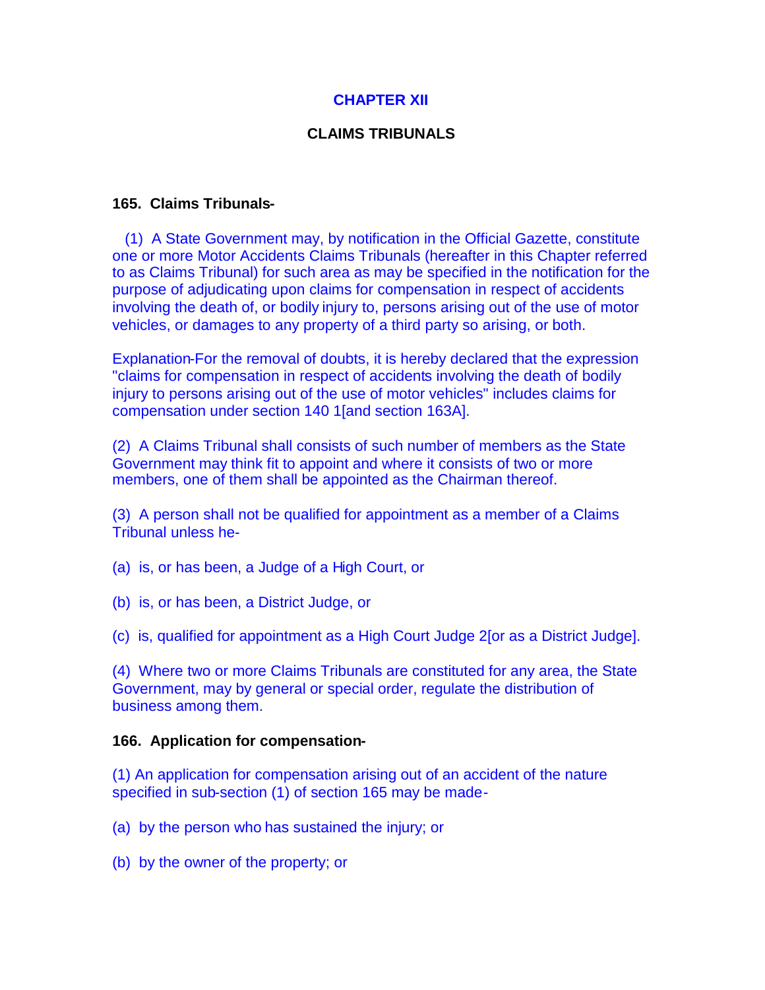## **CHAPTER XII**

## **CLAIMS TRIBUNALS**

### **165. Claims Tribunals-**

(1) A State Government may, by notification in the Official Gazette, constitute one or more Motor Accidents Claims Tribunals (hereafter in this Chapter referred to as Claims Tribunal) for such area as may be specified in the notification for the purpose of adjudicating upon claims for compensation in respect of accidents involving the death of, or bodily injury to, persons arising out of the use of motor vehicles, or damages to any property of a third party so arising, or both.

Explanation-For the removal of doubts, it is hereby declared that the expression "claims for compensation in respect of accidents involving the death of bodily injury to persons arising out of the use of motor vehicles" includes claims for compensation under section 140 1[and section 163A].

(2) A Claims Tribunal shall consists of such number of members as the State Government may think fit to appoint and where it consists of two or more members, one of them shall be appointed as the Chairman thereof.

(3) A person shall not be qualified for appointment as a member of a Claims Tribunal unless he-

- (a) is, or has been, a Judge of a High Court, or
- (b) is, or has been, a District Judge, or
- (c) is, qualified for appointment as a High Court Judge 2[or as a District Judge].

(4) Where two or more Claims Tribunals are constituted for any area, the State Government, may by general or special order, regulate the distribution of business among them.

#### **166. Application for compensation-**

(1) An application for compensation arising out of an accident of the nature specified in sub-section (1) of section 165 may be made-

(a) by the person who has sustained the injury; or

(b) by the owner of the property; or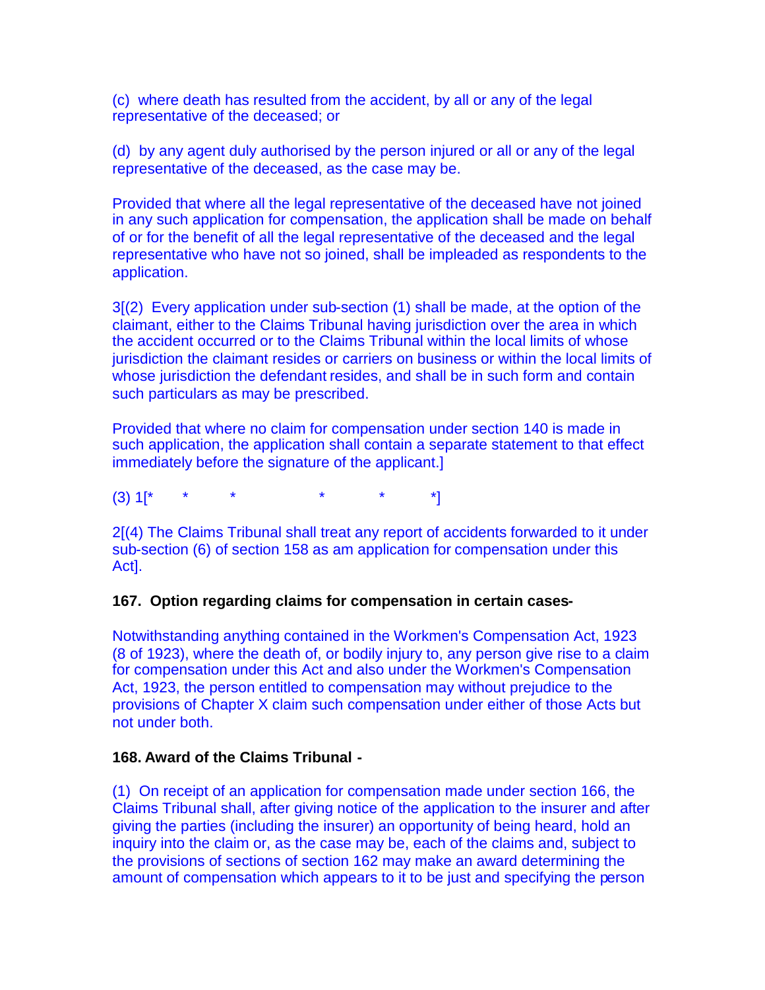(c) where death has resulted from the accident, by all or any of the legal representative of the deceased; or

(d) by any agent duly authorised by the person injured or all or any of the legal representative of the deceased, as the case may be.

Provided that where all the legal representative of the deceased have not joined in any such application for compensation, the application shall be made on behalf of or for the benefit of all the legal representative of the deceased and the legal representative who have not so joined, shall be impleaded as respondents to the application.

3[(2) Every application under sub-section (1) shall be made, at the option of the claimant, either to the Claims Tribunal having jurisdiction over the area in which the accident occurred or to the Claims Tribunal within the local limits of whose jurisdiction the claimant resides or carriers on business or within the local limits of whose jurisdiction the defendant resides, and shall be in such form and contain such particulars as may be prescribed.

Provided that where no claim for compensation under section 140 is made in such application, the application shall contain a separate statement to that effect immediately before the signature of the applicant.]

 $(3)$  1[\* \* \* \* \* \* \*]

2[(4) The Claims Tribunal shall treat any report of accidents forwarded to it under sub-section (6) of section 158 as am application for compensation under this Act].

#### **167. Option regarding claims for compensation in certain cases-**

Notwithstanding anything contained in the Workmen's Compensation Act, 1923 (8 of 1923), where the death of, or bodily injury to, any person give rise to a claim for compensation under this Act and also under the Workmen's Compensation Act, 1923, the person entitled to compensation may without prejudice to the provisions of Chapter X claim such compensation under either of those Acts but not under both.

#### **168. Award of the Claims Tribunal -**

(1) On receipt of an application for compensation made under section 166, the Claims Tribunal shall, after giving notice of the application to the insurer and after giving the parties (including the insurer) an opportunity of being heard, hold an inquiry into the claim or, as the case may be, each of the claims and, subject to the provisions of sections of section 162 may make an award determining the amount of compensation which appears to it to be just and specifying the person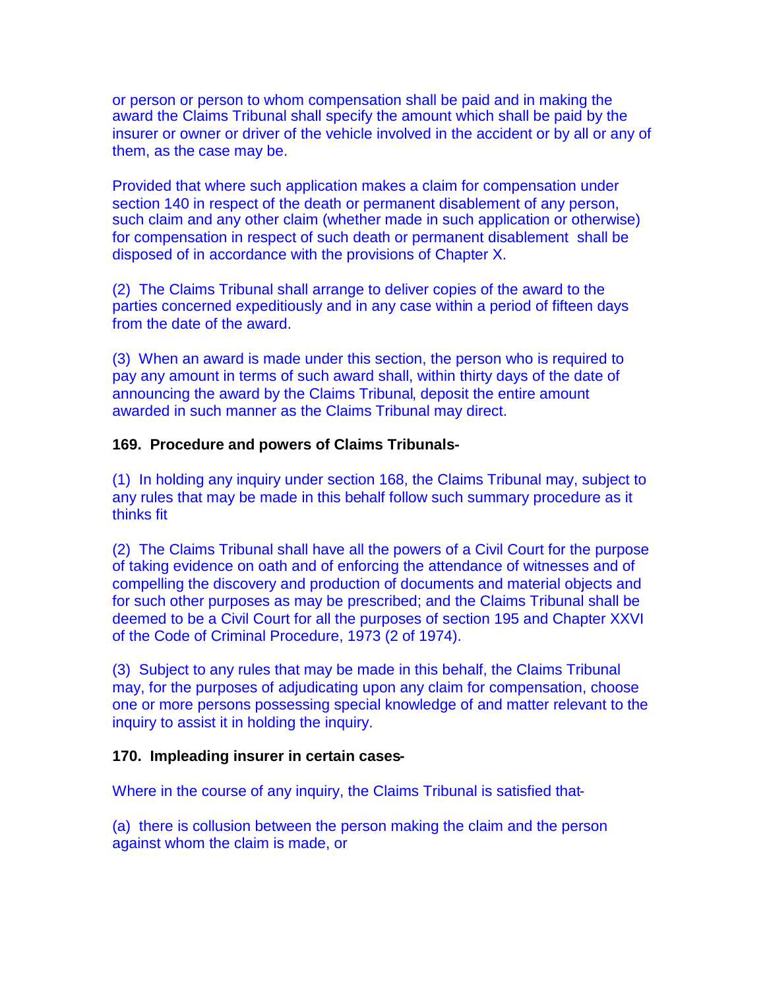or person or person to whom compensation shall be paid and in making the award the Claims Tribunal shall specify the amount which shall be paid by the insurer or owner or driver of the vehicle involved in the accident or by all or any of them, as the case may be.

Provided that where such application makes a claim for compensation under section 140 in respect of the death or permanent disablement of any person, such claim and any other claim (whether made in such application or otherwise) for compensation in respect of such death or permanent disablement shall be disposed of in accordance with the provisions of Chapter X.

(2) The Claims Tribunal shall arrange to deliver copies of the award to the parties concerned expeditiously and in any case within a period of fifteen days from the date of the award.

(3) When an award is made under this section, the person who is required to pay any amount in terms of such award shall, within thirty days of the date of announcing the award by the Claims Tribunal, deposit the entire amount awarded in such manner as the Claims Tribunal may direct.

#### **169. Procedure and powers of Claims Tribunals-**

(1) In holding any inquiry under section 168, the Claims Tribunal may, subject to any rules that may be made in this behalf follow such summary procedure as it thinks fit

(2) The Claims Tribunal shall have all the powers of a Civil Court for the purpose of taking evidence on oath and of enforcing the attendance of witnesses and of compelling the discovery and production of documents and material objects and for such other purposes as may be prescribed; and the Claims Tribunal shall be deemed to be a Civil Court for all the purposes of section 195 and Chapter XXVI of the Code of Criminal Procedure, 1973 (2 of 1974).

(3) Subject to any rules that may be made in this behalf, the Claims Tribunal may, for the purposes of adjudicating upon any claim for compensation, choose one or more persons possessing special knowledge of and matter relevant to the inquiry to assist it in holding the inquiry.

### **170. Impleading insurer in certain cases-**

Where in the course of any inquiry, the Claims Tribunal is satisfied that-

(a) there is collusion between the person making the claim and the person against whom the claim is made, or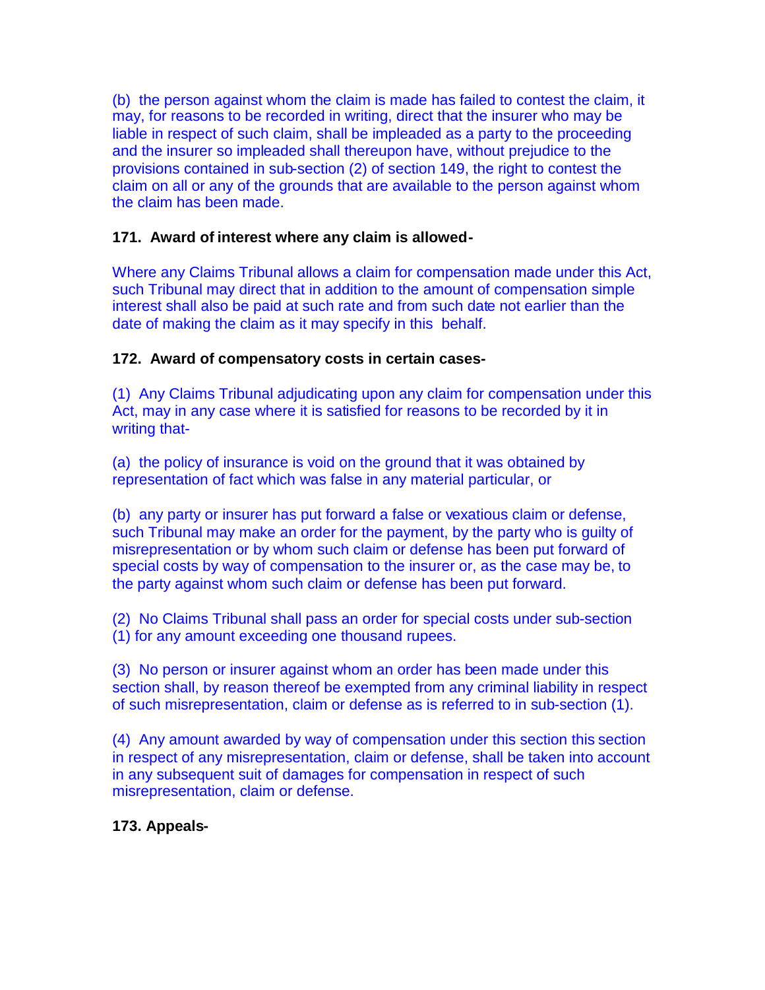(b) the person against whom the claim is made has failed to contest the claim, it may, for reasons to be recorded in writing, direct that the insurer who may be liable in respect of such claim, shall be impleaded as a party to the proceeding and the insurer so impleaded shall thereupon have, without prejudice to the provisions contained in sub-section (2) of section 149, the right to contest the claim on all or any of the grounds that are available to the person against whom the claim has been made.

## **171. Award of interest where any claim is allowed-**

Where any Claims Tribunal allows a claim for compensation made under this Act, such Tribunal may direct that in addition to the amount of compensation simple interest shall also be paid at such rate and from such date not earlier than the date of making the claim as it may specify in this behalf.

## **172. Award of compensatory costs in certain cases-**

(1) Any Claims Tribunal adjudicating upon any claim for compensation under this Act, may in any case where it is satisfied for reasons to be recorded by it in writing that-

(a) the policy of insurance is void on the ground that it was obtained by representation of fact which was false in any material particular, or

(b) any party or insurer has put forward a false or vexatious claim or defense, such Tribunal may make an order for the payment, by the party who is guilty of misrepresentation or by whom such claim or defense has been put forward of special costs by way of compensation to the insurer or, as the case may be, to the party against whom such claim or defense has been put forward.

(2) No Claims Tribunal shall pass an order for special costs under sub-section (1) for any amount exceeding one thousand rupees.

(3) No person or insurer against whom an order has been made under this section shall, by reason thereof be exempted from any criminal liability in respect of such misrepresentation, claim or defense as is referred to in sub-section (1).

(4) Any amount awarded by way of compensation under this section this section in respect of any misrepresentation, claim or defense, shall be taken into account in any subsequent suit of damages for compensation in respect of such misrepresentation, claim or defense.

## **173. Appeals-**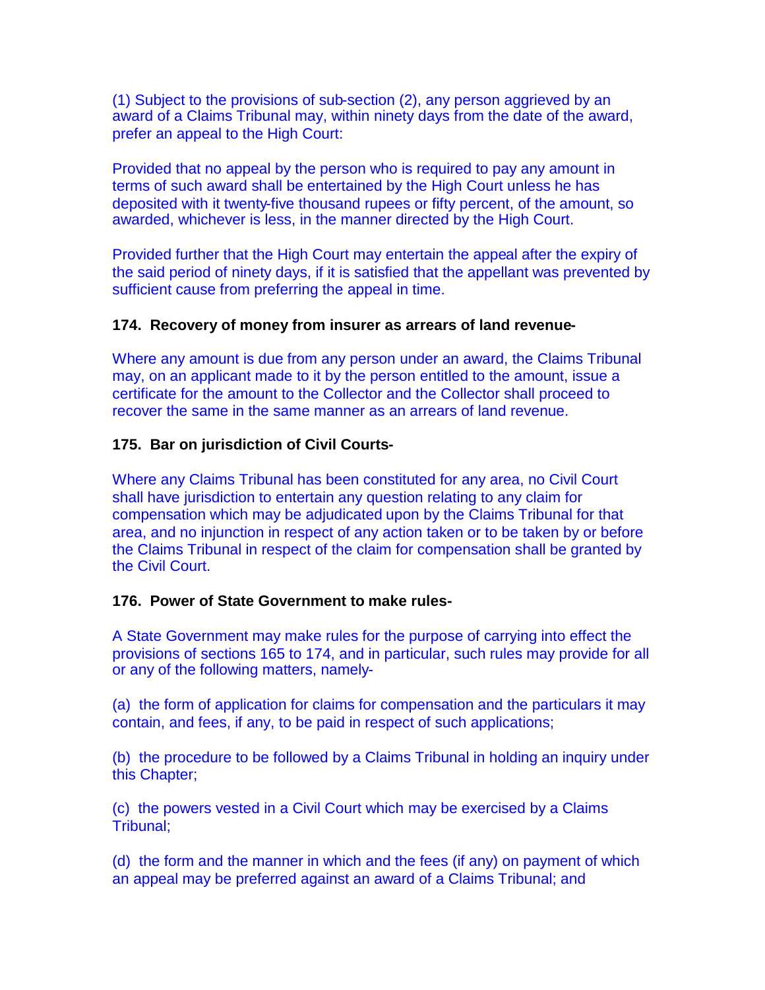(1) Subject to the provisions of sub-section (2), any person aggrieved by an award of a Claims Tribunal may, within ninety days from the date of the award, prefer an appeal to the High Court:

Provided that no appeal by the person who is required to pay any amount in terms of such award shall be entertained by the High Court unless he has deposited with it twenty-five thousand rupees or fifty percent, of the amount, so awarded, whichever is less, in the manner directed by the High Court.

Provided further that the High Court may entertain the appeal after the expiry of the said period of ninety days, if it is satisfied that the appellant was prevented by sufficient cause from preferring the appeal in time.

### **174. Recovery of money from insurer as arrears of land revenue-**

Where any amount is due from any person under an award, the Claims Tribunal may, on an applicant made to it by the person entitled to the amount, issue a certificate for the amount to the Collector and the Collector shall proceed to recover the same in the same manner as an arrears of land revenue.

### **175. Bar on jurisdiction of Civil Courts-**

Where any Claims Tribunal has been constituted for any area, no Civil Court shall have jurisdiction to entertain any question relating to any claim for compensation which may be adjudicated upon by the Claims Tribunal for that area, and no injunction in respect of any action taken or to be taken by or before the Claims Tribunal in respect of the claim for compensation shall be granted by the Civil Court.

#### **176. Power of State Government to make rules-**

A State Government may make rules for the purpose of carrying into effect the provisions of sections 165 to 174, and in particular, such rules may provide for all or any of the following matters, namely-

(a) the form of application for claims for compensation and the particulars it may contain, and fees, if any, to be paid in respect of such applications;

(b) the procedure to be followed by a Claims Tribunal in holding an inquiry under this Chapter;

(c) the powers vested in a Civil Court which may be exercised by a Claims Tribunal;

(d) the form and the manner in which and the fees (if any) on payment of which an appeal may be preferred against an award of a Claims Tribunal; and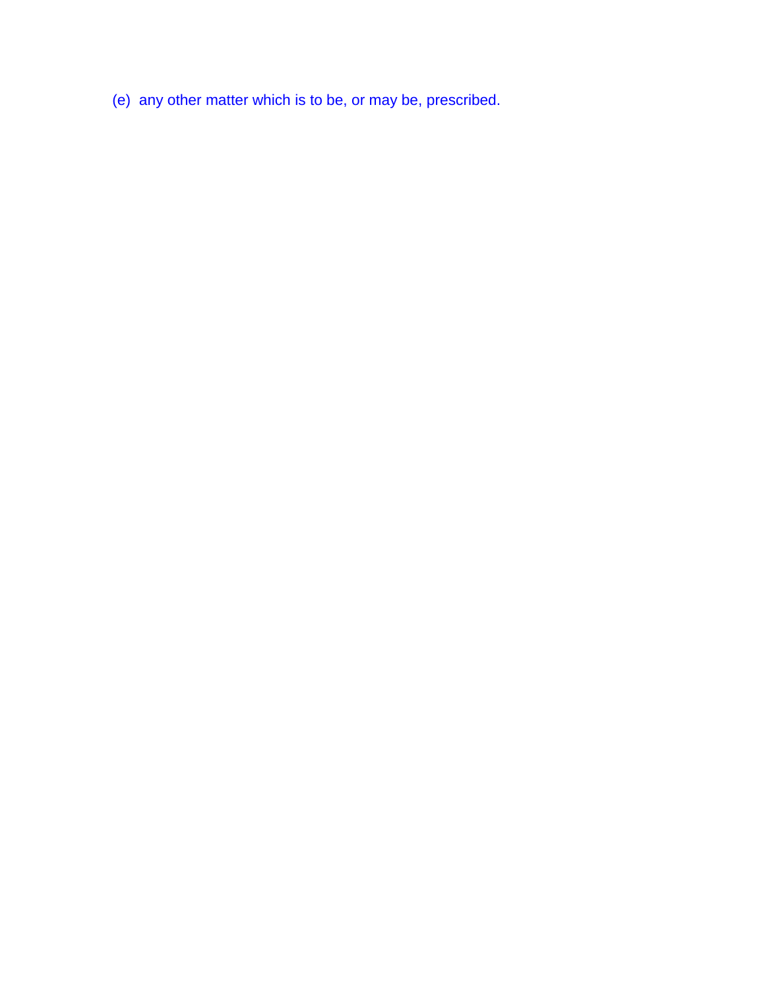(e) any other matter which is to be, or may be, prescribed.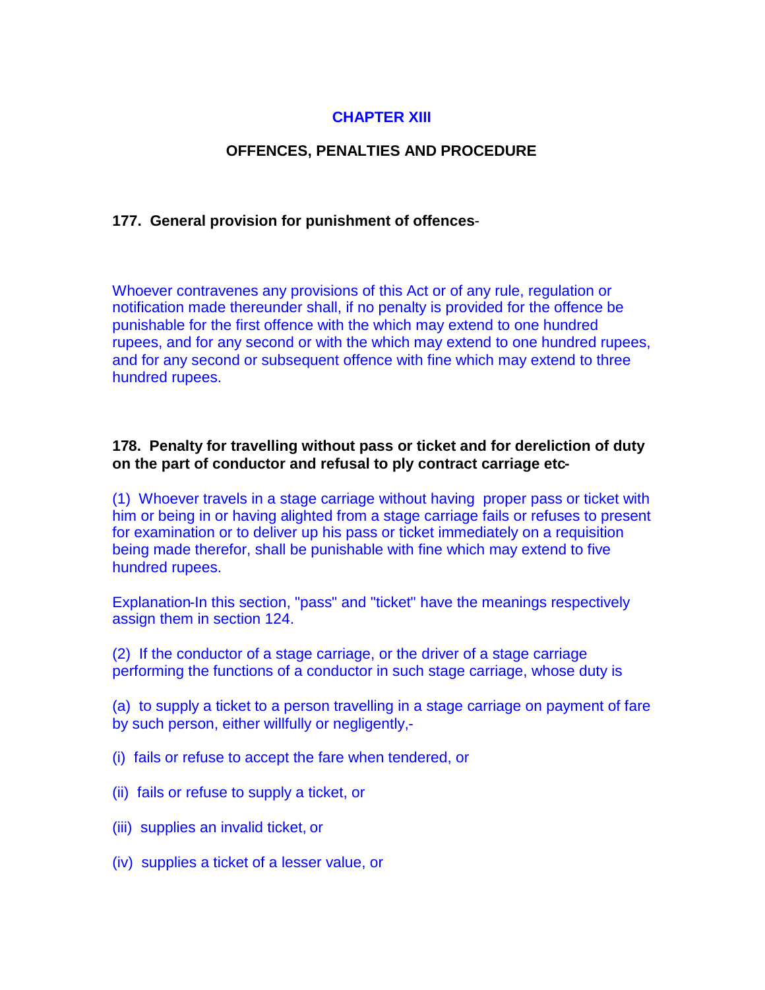# **CHAPTER XIII**

# **OFFENCES, PENALTIES AND PROCEDURE**

### **177. General provision for punishment of offences**-

Whoever contravenes any provisions of this Act or of any rule, regulation or notification made thereunder shall, if no penalty is provided for the offence be punishable for the first offence with the which may extend to one hundred rupees, and for any second or with the which may extend to one hundred rupees, and for any second or subsequent offence with fine which may extend to three hundred rupees.

### **178. Penalty for travelling without pass or ticket and for dereliction of duty on the part of conductor and refusal to ply contract carriage etc-**

(1) Whoever travels in a stage carriage without having proper pass or ticket with him or being in or having alighted from a stage carriage fails or refuses to present for examination or to deliver up his pass or ticket immediately on a requisition being made therefor, shall be punishable with fine which may extend to five hundred rupees.

Explanation-In this section, "pass" and "ticket" have the meanings respectively assign them in section 124.

(2) If the conductor of a stage carriage, or the driver of a stage carriage performing the functions of a conductor in such stage carriage, whose duty is

(a) to supply a ticket to a person travelling in a stage carriage on payment of fare by such person, either willfully or negligently,-

(i) fails or refuse to accept the fare when tendered, or

- (ii) fails or refuse to supply a ticket, or
- (iii) supplies an invalid ticket, or
- (iv) supplies a ticket of a lesser value, or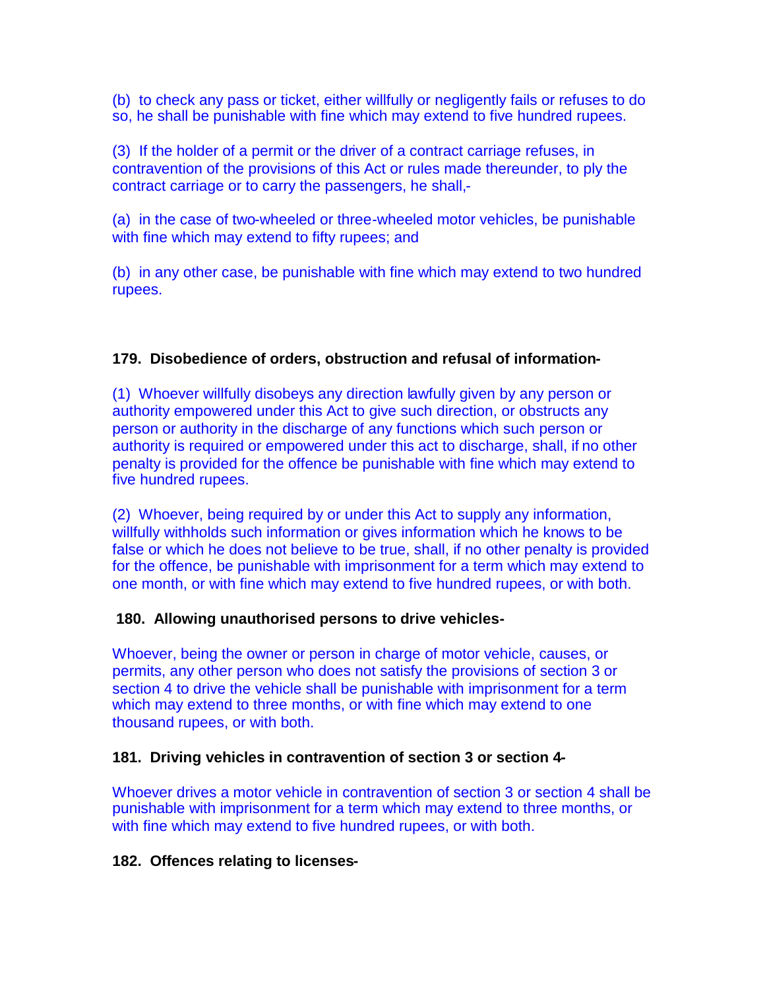(b) to check any pass or ticket, either willfully or negligently fails or refuses to do so, he shall be punishable with fine which may extend to five hundred rupees.

(3) If the holder of a permit or the driver of a contract carriage refuses, in contravention of the provisions of this Act or rules made thereunder, to ply the contract carriage or to carry the passengers, he shall,-

(a) in the case of two-wheeled or three-wheeled motor vehicles, be punishable with fine which may extend to fifty rupees; and

(b) in any other case, be punishable with fine which may extend to two hundred rupees.

# **179. Disobedience of orders, obstruction and refusal of information-**

(1) Whoever willfully disobeys any direction lawfully given by any person or authority empowered under this Act to give such direction, or obstructs any person or authority in the discharge of any functions which such person or authority is required or empowered under this act to discharge, shall, if no other penalty is provided for the offence be punishable with fine which may extend to five hundred rupees.

(2) Whoever, being required by or under this Act to supply any information, willfully withholds such information or gives information which he knows to be false or which he does not believe to be true, shall, if no other penalty is provided for the offence, be punishable with imprisonment for a term which may extend to one month, or with fine which may extend to five hundred rupees, or with both.

## **180. Allowing unauthorised persons to drive vehicles-**

Whoever, being the owner or person in charge of motor vehicle, causes, or permits, any other person who does not satisfy the provisions of section 3 or section 4 to drive the vehicle shall be punishable with imprisonment for a term which may extend to three months, or with fine which may extend to one thousand rupees, or with both.

## **181. Driving vehicles in contravention of section 3 or section 4-**

Whoever drives a motor vehicle in contravention of section 3 or section 4 shall be punishable with imprisonment for a term which may extend to three months, or with fine which may extend to five hundred rupees, or with both.

## **182. Offences relating to licenses-**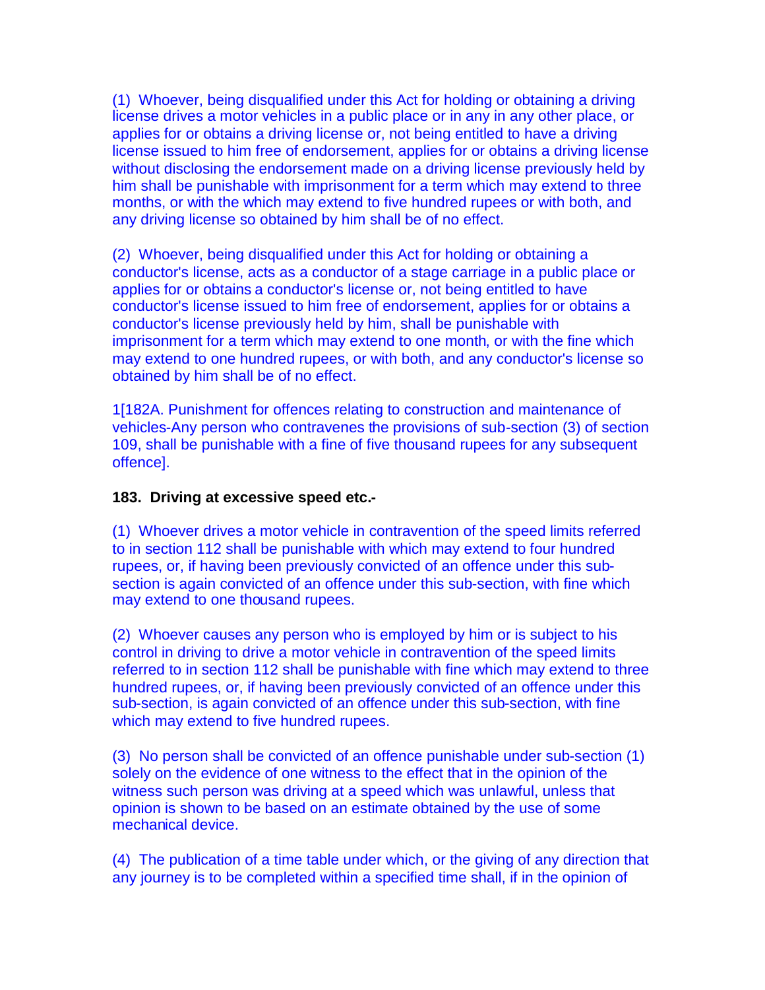(1) Whoever, being disqualified under this Act for holding or obtaining a driving license drives a motor vehicles in a public place or in any in any other place, or applies for or obtains a driving license or, not being entitled to have a driving license issued to him free of endorsement, applies for or obtains a driving license without disclosing the endorsement made on a driving license previously held by him shall be punishable with imprisonment for a term which may extend to three months, or with the which may extend to five hundred rupees or with both, and any driving license so obtained by him shall be of no effect.

(2) Whoever, being disqualified under this Act for holding or obtaining a conductor's license, acts as a conductor of a stage carriage in a public place or applies for or obtains a conductor's license or, not being entitled to have conductor's license issued to him free of endorsement, applies for or obtains a conductor's license previously held by him, shall be punishable with imprisonment for a term which may extend to one month, or with the fine which may extend to one hundred rupees, or with both, and any conductor's license so obtained by him shall be of no effect.

1[182A. Punishment for offences relating to construction and maintenance of vehicles-Any person who contravenes the provisions of sub-section (3) of section 109, shall be punishable with a fine of five thousand rupees for any subsequent offence].

### **183. Driving at excessive speed etc.-**

(1) Whoever drives a motor vehicle in contravention of the speed limits referred to in section 112 shall be punishable with which may extend to four hundred rupees, or, if having been previously convicted of an offence under this subsection is again convicted of an offence under this sub-section, with fine which may extend to one thousand rupees.

(2) Whoever causes any person who is employed by him or is subject to his control in driving to drive a motor vehicle in contravention of the speed limits referred to in section 112 shall be punishable with fine which may extend to three hundred rupees, or, if having been previously convicted of an offence under this sub-section, is again convicted of an offence under this sub-section, with fine which may extend to five hundred rupees.

(3) No person shall be convicted of an offence punishable under sub-section (1) solely on the evidence of one witness to the effect that in the opinion of the witness such person was driving at a speed which was unlawful, unless that opinion is shown to be based on an estimate obtained by the use of some mechanical device.

(4) The publication of a time table under which, or the giving of any direction that any journey is to be completed within a specified time shall, if in the opinion of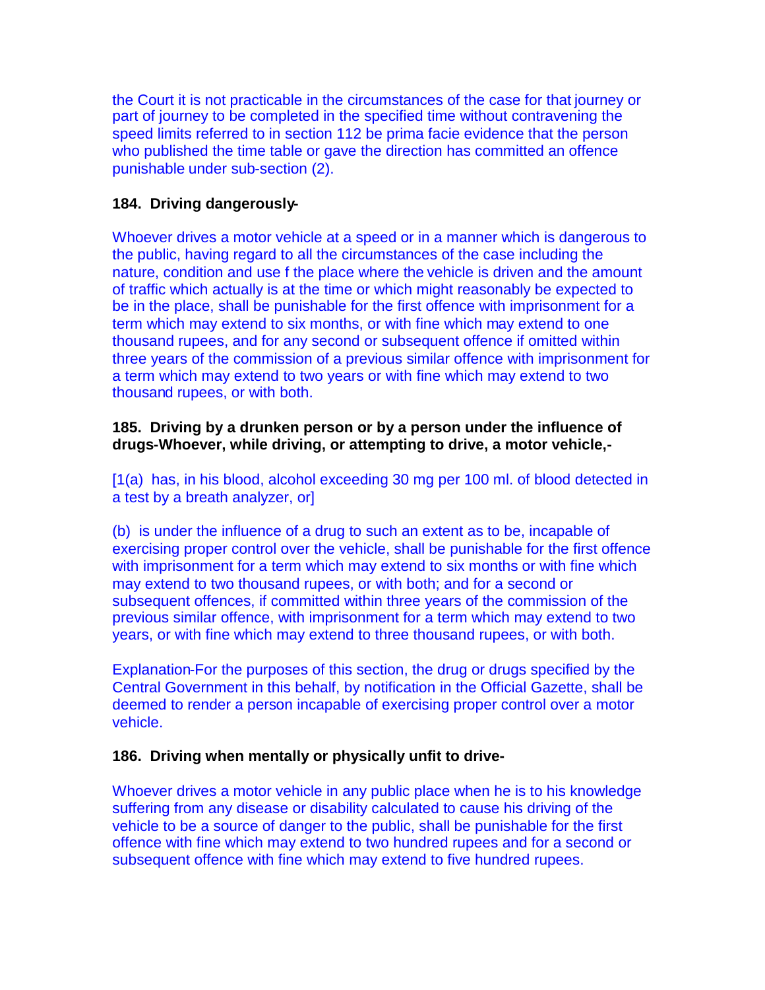the Court it is not practicable in the circumstances of the case for that journey or part of journey to be completed in the specified time without contravening the speed limits referred to in section 112 be prima facie evidence that the person who published the time table or gave the direction has committed an offence punishable under sub-section (2).

# **184. Driving dangerously-**

Whoever drives a motor vehicle at a speed or in a manner which is dangerous to the public, having regard to all the circumstances of the case including the nature, condition and use f the place where the vehicle is driven and the amount of traffic which actually is at the time or which might reasonably be expected to be in the place, shall be punishable for the first offence with imprisonment for a term which may extend to six months, or with fine which may extend to one thousand rupees, and for any second or subsequent offence if omitted within three years of the commission of a previous similar offence with imprisonment for a term which may extend to two years or with fine which may extend to two thousand rupees, or with both.

# **185. Driving by a drunken person or by a person under the influence of drugs-Whoever, while driving, or attempting to drive, a motor vehicle,-**

[1(a) has, in his blood, alcohol exceeding 30 mg per 100 ml. of blood detected in a test by a breath analyzer, or]

(b) is under the influence of a drug to such an extent as to be, incapable of exercising proper control over the vehicle, shall be punishable for the first offence with imprisonment for a term which may extend to six months or with fine which may extend to two thousand rupees, or with both; and for a second or subsequent offences, if committed within three years of the commission of the previous similar offence, with imprisonment for a term which may extend to two years, or with fine which may extend to three thousand rupees, or with both.

Explanation-For the purposes of this section, the drug or drugs specified by the Central Government in this behalf, by notification in the Official Gazette, shall be deemed to render a person incapable of exercising proper control over a motor vehicle.

## **186. Driving when mentally or physically unfit to drive-**

Whoever drives a motor vehicle in any public place when he is to his knowledge suffering from any disease or disability calculated to cause his driving of the vehicle to be a source of danger to the public, shall be punishable for the first offence with fine which may extend to two hundred rupees and for a second or subsequent offence with fine which may extend to five hundred rupees.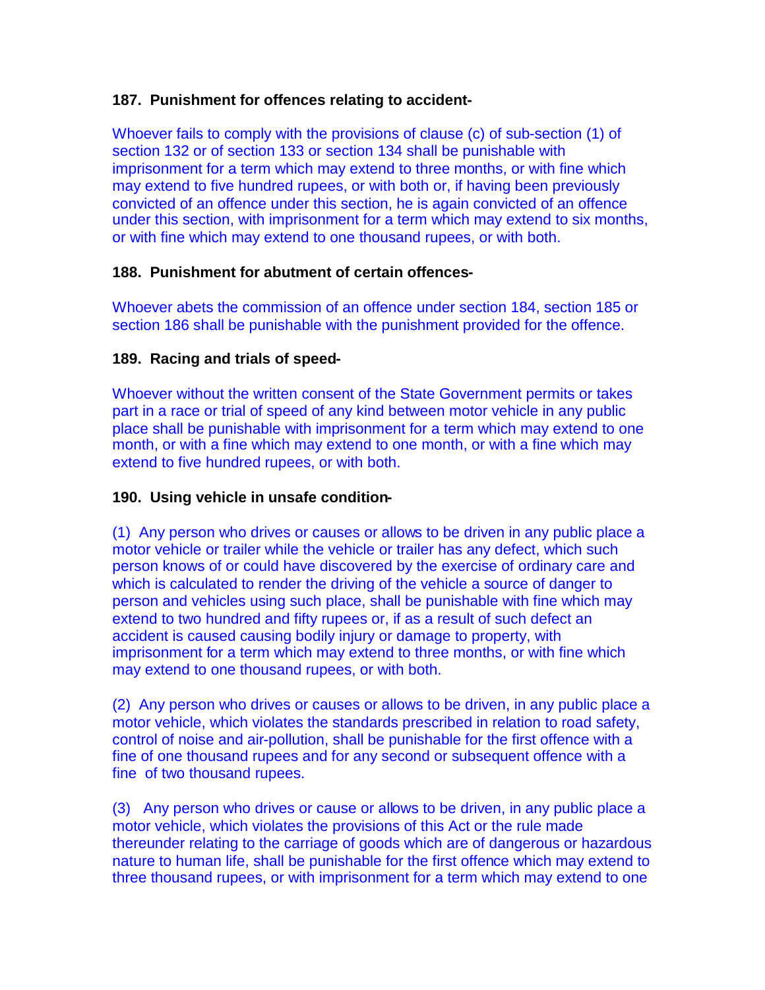# **187. Punishment for offences relating to accident-**

Whoever fails to comply with the provisions of clause (c) of sub-section (1) of section 132 or of section 133 or section 134 shall be punishable with imprisonment for a term which may extend to three months, or with fine which may extend to five hundred rupees, or with both or, if having been previously convicted of an offence under this section, he is again convicted of an offence under this section, with imprisonment for a term which may extend to six months, or with fine which may extend to one thousand rupees, or with both.

# **188. Punishment for abutment of certain offences-**

Whoever abets the commission of an offence under section 184, section 185 or section 186 shall be punishable with the punishment provided for the offence.

# **189. Racing and trials of speed-**

Whoever without the written consent of the State Government permits or takes part in a race or trial of speed of any kind between motor vehicle in any public place shall be punishable with imprisonment for a term which may extend to one month, or with a fine which may extend to one month, or with a fine which may extend to five hundred rupees, or with both.

## **190. Using vehicle in unsafe condition-**

(1) Any person who drives or causes or allows to be driven in any public place a motor vehicle or trailer while the vehicle or trailer has any defect, which such person knows of or could have discovered by the exercise of ordinary care and which is calculated to render the driving of the vehicle a source of danger to person and vehicles using such place, shall be punishable with fine which may extend to two hundred and fifty rupees or, if as a result of such defect an accident is caused causing bodily injury or damage to property, with imprisonment for a term which may extend to three months, or with fine which may extend to one thousand rupees, or with both.

(2) Any person who drives or causes or allows to be driven, in any public place a motor vehicle, which violates the standards prescribed in relation to road safety, control of noise and air-pollution, shall be punishable for the first offence with a fine of one thousand rupees and for any second or subsequent offence with a fine of two thousand rupees.

(3) Any person who drives or cause or allows to be driven, in any public place a motor vehicle, which violates the provisions of this Act or the rule made thereunder relating to the carriage of goods which are of dangerous or hazardous nature to human life, shall be punishable for the first offence which may extend to three thousand rupees, or with imprisonment for a term which may extend to one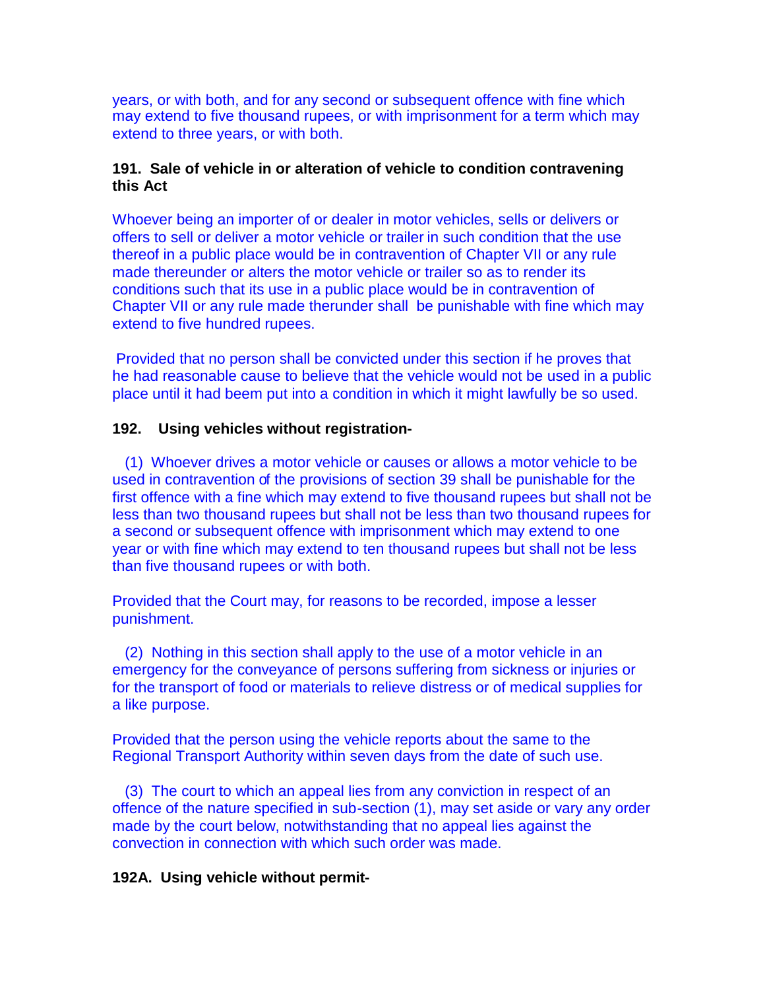years, or with both, and for any second or subsequent offence with fine which may extend to five thousand rupees, or with imprisonment for a term which may extend to three years, or with both.

### **191. Sale of vehicle in or alteration of vehicle to condition contravening this Act**

Whoever being an importer of or dealer in motor vehicles, sells or delivers or offers to sell or deliver a motor vehicle or trailer in such condition that the use thereof in a public place would be in contravention of Chapter VII or any rule made thereunder or alters the motor vehicle or trailer so as to render its conditions such that its use in a public place would be in contravention of Chapter VII or any rule made therunder shall be punishable with fine which may extend to five hundred rupees.

Provided that no person shall be convicted under this section if he proves that he had reasonable cause to believe that the vehicle would not be used in a public place until it had beem put into a condition in which it might lawfully be so used.

### **192. Using vehicles without registration-**

(1) Whoever drives a motor vehicle or causes or allows a motor vehicle to be used in contravention of the provisions of section 39 shall be punishable for the first offence with a fine which may extend to five thousand rupees but shall not be less than two thousand rupees but shall not be less than two thousand rupees for a second or subsequent offence with imprisonment which may extend to one year or with fine which may extend to ten thousand rupees but shall not be less than five thousand rupees or with both.

Provided that the Court may, for reasons to be recorded, impose a lesser punishment.

(2) Nothing in this section shall apply to the use of a motor vehicle in an emergency for the conveyance of persons suffering from sickness or injuries or for the transport of food or materials to relieve distress or of medical supplies for a like purpose.

Provided that the person using the vehicle reports about the same to the Regional Transport Authority within seven days from the date of such use.

(3) The court to which an appeal lies from any conviction in respect of an offence of the nature specified in sub-section (1), may set aside or vary any order made by the court below, notwithstanding that no appeal lies against the convection in connection with which such order was made.

### **192A. Using vehicle without permit-**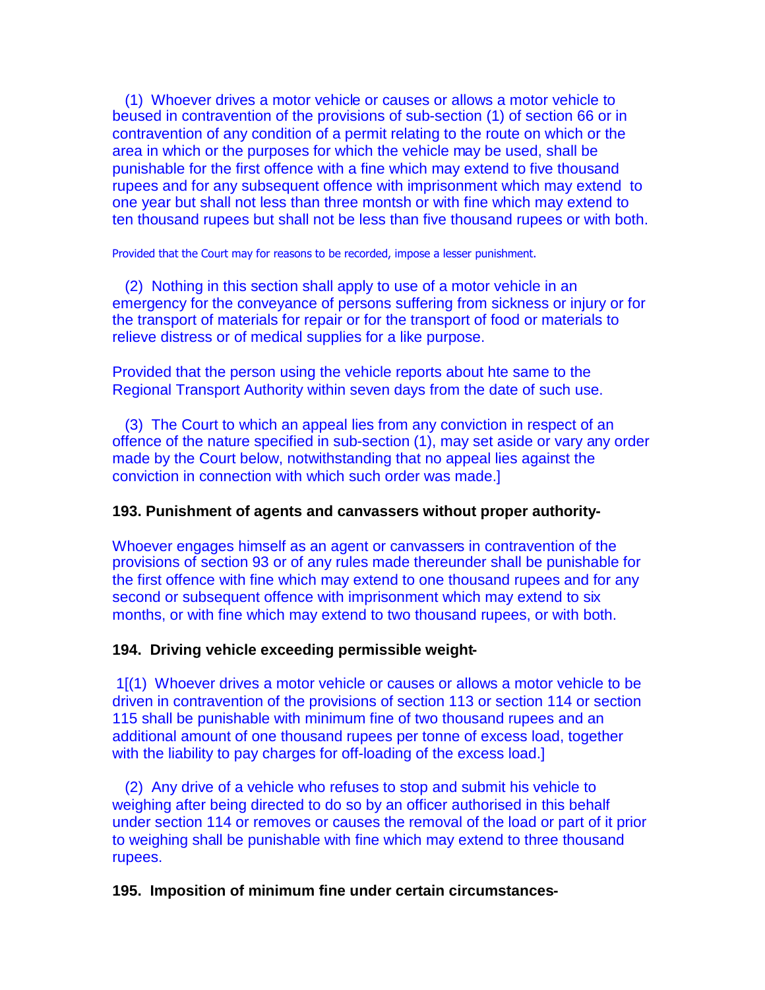(1) Whoever drives a motor vehicle or causes or allows a motor vehicle to beused in contravention of the provisions of sub-section (1) of section 66 or in contravention of any condition of a permit relating to the route on which or the area in which or the purposes for which the vehicle may be used, shall be punishable for the first offence with a fine which may extend to five thousand rupees and for any subsequent offence with imprisonment which may extend to one year but shall not less than three montsh or with fine which may extend to ten thousand rupees but shall not be less than five thousand rupees or with both.

Provided that the Court may for reasons to be recorded, impose a lesser punishment.

(2) Nothing in this section shall apply to use of a motor vehicle in an emergency for the conveyance of persons suffering from sickness or injury or for the transport of materials for repair or for the transport of food or materials to relieve distress or of medical supplies for a like purpose.

Provided that the person using the vehicle reports about hte same to the Regional Transport Authority within seven days from the date of such use.

(3) The Court to which an appeal lies from any conviction in respect of an offence of the nature specified in sub-section (1), may set aside or vary any order made by the Court below, notwithstanding that no appeal lies against the conviction in connection with which such order was made.]

### **193. Punishment of agents and canvassers without proper authority-**

Whoever engages himself as an agent or canvassers in contravention of the provisions of section 93 or of any rules made thereunder shall be punishable for the first offence with fine which may extend to one thousand rupees and for any second or subsequent offence with imprisonment which may extend to six months, or with fine which may extend to two thousand rupees, or with both.

### **194. Driving vehicle exceeding permissible weight-**

1[(1) Whoever drives a motor vehicle or causes or allows a motor vehicle to be driven in contravention of the provisions of section 113 or section 114 or section 115 shall be punishable with minimum fine of two thousand rupees and an additional amount of one thousand rupees per tonne of excess load, together with the liability to pay charges for off-loading of the excess load.]

(2) Any drive of a vehicle who refuses to stop and submit his vehicle to weighing after being directed to do so by an officer authorised in this behalf under section 114 or removes or causes the removal of the load or part of it prior to weighing shall be punishable with fine which may extend to three thousand rupees.

#### **195. Imposition of minimum fine under certain circumstances-**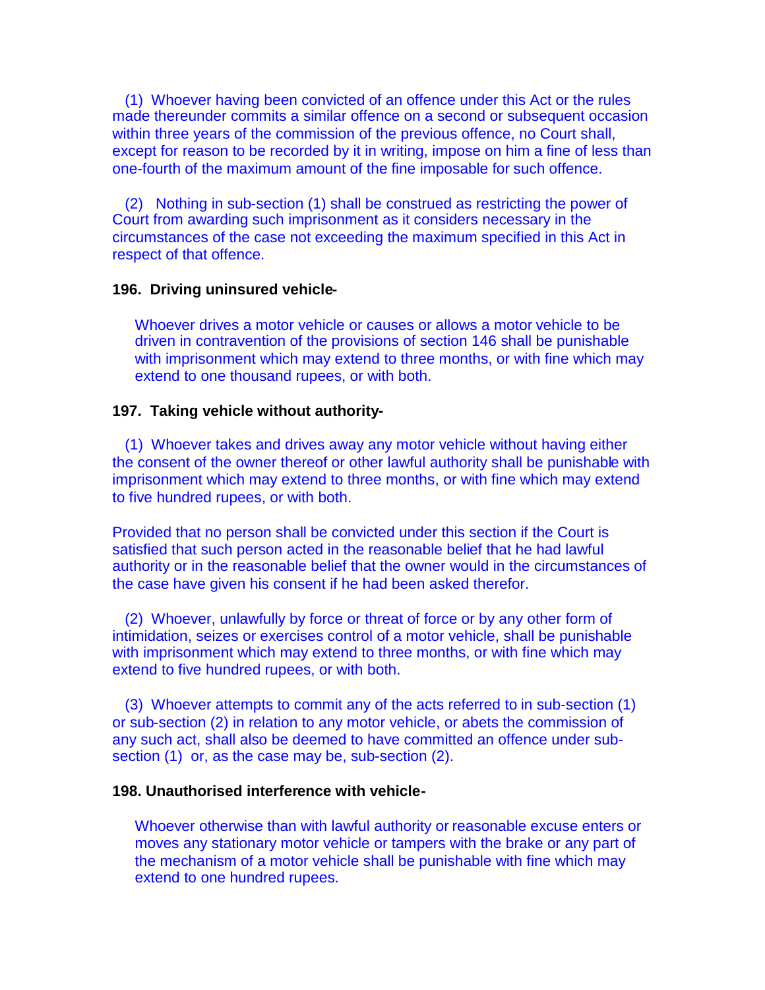(1) Whoever having been convicted of an offence under this Act or the rules made thereunder commits a similar offence on a second or subsequent occasion within three years of the commission of the previous offence, no Court shall, except for reason to be recorded by it in writing, impose on him a fine of less than one-fourth of the maximum amount of the fine imposable for such offence.

(2) Nothing in sub-section (1) shall be construed as restricting the power of Court from awarding such imprisonment as it considers necessary in the circumstances of the case not exceeding the maximum specified in this Act in respect of that offence.

#### **196. Driving uninsured vehicle-**

Whoever drives a motor vehicle or causes or allows a motor vehicle to be driven in contravention of the provisions of section 146 shall be punishable with imprisonment which may extend to three months, or with fine which may extend to one thousand rupees, or with both.

#### **197. Taking vehicle without authority-**

(1) Whoever takes and drives away any motor vehicle without having either the consent of the owner thereof or other lawful authority shall be punishable with imprisonment which may extend to three months, or with fine which may extend to five hundred rupees, or with both.

Provided that no person shall be convicted under this section if the Court is satisfied that such person acted in the reasonable belief that he had lawful authority or in the reasonable belief that the owner would in the circumstances of the case have given his consent if he had been asked therefor.

(2) Whoever, unlawfully by force or threat of force or by any other form of intimidation, seizes or exercises control of a motor vehicle, shall be punishable with imprisonment which may extend to three months, or with fine which may extend to five hundred rupees, or with both.

(3) Whoever attempts to commit any of the acts referred to in sub-section (1) or sub-section (2) in relation to any motor vehicle, or abets the commission of any such act, shall also be deemed to have committed an offence under subsection (1) or, as the case may be, sub-section (2).

#### **198. Unauthorised interference with vehicle-**

Whoever otherwise than with lawful authority or reasonable excuse enters or moves any stationary motor vehicle or tampers with the brake or any part of the mechanism of a motor vehicle shall be punishable with fine which may extend to one hundred rupees.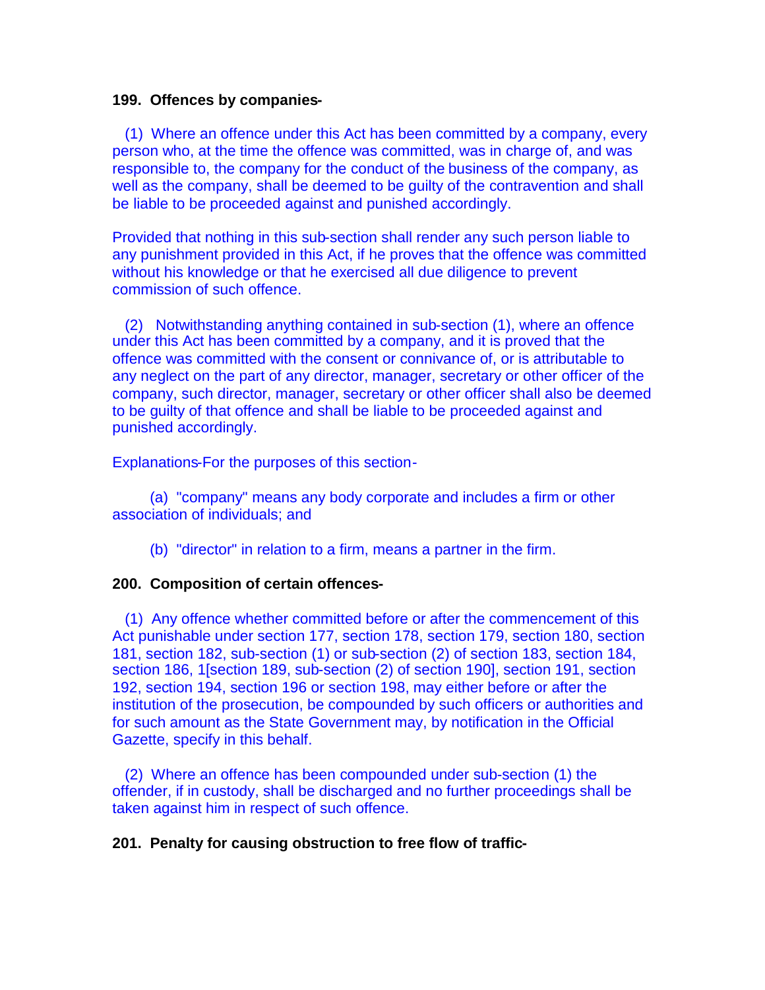#### **199. Offences by companies-**

(1) Where an offence under this Act has been committed by a company, every person who, at the time the offence was committed, was in charge of, and was responsible to, the company for the conduct of the business of the company, as well as the company, shall be deemed to be guilty of the contravention and shall be liable to be proceeded against and punished accordingly.

Provided that nothing in this sub-section shall render any such person liable to any punishment provided in this Act, if he proves that the offence was committed without his knowledge or that he exercised all due diligence to prevent commission of such offence.

(2) Notwithstanding anything contained in sub-section (1), where an offence under this Act has been committed by a company, and it is proved that the offence was committed with the consent or connivance of, or is attributable to any neglect on the part of any director, manager, secretary or other officer of the company, such director, manager, secretary or other officer shall also be deemed to be guilty of that offence and shall be liable to be proceeded against and punished accordingly.

Explanations-For the purposes of this section-

(a) "company" means any body corporate and includes a firm or other association of individuals; and

(b) "director" in relation to a firm, means a partner in the firm.

### **200. Composition of certain offences-**

(1) Any offence whether committed before or after the commencement of this Act punishable under section 177, section 178, section 179, section 180, section 181, section 182, sub-section (1) or sub-section (2) of section 183, section 184, section 186, 1[section 189, sub-section (2) of section 190], section 191, section 192, section 194, section 196 or section 198, may either before or after the institution of the prosecution, be compounded by such officers or authorities and for such amount as the State Government may, by notification in the Official Gazette, specify in this behalf.

(2) Where an offence has been compounded under sub-section (1) the offender, if in custody, shall be discharged and no further proceedings shall be taken against him in respect of such offence.

#### **201. Penalty for causing obstruction to free flow of traffic-**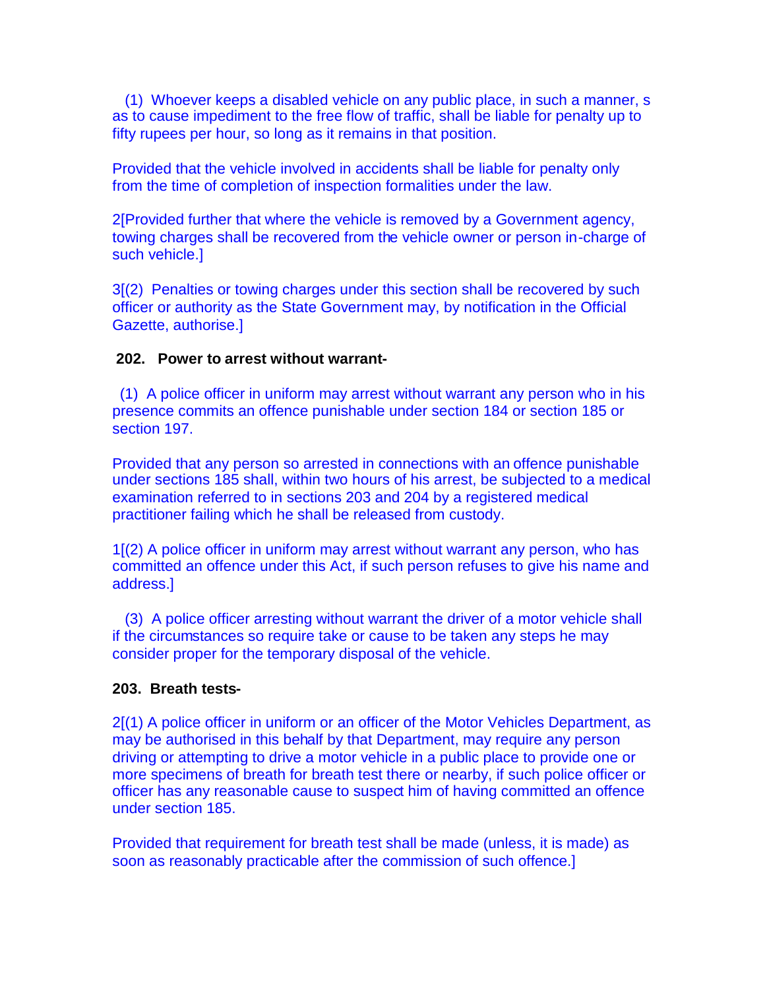(1) Whoever keeps a disabled vehicle on any public place, in such a manner, s as to cause impediment to the free flow of traffic, shall be liable for penalty up to fifty rupees per hour, so long as it remains in that position.

Provided that the vehicle involved in accidents shall be liable for penalty only from the time of completion of inspection formalities under the law.

2[Provided further that where the vehicle is removed by a Government agency, towing charges shall be recovered from the vehicle owner or person in-charge of such vehicle.]

3[(2) Penalties or towing charges under this section shall be recovered by such officer or authority as the State Government may, by notification in the Official Gazette, authorise.]

### **202. Power to arrest without warrant-**

(1) A police officer in uniform may arrest without warrant any person who in his presence commits an offence punishable under section 184 or section 185 or section 197.

Provided that any person so arrested in connections with an offence punishable under sections 185 shall, within two hours of his arrest, be subjected to a medical examination referred to in sections 203 and 204 by a registered medical practitioner failing which he shall be released from custody.

1[(2) A police officer in uniform may arrest without warrant any person, who has committed an offence under this Act, if such person refuses to give his name and address.]

(3) A police officer arresting without warrant the driver of a motor vehicle shall if the circumstances so require take or cause to be taken any steps he may consider proper for the temporary disposal of the vehicle.

### **203. Breath tests-**

2[(1) A police officer in uniform or an officer of the Motor Vehicles Department, as may be authorised in this behalf by that Department, may require any person driving or attempting to drive a motor vehicle in a public place to provide one or more specimens of breath for breath test there or nearby, if such police officer or officer has any reasonable cause to suspect him of having committed an offence under section 185.

Provided that requirement for breath test shall be made (unless, it is made) as soon as reasonably practicable after the commission of such offence.]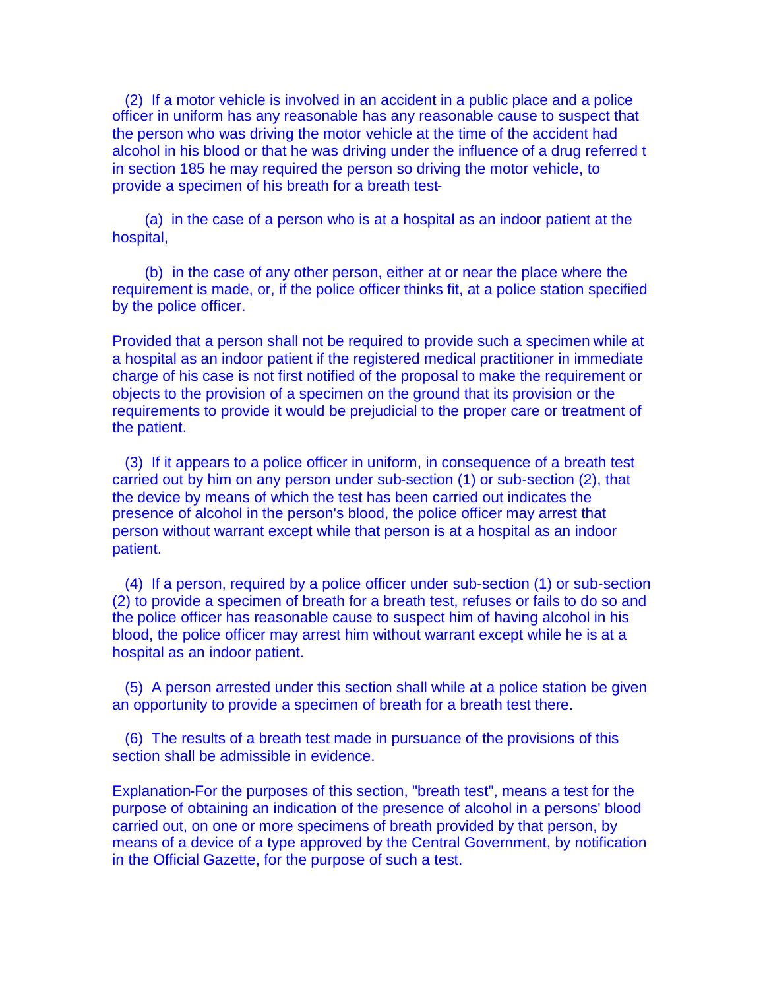(2) If a motor vehicle is involved in an accident in a public place and a police officer in uniform has any reasonable has any reasonable cause to suspect that the person who was driving the motor vehicle at the time of the accident had alcohol in his blood or that he was driving under the influence of a drug referred t in section 185 he may required the person so driving the motor vehicle, to provide a specimen of his breath for a breath test-

(a) in the case of a person who is at a hospital as an indoor patient at the hospital,

(b) in the case of any other person, either at or near the place where the requirement is made, or, if the police officer thinks fit, at a police station specified by the police officer.

Provided that a person shall not be required to provide such a specimen while at a hospital as an indoor patient if the registered medical practitioner in immediate charge of his case is not first notified of the proposal to make the requirement or objects to the provision of a specimen on the ground that its provision or the requirements to provide it would be prejudicial to the proper care or treatment of the patient.

(3) If it appears to a police officer in uniform, in consequence of a breath test carried out by him on any person under sub-section (1) or sub-section (2), that the device by means of which the test has been carried out indicates the presence of alcohol in the person's blood, the police officer may arrest that person without warrant except while that person is at a hospital as an indoor patient.

(4) If a person, required by a police officer under sub-section (1) or sub-section (2) to provide a specimen of breath for a breath test, refuses or fails to do so and the police officer has reasonable cause to suspect him of having alcohol in his blood, the police officer may arrest him without warrant except while he is at a hospital as an indoor patient.

(5) A person arrested under this section shall while at a police station be given an opportunity to provide a specimen of breath for a breath test there.

(6) The results of a breath test made in pursuance of the provisions of this section shall be admissible in evidence.

Explanation-For the purposes of this section, "breath test", means a test for the purpose of obtaining an indication of the presence of alcohol in a persons' blood carried out, on one or more specimens of breath provided by that person, by means of a device of a type approved by the Central Government, by notification in the Official Gazette, for the purpose of such a test.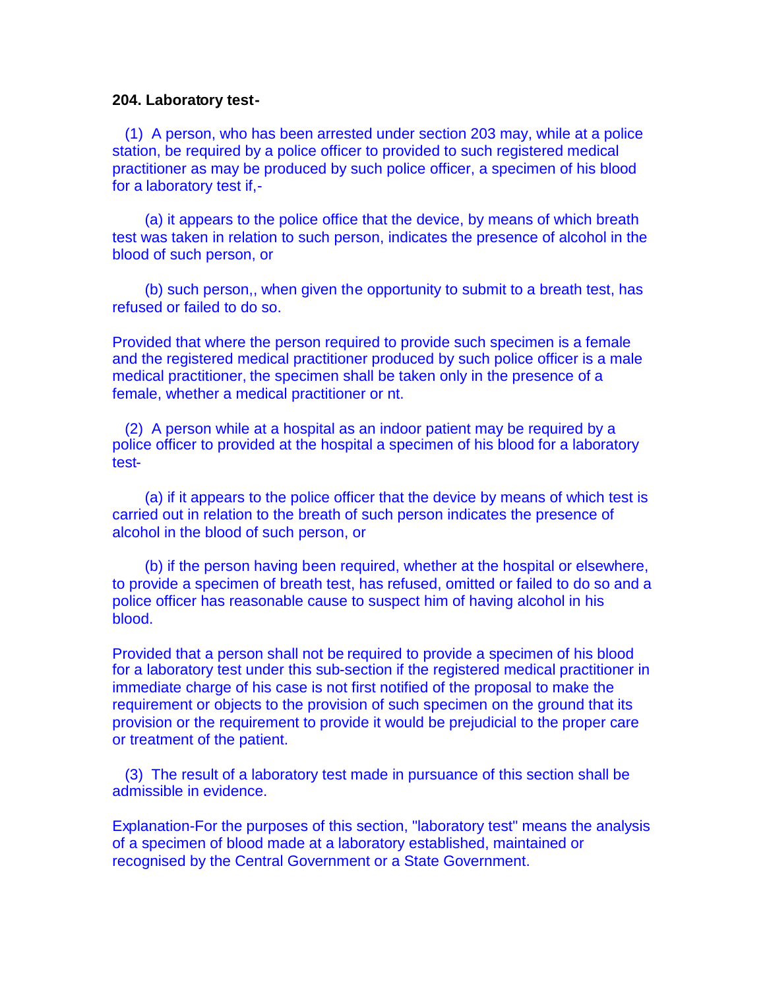#### **204. Laboratory test-**

(1) A person, who has been arrested under section 203 may, while at a police station, be required by a police officer to provided to such registered medical practitioner as may be produced by such police officer, a specimen of his blood for a laboratory test if,-

(a) it appears to the police office that the device, by means of which breath test was taken in relation to such person, indicates the presence of alcohol in the blood of such person, or

(b) such person,, when given the opportunity to submit to a breath test, has refused or failed to do so.

Provided that where the person required to provide such specimen is a female and the registered medical practitioner produced by such police officer is a male medical practitioner, the specimen shall be taken only in the presence of a female, whether a medical practitioner or nt.

(2) A person while at a hospital as an indoor patient may be required by a police officer to provided at the hospital a specimen of his blood for a laboratory test-

(a) if it appears to the police officer that the device by means of which test is carried out in relation to the breath of such person indicates the presence of alcohol in the blood of such person, or

(b) if the person having been required, whether at the hospital or elsewhere, to provide a specimen of breath test, has refused, omitted or failed to do so and a police officer has reasonable cause to suspect him of having alcohol in his blood.

Provided that a person shall not be required to provide a specimen of his blood for a laboratory test under this sub-section if the registered medical practitioner in immediate charge of his case is not first notified of the proposal to make the requirement or objects to the provision of such specimen on the ground that its provision or the requirement to provide it would be prejudicial to the proper care or treatment of the patient.

(3) The result of a laboratory test made in pursuance of this section shall be admissible in evidence.

Explanation-For the purposes of this section, "laboratory test" means the analysis of a specimen of blood made at a laboratory established, maintained or recognised by the Central Government or a State Government.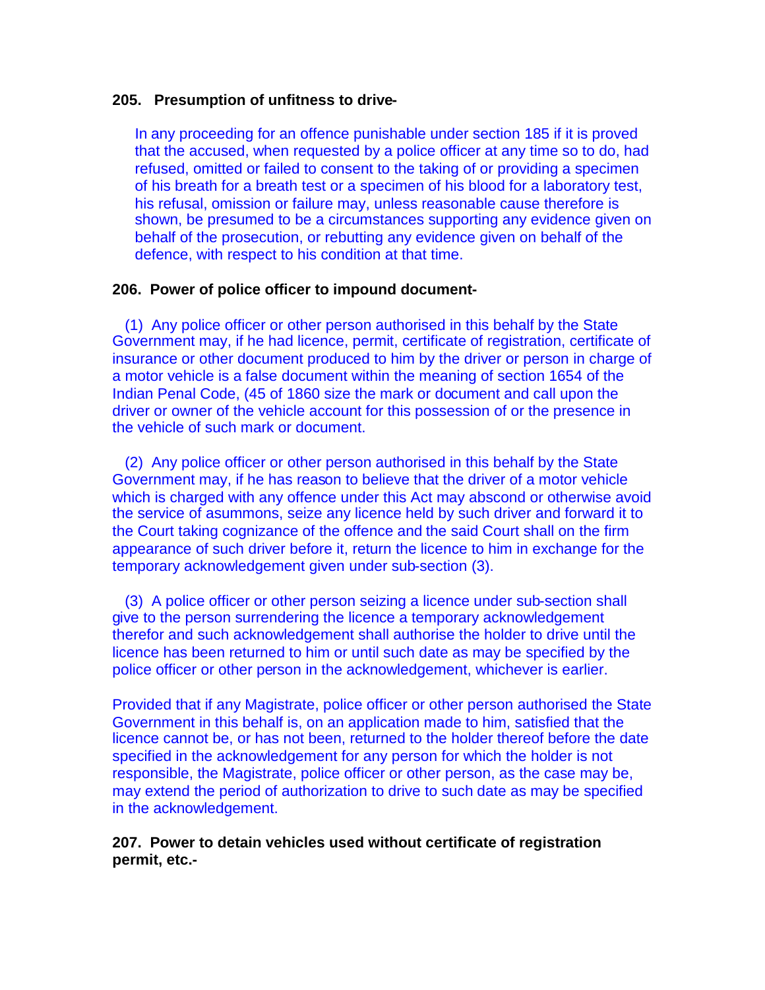#### **205. Presumption of unfitness to drive-**

In any proceeding for an offence punishable under section 185 if it is proved that the accused, when requested by a police officer at any time so to do, had refused, omitted or failed to consent to the taking of or providing a specimen of his breath for a breath test or a specimen of his blood for a laboratory test, his refusal, omission or failure may, unless reasonable cause therefore is shown, be presumed to be a circumstances supporting any evidence given on behalf of the prosecution, or rebutting any evidence given on behalf of the defence, with respect to his condition at that time.

#### **206. Power of police officer to impound document-**

(1) Any police officer or other person authorised in this behalf by the State Government may, if he had licence, permit, certificate of registration, certificate of insurance or other document produced to him by the driver or person in charge of a motor vehicle is a false document within the meaning of section 1654 of the Indian Penal Code, (45 of 1860 size the mark or document and call upon the driver or owner of the vehicle account for this possession of or the presence in the vehicle of such mark or document.

(2) Any police officer or other person authorised in this behalf by the State Government may, if he has reason to believe that the driver of a motor vehicle which is charged with any offence under this Act may abscond or otherwise avoid the service of asummons, seize any licence held by such driver and forward it to the Court taking cognizance of the offence and the said Court shall on the firm appearance of such driver before it, return the licence to him in exchange for the temporary acknowledgement given under sub-section (3).

(3) A police officer or other person seizing a licence under sub-section shall give to the person surrendering the licence a temporary acknowledgement therefor and such acknowledgement shall authorise the holder to drive until the licence has been returned to him or until such date as may be specified by the police officer or other person in the acknowledgement, whichever is earlier.

Provided that if any Magistrate, police officer or other person authorised the State Government in this behalf is, on an application made to him, satisfied that the licence cannot be, or has not been, returned to the holder thereof before the date specified in the acknowledgement for any person for which the holder is not responsible, the Magistrate, police officer or other person, as the case may be, may extend the period of authorization to drive to such date as may be specified in the acknowledgement.

**207. Power to detain vehicles used without certificate of registration permit, etc.-**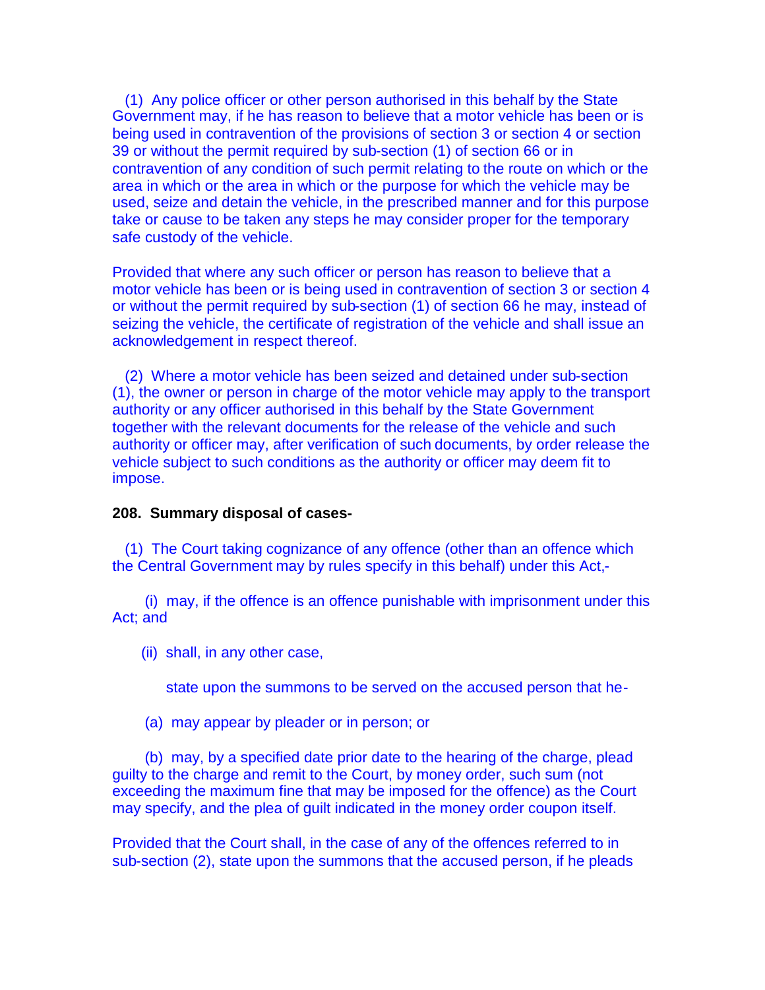(1) Any police officer or other person authorised in this behalf by the State Government may, if he has reason to believe that a motor vehicle has been or is being used in contravention of the provisions of section 3 or section 4 or section 39 or without the permit required by sub-section (1) of section 66 or in contravention of any condition of such permit relating to the route on which or the area in which or the area in which or the purpose for which the vehicle may be used, seize and detain the vehicle, in the prescribed manner and for this purpose take or cause to be taken any steps he may consider proper for the temporary safe custody of the vehicle.

Provided that where any such officer or person has reason to believe that a motor vehicle has been or is being used in contravention of section 3 or section 4 or without the permit required by sub-section (1) of section 66 he may, instead of seizing the vehicle, the certificate of registration of the vehicle and shall issue an acknowledgement in respect thereof.

(2) Where a motor vehicle has been seized and detained under sub-section (1), the owner or person in charge of the motor vehicle may apply to the transport authority or any officer authorised in this behalf by the State Government together with the relevant documents for the release of the vehicle and such authority or officer may, after verification of such documents, by order release the vehicle subject to such conditions as the authority or officer may deem fit to impose.

#### **208. Summary disposal of cases-**

(1) The Court taking cognizance of any offence (other than an offence which the Central Government may by rules specify in this behalf) under this Act,-

(i) may, if the offence is an offence punishable with imprisonment under this Act; and

(ii) shall, in any other case,

state upon the summons to be served on the accused person that he-

(a) may appear by pleader or in person; or

(b) may, by a specified date prior date to the hearing of the charge, plead guilty to the charge and remit to the Court, by money order, such sum (not exceeding the maximum fine that may be imposed for the offence) as the Court may specify, and the plea of guilt indicated in the money order coupon itself.

Provided that the Court shall, in the case of any of the offences referred to in sub-section (2), state upon the summons that the accused person, if he pleads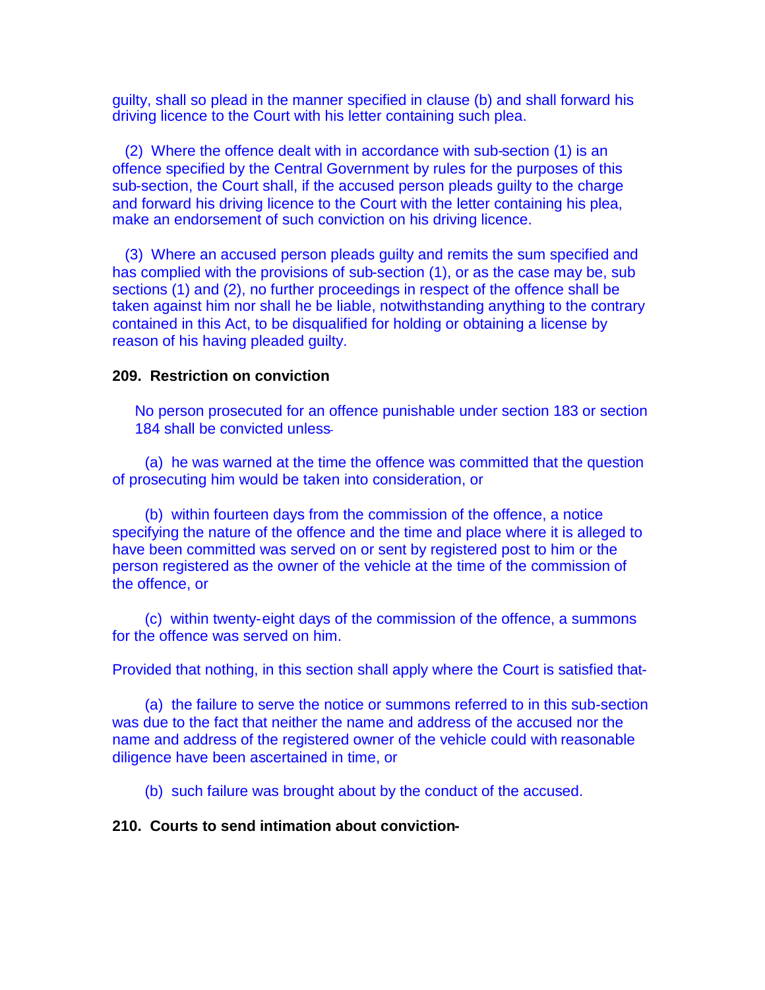guilty, shall so plead in the manner specified in clause (b) and shall forward his driving licence to the Court with his letter containing such plea.

(2) Where the offence dealt with in accordance with sub-section (1) is an offence specified by the Central Government by rules for the purposes of this sub-section, the Court shall, if the accused person pleads guilty to the charge and forward his driving licence to the Court with the letter containing his plea, make an endorsement of such conviction on his driving licence.

(3) Where an accused person pleads guilty and remits the sum specified and has complied with the provisions of sub-section (1), or as the case may be, sub sections (1) and (2), no further proceedings in respect of the offence shall be taken against him nor shall he be liable, notwithstanding anything to the contrary contained in this Act, to be disqualified for holding or obtaining a license by reason of his having pleaded guilty.

#### **209. Restriction on conviction**

No person prosecuted for an offence punishable under section 183 or section 184 shall be convicted unless-

(a) he was warned at the time the offence was committed that the question of prosecuting him would be taken into consideration, or

(b) within fourteen days from the commission of the offence, a notice specifying the nature of the offence and the time and place where it is alleged to have been committed was served on or sent by registered post to him or the person registered as the owner of the vehicle at the time of the commission of the offence, or

(c) within twenty-eight days of the commission of the offence, a summons for the offence was served on him.

Provided that nothing, in this section shall apply where the Court is satisfied that-

(a) the failure to serve the notice or summons referred to in this sub-section was due to the fact that neither the name and address of the accused nor the name and address of the registered owner of the vehicle could with reasonable diligence have been ascertained in time, or

(b) such failure was brought about by the conduct of the accused.

#### **210. Courts to send intimation about conviction-**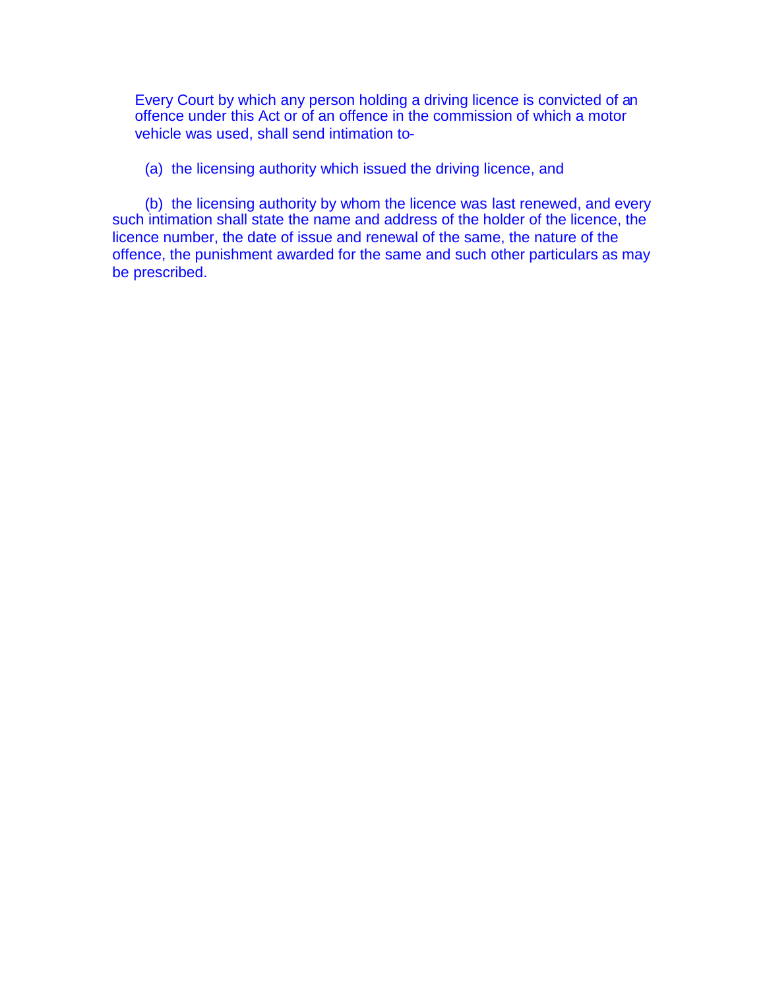Every Court by which any person holding a driving licence is convicted of an offence under this Act or of an offence in the commission of which a motor vehicle was used, shall send intimation to-

(a) the licensing authority which issued the driving licence, and

(b) the licensing authority by whom the licence was last renewed, and every such intimation shall state the name and address of the holder of the licence, the licence number, the date of issue and renewal of the same, the nature of the offence, the punishment awarded for the same and such other particulars as may be prescribed.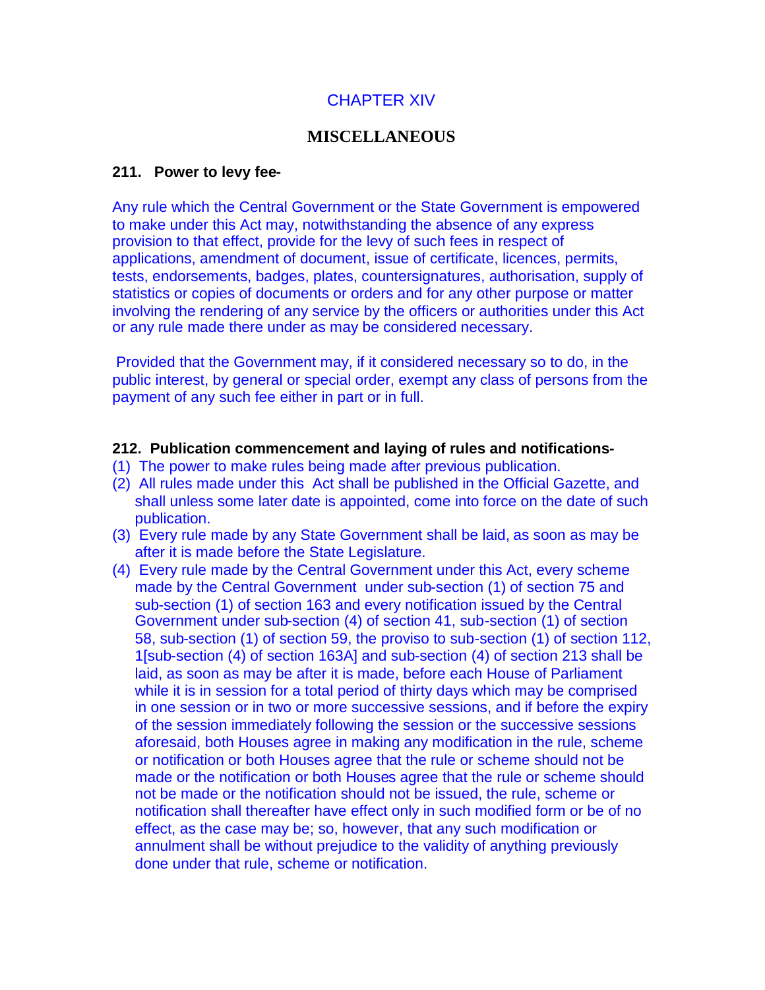# CHAPTER XIV

### **MISCELLANEOUS**

#### **211. Power to levy fee-**

Any rule which the Central Government or the State Government is empowered to make under this Act may, notwithstanding the absence of any express provision to that effect, provide for the levy of such fees in respect of applications, amendment of document, issue of certificate, licences, permits, tests, endorsements, badges, plates, countersignatures, authorisation, supply of statistics or copies of documents or orders and for any other purpose or matter involving the rendering of any service by the officers or authorities under this Act or any rule made there under as may be considered necessary.

Provided that the Government may, if it considered necessary so to do, in the public interest, by general or special order, exempt any class of persons from the payment of any such fee either in part or in full.

#### **212. Publication commencement and laying of rules and notifications-**

- (1) The power to make rules being made after previous publication.
- (2) All rules made under this Act shall be published in the Official Gazette, and shall unless some later date is appointed, come into force on the date of such publication.
- (3) Every rule made by any State Government shall be laid, as soon as may be after it is made before the State Legislature.
- (4) Every rule made by the Central Government under this Act, every scheme made by the Central Government under sub-section (1) of section 75 and sub-section (1) of section 163 and every notification issued by the Central Government under sub-section (4) of section 41, sub-section (1) of section 58, sub-section (1) of section 59, the proviso to sub-section (1) of section 112, 1[sub-section (4) of section 163A] and sub-section (4) of section 213 shall be laid, as soon as may be after it is made, before each House of Parliament while it is in session for a total period of thirty days which may be comprised in one session or in two or more successive sessions, and if before the expiry of the session immediately following the session or the successive sessions aforesaid, both Houses agree in making any modification in the rule, scheme or notification or both Houses agree that the rule or scheme should not be made or the notification or both Houses agree that the rule or scheme should not be made or the notification should not be issued, the rule, scheme or notification shall thereafter have effect only in such modified form or be of no effect, as the case may be; so, however, that any such modification or annulment shall be without prejudice to the validity of anything previously done under that rule, scheme or notification.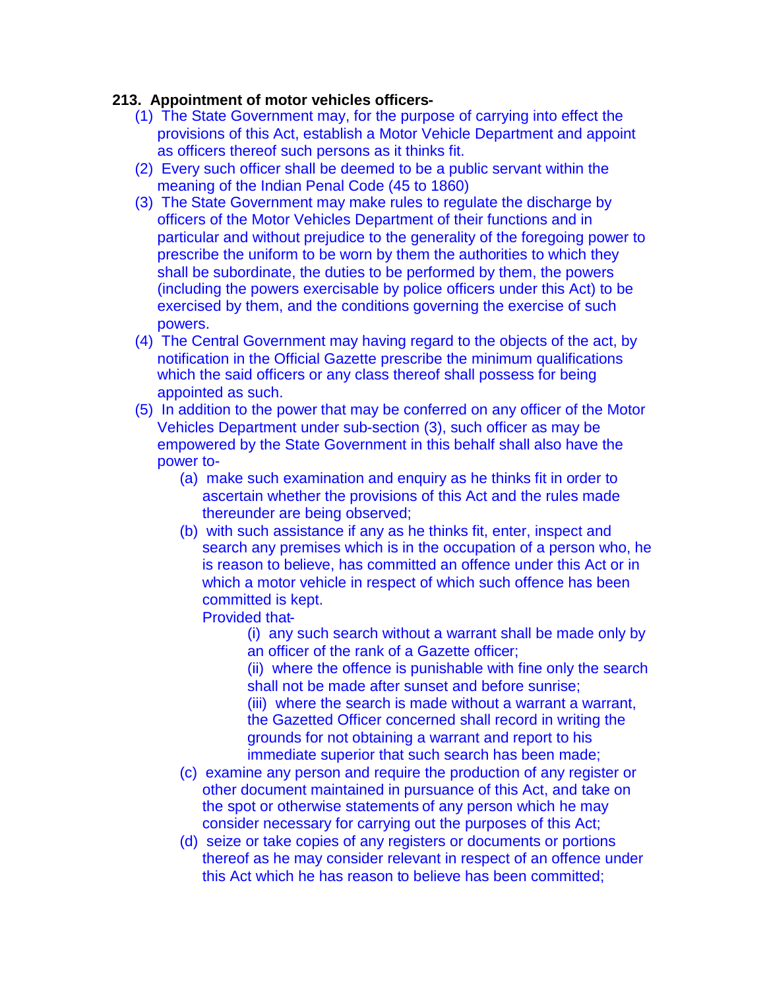# **213. Appointment of motor vehicles officers-**

- (1) The State Government may, for the purpose of carrying into effect the provisions of this Act, establish a Motor Vehicle Department and appoint as officers thereof such persons as it thinks fit.
- (2) Every such officer shall be deemed to be a public servant within the meaning of the Indian Penal Code (45 to 1860)
- (3) The State Government may make rules to regulate the discharge by officers of the Motor Vehicles Department of their functions and in particular and without prejudice to the generality of the foregoing power to prescribe the uniform to be worn by them the authorities to which they shall be subordinate, the duties to be performed by them, the powers (including the powers exercisable by police officers under this Act) to be exercised by them, and the conditions governing the exercise of such powers.
- (4) The Central Government may having regard to the objects of the act, by notification in the Official Gazette prescribe the minimum qualifications which the said officers or any class thereof shall possess for being appointed as such.
- (5) In addition to the power that may be conferred on any officer of the Motor Vehicles Department under sub-section (3), such officer as may be empowered by the State Government in this behalf shall also have the power to-
	- (a) make such examination and enquiry as he thinks fit in order to ascertain whether the provisions of this Act and the rules made thereunder are being observed;
	- (b) with such assistance if any as he thinks fit, enter, inspect and search any premises which is in the occupation of a person who, he is reason to believe, has committed an offence under this Act or in which a motor vehicle in respect of which such offence has been committed is kept.

## Provided that-

(i) any such search without a warrant shall be made only by an officer of the rank of a Gazette officer;

(ii) where the offence is punishable with fine only the search shall not be made after sunset and before sunrise; (iii) where the search is made without a warrant a warrant, the Gazetted Officer concerned shall record in writing the grounds for not obtaining a warrant and report to his immediate superior that such search has been made;

- (c) examine any person and require the production of any register or other document maintained in pursuance of this Act, and take on the spot or otherwise statements of any person which he may consider necessary for carrying out the purposes of this Act;
- (d) seize or take copies of any registers or documents or portions thereof as he may consider relevant in respect of an offence under this Act which he has reason to believe has been committed;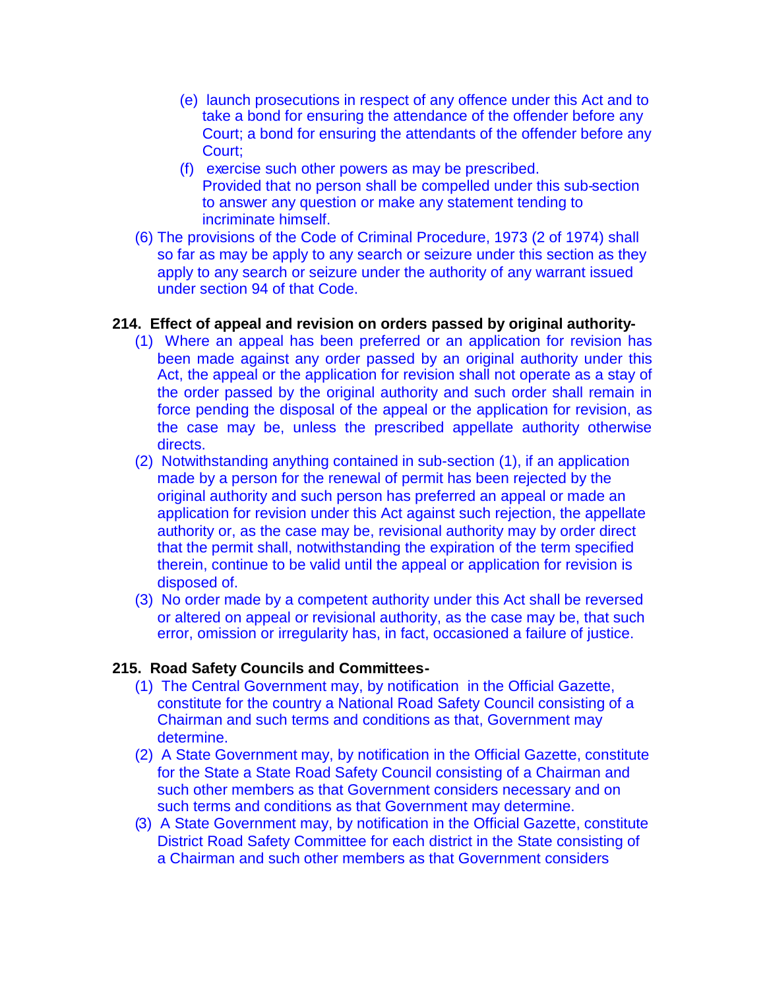- (e) launch prosecutions in respect of any offence under this Act and to take a bond for ensuring the attendance of the offender before any Court; a bond for ensuring the attendants of the offender before any Court;
- (f) exercise such other powers as may be prescribed. Provided that no person shall be compelled under this sub-section to answer any question or make any statement tending to incriminate himself.
- (6) The provisions of the Code of Criminal Procedure, 1973 (2 of 1974) shall so far as may be apply to any search or seizure under this section as they apply to any search or seizure under the authority of any warrant issued under section 94 of that Code.

### **214. Effect of appeal and revision on orders passed by original authority-**

- (1) Where an appeal has been preferred or an application for revision has been made against any order passed by an original authority under this Act, the appeal or the application for revision shall not operate as a stay of the order passed by the original authority and such order shall remain in force pending the disposal of the appeal or the application for revision, as the case may be, unless the prescribed appellate authority otherwise directs.
- (2) Notwithstanding anything contained in sub-section (1), if an application made by a person for the renewal of permit has been rejected by the original authority and such person has preferred an appeal or made an application for revision under this Act against such rejection, the appellate authority or, as the case may be, revisional authority may by order direct that the permit shall, notwithstanding the expiration of the term specified therein, continue to be valid until the appeal or application for revision is disposed of.
- (3) No order made by a competent authority under this Act shall be reversed or altered on appeal or revisional authority, as the case may be, that such error, omission or irregularity has, in fact, occasioned a failure of justice.

## **215. Road Safety Councils and Committees-**

- (1) The Central Government may, by notification in the Official Gazette, constitute for the country a National Road Safety Council consisting of a Chairman and such terms and conditions as that, Government may determine.
- (2) A State Government may, by notification in the Official Gazette, constitute for the State a State Road Safety Council consisting of a Chairman and such other members as that Government considers necessary and on such terms and conditions as that Government may determine.
- (3) A State Government may, by notification in the Official Gazette, constitute District Road Safety Committee for each district in the State consisting of a Chairman and such other members as that Government considers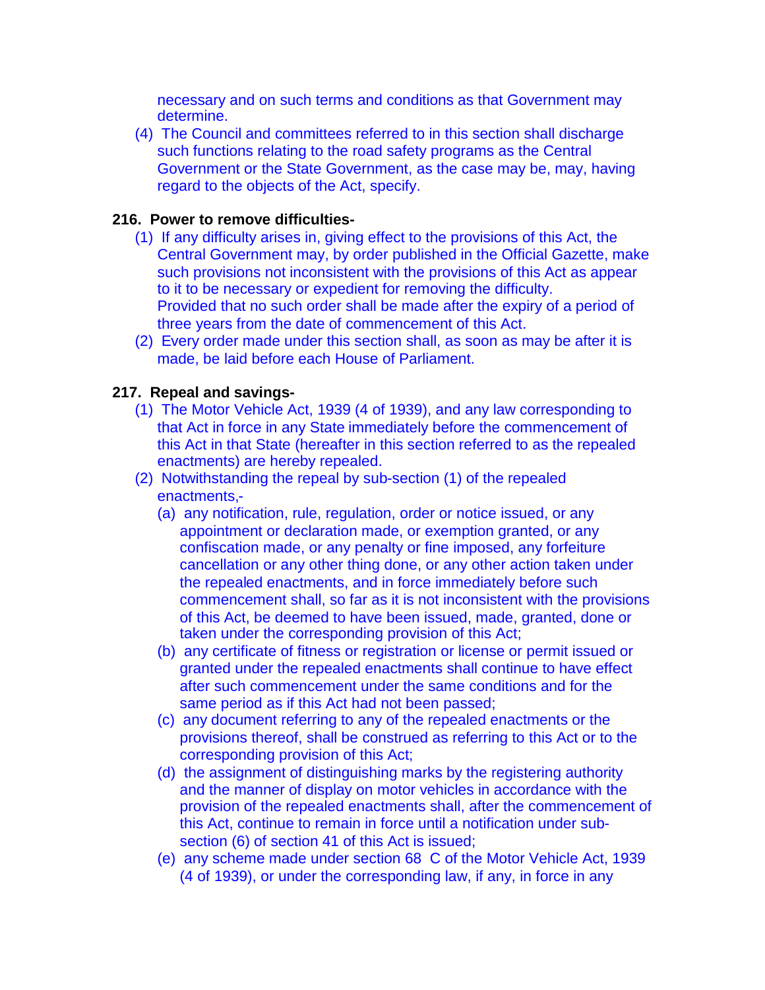necessary and on such terms and conditions as that Government may determine.

(4) The Council and committees referred to in this section shall discharge such functions relating to the road safety programs as the Central Government or the State Government, as the case may be, may, having regard to the objects of the Act, specify.

### **216. Power to remove difficulties-**

- (1) If any difficulty arises in, giving effect to the provisions of this Act, the Central Government may, by order published in the Official Gazette, make such provisions not inconsistent with the provisions of this Act as appear to it to be necessary or expedient for removing the difficulty. Provided that no such order shall be made after the expiry of a period of three years from the date of commencement of this Act.
- (2) Every order made under this section shall, as soon as may be after it is made, be laid before each House of Parliament.

### **217. Repeal and savings-**

- (1) The Motor Vehicle Act, 1939 (4 of 1939), and any law corresponding to that Act in force in any State immediately before the commencement of this Act in that State (hereafter in this section referred to as the repealed enactments) are hereby repealed.
- (2) Notwithstanding the repeal by sub-section (1) of the repealed enactments,-
	- (a) any notification, rule, regulation, order or notice issued, or any appointment or declaration made, or exemption granted, or any confiscation made, or any penalty or fine imposed, any forfeiture cancellation or any other thing done, or any other action taken under the repealed enactments, and in force immediately before such commencement shall, so far as it is not inconsistent with the provisions of this Act, be deemed to have been issued, made, granted, done or taken under the corresponding provision of this Act;
	- (b) any certificate of fitness or registration or license or permit issued or granted under the repealed enactments shall continue to have effect after such commencement under the same conditions and for the same period as if this Act had not been passed;
	- (c) any document referring to any of the repealed enactments or the provisions thereof, shall be construed as referring to this Act or to the corresponding provision of this Act;
	- (d) the assignment of distinguishing marks by the registering authority and the manner of display on motor vehicles in accordance with the provision of the repealed enactments shall, after the commencement of this Act, continue to remain in force until a notification under subsection (6) of section 41 of this Act is issued;
	- (e) any scheme made under section 68 C of the Motor Vehicle Act, 1939 (4 of 1939), or under the corresponding law, if any, in force in any